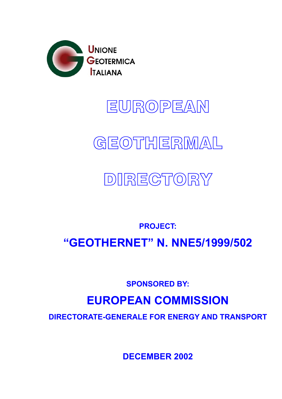**DECEMBER 2002** 

# **DIRECTORATE-GENERALE FOR ENERGY AND TRANSPORT**

# **EUROPEAN COMMISSION**

**SPONSORED BY:** 

# **"GEOTHERNET" N. NNE5/1999/502**

**PROJECT:** 

# **DIRECTORY**

# **GEOTHERMAL**

EUROPEAN

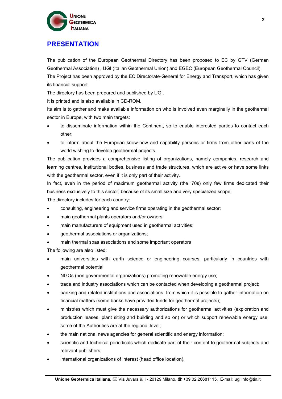

### **PRESENTATION**

The publication of the European Geothermal Directory has been proposed to EC by GTV (German Geothermal Association) , UGI (Italian Geothermal Union) and EGEC (European Geothermal Council). The Project has been approved by the EC Directorate-General for Energy and Transport, which has given

its financial support.

The directory has been prepared and published by UGI.

It is printed and is also available in CD-ROM.

Its aim is to gather and make available information on who is involved even marginally in the geothermal sector in Europe, with two main targets:

- to disseminate information within the Continent, so to enable interested parties to contact each other;
- to inform about the European know-how and capability persons or firms from other parts of the world wishing to develop geothermal projects.

The publication provides a comprehensive listing of organizations, namely companies, research and learning centres, institutional bodies, business and trade structures, which are active or have some links with the geothermal sector, even if it is only part of their activity.

In fact, even in the period of maximum geothermal activity (the '70s) only few firms dedicated their business exclusively to this sector, because of its small size and very specialized scope.

The directory includes for each country:

- consulting, engineering and service firms operating in the geothermal sector;
- main geothermal plants operators and/or owners;
- main manufacturers of equipment used in geothermal activities;
- geothermal associations or organizations;
- main thermal spas associations and some important operators

The following are also listed:

- main universities with earth science or engineering courses, particularly in countries with geothermal potential;
- NGOs (non governmental organizations) promoting renewable energy use;
- trade and industry associations which can be contacted when developing a geothermal project;
- banking and related institutions and associations from which it is possible to gather information on financial matters (some banks have provided funds for geothermal projects);
- ministries which must give the necessary authorizations for geothermal activities (exploration and production leases, plant siting and building and so on) or which support renewable energy use; some of the Authorities are at the regional level;
- the main national news agencies for general scientific and energy information;
- scientific and technical periodicals which dedicate part of their content to geothermal subjects and relevant publishers;
- international organizations of interest (head office location).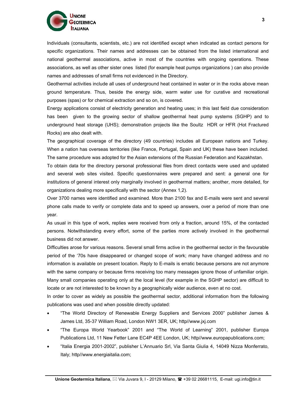

Individuals (consultants, scientists, etc.) are not identified except when indicated as contact persons for specific organizations. Their names and addresses can be obtained from the listed international and national geothermal associations, active in most of the countries with ongoing operations. These associations, as well as other sister ones listed (for example heat pumps organizations ) can also provide names and addresses of small firms not evidenced in the Directory.

Geothermal activities include all uses of underground heat contained in water or in the rocks above mean ground temperature. Thus, beside the energy side, warm water use for curative and recreational purposes (spas) or for chemical extraction and so on, is covered.

Energy applications consist of electricity generation and heating uses; in this last field due consideration has been given to the growing sector of shallow geothermal heat pump systems (SGHP) and to underground heat storage (UHS); demonstration projects like the Soultz HDR or HFR (Hot Fractured Rocks) are also dealt with.

The geographical coverage of the directory (49 countries) includes all European nations and Turkey. When a nation has overseas territories (like France, Portugal, Spain and UK) these have been included. The same procedure was adopted for the Asian extensions of the Russian Federation and Kazakhstan.

To obtain data for the directory personal professional files from direct contacts were used and updated and several web sites visited. Specific questionnaires were prepared and sent: a general one for institutions of general interest only marginally involved in geothermal matters; another, more detailed, for organizations dealing more specifically with the sector (Annex 1,2).

Over 3700 names were identified and examined. More than 2100 fax and E-mails were sent and several phone calls made to verify or complete data and to speed up answers, over a period of more than one year.

As usual in this type of work, replies were received from only a fraction, around 15%, of the contacted persons. Notwithstanding every effort, some of the parties more actively involved in the geothermal business did not answer.

Difficulties arose for various reasons. Several small firms active in the geothermal sector in the favourable period of the '70s have disappeared or changed scope of work; many have changed address and no information is available on present location. Reply to E-mails is erratic because persons are not anymore with the same company or because firms receiving too many messages ignore those of unfamiliar origin. Many small companies operating only at the local level (for example in the SGHP sector) are difficult to locate or are not interested to be known by a geographically wider audience, even at no cost.

In order to cover as widely as possible the geothermal sector, additional information from the following publications was used and when possible directly updated:

- "The World Directory of Renewable Energy Suppliers and Services 2000" publisher James & James Ltd, 35-37 William Road, London NW1 3ER, UK; http//www.jxj.com
- "The Europa World Yearbook" 2001 and "The World of Learning" 2001, publisher Europa Publications Ltd, 11 New Fetter Lane EC4P 4EE London, UK; http//www.europapublications.com;
- "Italia Energia 2001-2002", publisher L'Annuario Srl, Via Santa Giulia 4, 14049 Nizza Monferrato, Italy; http//www.energiaitalia.com;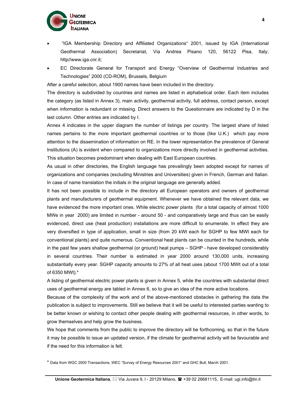- "IGA Membership Directory and Affiliated Organizations" 2001, issued by IGA (International Geothermal Association) Secretariat, Via Andrea Pisano 120, 56122 Pisa, Italy; http//www.iga.cnr.it;
- EC Directorate General for Transport and Energy "Overview of Geothermal Industries and Technologies" 2000 (CD-ROM), Brussels, Belgium

After a careful selection, about 1900 names have been included in the directory.

The directory is subdivided by countries and names are listed in alphabetical order. Each item includes the category (as listed in Annex 3), main activity, geothermal activity, full address, contact person, except when information is redundant or missing. Direct answers to the Questionnaire are indicated by D in the last column. Other entries are indicated by I.

Annex 4 indicates in the upper diagram the number of listings per country. The largest share of listed names pertains to the more important geothermal countries or to those (like U.K.) which pay more attention to the dissemination of information on RE. In the lower representation the prevalence of General Institutions (A) is evident when compared to organizations more directly involved in geothermal activities. This situation becomes predominant when dealing with East European countries.

As usual in other directories, the English language has prevailingly been adopted except for names of organizations and companies (excluding Ministries and Universities) given in French, German and Italian. In case of name translation the initials in the original language are generally added.

It has not been possible to include in the directory all European operators and owners of geothermal plants and manufacturers of geothermal equipment. Whenever we have obtained the relevant data, we have evidenced the more important ones. While electric power plants (for a total capacity of almost 1000 MWe in year 2000) are limited in number - around 50 - and comparatively large and thus can be easily evidenced, direct use (heat production) installations are more difficult to enumerate. In effect they are very diversified in type of application, small in size (from 20 kWt each for SGHP to few MWt each for conventional plants) and quite numerous. Conventional heat plants can be counted in the hundreds, while in the past few years shallow geothermal (or ground) heat pumps – SGHP - have developed considerably in several countries. Their number is estimated in year 2000 around 130,000 units, increasing substantially every year. SGHP capacity amounts to 27% of all heat uses (about 1700 MWt out of a total of 6350 MWt).\*

A listing of geothermal electric power plants is given in Annex 5, while the countries with substantial direct uses of geothermal energy are tabled in Annex 6, so to give an idea of the more active locations.

Because of the complexity of the work and of the above-mentioned obstacles in gathering the data the publication is subject to improvements. Still we believe that it will be useful to interested parties wanting to be better known or wishing to contact other people dealing with geothermal resources, in other words, to grow themselves and help grow the business.

We hope that comments from the public to improve the directory will be forthcoming, so that in the future it may be possible to issue an updated version, if the climate for geothermal activity will be favourable and if the need for this information is felt.

\* Data from WGC 2000 Transactions, WEC "Survey of Energy Resources 2001" and GHC Bull, March 2001.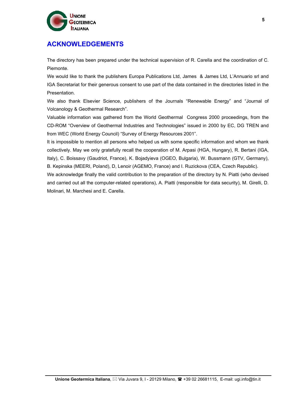

### **ACKNOWLEDGEMENTS**

The directory has been prepared under the technical supervision of R. Carella and the coordination of C. Piemonte.

We would like to thank the publishers Europa Publications Ltd, James & James Ltd, L'Annuario srl and IGA Secretariat for their generous consent to use part of the data contained in the directories listed in the Presentation.

We also thank Elsevier Science, publishers of the Journals "Renewable Energy" and "Journal of Volcanology & Geothermal Research".

Valuable information was gathered from the World Geothermal Congress 2000 proceedings, from the CD-ROM "Overview of Geothermal Industries and Technologies" issued in 2000 by EC, DG TREN and from WEC (World Energy Council) "Survey of Energy Resources 2001".

It is impossible to mention all persons who helped us with some specific information and whom we thank collectively. May we only gratefully recall the cooperation of M. Arpasi (HGA, Hungary), R. Bertani (IGA, Italy), C. Boissavy (Gaudriot, France), K. Bojadyieva (OGEO, Bulgaria), W. Bussmann (GTV, Germany), B. Kepinska (MEERI, Poland), D, Lenoir (AGEMO, France) and I. Ruzickova (CEA, Czech Republic).

We acknowledge finally the valid contribution to the preparation of the directory by N. Piatti (who devised and carried out all the computer-related operations), A. Piatti (responsible for data security), M. Girelli, D. Molinari, M. Marchesi and E. Carella.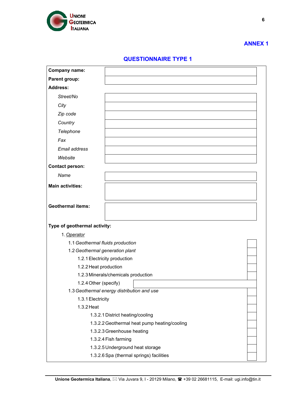

#### **QUESTIONNAIRE TYPE 1**

| <b>Company name:</b>             |                                              |  |
|----------------------------------|----------------------------------------------|--|
| Parent group:                    |                                              |  |
| <b>Address:</b>                  |                                              |  |
| Street/No                        |                                              |  |
| City                             |                                              |  |
| Zip code                         |                                              |  |
| Country                          |                                              |  |
| Telephone                        |                                              |  |
| Fax                              |                                              |  |
| Email address                    |                                              |  |
| Website                          |                                              |  |
| <b>Contact person:</b>           |                                              |  |
| Name                             |                                              |  |
| <b>Main activities:</b>          |                                              |  |
|                                  |                                              |  |
| <b>Geothermal items:</b>         |                                              |  |
|                                  |                                              |  |
|                                  |                                              |  |
| Type of geothermal activity:     |                                              |  |
| 1. Operator                      |                                              |  |
| 1.1 Geothermal fluids production |                                              |  |
| 1.2 Geothermal generation plant  |                                              |  |
| 1.2.1 Electricity production     |                                              |  |
| 1.2.2 Heat production            |                                              |  |
| 1.2.4 Other (specify)            | 1.2.3 Minerals/chemicals production          |  |
|                                  | 1.3 Geothermal energy distribution and use   |  |
| 1.3.1 Electricity                |                                              |  |
| 1.3.2 Heat                       |                                              |  |
|                                  | 1.3.2.1 District heating/cooling             |  |
|                                  | 1.3.2.2 Geothermal heat pump heating/cooling |  |
|                                  | 1.3.2.3 Greenhouse heating                   |  |
|                                  | 1.3.2.4 Fish farming                         |  |
|                                  | 1.3.2.5 Underground heat storage             |  |
|                                  | 1.3.2.6 Spa (thermal springs) facilities     |  |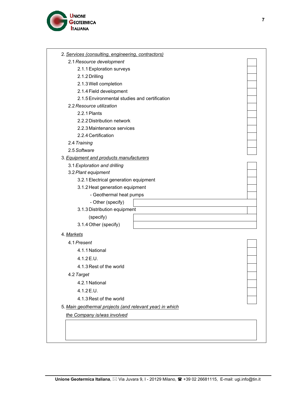

| 2.1 Resource development                                 |  |
|----------------------------------------------------------|--|
| 2.1.1 Exploration surveys                                |  |
| 2.1.2 Drilling                                           |  |
| 2.1.3 Well completion                                    |  |
| 2.1.4 Field development                                  |  |
| 2.1.5 Environmental studies and certification            |  |
| 2.2 Resource utilization                                 |  |
| 2.2.1 Plants                                             |  |
| 2.2.2 Distribution network                               |  |
| 2.2.3 Maintenance services                               |  |
| 2.2.4 Certification                                      |  |
| 2.4 Training                                             |  |
| 2.5 Software                                             |  |
| 3. Equipment and products manufacturers                  |  |
| 3.1 Exploration and drilling                             |  |
| 3.2 Plant equipment                                      |  |
| 3.2.1 Electrical generation equipment                    |  |
| 3.1.2 Heat generation equipment                          |  |
| - Geothermal heat pumps                                  |  |
| - Other (specify)                                        |  |
| 3.1.3 Distribution equipment                             |  |
| (specify)                                                |  |
| 3.1.4 Other (specify)                                    |  |
| 4. Markets                                               |  |
| 4.1 Present                                              |  |
| 4.1.1 National                                           |  |
| 4.1.2 E.U.                                               |  |
| 4.1.3 Rest of the world                                  |  |
| 4.2 Target                                               |  |
| 4.2.1 National                                           |  |
| 4.1.2 E.U.                                               |  |
|                                                          |  |
| 4.1.3 Rest of the world                                  |  |
| 5. Main geothermal projects (and relevant year) in which |  |
| the Company is/was involved                              |  |
|                                                          |  |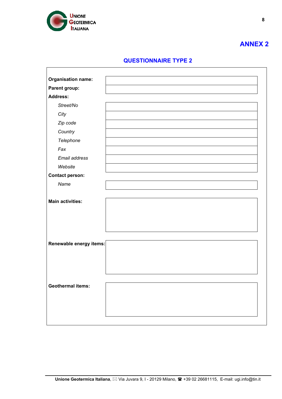

**8**

#### **QUESTIONNAIRE TYPE 2**

| <b>Organisation name:</b> |  |
|---------------------------|--|
| Parent group:             |  |
| <b>Address:</b>           |  |
| Street/No                 |  |
| City                      |  |
| Zip code                  |  |
| Country                   |  |
| Telephone                 |  |
| Fax                       |  |
| Email address             |  |
| Website                   |  |
| <b>Contact person:</b>    |  |
| Name                      |  |
|                           |  |
| <b>Main activities:</b>   |  |
|                           |  |
|                           |  |
|                           |  |
|                           |  |
| Renewable energy items:   |  |
|                           |  |
|                           |  |
|                           |  |
|                           |  |
| <b>Geothermal items:</b>  |  |
|                           |  |
|                           |  |
|                           |  |
|                           |  |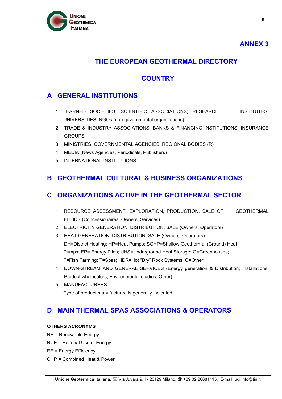

**9**

#### **THE EUROPEAN GEOTHERMAL DIRECTORY**

#### **COUNTRY**

#### **A GENERAL INSTITUTIONS**

- 1 LEARNED SOCIETIES; SCIENTIFIC ASSOCIATIONS; RESEARCH INSTITUTES; UNIVERSITIES; NGOs (non governmental organizations)
- 2 TRADE & INDUSTRY ASSOCIATIONS; BANKS & FINANCING INSTITUTIONS; INSURANCE **GROUPS**
- 3 MINISTRIES; GOVERNMENTAL AGENCIES; REGIONAL BODIES (R)
- 4 MEDIA (News Agencies, Periodicals, Publishers)
- 5 INTERNATIONAL INSTITUTIONS

#### **B GEOTHERMAL CULTURAL & BUSINESS ORGANIZATIONS**

#### **C ORGANIZATIONS ACTIVE IN THE GEOTHERMAL SECTOR**

- 1 RESOURCE ASSESSMENT; EXPLORATION, PRODUCTION, SALE OF GEOTHERMAL FLUIDS (Concessionaires, Owners, Services)
- 2 ELECTRICITY GENERATION, DISTRIBUTION, SALE (Owners, Operators)
- 3 HEAT GENERATION, DISTRIBUTION, SALE (Owners, Operators) DH=District Heating; HP=Heat Pumps; SGHP=Shallow Geothermal (Ground) Heat Pumps; EP= Energy Piles; UHS=Underground Heat Storage; G=Greenhouses; F=Fish Farming; T=Spas; HDR=Hot "Dry" Rock Systems; O=Other
- 4 DOWN-STREAM AND GENERAL SERVICES (Energy generation & Distribution; Installations; Product wholesalers; Environmental studies; Other)
- 5 MANUFACTURERS Type of product manufactured is generally indicated.

#### **D MAIN THERMAL SPAS ASSOCIATIONS & OPERATORS**

#### **OTHERS ACRONYMS**

RE = Renewable Energy

- RUE = Rational Use of Energy
- EE = Energy Efficiency
- CHP = Combined Heat & Power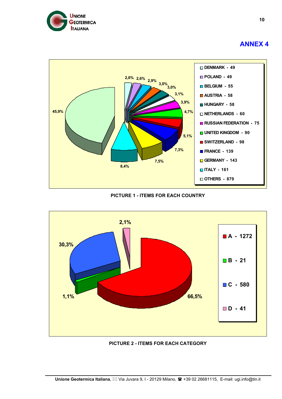



**PICTURE 1 - ITEMS FOR EACH COUNTRY** 



**PICTURE 2 - ITEMS FOR EACH CATEGORY**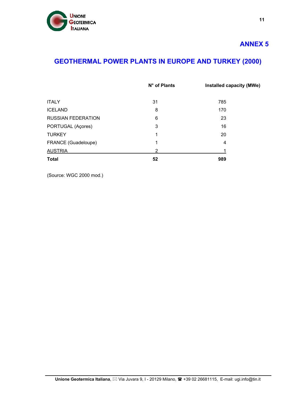

# **GEOTHERMAL POWER PLANTS IN EUROPE AND TURKEY (2000)**

|                           | $N^{\circ}$ of Plants | Installed capacity (MWe) |
|---------------------------|-----------------------|--------------------------|
| <b>ITALY</b>              | 31                    | 785                      |
| <b>ICELAND</b>            | 8                     | 170                      |
| <b>RUSSIAN FEDERATION</b> | 6                     | 23                       |
| PORTUGAL (Açores)         | 3                     | 16                       |
| <b>TURKEY</b>             | 1                     | 20                       |
| FRANCE (Guadeloupe)       | 1                     | 4                        |
| <b>AUSTRIA</b>            | 2                     |                          |
| <b>Total</b>              | 52                    | 989                      |

(Source: WGC 2000 mod.)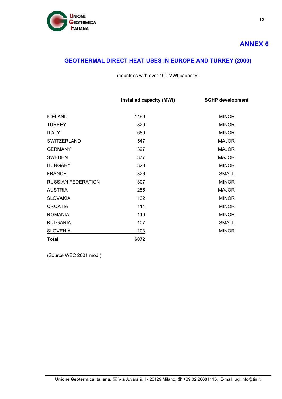

# **GEOTHERMAL DIRECT HEAT USES IN EUROPE AND TURKEY (2000)**

(countries with over 100 MWt capacity)

|                           | Installed capacity (MWt) | <b>SGHP development</b> |
|---------------------------|--------------------------|-------------------------|
|                           |                          |                         |
| <b>ICELAND</b>            | 1469                     | <b>MINOR</b>            |
| <b>TURKEY</b>             | 820                      | <b>MINOR</b>            |
| <b>ITALY</b>              | 680                      | <b>MINOR</b>            |
| <b>SWITZERLAND</b>        | 547                      | <b>MAJOR</b>            |
| <b>GERMANY</b>            | 397                      | <b>MAJOR</b>            |
| <b>SWEDEN</b>             | 377                      | <b>MAJOR</b>            |
| <b>HUNGARY</b>            | 328                      | <b>MINOR</b>            |
| <b>FRANCE</b>             | 326                      | <b>SMALL</b>            |
| <b>RUSSIAN FEDERATION</b> | 307                      | <b>MINOR</b>            |
| <b>AUSTRIA</b>            | 255                      | <b>MAJOR</b>            |
| <b>SLOVAKIA</b>           | 132                      | <b>MINOR</b>            |
| <b>CROATIA</b>            | 114                      | <b>MINOR</b>            |
| <b>ROMANIA</b>            | 110                      | <b>MINOR</b>            |
| <b>BULGARIA</b>           | 107                      | <b>SMALL</b>            |
| <b>SLOVENIA</b>           | 103                      | <b>MINOR</b>            |
| <b>Total</b>              | 6072                     |                         |

(Source WEC 2001 mod.)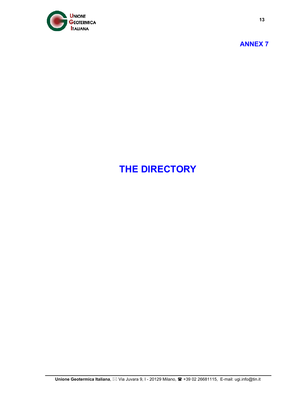

**13**

# **THE DIRECTORY**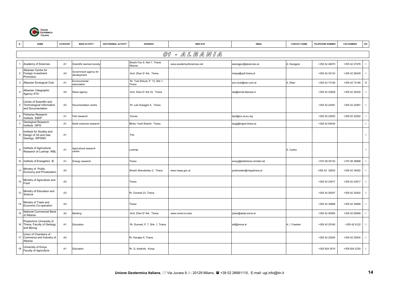

| N.             | <b>NAME</b>                                                                | CATEGORY       | <b>MAIN ACTIVITY</b>                 | <b>GEOTHERMAL ACTIVITY</b> | <b>ADDRESS</b>                            | <b>WEB SITE</b>           | <b>EMAIL</b>                 | <b>CONTACT NAME</b> | <b>TELEPHONE NUMBER</b> | <b>FAX NUMBER</b> | OR.            |
|----------------|----------------------------------------------------------------------------|----------------|--------------------------------------|----------------------------|-------------------------------------------|---------------------------|------------------------------|---------------------|-------------------------|-------------------|----------------|
|                |                                                                            |                |                                      |                            |                                           | 01 - ALBANIA              |                              |                     |                         |                   |                |
|                | Academy of Sciences                                                        | A <sub>1</sub> | Scientific learned society           |                            | Sheshi Fan S. Noli 7, Tiranë,<br>Albania  | www.academyofsciences.net | akaragjozi@akad.edu.al       | A. Karagjozi        | +355 42 44670           | +355 42 27476     | $\blacksquare$ |
| $\overline{2}$ | Albanian Centre for<br>Foreign Investment<br>Promotion                     | A <sub>3</sub> | Government agency for<br>development |                            | blvd. Zhan D' Ark, Tirana                 |                           | xhepa@cpfi.tirana.al         |                     | +355 42 30133           | +355 42 28439     | $\mathbf{I}$   |
| 3              | Albanian Ecological Club                                                   | A <sub>1</sub> | Environmental<br>association         |                            | Rr. Todi Shkurti, P. 13, Shk 1,<br>Tirana |                           | eco-club@san.com.al          | A. Eltari           | +355 42 73148           | +355 42 73148     | D              |
| $\overline{a}$ | Albanian Telegraphic<br>Agency ATA                                         | A4             | News agency                          |                            | blvd. Zhan D' Ark 23, Tirana              |                           | ata@email.telpress.it        |                     | +355 42 22929           | +355 42 34230     | $\mathbf{I}$   |
| 5              | Centre of Scientific and<br>Technological Information<br>and Documentation | A <sub>3</sub> | Documentation centre                 |                            | Rr. Lek Dukagjini 5, Tirana               |                           |                              |                     | +355 42 22491           | +355 42 22491     | $\mathbf{I}$   |
| 6              | Fisheries Research<br>Institute SSKP                                       | A <sub>1</sub> | Fish research                        |                            | Durres                                    |                           | ikpd@icc.al.eu.org           |                     | +355 52 22552           | +355 52 22552     | $\mathbf{I}$   |
| $\overline{7}$ | Geological Research<br>Institute ISPG                                      | A <sub>1</sub> | Earth sciences research              |                            | Blloku 'Vasil Shanto' Tirana              |                           | ispgj@ingeol.tirana.al       |                     | +355 42 65434           |                   | $\mathbf{I}$   |
| 8              | Institute for Studies and<br>Design of Oil and Gas<br>Geology ISPGNG       | A <sub>1</sub> |                                      |                            | Fier                                      |                           |                              |                     |                         |                   | $\mathbf{I}$   |
| 9              | Institute of Agricultural<br>Research of Lushnje IKBL                      | A <sub>1</sub> | Agricultural research<br>centre      |                            | Lushnje                                   |                           |                              | A. Canko            |                         |                   | $\mathbf{I}$   |
|                | 10 Institute of Energetics IE                                              | A <sub>1</sub> | Energy research                      |                            | Tirana                                    |                           | energ@elektrenai.omnitel.net |                     | +370 38 35133           | +370 38 36998     | $\mathbf{I}$   |
| 11             | Ministry of Public<br>Economy and Privatization                            | A <sub>3</sub> |                                      |                            | Sheshi Skenderbeu 2, Tirana               | www.mepp.gov.al           | postmaster@mepptirana.al     |                     | +355 42 32833           | +355 42 34052     | $\mathbf{I}$   |
|                | Ministry of Agriculture and<br>12<br>Food                                  | A <sub>3</sub> |                                      |                            | Tirana                                    |                           |                              |                     | +355 42 23917           | +355 42 23917     | $\mathbf{I}$   |
| 13             | Ministry of Education and<br>Science                                       | A <sub>3</sub> |                                      |                            | Rr. Durresit 23, Tirana                   |                           |                              |                     | +355 42 26307           | +355 42 32002     | $\mathbf{I}$   |
| 14             | Ministry of Trade and<br>Economic Co-operation                             | A <sub>3</sub> |                                      |                            | Tirana                                    |                           |                              |                     | +355 42 34668           | +355 42 34658     | $\mathbf{I}$   |
| 15             | National Commercial Bank<br>of Albania                                     | A <sub>2</sub> | Banking                              |                            | blvd. Zhan D' Ark, Tirana                 | www.come.to.ncba          | julian@aedp.soros.al         |                     | +355 42 50955           | +355 42 50948     | $\mathbf{I}$   |
|                | Polytechnic University of<br>16 Tirana, Faculty of Geology<br>and Mining   | A <sub>1</sub> | Education                            |                            | Rr. Durresit, P. 7, Shk. 1, Tirana        |                           | alfi@inima.al                | A. I. Frasheri      | +355 42 25160           | +355 42 6122      | $\mathbf{I}$   |
| 17             | Union of Chambers of<br>Commerce and Industry of<br>Albania                | A <sub>2</sub> |                                      |                            | Rr. Kavajes 6, Tirana                     |                           |                              |                     | +355 42 22934           | +355 42 22934     | $\mathbf{I}$   |
| 18             | University of Korce,<br>Faculty of Agriculture                             | A <sub>1</sub> | Education                            |                            | Rr. G. Kastrioti, Korce                   |                           |                              |                     | +355 824 3510           | +355 824 2230     | $\mathbf{I}$   |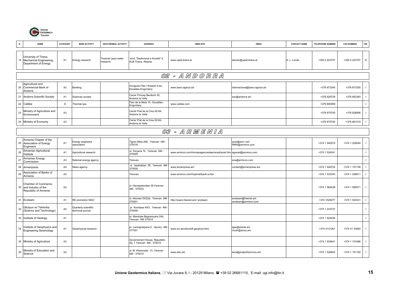

| N. | <b>NAME</b>                                                                 | CATEGORY       | <b>MAIN ACTIVITY</b>                      | <b>GEOTHERMAL ACTIVITY</b>      | <b>ADDRESS</b>                                            | <b>WEB SITE</b>                                                   | <b>EMAIL</b>                              | <b>CONTACT NAME</b> | <b>TELEPHONE NUMBER</b> | <b>FAX NUMBER</b> | OR.            |
|----|-----------------------------------------------------------------------------|----------------|-------------------------------------------|---------------------------------|-----------------------------------------------------------|-------------------------------------------------------------------|-------------------------------------------|---------------------|-------------------------|-------------------|----------------|
|    | University of Tirana,<br>19 Mechanical Engineering,<br>Department of Energy | A1             | Energy research                           | Thermal (spa) water<br>research | blvd. "Deshmoret e Kombit" 4,<br>ALB-Tirana, Albania      | www.uptal.tirana.al                                               | alondo@uptal.tirana.al                    | A. L. Londo         | +355 4 223707           | +355 4 223707     | $\mathsf D$    |
|    |                                                                             |                |                                           |                                 |                                                           | 02 - ANDORRA                                                      |                                           |                     |                         |                   |                |
| 20 | Agricultural and<br>Commercial Bank of<br>Andorra                           | A <sub>2</sub> | Banking                                   |                                 | Avinguda Fiter i Rossell 4 bis,<br>Escaldes-Engordany     | www.banc-agricol.ad                                               | internacional@banc-agricol.ad             |                     | +376 873345             | +376 873350       |                |
| 21 | Andorra Scientifc Society                                                   | A <sub>1</sub> | <b>Sciences society</b>                   |                                 | Carrer Princep Benlloch 30,<br>Andorra la Vella           |                                                                   | sac@andorra.ad                            |                     | +376 829729             | +376 852383       |                |
|    | 22 Caldea                                                                   | D              | Thermal spa                               |                                 | Parc de la Mola 10, Escaldes -<br>Engordany               | www.caldea.com                                                    |                                           |                     | +376 800999             |                   |                |
| 23 | Ministry of Agriculture and<br>Environment                                  | A <sub>3</sub> |                                           |                                 | Carrer Prat de la Creu 62-64.<br>Andorra la Vella         |                                                                   |                                           |                     | +376 875700             | +376 828906       |                |
| 24 | Ministry of Economy                                                         | A <sub>3</sub> |                                           |                                 | Carrer Prat de la Creu 62-64,<br>Andorra la Vella         |                                                                   |                                           |                     | +376 875700             | '+376 861519      |                |
|    |                                                                             |                |                                           |                                 |                                                           | 03 - ARMENIA                                                      |                                           |                     |                         |                   |                |
| 25 | Armenia Chapter of the<br>Association of Energy<br>Engineers                | A <sub>1</sub> | Energy engineers<br>association           |                                 | Tigran Mets 29A, Yerevan AM<br>375018                     |                                                                   | ares@arm.r.am<br>RMA@arminco.com          |                     | +374 1 540270           | +374 1 228040     |                |
| 26 | Armenian Agricultural<br>Institute                                          | A <sub>1</sub> | Agricultural research                     |                                 | ul. Teryana 74, Yerevan AM -<br>375009                    | www.arminco.com/homepages/usdaes/acad/acad.htm agacad@arminco.com |                                           |                     | +374 1 524541           |                   |                |
| 27 | Armenian Energy<br>Commission                                               | A <sub>3</sub> | lational energy agency                    |                                 | Yerevan                                                   |                                                                   | eca@arminco.com                           |                     |                         |                   |                |
| 28 | Armenpress                                                                  | A4             | lews agency                               |                                 | ul. Isaahakian 28, Yerevan AM<br>375009                   | www.armenpress.am                                                 | contact@armenpress.am                     |                     | +374 1 526702           | +374 1 151738     |                |
| 29 | Association of Banks of<br>Armenia                                          | A2             |                                           |                                 | Yerevan                                                   | www.arminco.com/hayknet/bank-a.htm                                |                                           |                     | +374 1 533343           | +374 1 528811     |                |
|    | Chamber of Commerce<br>30 and Industry of the<br>Repubblic of Armenia       | A2             |                                           |                                 | ul. Hanrapetoutian 39, Yerevan<br>AM - 375033             |                                                                   |                                           |                     | +374 1 565438           | +374 1 565071     | $\blacksquare$ |
| 31 | Ecoteam                                                                     | A <sub>1</sub> | RE promotion NGO                          |                                 | ul. Abovian 53/22a, Yerevan AM<br>375001                  | http://users.freenet.am/~ecoteam                                  | ecoteam@freenet.am<br>ecoteam@arminco.com |                     | +374 1529277            | +374 1 530331     | $\blacksquare$ |
| 32 | Gitutyun ev Tekhnika<br>(Science and Technology)                            | A4             | Quarterly scientific-<br>echnical journal |                                 | pr. Komitasa 49/3, Yerevan AM<br>375048                   |                                                                   |                                           |                     | +374 1 233727           |                   |                |
| 33 | Institute of Geology                                                        | A <sub>1</sub> |                                           |                                 | pr. Marshala Bagramyana 24A,<br>Yerevan AM 375019         |                                                                   |                                           |                     | +374 1 524426           |                   |                |
| 34 | Institute of Geophysics and<br><b>Engineering Seismology</b>                | A <sub>1</sub> | Geophysical research                      |                                 | pr. Leningradyana 5, Gjumry AM<br>377501                  | www.sci.am/about/8-geophys.html                                   | iges@shirak.am<br>mush@siuny.am           |                     | +374 4131261            | +374 41 33840     | $\blacksquare$ |
|    | 35 Ministry of Agriculture                                                  | A <sub>3</sub> |                                           |                                 | Governement House, Repubblic<br>Sq. 1 Yerevan AM - 375010 |                                                                   |                                           |                     | +374 1 524641           | +374 1 151086     |                |
| 36 | Ministry of Education and<br>Science                                        | A <sub>3</sub> |                                           |                                 | ul. M. Khorenatsi 13, Yerevan<br>AM - 375010              | www.edu.am                                                        | lena@projectharmony.am                    |                     | +374 1 526602           | +374 1 151150     | $\blacksquare$ |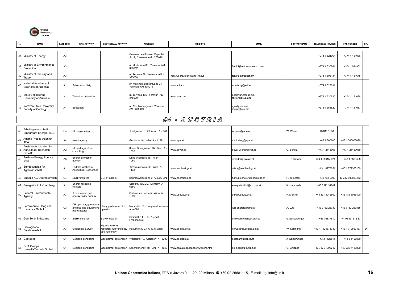

|    | <b>NAME</b>                                                          | CATEGORY       | <b>MAIN ACTIVITY</b>                                              | <b>GEOTHERMAL ACTIVITY</b>                                | <b>ADDRESS</b>                                             | <b>WEB SITE</b>                     | <b>EMAIL</b>                       | <b>CONTACT NAME</b> | <b>TELEPHONE NUMBER</b> | <b>FAX NUMBER</b> | OR. |
|----|----------------------------------------------------------------------|----------------|-------------------------------------------------------------------|-----------------------------------------------------------|------------------------------------------------------------|-------------------------------------|------------------------------------|---------------------|-------------------------|-------------------|-----|
|    | 37 Ministry of Energy                                                | A <sub>3</sub> |                                                                   |                                                           | Governement House, Repubblic<br>Sq. 2, Yerevan AM - 375010 |                                     |                                    |                     | +374 1 521964           | +374 1 151036     |     |
| 38 | Ministry of Environmental<br>Protection                              | A <sub>3</sub> |                                                                   |                                                           | ul. Moskovian 35, Yerevan AM<br>375012                     |                                     | femini@nature.arminco.com          |                     | +374 1 530741           | +374 1 534902     |     |
| 39 | Ministry of Industry and<br>Trade                                    | A <sub>3</sub> |                                                                   |                                                           | ul. Teryana 69, Yerevan AM -<br>375008                     | http://users.freenet.am/~finsys     | tervika@freenet.am                 |                     | +374 1 506134           | +374 1 151675     |     |
| 40 | National Academy of<br>Sciences of Armenia                           | A <sub>1</sub> | Sciences society                                                  |                                                           | pr. Marshala Bagramyana 24,<br>Yerevan AM 375019           | www.sci.am                          | academy@sci.am                     |                     | +374 1 527031           |                   |     |
| 41 | <b>State Engineering</b><br>University of Armenia                    | A <sub>1</sub> | <b>Fechnical education</b>                                        |                                                           | ul. Teryana 105, Yerevan AM -<br>375009                    | www.seua.am                         | aegibyan@seua.am<br>rector@seua.am |                     | +374 1 520520           | +374 1 151068     |     |
| 42 | Yerevan State University,<br>Faculty of Geology                      | A <sub>1</sub> | Education                                                         |                                                           | ul. Alex Manoogian 1, Yerevan<br>AM - 375049               |                                     | rgev@ysu.am<br>rector@ysu.am       |                     | +374 1 554629           | 374 1 151087      |     |
|    |                                                                      |                |                                                                   |                                                           |                                                            | <i>04 - AUSTRIA</i>                 |                                    |                     |                         |                   |     |
| 43 | Arbeitsgemenschaft<br>Erneurbare Energie AEE                         | C <sub>4</sub> | RE engineering                                                    |                                                           | Feldgasse 19, Gleisdorf A - 8200                           |                                     | w.weiss@aee.at                     | W. Weiss            | +43 3112 5886           |                   |     |
| 44 | Austria Presse Agentur<br>APA                                        | A4             | <b>Vews agency</b>                                                |                                                           | Gunoldstr 14. Wien A - 1199                                | www.apa.at                          | marketing@apa.at                   |                     | +43 1 360600            | +43 1 360603099   |     |
|    | Austrian Association for<br>45 Agricultural Research<br><b>OEVAF</b> | A <sub>2</sub> | RE and agriculture<br>consulting                                  |                                                           | Kleine Sperigasse 1/37 Wien A<br>1020                      | www.oevaf.at                        | oevaf-wien@oevaf.at                | O. Schutz           | +43 1 2145903           | +43 1 21459039    |     |
| 46 | Austrian Energy Agency<br><b>EVA</b>                                 | A <sub>3</sub> | Energy promotion<br>agency                                        |                                                           | Linke Wienzeile 18, Wien A-<br>1060                        |                                     | simader@eva.ac.at                  | G. R. Simader       | +43 1 586152424         | +43 1 5869488     |     |
| 47 | Bundesanstalt fur<br>Agrarwirtschaft                                 | A <sub>1</sub> | ederal Institute of<br><b>Agricultural Economics</b>              |                                                           | Schweizertalstr. 36, Wien A -<br>1133                      | www.awi.bmlf.gv.at                  | office@awi.bmlf.gv.at              |                     | +43 1 8773651           | +43 1 877365159   |     |
|    | 48 Energie AG Oberosterreich                                         | C <sub>4</sub> | <b>SGHP</b> installer                                             | SGHP installer                                            | Bohmerwaldstraße 3, A-4020 Linz                            | www.energieag.at                    | hans.zeinhofer@energieag.at        | H. Zeinhofer        | +43 732 9000            | +43 732 900053453 |     |
|    | 49 Energieinstitut Vorarlberg                                        | A <sub>1</sub> | Energy research<br>nstitute                                       |                                                           | Stadtstr. 33/CCD, Dornbirn A -<br>6850                     |                                     | energieinstitut@ccd.vol.at         | K. Hammerle         | +43 5572 31202          |                   |     |
| 50 | Federal Environmental<br>Agency                                      | A <sub>3</sub> | Environment and<br>energy policy agency                           |                                                           | Spittekauer Lande 5, Wien A -<br>1090                      | www.ubavie.gv.at                    | udk@ubavie.gv.at                   | F. Meister          | +43 131 3045502         | +43 131 3045400   |     |
| 51 | Fernwaerme Haag am<br>Hausruck GmbH                                  | C <sub>3</sub> | DH operator, generators<br>and flue-gas equipment<br>nanufacturer | Haag geothermal DH<br>operator                            | Marktplatz 53, Haag am Hausruck<br>A-4690                  |                                     | lutz-energie@gmx.at                | A. Lutz             | +43 7732 26380          | +43 7732 263835   |     |
| 52 | Geo Solar Erdwarme                                                   | C <sub>4</sub> | GHP installer                                                     | <b>SGHP</b> installer                                     | Diemroth 11 u. 13, A-4873<br>Frankenburg                   |                                     | erdwaerme@geosolar.at              | G.Gosselberger      | +43 76837612            | +4376837612-83    |     |
| 53 | Geologische<br>Bundesanstalt                                         | A <sub>3</sub> | <b>Geological Survey</b>                                          | Hydrochemistry<br>research, GHP studies,<br>spa hydrology | Rasumofsky 23, A-1031 Wien                                 | www.geolba.ac.at                    | kolwal@cc.geolba.ac.at             | W. Kollmann         | +43 1 7125674330        | +43 1 712567457   | D   |
|    | 54 Geoteam                                                           | C <sub>1</sub> | Geologic consulting                                               | Geothermal exploration                                    | Weizerstr. 19, Gleisdorf A - 8200                          | www.geoteam.at                      | geoteam@ppl.co.at                  | J. Goldbrunner      | +43 3 1126515           | +43 3 1126830     |     |
| 55 | <b>GUT Gruppe</b><br>Umwelt+Technik GmbH                             | C <sub>1</sub> | Geologic consulting                                               | Geothermal exploration                                    | Leonfeldnerstr. 18, Linz A - 4040                          | www.asa.at/ooe/standort/weitere.htm | g.gnjezda@gutlinz.at               | G. Gnjezda          | +43 732 71398212        | +43 732 7139829   |     |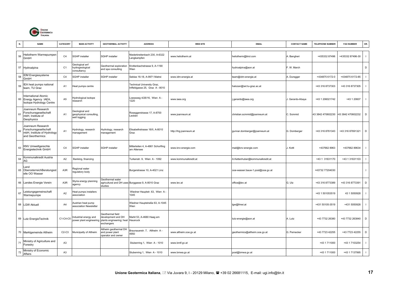

| N. | <b>NAME</b>                                                                                   | CATEGORY       | <b>MAIN ACTIVITY</b>                                      | <b>GEOTHERMAL ACTIVITY</b>                                                       | <b>ADDRESS</b>                                                     | <b>WEB SITE</b>        | <b>EMAIL</b>                     | <b>CONTACT NAME</b> | <b>TELEPHONE NUMBER</b> | <b>FAX NUMBER</b> | OR.            |
|----|-----------------------------------------------------------------------------------------------|----------------|-----------------------------------------------------------|----------------------------------------------------------------------------------|--------------------------------------------------------------------|------------------------|----------------------------------|---------------------|-------------------------|-------------------|----------------|
| 56 | Heliotherm Warmepumpen<br>GmbH                                                                | C <sub>4</sub> | <b>SGHP</b> installer                                     | <b>SGHP</b> installer                                                            | Viederbreitenbach 230, A-6322<br>angkampfen                        | www.heliotherm.at      | heliotherm@tirol.com             | Bangheri            | +435332 87496           | +435332 87496-30  | $\mathbf{I}$   |
|    | 57 Hydroalpina                                                                                | C <sub>1</sub> | Geological anf<br>hydrogeological<br>consultancy          | Geothermal exploration<br>and spa consulting                                     | Krottenbachstrasse 9, A-1190<br>Wien                               |                        | hydroalpina@aon.at               | F. W. March         |                         |                   | D              |
| 58 | DM Energiesysteme<br>GmbH                                                                     | C <sub>4</sub> | <b>SGHP</b> installer                                     | SGHP installer                                                                   | Seblas 16-18, A-9971 Matrei                                        | www.idm-energie.at     | team@idm-energie.at              | A. Duregger         | +434875 6172-0          | +434875 6172-85   | $\mathbf{I}$   |
| 59 | IEA heat pumps national<br>team, TU Graz                                                      | A <sub>1</sub> | Heat pumps centre                                         |                                                                                  | <b>Technical University Graz,</b><br>nffeldgasse 25, Graz A - 8010 |                        | halozan@iwt.tu-graz.ac.at        |                     | +43 316 8737303         | +43 316 8737305   | $\mathbf{I}$   |
|    | International Atomic<br>60 Energy Agency IAEA,<br>Isotope Hydrology Centre                    | A <sub>5</sub> | Hydrological isotope<br>esearch                           |                                                                                  | oessweg 4/26/16, Wien A-<br>1220                                   | www.iaea.org           | j.gerardo@iaea.org               | I. Gerardo-Abaya    | +43 1 206021742         | +43 1 20607       | $\mathbf{I}$   |
| 6' | Joanneum Research<br>Forschunsgesellschaft<br>mbH, Institute of<br>Geophysics                 | A <sub>1</sub> | Geological and<br>geophysical consulting,<br>well logging |                                                                                  | Roseggerstrasse 17, A-8700<br>.eoben                               | www.joanneum.at        | christian.scmmid@joanneum.at     | C. Scmmid           | 43 3842 470602230       | 43 3842 470602232 | D              |
| 62 | Joanneum Research<br>Forschunsgesellschaft<br>mbH, Institute of Hydrology<br>and Georthermics | A <sub>1</sub> | Hydrology, research<br>management                         | Hydrology, research<br>management                                                | Elisabethstrasse 16/II, A-8010<br>Graz                             | http://ihg.joanneum.at | gunnar.domberger@joanneum.at     | G. Domberger        | +43 316 8761343         | +43 316 87691321  | D              |
| 63 | KNV Umweltgerechte<br>Energietechnik GmbH                                                     | C <sub>4</sub> | <b>SGHP</b> installer                                     | <b>SGHP</b> installer                                                            | Mitterleiten 4, A-4861 Schorfling<br>am Attersee                   | www.knv-energie.com    | mail@knv-energie.com             | . Kottl             | +437662 8963            | +437662 89634     | $\mathbf{I}$   |
| 64 | Kommunalkredit Austria<br>۹G                                                                  | A <sub>2</sub> | Banking, financing                                        |                                                                                  | Turkenstr. 9, Wien A - 1092                                        | www.kommunalkredit.at  | A.Kettenhuber@kommunalkredit.at  |                     | +43 1 31631170          | +43 1 31631103    | $\mathbf{I}$   |
|    | Land<br>65 OberosterreichBeratungsst<br>elle OO Wasser                                        | A3R            | Regional water<br>egulatory body                          |                                                                                  | Burgerstrasse 10, A-4021 Linz                                      |                        | ooe-wasser.bauw-1.post@ooe.gv.at |                     | +43732 77204030         |                   | $\mathbf{I}$   |
|    | 66 Landes Energie Verein                                                                      | A3R            | Styria energy planning<br>agency                          | Geothermal water<br>studies                                                      | agricultural and DH uses Burggasse 9, A-8010 Graz                  | www.lev.at             | office@lev.at                    | G. Ulz              | +43 316 8773389         | +43 316 8773391   | D              |
| 67 | eistungsgemeinschaft<br>Warmepumpe                                                            | A <sub>2</sub> | leat pumps installers<br>association                      |                                                                                  | Wiedner Hauptstr. 63, Wien A.<br>1045                              |                        |                                  |                     | +43 1 501053519         | 43 1 5050928      | $\mathbf{I}$   |
|    | 68 LGW Aktuell                                                                                | A4             | Austrian heat pump<br>association Newsletter              |                                                                                  | Wiedner Hauptstraße 63, A-1045<br>Wien                             |                        | lgw@fmwi.at                      |                     | +431 50105-3519         | +431 5050928      | $\mathbf{I}$   |
|    | 69 Lutz EnergieTechnik                                                                        | C1-C4-C5       | ndustrial energy and<br>power plant engineering           | Geothermal field<br>development and DH<br>plants engineering; heat<br>exchangers | Markt 53, A-4680 Haag am<br>Hausruck                               |                        | lutz-energie@aon.at              | A. Lutz             | +43 7732 26380          | +43 7732 263840   | D              |
|    | 70 Marktgemeinde Altheim                                                                      | $C2-C3$        | Municipalty of Altheim                                    | Altheim geothermal DH<br>and power plant<br>operator and owner                   | Braunauerstr. 7, Altheim A -<br>4950                               | www.altheim.ooe.gv.at  | geothermics@altheim.ooe.gv.at    | G. Pernecker        | +43 7723 42255          | +43 7723 42255    | D              |
| 71 | Ministry of Agriculture and<br>Forestry                                                       | A <sub>3</sub> |                                                           |                                                                                  | Stubenring 1, Wien A - 1010                                        | www.bmlf.gv.at         |                                  |                     | +43 1 711000            | +43 1 7103254     | $\blacksquare$ |
| 72 | Ministry of Economic<br>Affairs                                                               | A <sub>3</sub> |                                                           |                                                                                  | Stubenring 1, Wien A - 1010                                        | www.bmwa.gv.at         | post@bmwa.gv.at                  |                     | +43 1 711000            | +43 1 7137995     | $\mathbf{I}$   |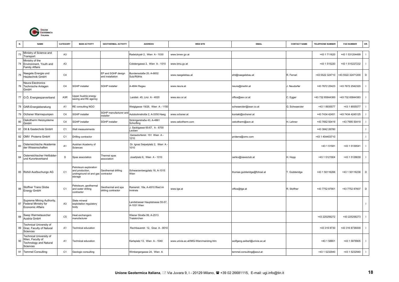

|    | <b>NAME</b>                                                                              | CATEGORY         | <b>MAIN ACTIVITY</b>                                                           | <b>GEOTHERMAL ACTIVITY</b>                | <b>ADDRESS</b>                                 | <b>WEB SITE</b>                       | <b>EMAIL</b>                  | <b>CONTACT NAME</b> | TELEPHONE NUMBER | <b>FAX NUMBER</b> | OR.            |
|----|------------------------------------------------------------------------------------------|------------------|--------------------------------------------------------------------------------|-------------------------------------------|------------------------------------------------|---------------------------------------|-------------------------------|---------------------|------------------|-------------------|----------------|
| 73 | Ministry of Science and<br>Transport                                                     | A <sub>3</sub>   |                                                                                |                                           | Radetzkystr 2, Wien A - 1030                   | www.bmwv.gv.at                        |                               |                     | +43 1 711620     | +43 1 531204499   | $\mathbf{I}$   |
| 74 | Ministry of the<br>Environment, Youth and<br>Family Affairs                              | A <sub>3</sub>   |                                                                                |                                           | Cobdengasse 2, Wien A - 1010                   | www.bmu.gv.at                         |                               |                     | +43 1 515220     | +43 1 515227232   | $\blacksquare$ |
| 75 | Naegele Energie und<br>Heiztechnik GmbH                                                  | C <sub>4</sub>   |                                                                                | EP and SGHP design<br>and installation    | Bundensstaße 20, A-6832<br>Sulz/Röthis         | www.naegelebau.at                     | eht@naegelebau.at             | R. Ferrari          | +43 5522 324710  | +43 5522 32471200 | D              |
| 76 | Neura Electronics<br>Technische Anlagen<br>GmbH                                          | C <sub>4</sub>   | <b>SGHP</b> installer                                                          | <b>SGHP</b> installer                     | A-4844 Regau                                   | www.neura.at                          | neura@merlin.at               | I. Neudorfer        | +43 7672 25423   | +43 7672 2542320  | $\mathbf{I}$   |
|    | 77 O.Ö. Energiesparverband                                                               | A <sub>3</sub> R | Upper Austria energy<br>saving and RE agency                                   |                                           | Landstr. 45, Linz A - 4020                     | www.esv.or.at                         | office@esv.or.at              | C. Egger            | +43 732 65844380 | +43 732 65844383  | $\mathbf{I}$   |
|    | 78 OAR-Energieberatung                                                                   | A <sub>1</sub>   | RE consulting NGO                                                              |                                           | Weiglgasse 19/26, Wien A - 1150                |                                       | schwaerzler@oear.co.at        | G. Schwaerzler      | +43 1 8935577    | +43 1 8935577     | $\mathbf{I}$   |
| 79 | Ochsner Warmepumpen                                                                      | C <sub>4</sub>   | SGHP installer                                                                 | SGHP manufacturer and<br>installer        | Autobohnstroße 2, A-3350 Haag                  | www.ochsner.at                        | kontakt@ochsner.at            |                     | +43 7434 42451   | +43 7434 4245125  | $\mathbf{I}$   |
| 80 | Oekotherm Heizsysteme<br>GmbH                                                            | C <sub>4</sub>   | <b>SGHP</b> installer                                                          | <b>SGHP</b> installer                     | Sickingerstraße 43, A-4861<br>Schorfling       | www.oekotherm.com                     | oekotherm@aon.at              | I. Lehner           | +43 7662 50419   | +43 7995 50419    | $\mathbf{I}$   |
| 81 | Oil & Gastechnik GmbH                                                                    | C <sub>1</sub>   | Well measurements                                                              |                                           | Sackigasse 65-67, A - 8700<br>Leoben           |                                       |                               |                     | +43 3842 26780   |                   | $\mathbf{I}$   |
| 82 | OMV Proterra GmbH                                                                        | C <sub>1</sub>   | Drilling contractor                                                            |                                           | Gerasdorferstr. 151 Wien A -<br>1210           |                                       | proterra@omv.com              |                     | +43 1 404403710  |                   | $\mathbf{I}$   |
| 83 | Osterreichische Akademie<br>der Wissenschaften                                           | A <sub>1</sub>   | Austrian Academy of<br>Sciences                                                |                                           | Dr. Ignaz Seipelplatz 2, Wien A<br>1010        |                                       |                               |                     | +43 1 51581      | +43 1 5139541     | $\mathbf{I}$   |
| 84 | Osterreichischer Heilbäder-<br>und Kurorteverband                                        | D                | Spas association                                                               | Thermal spas<br>association               | Josefplatz 6, Wien A - 1010                    |                                       | oehkv@newsclub.at             | H. Hopp             | +43 1 5121904    | +43 1 5128639     | $\mathbf{I}$   |
|    | 85 Rohöl Ausfsuchungs AG                                                                 | C <sub>1</sub>   | Petroleum exploration<br>and production,<br>undreground oil and gas<br>storage | Geothermal drilling<br>contractor         | Schwarzenbergplatz 16, A-1015<br>Wien          |                                       | thomas.godderidge@fohoel.at   | . Godderidge        | +43 1 50116266   | +43 1 50116238    | D              |
| 86 | Stoffner Trans Globe<br>Energy GmbH                                                      | C <sub>1</sub>   | Petroleum, geothermal<br>and water drilling<br>contractor                      | Geothermal and spa<br>drilling contractor | Rainerstr. 18a, A-4910 Ried im<br>Innkreis     | www.tge.at                            | office@tge.at                 | R. Stoffner         | +43 7752 87901   | +43 7752 87607    | D              |
|    | Supreme Mining Authority,<br>87 Federal Ministry for<br>Economic Affairs                 | A <sub>3</sub>   | Stete mineral<br>exploitation regulatory<br>body                               |                                           | Landstrasser Hauptstrasse 55-57<br>4-1031 Wien |                                       |                               |                     |                  |                   | $\mathbf{I}$   |
| 88 | Swep Warmetauscher<br>Austria GmbH                                                       | C <sub>5</sub>   | leat exchangers<br>nanufacturer                                                |                                           | Wiener Straße 99, A-2513<br>Traiskirchen       |                                       |                               |                     | +43 225256272    | +43 225256273     | $\mathbf{I}$   |
|    | Technical University of<br>89 Graz, Faculty of Natural<br>Sciences                       | A1               | <b>Fechnical education</b>                                                     |                                           | Rechbauerstr. 12, Graz A - 8010                |                                       |                               |                     | +43 316 8730     | +43 316 8736009   | $\mathbf{I}$   |
| 90 | Technical University of<br>Wien, Faculty of<br><b>Technology and Natural</b><br>Sciences | A1               | Technical education                                                            |                                           | Karlsplatz 13, Wien A - 1040                   | www.univie.ac.at/IMG-Wien/mainimg.htm | wolfgang.seiberl@univie.ac.at |                     | +43 1 58801      | +43 1 5878905     | $\mathbf{I}$   |
| 91 | <b>Temmel Consulting</b>                                                                 | C <sub>1</sub>   | Geologic consulting                                                            |                                           | Wimbergergasse 24, Wien A                      |                                       | temmel.consulting@aout.at     |                     | +43 1 5232940    | +43 1 5232940     | $\mathbf{I}$   |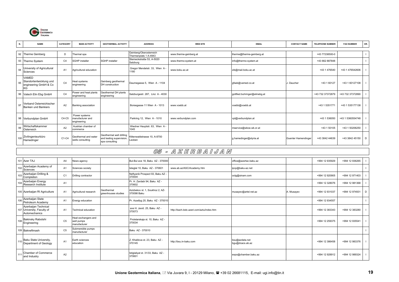

| N. | <b>NAME</b>                                                     | CATEGORY       | <b>MAIN ACTIVITY</b>                             | <b>GEOTHERMAL ACTIVITY</b>                                             | <b>ADDRESS</b>                                   | <b>WEB SITE</b>        | <b>EMAIL</b>                  | <b>CONTACT NAME</b> | <b>TELEPHONE NUMBER</b> | <b>FAX NUMBER</b> | OR. |
|----|-----------------------------------------------------------------|----------------|--------------------------------------------------|------------------------------------------------------------------------|--------------------------------------------------|------------------------|-------------------------------|---------------------|-------------------------|-------------------|-----|
|    |                                                                 |                |                                                  |                                                                        |                                                  |                        |                               |                     |                         |                   |     |
|    | 92 Therme Geinberg                                              | D              | Thermal spa                                      |                                                                        | Geinberg/Oberosterreich<br>Thermenplats 1 A-4943 | www.therme-geinberg.at | therme@therme-geinberg.at     |                     | +43 77238500-0          |                   |     |
|    | 93 Thermo System                                                | C <sub>4</sub> | SGHP installer                                   | <b>SGHP</b> installer                                                  | Sterneckstraße 53, A-5020<br>Salzburg            | www.thermo-system.at   | info@thermo-system.at         |                     | +43 662 887848          |                   |     |
| 94 | University of Agricultural<br>Sciences                          | A <sub>1</sub> | Agricultural education                           |                                                                        | Gregor Mendelstr. 33, Wien A-<br>1180            | www.boku.ac.at         | zib@mail.boku.ac.at           |                     | +43 1 476540            | +43 1 476542606   |     |
| 95 | VAMED<br>Standortentwicklung und<br>engineering GmbH & Co<br>KG | C4             | Heat systems<br>engineering                      | Geinberg geothermal<br>DH construction                                 | Daumegasse 5, Wien A - 1104                      |                        | qfsek@vamed.co.at             | I. Daucher          | +43 1 60127             | +43 1 60127108    |     |
|    | 96 Vatech Elin Ebg GmbH                                         | C <sub>4</sub> | Power and heat plants<br>engineering             | Geothermal DH plants<br>engineering                                    | Salzburgestr. 287, Linz A - 4030                 |                        | gottfied.buhringer@elinebg.at |                     | +43 732 37372879        | +43 732 37372890  |     |
| 97 | Verband Osterreichischer<br>Banken und Bankiers                 | A <sub>2</sub> | Banking association                              |                                                                        | Borsegasse 11 Wien A - 1013                      | www.voebb.at           | voebb@voebb.at                |                     | +43 1 5351771           | +43 1 535177138   |     |
|    | 98 Verbundplan GmbH                                             | C4-C5          | Power systems<br>manufacturer and<br>engineering |                                                                        | Parkring 12, Wien A - 1010                       | www.verbundplan.com    | vpl@verbundplan.at            |                     | +43 1 536050            | +43 1 5360554748  |     |
| 99 | Wirtschaftskammer<br>Osterreich                                 | A2             | Austrian chamber of<br>commerce                  |                                                                        | Wiedner Hauptstr. 63, Wien A-<br>1045            |                        | mservice@wkoe.wk.or.at        |                     | +43 1 50105             | +43 1 50206250    |     |
|    | 100 Zivilingenieurbüro<br>Hamedinger                            | C1-C4          | Geothermal and water<br>wells consulting         | Geothermal well drilling<br>and testing supervision;<br>spa consulting | Kittenwaldstrasse 10, A-8700<br>Leoben           |                        | g.hamedinger@styria.at        | Guenter Hamendinger | +43 3842 44639          | +43 3842 45150 D  |     |

#### 05 - A Z E R B A I J A N

|                  | 101 Azer TAJ                                                        | A <sub>4</sub> | News agency                                       |                                   | Bul-Bul ave 18, Baku AZ - 370000               |                                           | office@azertac.baku.az            |            | +994 12 935929 | +994 12 936265 |   |
|------------------|---------------------------------------------------------------------|----------------|---------------------------------------------------|-----------------------------------|------------------------------------------------|-------------------------------------------|-----------------------------------|------------|----------------|----------------|---|
| 102 <sub>1</sub> | Azerbaijan Academy of<br>Sciences                                   | A1             | Sciences society                                  |                                   | Isteglal 10, Baku AZ - 370601                  | www.ab.az/ASC/Academy.htm                 | ipcp@baku-az.net                  |            |                |                |   |
|                  | Azerbaijan Drilling &<br>Completion                                 | C <sub>1</sub> | Drilling contractor                               |                                   | Neftyanik Prospect 93, Baku AZ -<br>370004     |                                           | octg@sinam.com                    |            | +994 12 920905 | +994 12 971403 |   |
|                  | Azerbaijan Energy<br>Research Institute                             | A1             |                                                   |                                   | Pr. H. Zardabi 94. Baku AZ -<br>370602         |                                           |                                   |            | +994 12 328076 | +994 12 981368 |   |
|                  | 105 Azerbaijan RI Agriculture                                       | A1             | Agricultural research                             | Geothermal<br>greenhouses studies | Azizbekov st. 1, Soukhoz 2, AZ-<br>370098 Baku |                                           | musayev@artel.net.az              | A. Musayev | +994 12 931037 | +994 12 974931 | D |
| 106 <sup>1</sup> | Azerbaijan State<br>Petroleum Academy                               | A1             | Energy education                                  |                                   | Pr. Azadiyg 20, Baku AZ - 370010               |                                           |                                   |            | +994 12 934557 |                |   |
|                  | Azerbaijan Technical<br>107 University, Faculty of<br>Automechanics | A1             | <b>Technical education</b>                        |                                   | ave H. Javid. 25. Baku AZ -<br>370073          | http://bach.bstc.azeri.com/aztu/index.htm |                                   |            | +994 12 383343 | +994 12 383280 |   |
| 108              | Bakinsky Rabotshi<br>Engineering                                    | C <sub>5</sub> | Heat exchangers and<br>well pumps<br>manufacturer |                                   | Proletarskaja st. 10, Baku AZ -<br>370034      |                                           |                                   |            | +994 12 259375 | +994 12 935541 |   |
|                  | 109 Bakneftmash                                                     | C <sub>5</sub> | Submersible pumps<br>manufacturer                 |                                   | Baku AZ - 370010                               |                                           |                                   |            |                |                |   |
|                  | Baku State University,<br>Department of Geology                     | A1             | Earth sciences<br>education                       |                                   | . Khalilova st. 23, Baku AZ -<br>370145        | http://bsu.in-baku.com                    | bsu@azdata.net<br>bqu@dcacs.ab.az |            | +994 12 386458 | +994 12 983376 |   |
| 111              | Chamber of Commerce<br>and Industry                                 | A2             |                                                   |                                   | Istiglaliyat st. 31/33, Baku AZ -<br>370601    |                                           | expo@chamber.baku.az              |            | +994 12 928912 | +994 12 989324 |   |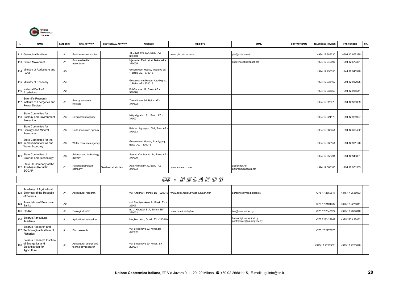

| <b>NAME</b><br>N.                                                       | CATEGORY       | <b>MAIN ACTIVITY</b>             | <b>GEOTHERMAL ACTIVITY</b> | <b>ADDRESS</b>                                       | <b>WEB SITE</b>     | <b>EMAIL</b>                         | <b>CONTACT NAME</b> | <b>TELEPHONE NUMBER</b> | <b>FAX NUMBER</b> | OR. |
|-------------------------------------------------------------------------|----------------|----------------------------------|----------------------------|------------------------------------------------------|---------------------|--------------------------------------|---------------------|-------------------------|-------------------|-----|
|                                                                         |                |                                  |                            |                                                      |                     |                                      |                     |                         |                   |     |
| 112 Geological Institute                                                | A1             | Earth sciences studies           |                            | H. Javid ave 20A. Baku AZ -<br>370143                | www.gia.baku-az.com | gia@azdata.net                       |                     | +994 12 386230          | +994 12 975285    |     |
| 113 Green Movement                                                      | A <sub>1</sub> | Sustainable life<br>association  |                            | njesenter Zevin st. 4, Baku AZ -<br>370005           |                     | guseynovafk@aznet.org                |                     | +994 12 949997          | +994 12 673381    |     |
| 114 Ministry of Agriculture and<br>Food                                 | A <sub>3</sub> |                                  |                            | Government House, Azadlyg sg.<br>. Baku AZ - 370016  |                     |                                      |                     | +994 12 935355          | +944 12 945390    |     |
| 115 Ministry of Economy                                                 | A <sub>3</sub> |                                  |                            | Governement House, Azadlyg sq.<br>. Baku AZ - 370016 |                     |                                      |                     | +994 12 936162          | +994 12 932025    |     |
| National Bank of<br>Azerbaijan                                          | A2             |                                  |                            | Bul-Bul ave. 19, Baku AZ -<br>370070                 |                     |                                      |                     | +994 12 935058          | +994 12 935541    |     |
| Scientific Research<br>117 Institute of Energetics and<br>Power Design  | A <sub>1</sub> | Energy research<br>institute     |                            | Zardabi ave. 94. Baku AZ -<br>370602                 |                     |                                      |                     | +994 12 328076          | +994 12 986359    |     |
| State Committee for<br>118 Ecology and Environment<br>Protection        | A <sub>3</sub> | Environment agency               |                            | Istiqlaliyyat st. 31, Baku AZ -<br>370001            |                     |                                      |                     | +994 12 924173          | +994 12 925907    |     |
| State Committee for<br>119 Geology and Mineral<br>Resources             | A <sub>3</sub> | Earth resources agency           |                            | Bahram Aghayev 100A, Baku AZ -<br>370073             |                     |                                      |                     | +994 12 385454          | +994 12 398432    |     |
| State Committee for the<br>120 Improvement of Soil and<br>Water Economy | A3             | Water resources agency           |                            | Government House, Azadlyg sq.,<br>Baku AZ - 370016   |                     |                                      |                     | +994 12 936154          | +994 12 931176    |     |
| State Committee of<br>121<br>Science and Technology                     | A <sub>3</sub> | Science and technology<br>agency |                            | Samad Vurghun st. 24, Baku AZ -<br>370000            |                     |                                      |                     | +994 12 955494          | +994 12 940881    |     |
| State Oil Company of the<br>122 Azerbaijan Republic<br><b>SOCAR</b>     | C <sub>1</sub> | National petroleum<br>company    | Geothermal studies         | Aga Nejmatuly 39, Baku AZ -<br>370033                | www.socar-cc.com    | ai@artnet.net<br>azturgaz@azdata.net |                     | +994 12 663185          | +994 12 971533    |     |

#### 06 - B E L A R U S

|     | Academy of Agricultural<br>123 Sciences of the Republic<br>of Belarus                 | A1             | Agricultural research                          | vul. Knorina 1, Minsk BY - 220049         | www.belal.minsk.by/agricult/aan.htm | agrecinst@mail.belpak.by                          | +375 17 2660617 | +375 17 2688083 |  |
|-----|---------------------------------------------------------------------------------------|----------------|------------------------------------------------|-------------------------------------------|-------------------------------------|---------------------------------------------------|-----------------|-----------------|--|
| 124 | Association of Belarusian<br>Banks                                                    | A2             |                                                | vul. Smolyachkova 9, Minsk BY -<br>220071 |                                     |                                                   | +375 17 2101037 | +375 17 2275841 |  |
|     | 125 BD-IAE                                                                            | A <sub>1</sub> | Ecological NGO                                 | ul. V. Khorujei 31A, Minsk BY -<br>220002 | www.un.minsk.by/iae                 | iae@user.unibel.by                                | +375 17 2347527 | +375 17 2832840 |  |
| 126 | <b>Belarus Agricultural</b><br>Academy                                                | A <sub>1</sub> | Agricultural education                         | Mogilev raion, Gorkii BY - 213410         |                                     | bsacad@user.unibel.by<br>postmaster@aa.mogilev.by | +375 2233 22862 | +375 2233 22862 |  |
|     | Belarus Research and<br>127 Technological Institute of<br>Fisheries                   | A1             | Fish research                                  | vul. Stebeneva 22, Minsk BY -<br>220115   |                                     |                                                   | +375 17 2775075 |                 |  |
|     | Belarus Research Institute<br>of Energetics and<br>Electrification for<br>Agriculture | A1             | Agricultural energy and<br>technology research | vul. Stebeneva 20, Minsk BY -<br>220024   |                                     |                                                   | +375 17 2751907 | +375 17 2751020 |  |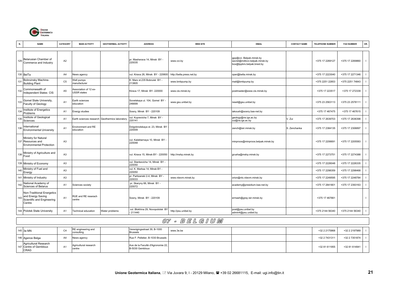

| N.  | <b>NAME</b>                                                                             | CATEGORY       | <b>MAIN ACTIVITY</b>                        | <b>GEOTHERMAL ACTIVITY</b> | <b>ADDRESS</b>                                       | <b>WEB SITE</b>                     | <b>EMAIL</b>                                                                            | <b>CONTACT NAME</b> | <b>TELEPHONE NUMBER</b> | <b>FAX NUMBER</b> | OR.            |
|-----|-----------------------------------------------------------------------------------------|----------------|---------------------------------------------|----------------------------|------------------------------------------------------|-------------------------------------|-----------------------------------------------------------------------------------------|---------------------|-------------------------|-------------------|----------------|
| 129 | Belarusian Chamber of<br>Commerce and Industry                                          | A <sub>2</sub> |                                             |                            | pr. Masherava 14, Minsk BY -<br>220035               | www.cci.by                          | gpp@cci. Belpak.minsk.by<br>secret@mdbcci.belpak.minsk.by<br>box@tppbrs.belpak.brest.by |                     | +375 17 2269127         | +375 17 2269860   | $\mathbf{I}$   |
|     | 130 BelTa                                                                               | A4             | News agency                                 |                            | vul. Kirava 26, Minsk BY - 220600                    | http://belta.press.net.by           | oper@belta.minsk.by                                                                     |                     | +375 17 2223040         | +375 17 2271346   |                |
| 131 | Bobruinsky Machine-<br><b>Building Plant</b>                                            | C <sub>5</sub> | Well pumps<br>manufacturer                  |                            | K. Marx st.235 Bobruisk BY -<br>213805               | www.bmbpump.by                      | mail@bmbpump.by                                                                         |                     | +375 2251 22853         | +375 2251 74843   |                |
| 132 | Commonwealth of<br>Independent States CIS                                               | A <sub>5</sub> | Association of 12 ex-<br><b>USSR</b> states |                            | Kirava 17, Minsk BY- 220000                          | www.cis.minsk.by                    | postmaster@www.cis.minsk.by                                                             |                     | +375 17 223517          | +375 17 272339    |                |
| 133 | Gomel State University,<br>Faculty of Geology                                           | A <sub>1</sub> | Earth sciences<br>education                 |                            | Sovetskaya ul. 104, Gomel BY -<br>246699             | www.gsu.unibel.by                   | newit@gsu.unibel.by                                                                     |                     | +375 23 2563113         | +375 23 2578111   |                |
| 134 | Institute of Energetics<br>Problems                                                     | A <sub>1</sub> | Energy studies                              |                            | Sosny, Minsk BY - 220109                             |                                     | iakoush@sosny.bas-net.by                                                                |                     | +375 17 467475          | +375 17 467615    |                |
| 135 | Institute of Geological<br>Sciences                                                     | A <sub>1</sub> | Earth sciences research                     | Geothermics laboratory     | vul. Kuprevicha 7, Minsk BY -<br>220141              |                                     | geology@ns.igs.ac.by<br>zui@ns.igs.ac.by                                                | √. Zui              | +375 17 2639703         | +375 17 2636398   |                |
| 136 | International<br><b>Environmental University</b>                                        | A <sub>1</sub> | Environment and RE<br>education             |                            | Dolgobrodskaya st. 23, Minsk BY<br>220009            |                                     | zench@isir.minsk.by                                                                     | S. Zenchanka        | +375 17 2384135         | +375 17 2306897   |                |
|     | Ministry for Natural<br>137 Resources and<br><b>Environmental Protection</b>            | A <sub>3</sub> |                                             |                            | vul. Kalektarnaya 10, Minsk BY -<br>220048           |                                     | minproos@minproos.belpak.minsk.by                                                       |                     | +375 17 2206691         | +375 17 2205583   | - 1            |
| 138 | Ministry of Agriculture and<br>Food                                                     | A <sub>3</sub> |                                             |                            | vul. Kirava 15, Minsk BY - 220050                    | http://mshp.minsk.by                | grusha@mshp.minsk.by                                                                    |                     | +375 17 2273751         | +375 17 2274388   |                |
|     | 139 Ministry of Economy                                                                 | A <sub>3</sub> |                                             |                            | vul. Stankevicha 14, Minsk BY -<br>220050            |                                     |                                                                                         |                     | +375 17 2226048         | +375 17 2226335   |                |
| 140 | Ministry of Fuel and<br>Energy                                                          | A <sub>3</sub> |                                             |                            | vul. K. Marksa 14, Minsk BY -<br>220050              |                                     |                                                                                         |                     | +375 17 2298359         | +375 17 2298468   |                |
| 141 | Ministry of Industry                                                                    | A <sub>3</sub> |                                             |                            | pr. Partizanski 2-4, Minsk BY -<br>220033            | www.niievm.minsk.by                 | orion@ntc.niievm.minsk.by                                                               |                     | +375 17 2249595         | +375 17 2248784   |                |
| 142 | National Academy of<br>Sciences of Belarus                                              | A <sub>1</sub> | Sciences society                            |                            | pr. Skaryny 66, Minsk BY -<br>220072                 |                                     | academy@presidium.bas-net.by                                                            |                     | +375 17 2841801         | +375 17 2393163   |                |
| 143 | Non-Traditional Energetics<br>and Energy Saving<br>Scientific and Engineering<br>Centre | A <sub>1</sub> | RUE and RE reserach<br>centre               |                            | Sosny, Minsk BY - 220109                             |                                     | ermash@gray.isir.minsk.by                                                               |                     | +375 17 467661          |                   | $\blacksquare$ |
|     | 144 Polotsk State University                                                            | A <sub>1</sub> | Technical education                         | Water problems             | vul. Blokhina 29, Novopolotsk BY<br>211440           | http://psu.unibel.by                | post@psu.unibel.by<br>admin4@psu.unibel.by                                              |                     | +375 2144 56340         | +375 2144 56340   |                |
|     |                                                                                         |                |                                             |                            |                                                      | $\overline{\mathcal{O}Z}$ . BELGIUM |                                                                                         |                     |                         |                   |                |
|     |                                                                                         |                | RE engineering and                          |                            | Verenigingsstraat 39, B-1000                         |                                     |                                                                                         |                     |                         |                   |                |
|     | 145 3e MN                                                                               | C <sub>4</sub> | consulting                                  |                            | <b>Brussels</b>                                      | www.3e.be                           |                                                                                         |                     | +32 2 2175868           | +32 2 2197989     | $\blacksquare$ |
|     | 146 Agence Belga                                                                        | A4             | News agency                                 |                            | Rue F. Pelletier, B-1030 Brussels                    |                                     |                                                                                         |                     | +32 2 7431311           | +32 2 7351874     | $\blacksquare$ |
|     | Agricultural Research<br>147 Centre of Gembloux<br>CRAG                                 | A <sub>1</sub> | Agricultural research<br>centre             |                            | Ave de la Facultè d'Agronomie 22,<br>B-5030 Gembloux |                                     |                                                                                         |                     | +32 81 611955           | +32 81 614941     | - 1            |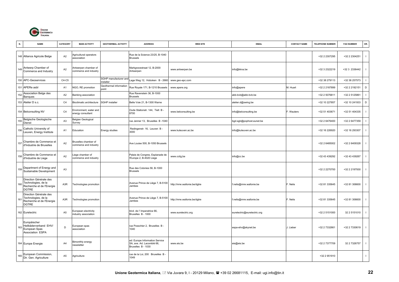

|     | <b>NAME</b>                                                                                | CATEGORY       | <b>MAIN ACTIVITY</b>                          | <b>GEOTHERMAL ACTIVITY</b>        | <b>ADDRESS</b>                                                                    | <b>WEB SITE</b>              | <b>EMAIL</b>                | <b>CONTACT NAME</b> | <b>TELEPHONE NUMBER</b> | <b>FAX NUMBER</b>  | OR.          |
|-----|--------------------------------------------------------------------------------------------|----------------|-----------------------------------------------|-----------------------------------|-----------------------------------------------------------------------------------|------------------------------|-----------------------------|---------------------|-------------------------|--------------------|--------------|
|     | 148 Alliance Agricole Belge                                                                | A <sub>2</sub> | Agricultural operators<br>association         |                                   | Rue de la Science 23/25, B-1040<br><b>Brussels</b>                                |                              |                             |                     | +32 2 2307295           | +32 2 2304251      | $\mathbf{I}$ |
| 149 | Antwerp Chamber of<br>Commerce and Industry                                                | A2             | Antwerpen chamber of<br>commerce and industry |                                   | Markgravestraat 12, B-2000<br>Antwerpen                                           | www.antwerpen.be             | info@kkna.be                |                     | +32 3 2322219           | +32 3 2336442      | $\mathbf{I}$ |
|     | 150 APC-Geoservices                                                                        | C4-C5          |                                               | SGHP manufacturer and<br>nstaller | age Weg 12, Hoboken B - 2660                                                      | www.geo-apc.com              |                             |                     | +32 38 279113           | +32 38 257573      | $\mathbf{I}$ |
|     | 151 APERe asbl                                                                             | A <sub>1</sub> | <b>NGO, RE promotion</b>                      | Geothermal information<br>point   | Rue Royale 171, B-1210 Brussels                                                   | www.apere.org                | info@apere                  | M. Huart            | +32 2 2187899           | +32 2 2192151      | $\mathsf D$  |
| 152 | Association Belge des<br><b>Banques</b>                                                    | A <sub>2</sub> | Banking association                           |                                   | Rue Ravenstein 36, B-1000<br><b>Brussels</b>                                      |                              | abb-bvb@abb-bvb.be          |                     | +32 2 5076811           | +32 2 5125861      | $\mathbf{I}$ |
|     | 153 Atelier D s.c.                                                                         | C <sub>4</sub> | Bioclimatic architecture                      | SGHP installer                    | Belle Voie 21, B-1300 Warne                                                       |                              | atelier.d@swing.be          |                     | +32 10 227857           | +32 10 241933      | $\mathsf D$  |
|     | 154 Belconsulting NV                                                                       | C <sub>4</sub> | Environment, water and<br>energy consultant   |                                   | Oude Stationstr. 144, Tielt B -<br>8700                                           | www.belconsulting.be         | info@belconsulting.be       | F. Wauters          | +32 51 403671           | +32 51 404335      | $\mathbf{I}$ |
| 155 | Belgische Geologische<br>Dienst                                                            | A <sub>3</sub> | Belgian Geological<br>Survey                  |                                   | rue Jenner 13, Bruxelles B-1040                                                   |                              | bgd.sgb@pophost.eunet.be    |                     | +32 2 6476400           | +32 2 6477359      | $\mathbf{I}$ |
| 156 | Catholic University of<br>Leuven, Energy Institute                                         | A <sub>1</sub> | Education                                     | Energy studies                    | Redingenstr. 16, Leuven B -<br>3000                                               | www.kuleuven.ac.be           | info@kuleuven.ac.be         |                     | +32 16 226920           | +32 16 293307      | $\mathbf{I}$ |
| 157 | Chambre de Commerce et<br>d'Industrie de Bruxelles                                         | A <sub>2</sub> | Bruxelles chamber of<br>commerce and industry |                                   | Ave Louise 500, B-1050 Brussels                                                   |                              |                             |                     | +32 2 6485002           | +32 2 6409328      | $\mathbf{I}$ |
| 158 | Chambre de Commerce et<br>d'Industrie de Liege                                             | A <sub>2</sub> | .iege chamber of<br>commerce and industry     |                                   | Palais de Congres, Esplanade de<br>l'Europe 2, B-4020 Liege                       | www.ccilg.be                 | info@cc.be                  |                     | +32 43 439292           | +32 43 439267      | $\mathbf{I}$ |
| 159 | Department of Energy and<br>Sustainable Development                                        | A <sub>3</sub> |                                               |                                   | Rue des Colonies 56, B-1000<br><b>Brussels</b>                                    |                              |                             |                     | +32 2 2270700           | +32 2 2197930      | $\mathbf{I}$ |
| 160 | Direction Générale des<br>Technologies, de la<br>Recherche et de l'Energie<br><b>DGTRE</b> | A3R            | Technologies promotion                        |                                   | Avenue Prince de Liège 7, B-5100<br>Jambes                                        | http://mrw.wallonie.be/dgtre | f.nelis@mrw.wallonie.be     | . Nelis             | +32 81 335645           | +32 81 306600      | $\mathbf{I}$ |
| 16' | Direction Générale des<br>Technologies, de la<br>Recherche et de l'Energie<br><b>DGTRE</b> | A3R            | echnologies promotion                         |                                   | Avenue Prince de Liège 7, B-5100<br>Jambes                                        | http://mrw.wallonie.be/dgtre | f.nelis@mrw.wallonie.be     | Nelis               | +32 81 335645           | +32 81 306600      | $\mathbf{I}$ |
|     | 162 Eurelectric                                                                            | A <sub>5</sub> | European electricity<br>ndustry association   |                                   | blvd. de l' Imperatrice 66,<br>Bruxelles B - 1000                                 | www.eurelectric.org          | eurelectric@eurelectric.org |                     | +32 2 5151000           | 32 2 5151010       | $\mathbf{I}$ |
| 163 | Europäischer<br>Heilbäderverband EHV/<br>European Spas<br>Association ESPA                 | D              | European spas<br>association                  |                                   | rue Posschier 2, Bruxelles B -<br>1040                                            |                              | espa-ehv@skynet.be          | I. Lieber           | +32 2 7332661           | +32 2 7330619      | $\mathbf{I}$ |
|     | 164 Europe Energie                                                                         | A4             | Bimonthly energy<br>ewsletter                 |                                   | ed: Europe Information Service<br>SA, ave. Ad. Lacomblé 66,<br>Bruxelles B - 1030 | www.eis.be                   | eis@eis.be                  |                     | +32 2 7377709           | 32 2 7 3 2 6 7 5 7 | $\mathbf{I}$ |
| 165 | European Commission,<br>Dir. Gen. Agriculture                                              | A <sub>5</sub> | Agriculture                                   |                                   | rue de la Loi, 200 Bruxelles B<br>1049                                            |                              |                             |                     | +32 2 951910            |                    | $\mathbf{I}$ |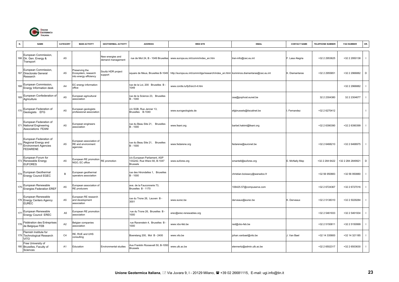

| N.  | <b>NAME</b>                                                                                     | CATEGORY       | <b>MAIN ACTIVITY</b>                                           | <b>GEOTHERMAL ACTIVITY</b>            | <b>ADDRESS</b>                                                                  | <b>WEB SITE</b>                                                                      | <b>EMAIL</b>                  | <b>CONTACT NAME</b> | TELEPHONE NUMBER   | <b>FAX NUMBER</b>  | OR.            |
|-----|-------------------------------------------------------------------------------------------------|----------------|----------------------------------------------------------------|---------------------------------------|---------------------------------------------------------------------------------|--------------------------------------------------------------------------------------|-------------------------------|---------------------|--------------------|--------------------|----------------|
|     | European Commission,<br>166 Dir. Gen. Energy &<br>Transport                                     | A <sub>5</sub> |                                                                | New energies and<br>demand management | rue de Mot 24, B - 1049 Bruxelles                                               | www.europa.eu.int/comm/index_en.htm                                                  | tren-info@cec.eu.int          | F. Lasa Alegria     | +32 2 2953625      | +32 2 2950138      |                |
|     | European Commission,<br>167 Directorate General<br>Research                                     | A <sub>5</sub> | Preserving the<br>Ecosystem, research<br>nto energy efficiency | Soultz HDR project<br>support         | square de Meus, Bruxelles B-1049                                                | http://europa.eu.int/comm/dgs/research/index_en.html komninos.diamantaras@cec.eu.int |                               | K. Diamantaras      | +32 2 2955851      | +32 2 2966882      | D              |
| 168 | European Commission,<br>Energy Information desk                                                 | A4             | EC energy information<br>office                                |                                       | rue de la Loi, 200 Bruxelles B -<br>1049                                        | www.cordis.lu/fp5/src/t-4.htm                                                        |                               |                     |                    | +32 2 2966882      |                |
| 169 | European Confederation of<br>Agriculture                                                        | A <sub>5</sub> | uropean agricultural<br>association                            |                                       | rue de la Science 23. Bruxelles<br>B - 1040                                     |                                                                                      | cea@pophost.eunet.be          |                     | 32 2 2 3 0 4 3 8 0 | 32 2 2 3 0 4 6 7 7 |                |
| 170 | European Federation of<br>Geologists EFG                                                        | A <sub>5</sub> | European geologists<br>professional association                |                                       | c/o SGB, Rue Jenner 13,<br>Bruxelles B-1040                                     | www.eurogeologists.de                                                                | efgbrussels@tiscalinet.be     | Fernandez           | +32 2 6270412      |                    | - 1            |
|     | European Federation of<br>171 National Engineering<br>Associations FEANI                        | A <sub>5</sub> | European engineers<br>association                              |                                       | rue du Beau Site 21, Bruxelles<br>$B - 1000$                                    | www.feani.org                                                                        | barbel.hakimi@feani.org       |                     | +32 2 6390390      | +32 2 6390399      |                |
| 172 | European Federation of<br>Regional Energy and<br><b>Environment Agencies</b><br><b>FEDARENE</b> | A <sub>5</sub> | European association of<br>RE and environment<br>agencies      |                                       | rue du Beau Site 21, Bruxelles<br>B - 1000                                      | www.fedarene.org                                                                     | fedarene@euronet.be           |                     | +32 2 6468210      | +32 2 6468975      | $\blacksquare$ |
|     | European Forum for<br>173 Renewable Energy<br><b>EUFORES</b>                                    | A <sub>5</sub> | European RE promotion<br><b>IGO, EC office</b>                 | RE promotion                          | c/o European Parliament, ASP<br>13G242, Rue Wierz 60, B-1047<br><b>Brussels</b> | www.eufores.org                                                                      | smantell@eufores.org          | E. McNally Mep      | +32 2 284 6422     | +32 2 284 2849921  | D              |
| 174 | European Geothermal<br><b>Energy Council EGEC</b>                                               | B              | European geothermal<br>operators association                   |                                       | rue des Hirondelles 1, Bruxelles<br>B - 1000                                    |                                                                                      | christian.boissavy@wanadoo.fr |                     | +32 56 950883      | +32 56 950880      |                |
| 175 | European Renewable<br><b>Energies Federation EREF</b>                                           | A <sub>5</sub> | European association of<br>RE producers                        |                                       | ave. de la Fauconnerie 73,<br>Bruxelles B - 1170                                |                                                                                      | 106425.57@compuserve.com      |                     | +32 2 6724367      | +32 2 6727016      |                |
|     | European Renewable<br>176 Energy Centers Agency<br><b>EUREC</b>                                 | A <sub>5</sub> | European RE research<br>and development<br>association         |                                       | rue du Trone 26, Leuven B -<br>3001                                             | www.eurec.be                                                                         | derveaux@eurec.be             | K. Derveaux         | +32 2 5138310      | +32 2 5029284      |                |
| 177 | European Renewable<br>Energy Council EREC                                                       | A <sub>5</sub> | European RE promotion<br>association                           |                                       | rue du Trone 26, Bruxelles B -<br>1000                                          | erec@erec-renewables.org                                                             |                               |                     | +32 2 5461933      | +32 2 5461934      |                |
| 178 | Fédération des Entreprises<br>de Belgique FEB                                                   | A <sub>2</sub> | Belgian companies<br>association                               |                                       | rue Ravenstein 4, Bruxelles B -<br>1000                                         | www.vbo-feb.be                                                                       | red@vbo-feb.be                |                     | +32 2 5150811      | +32 2 5150999      |                |
|     | Flemish Institute for<br>179 Technological Research<br>VITO                                     | C4             | RE, RUE and UHS<br>consulting                                  |                                       | Boeretang 200, Mol B - 2400                                                     | www.vito.be                                                                          | johan.vanbael@vito.be         | J. Van Bael         | +32 14 335800      | +32 14 321185      |                |
|     | Free University of<br>180 Bruxelles, Faculty of<br>Sciences                                     | A1             | Education                                                      | Environmental studies                 | Ave Franklin Roosevelt 50, B-1050<br><b>Brussels</b>                            | www.ulb.ac.be                                                                        | elennertz@admin.ulb.ac.be     |                     | +32 2 6502317      | +32 2 6503630      | - 1            |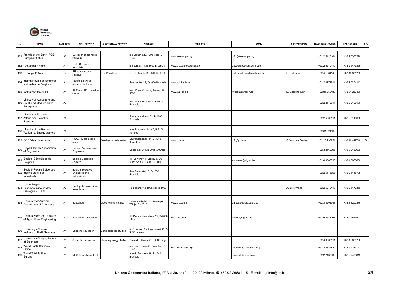

|     | <b>NAME</b>                                                              | CATEGORY       | <b>MAIN ACTIVITY</b>                                  | <b>GEOTHERMAL ACTIVITY</b> | <b>ADDRESS</b>                                                  | <b>WEB SITE</b>          | <b>EMAIL</b>                | <b>CONTACT NAME</b> | <b>TELEPHONE NUMBER</b> | <b>FAX NUMBER</b> | OR.            |
|-----|--------------------------------------------------------------------------|----------------|-------------------------------------------------------|----------------------------|-----------------------------------------------------------------|--------------------------|-----------------------------|---------------------|-------------------------|-------------------|----------------|
| 181 | Frends of the Earth FOE,<br>European Office                              | A <sub>5</sub> | European sustainable<br>life NGO                      |                            | rue Blanche 29, Bruxelles B -<br>1060                           | www.foeeurope.org        | info@foeeurope.org          |                     | +32 2 5420184           | +32 2 5375596     |                |
|     | 182 Geologica Belgica                                                    | A1             | Earth Sciences<br>Association                         |                            | rue Jenner 13, B-1000 Brussels                                  | www.ulg.ac.be/geolsed/gb | devos@pophost.eunet.be      |                     | +32 2 6270410           | +32 2 6477359     | - 1            |
|     | 183 Hollange Frères                                                      | C <sub>4</sub> | RE heat systems<br>nstaller                           | <b>SGHP</b> installer      | ave. Laboulle 75, Tilff B - 4130                                |                          | hollange.freres@conbonet.be | C. Hollange         | +32 43 881149           | +32 43 881753     |                |
| 184 | Institut Royal des Sciences<br>Naturelles de Belgique                    | A <sub>1</sub> | Natural sciences<br>esearch institute                 |                            | Rue Vautier 29, B-1000 Brussels                                 | www.kbinirsnb.be         |                             |                     | +32 2 6274211           | +32 2 6274113     |                |
|     | 185 Institut Wallon ASBL                                                 | A <sub>1</sub> | RUE and RE promotion<br>centre                        |                            | blvd. Frere Orban 4, Namur B -<br>5000                          | www.iwallon.be           | iwallon@iwallon.be          | D. Goerghebuer      | +32 81 250480           | +32 81 250490     |                |
|     | Ministry of Agriculture and<br>186 Small and Medium sized<br>Enterprises | A3             |                                                       |                            | Rue Marie Therese 1, B-1000<br><b>Brussels</b>                  |                          |                             |                     | +32 2 2110611           | +32 2 2196130     | $\blacksquare$ |
|     | Ministry of Economic<br>187 Affairs and Scientific<br>Research           | A <sub>3</sub> |                                                       |                            | Square de Meeus 23, B-1000<br><b>Brussels</b>                   |                          |                             |                     | +32 2 5065111           | +32 2 5118656     |                |
| 188 | Ministry of the Region<br>Wallonne, Energy Service                       | A3             |                                                       |                            | Ave Prince de Liege 7, B-5100<br>Jambes                         |                          |                             |                     | +32 81 321562           |                   |                |
|     | 189 ODE-Vlaanderen vzw                                                   | A1             | NGO, RE promotion<br>centre                           | Geothermal information     | euvensestraat 7b1, B-3010<br>Kessel-Lo                          | www.ode.be               | info@ode.be                 | S. Van den Braden   | +32 16 235251           | +32 16 447748     | D              |
| 190 | Royal Flemish Association<br>of Engineers                                | A <sub>1</sub> | lemish Association of<br>Engineers                    |                            | Desguinlei 214, B-2018 Antwerp                                  |                          |                             |                     | +32 3 2160996           | +32 3 2160689     |                |
| 191 | Societé Géologique de<br>Belgique                                        | A <sub>1</sub> | Belgian Geological<br>Society                         |                            | c/o University of Liège, pl. Du<br>Vingt-Aout 7, Liège B - 4000 |                          | a.anceau@ulg.ac.be          |                     | +32 4 3665395           | +32 4 3665636     |                |
|     | Societè Royale Belge des<br>192 Ingenieurs et des<br>ndustriels          | A <sub>1</sub> | Belgian Society of<br>Engineers and<br>Industrialists |                            | Rue Ravenstein 3, B-1000<br><b>Brussels</b>                     |                          |                             |                     | +32 2 5115856           | +32 2 5145795     |                |
|     | Union Belgo -<br>193 Luxembourgeoise des<br>Géologues UBLG               | A2             | Geologists professional<br>association                |                            | Rue Jenner 13, Bruxelles B-1000                                 |                          |                             | A. Berckmans        | +32 2 6270418           | +32 2 6477359     |                |
| 194 | University of Antwerp,<br>Department of Chemistry                        | A <sub>1</sub> | Education                                             | Geochemical studies        | Universiteitsplein 1, Antwerp-<br>Wilrijk B - 2610              | www.uia.ac.be            | vantdack@uia.ua.ac.be       |                     | +32 3 8202343           | +32 3 8202376     |                |
| 195 | University of Gent, Faculty<br>of Agricultural Engineering               | A1             | Agricultural education                                |                            | St. Pieters Nieunstraat 25, B-9000<br>Ghent                     | www.rug.ac.be            | rector@rug.ac.be            |                     | +32 9 2643067           | +32 9 2643597     | $\blacksquare$ |
| 196 | Jniversity of Leuven,<br>Institute of Earth Sciences                     | A1             | Scientific education                                  | Earth sciences studies     | K.V. Leuven Redingenstraat 16, B-<br>3000 Leuven                |                          |                             |                     |                         |                   |                |
|     | University of Liege, Faculty<br>of Sciences                              | A1             | Scientific education                                  | Hydrologeology studies     | Place du 20 Aout 7, B-4000 Liege                                |                          |                             |                     | +32 4 3662111           | +32 4 3665700     |                |
| 198 | World Bank, Brussels<br>Office                                           | A <sub>5</sub> |                                                       |                            | rue des Treves 45, Bruxelles B -<br>1040                        | www.worldbank.org        | eadvisor@worldbank.org      |                     | +32 2 2387829           | +32 2 2387717     |                |
| 199 | World Wildlife Fund<br>Europe                                            | A <sub>1</sub> | NGO for sustainable life                              |                            | Ave de Tervuren 36, B-1040<br><b>Brussels</b>                   |                          | ssinger@wwfnet.org          |                     | +32 2 7438800           | +32 2 7438819     | $\blacksquare$ |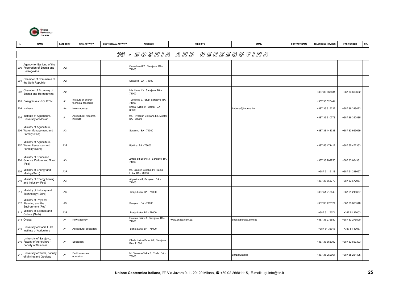

| N.  | <b>NAME</b>                                                                           | CATEGORY         | <b>MAIN ACTIVITY</b>                    | <b>GEOTHERMAL ACTIVITY</b> | <b>ADDRESS</b>                                   | <b>WEB SITE</b>  | <b>EMAIL</b>       | <b>CONTACT NAME</b> | <b>TELEPHONE NUMBER</b> | <b>FAX NUMBER</b> | OR.          |
|-----|---------------------------------------------------------------------------------------|------------------|-----------------------------------------|----------------------------|--------------------------------------------------|------------------|--------------------|---------------------|-------------------------|-------------------|--------------|
|     |                                                                                       |                  |                                         |                            | 08 - BOSNIA AND                                  |                  | HERZEGOVINA        |                     |                         |                   |              |
|     | Agency for Banking of the<br>200 Federation of Bosnia and<br>Herzegovina              | A2               |                                         |                            | Cemalusa 6/2, Sarajevo BA -<br>71000             |                  |                    |                     |                         |                   | $\mathbf{I}$ |
| 201 | Chamber of Commerce of<br>the Serb Republic                                           | A <sub>2</sub>   |                                         |                            | Sarajevo BA - 71000                              |                  |                    |                     |                         |                   | $\mathbf{L}$ |
| 202 | Chamber of Economy of<br>Bosnia and Herzegovina                                       | A <sub>2</sub>   |                                         |                            | Mis Irbina 13, Sarajevo BA -<br>71000            |                  |                    |                     | +387 33 663631          | +387 33 663632    |              |
|     | 203 Energoinvest-RO ITEN                                                              | A <sub>1</sub>   | nstitute of energy<br>echnical research |                            | Tvornicka 3, Stup, Sarajevo BA<br>71000          |                  |                    |                     | +387 33 526444          |                   |              |
|     | 204 Habena                                                                            | A4               | <b>Vews agency</b>                      |                            | Kralja Tvrtka 9, Mostar BA -<br>88000            |                  | habena@habena.ba   |                     | +387 36 319222          | +387 36 319422    |              |
| 205 | Institute of Agriculture,<br>University of Mostar                                     | A <sub>1</sub>   | Agricultural research<br>nstitute       |                            | trg. Hrvatskih Velikana bb, Mostar<br>BA - 88000 |                  |                    |                     | +387 36 310778          | +387 36 320885    | $\mathbf{I}$ |
|     | Ministry of Agriculture,<br>206 Water Management and<br>Foresty (Fed)                 | A <sub>3</sub>   |                                         |                            | Sarajevo BA - 71000                              |                  |                    |                     | +387 33 443338          | +387 33 663659    | $\mathbf{I}$ |
|     | Ministry of Agriculture,<br>207 Water Resources and<br>Forestry (Serb)                | A3R              |                                         |                            | Bijelina BA - 76000                              |                  |                    |                     | +387 55 471412          | +387 55 472353    | $\mathbf{I}$ |
|     | Ministry of Education<br>208 Science Culture and Sport<br>(Fed)                       | A <sub>3</sub>   |                                         |                            | Zmaja od Bosne 3, Sarajevo BA<br>71000           |                  |                    |                     | +387 33 202750          | +387 33 664381    | $\mathbf{I}$ |
| 209 | Ministry of Energy and<br>Mining (Serb)                                               | A3R              |                                         |                            | trg. Srpskih Junaka 4/3 Banja<br>Luka BA - 78000 |                  |                    |                     | +387 51 15118           | +387 51 218657    |              |
| 210 | Ministry of Energy Mining<br>and Industry (Fed)                                       | A3               |                                         |                            | Alipasina 41, Sarajevo BA -<br>71000             |                  |                    |                     | +387 33 663779          | +387 33 672067    |              |
| 211 | Ministry of Industry and<br>Technology (Serb)                                         | A3               |                                         |                            | Banja Luka BA - 78000                            |                  |                    |                     | +387 51 218649          | +387 51 218657    |              |
|     | Ministry of Physical<br>212 Planning and the<br>Environment (Fed)                     | A3               |                                         |                            | Sarajevo BA - 71000                              |                  |                    |                     | +387 33 473124          | +387 33 663548    |              |
| 213 | Ministry of Science and<br>Culture (Serb)                                             | A <sub>3</sub> R |                                         |                            | Banja Luka BA - 78000                            |                  |                    |                     | +387 51 17071           | +387 51 17003     |              |
|     | 214 Onasa                                                                             | A4               | <b>Vews agency</b>                      |                            | Hasana Kikica 3, Sarajevo BA -<br>71000          | www.onasa.com.ba | onasa@onasa.com.ba |                     | +387 33 276580          | +387 33 276590    |              |
| 215 | University of Bania Luka<br>Institute of Agriculture                                  | A <sub>1</sub>   | Agricultural education                  |                            | Banja Luka BA - 78000                            |                  |                    |                     | +387 51 35018           | +387 51 47057     | $\mathbf{I}$ |
|     | University of Sarajevo,<br>216 Faculty of Agriculture -<br><b>Faculty of Sciences</b> | A <sub>1</sub>   | Education                               |                            | Obala Kulina Bana 7/II, Sarajevo<br>BA - 71000   |                  |                    |                     | +387 33 663392          | +387 33 663393    | $\mathbf{I}$ |
| 217 | University of Tuzla, Faculty<br>of Mining and Geology                                 | A <sub>1</sub>   | Earth sciences<br>education             |                            | M. Fizovica-Fiska 6, Tuzla BA -<br>75000         |                  | unitz@untz.ba      |                     | +387 35 252061          | +387 35 251405    | $\mathbf{I}$ |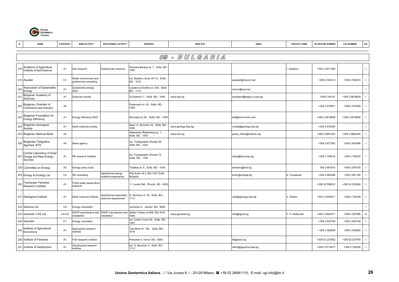

|                 | <b>NAME</b>                                                         | CATEGORY       | <b>MAIN ACTIVITY</b>                           | <b>GEOTHERMAL ACTIVITY</b>                     | <b>ADDRESS</b>                                  | <b>WEB SITE</b>    | <b>EMAIL</b>              | <b>CONTACT NAME</b> | <b>TELEPHONE NUMBER</b> | <b>FAX NUMBER</b> | OR.            |
|-----------------|---------------------------------------------------------------------|----------------|------------------------------------------------|------------------------------------------------|-------------------------------------------------|--------------------|---------------------------|---------------------|-------------------------|-------------------|----------------|
|                 |                                                                     |                |                                                |                                                |                                                 |                    |                           |                     |                         |                   |                |
|                 |                                                                     |                |                                                |                                                |                                                 | 09 - BULGARIA      |                           |                     |                         |                   |                |
| 218             | Academy of Agriculture,<br>Institute of Soil Science                | A <sub>1</sub> | Soil research                                  | Greenhouse research                            | Shousse Bankya st. 7, Sofia BG<br>080           |                    |                           | Veselina            | +359 2 5271466          |                   | $\blacksquare$ |
|                 | 219 Aquater                                                         | C <sub>1</sub> | Vater environment and<br>geothermal consulting |                                                | bul. Bukston, block 201-A, Sofia<br>BG - 1618   |                    | aquater@biscom.net        |                     | +359 2 554414           | +359 2 554414     |                |
| 220             | Association of Sustanaible<br>Energy                                | A <sub>1</sub> | Sustainable energy<br>NGO                      |                                                | Lulyakova Gradina st. 23A, Sofia<br>BG - 1113   |                    | rsavov@usa.net            |                     |                         |                   |                |
| 22 <sup>1</sup> | Bulgarian Academy of<br>Sciences                                    | A <sub>1</sub> | Sciences society                               |                                                | 15 Noemvri 1, Sofia BG - 1040                   | www.bas.bg         | president@eagle.cu.bas.bg |                     | +359 2 84141            | +359 2 9816629    |                |
| 222             | Bulgarian Chamber of<br>Commerce and Industry                       | A <sub>2</sub> |                                                |                                                | Parteviechi st. 42, Sofia BG -<br>1000          |                    |                           |                     | +359 2 872631           | +359 2 873209     |                |
|                 | 223 Bulgarian Foundation for<br><b>Energy Efficiency</b>            | A <sub>1</sub> | Energy efficiency NGO                          |                                                | Strumitza st 1B, Sofia BG - 1000                |                    | eef@techno-link.com       |                     | +359 2 9818808          | +359 2 9818808    |                |
| 224             | <b>Bulgarian Geological</b><br>Society                              | A <sub>1</sub> | Earth sciences society                         |                                                | Akad. G. Bonchev 24, Sofia BG<br>1000           | www.geology.bas.bg | cndab@geology.bas.bg      |                     | +359 2 872450           |                   | $\mathbf{I}$   |
|                 | 225 Bulgarian National Bank                                         | A <sub>2</sub> |                                                |                                                | Aleksandur Battenberg sq. 1,<br>Sofia BG - 1000 | www.bnb.bg         | press_office@bnbank.org   |                     | +359 2 8861203          | +359 2 9802425    |                |
| 226             | Bulgarska Telegrafna<br>Agentsia BTA                                | A4             | News agency                                    |                                                | bul. Tzarigradsko Shosse 49,<br>Sofia BG - 1024 |                    |                           |                     | +359 2 877363           | +359 2 802488     | J.             |
|                 | Central Laboratory of Solar<br>227 Energy and New Energy<br>Sources | A <sub>1</sub> | RE research institute                          |                                                | bul. Tzarigradsko Shosse 72,<br>Sofia BG - 1784 |                    | solar@phys.bas.bg         |                     | +359 2 754016           | +359 2 754016     |                |
|                 | 228 Committee on Energy                                             | A <sub>3</sub> | Energy policy body                             |                                                | Triaditza st. 8, Sofia BG - 1040                |                    | andreev@doe.bg            |                     | 359 2 881915            | +359 2 876735     |                |
|                 | 229 Energy & Ecology Ltd.                                           | C <sub>4</sub> | RE consulting                                  | Geothermal energy<br>systems engineering       | Filip Kutev St 5, BG-1407 Sofia<br>Bulgaria     |                    | eniec@omega.bg            | A. Tzvetanski       | +359 2 683398           | +359 2 681160     |                |
| 230             | <b>Freshwater Fisheries</b><br>Research Institute                   | A <sub>1</sub> | resh-water aquaculture<br>esearch              |                                                | V. Levski 248, Plovdiv BG - 4003                |                    |                           |                     | +359 32 556033          | +359 32 553924    |                |
|                 | 231 Geological Institute                                            | A <sub>1</sub> | Earth sciences institute                       | Geothermal exploration,<br>eservoir assessment | G. Bonchev st. 24, Sofia BG -<br>1113           |                    | vlad@geology.bas.bg       | V. Hristov          | +352 2 9793671          | +359 2 724438     |                |
|                 | 232 Geonica Ltd                                                     | C <sub>4</sub> | Energy consultant                              |                                                | Jambolan 2, Jambol BG - 8600                    |                    |                           |                     |                         |                   |                |
|                 | 233 Geosolar V-63 Ltd                                               | C4-C5          | <b>SGHP</b> manufacture and<br>nstallation     | SGHP manufacture and<br>installation           | Stefan Toshev st 64B, BG-1618<br>Sofia          | www.geosolar.bg    | v63@bgnet.bg              | V. P. Kolikovski    | +359 2 9554371          | +359 2 597088     | $\mathsf D$    |
|                 | 234 Geovelin                                                        | C <sub>1</sub> | Energy consultant                              |                                                | bul. Cherni Vrach 46, Sofia BG<br>1407          |                    |                           |                     | +359 2 623749           | +359 2 623749     |                |
| 235             | Institute of Agricultural<br>Economics                              | A <sub>1</sub> | Agricultural research<br>nstitute              |                                                | Tsar Boris III 136, Sofia BG -<br>1618          |                    |                           |                     | +359 2 562808           | +359 2 562805     |                |
|                 | 236 Institute of Fisheries                                          | A <sub>1</sub> | ish research institute                         |                                                | Primorski 4, Varna BG - 9000                    |                    | ifr@abcis.bg              |                     | +359 52 231852          | +359 52 257876    |                |
|                 | 237 Institute of Geophysics                                         | A <sub>1</sub> | Geophysical research<br>institute              |                                                | bul. G. Bonchev 3, Sofia BG -<br>1113           |                    | office@geophys.bas.bg     |                     | +359 2 9712677          | +359 2 700226     | $\mathbf{I}$   |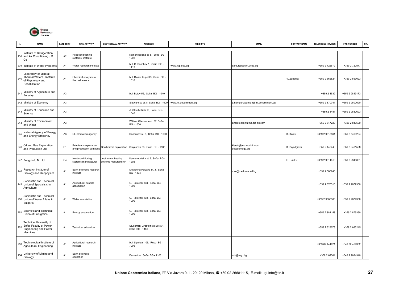

| N.  | <b>NAME</b>                                                                               | CATEGORY       | <b>MAIN ACTIVITY</b>                            | <b>GEOTHERMAL ACTIVITY</b>                | <b>ADDRESS</b>                                      | <b>WEB SITE</b>      | <b>EMAIL</b>                           | <b>CONTACT NAME</b> | <b>TELEPHONE NUMBER</b> | <b>FAX NUMBER</b> | OR.                      |
|-----|-------------------------------------------------------------------------------------------|----------------|-------------------------------------------------|-------------------------------------------|-----------------------------------------------------|----------------------|----------------------------------------|---------------------|-------------------------|-------------------|--------------------------|
|     | Institute of Refrigeration<br>238 and Air Conditioning J.S.<br>Co                         | A2             | Heat conditioning<br>systems institute          |                                           | Kamenodelska st. 5, Sofia BG -<br>1202              |                      |                                        |                     |                         |                   | $\mathbf{I}$             |
|     | 239 Institute of Water Problems                                                           | A <sub>1</sub> | Water research institute                        |                                           | bul. G. Bonchev 1, Sofia BG -<br>1113               | www.iwp.bas.bg       | santur@bgcict.acad.bg                  |                     | +359 2 722572           | +359 2 722577     | $\mathbf{I}$             |
| 240 | Laboratory of Mineral<br>Thermal Waters, Institute<br>of Physiology and<br>Rehabilitation | A <sub>1</sub> | Chemical analyses of<br>hermal waters           |                                           | bul. Ovcha Kupel 2b, Sofia BG<br>1618               |                      |                                        | V. Zahariev         | +359 2 562824           | +359 2 553023     | $\mathbf{I}$             |
| 241 | Ministry of Agriculture and<br>Forestry                                                   | A <sub>3</sub> |                                                 |                                           | bul. Botev 55, Sofia BG - 1040                      |                      |                                        |                     | +359 2 8539             | +359 2 9819173    | $\mathbf{I}$             |
|     | 242 Ministry of Economy                                                                   | A <sub>3</sub> |                                                 |                                           | Slavyanska st. 8, Sofia BG - 1000                   | www.mi.government.bg | hampartzoumian@mi.government.bg        |                     | +359 2 870741           | +359 2 9802690    |                          |
| 243 | Ministry of Education and<br>Science                                                      | A <sub>3</sub> |                                                 |                                           | A. Stamboliiski 18, Sofia BG -<br>1540              |                      |                                        |                     | +359 2 8481             | +359 2 9882693    | $\overline{1}$           |
| 244 | Ministry of Environment<br>and Water                                                      | A3             |                                                 |                                           | William Gladstone st. 67, Sofia<br><b>BG-1000</b>   |                      | airprotection@mb.bia-bg.com            |                     | +359 2 847220           | +359 2 810509     | $\overline{\phantom{a}}$ |
| 245 | National Agency of Energy<br>and Energy Efficiency                                        | A <sub>3</sub> | RE promotion agency                             |                                           | Dondukov st. 8, Sofia BG - 1000                     |                      |                                        | K. Kolev            | +359 2 9818561          | +359 2 5490204    |                          |
|     | 246 Oil and Gas Exploration<br>and Production Ltd                                         | C <sub>1</sub> | Petroleum exploration<br>and production company | Geothermal exploration                    | Sitnjakovo 23, Sofia BG - 1505                      |                      | klarab@techno-link.com<br>gcc@omega.bg | K. Bojadgieva       | +359 2 442440           | +359 2 9461598    | $\mathbf{I}$             |
|     | 247 Penguin U.N. Ltd                                                                      | C <sub>4</sub> | leat conditioning<br>systems manufacturer       | jeothermal heating<br>ystems manufacturer | Kamenodelska st. 5, Sofia BG -<br>1202              |                      |                                        | H. Hristov          | +359 2 9311816          | +359 2 9310661    | $\mathbf{I}$             |
| 248 | Research Institute of<br>Geology and Geophysics                                           | A <sub>1</sub> | Earth sciences research<br>nstitute             |                                           | Metlichina Polyana st. 3, Sofia<br><b>BG</b> - 1404 |                      | root@medun.acad.bg                     |                     | +359 2 586240           |                   | $\mathbf{I}$             |
|     | Schientific and Technical<br>249 Union of Specialists in<br>Agriculture                   | A <sub>1</sub> | Agricultural experts<br>association             |                                           | G. Rakovski 108, Sofia BG -<br>1000                 |                      |                                        |                     | +359 2 876513           | +359 2 9879360    | $\mathbf{I}$             |
|     | Schientific and Technical<br>250 Union of Water Affairs in<br>Bulgaria                    | A <sub>1</sub> | Water association                               |                                           | G. Rakovski 108, Sofia BG -<br>1000                 |                      |                                        |                     | +359 2 9885303          | +359 2 9879360    | $\mathbf{I}$             |
| 251 | Scientific and Technical<br>Union of Energetics                                           | A <sub>1</sub> | Energy association                              |                                           | G. Rakovski 108, Sofia BG -<br>1000                 |                      |                                        |                     | +359 2 884158           | +359 2 879360     | $\overline{1}$           |
| 252 | Technical University of<br>Sofia, Faculty of Power<br>Engineering and Power<br>Machines   | A <sub>1</sub> | Technical education                             |                                           | Studentski Grad"Hristo Botev",<br>Sofia BG - 1156   |                      |                                        |                     | +359 2 623073           | +359 2 683215     | $\overline{\phantom{a}}$ |
|     | 253 Technological Institute of<br>Agricultural Engineering                                | A <sub>1</sub> | Agricultural research<br>institute              |                                           | bul. Lipnitsa 106, Ruse BG -<br>7005                |                      |                                        |                     | +359 82 441921          | +349 82 459382    | $\overline{1}$           |
| 254 | University of Mining and<br>Geology                                                       | A <sub>1</sub> | Earth sciences<br>education                     |                                           | Darvenica, Sofia BG - 1100                          |                      | vvk@mgu.bg                             |                     | +359 2 62581            | +349 2 9624940    | $\mathbf{I}$             |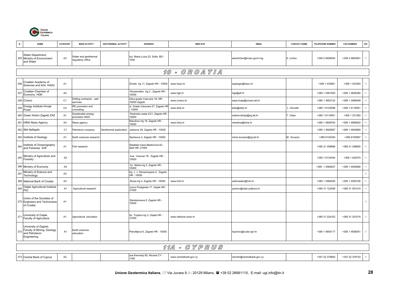

| N.  | <b>NAME</b>                                                                         | CATEGORY       | <b>MAIN ACTIVITY</b>                     | <b>GEOTHERMAL ACTIVITY</b> | <b>ADDRESS</b>                                    | <b>WEB SITE</b>       | <b>EMAIL</b>              | <b>CONTACT NAME</b> | <b>TELEPHONE NUMBER</b> | <b>FAX NUMBER</b> | OR. |
|-----|-------------------------------------------------------------------------------------|----------------|------------------------------------------|----------------------------|---------------------------------------------------|-----------------------|---------------------------|---------------------|-------------------------|-------------------|-----|
|     | Water Department,<br>255 Ministry of Environment<br>and Water                       | A <sub>3</sub> | Water and geothermal<br>egulatory office |                            | bul. Maria Luiza 22, Sofia BG -<br>1000           |                       | asenlichev@moev.govrn.bg  | A. Lichev           | +359 2 9406550          | +359 2 9805561    |     |
|     |                                                                                     |                |                                          |                            |                                                   | 10 - GROATIA          |                           |                     |                         |                   |     |
| 256 | Croatian Academy of<br>Sciences and Arts HAZU                                       | A1             |                                          |                            | Zrinski trg 11, Zagreb HR - 10000                 | www.hazu.hr           | asperger@hazu.hr          |                     | +385 1 433661           | +385 1 433383     |     |
| 257 | Croatian Chamber of<br>Economy HGK                                                  | A2             |                                          |                            | Rooseveltov trg 2, Zagreb HR -<br>10000           | www.hgk.hr            | hgk@alf.hr                |                     | +385 1 4561555          | +385 1 4828380    |     |
|     | 258 Crosco                                                                          | C <sub>1</sub> | Drilling contractor, well<br>services    |                            | Ulica grada Vukovara 18, HR-<br>10000 Zagreb      | www.crosco.hr         | sasa.livaja@crosco.tel.hr |                     | +385 1 3652123          | +385 1 3096469    |     |
| 259 | Energy Institute Hrvoje<br>Pozar                                                    | C <sub>4</sub> | RE promotion and<br>consulting           |                            | Jl. Grada Vukovara 37, Zagreb HR<br>10000         | www.eihp.hr           | eihp@eihp.hr              | L. Horvath          | +385 1 6125598          | +385 1 6118401    |     |
|     | 260 Green Action Zagreb ZAZ                                                         | A <sub>1</sub> | Sustainable energy<br>promotion NGO      |                            | Radnicka cesta 22/1, Zagreb HR -<br>10000         |                       | zelena-akcija@zg.tel.hr   | T. Vidan            | +385 1 6110951          | +385 1 331362     |     |
|     | 261 HINA News Agency                                                                | A4             | <b>Jews agency</b>                       |                            | Marulicev trg 16, Zagreb HR -<br>10000            | www.hina.hr           | newsline@hina.hr          |                     | +385 1 4808700          | +385 1 4808820    |     |
|     | 262 INA Naftaplin                                                                   | C <sub>1</sub> | Petroleum company                        | Geothermal exploration     | Jubiceva 29, Zagreb HR - 10020                    |                       |                           |                     | +385 1 4592667          | +385 1 4640860    |     |
|     | 263 Institute of Geology                                                            | A1             | Earth sciences research                  |                            | Sachsova 2, Zagreb HR - 10000                     |                       | miron.kovacic@zg.tel.hr   | M. Kovacic          | +385 6152300            | +385 6150567      |     |
|     | 264 Institute of Oceanography<br>and Fisheries IOR                                  | A <sub>1</sub> | Fish research                            |                            | Setaliste Ivana Mestrovica 63,<br>Split HR -21000 |                       |                           |                     | +385 21 358688          | +385 21 358650    |     |
|     | 265 Ministry of Agriculture and<br>Forestry                                         | A <sub>3</sub> |                                          |                            | Ave. Vukovar 78, Zagreb HR -<br>10000             |                       |                           |                     | +385 1 6133444          | +385 1 442070     |     |
|     | 266 Ministry of Economy                                                             | A <sub>3</sub> |                                          |                            | Sv. Marka trg 2, Zagreb HR -<br>10000             |                       |                           |                     | +385 1 4569207          | +385 1 4550606    |     |
| 267 | Ministry of Science and<br>Technology                                               | A <sub>3</sub> |                                          |                            | trg. J. J. Strossmayera 4, Zagreb<br>HR - 10000   |                       |                           |                     |                         |                   |     |
|     | 268 National Bank of Croatia                                                        | A2             |                                          |                            | Burze trg 3, Zagreb HR - 10000                    | www.hnb.hr            | webmaster@hnb.hr          |                     | +385 1 4564555          | +385 1 4550726    |     |
|     | 269 Osijek Agricultural Institute                                                   | A <sub>1</sub> | Agricultural research                    |                            | Juzno Predgrade 17, Osijek HR -<br>31000          |                       | zjurkov@ratar.poljinos.hr |                     | +385 31 122458          | +385 31 551414    |     |
|     | Union of the Societies of<br>270 Engineers and Technicians<br>of Croatia            | A <sub>1</sub> |                                          |                            | Berislaviceva 6, Zagreb HR -<br>10000             |                       |                           |                     |                         |                   |     |
|     | 271 University of Osijek,<br>Faculty of Agriculture                                 | A <sub>1</sub> | Agricultural education                   |                            | Sv. Trojstva trg 3, Osijek HR -<br>31000          | www.rektorat.unios.hr |                           |                     | +385 31 224102          | +385 31 207015    |     |
| 272 | University of Zagreb,<br>Faculty of Mining, Geology<br>and Petroleum<br>Engineering | A <sub>1</sub> | Earth sciences<br>education              |                            | Pierottijeva 6, Zagreb HR - 10000                 |                       | hpavicic@rudar.rgn.hr     |                     | +385 1 4605117          | +385 1 4836051    |     |

#### 11A - C Y P R U S

| 273 Central Bank of Cyprus | $\sim$<br>ΑZ |  | edy 80, Nicosia<br>$\cdot$<br>1 V U.I<br>1395 | ntraipank.gov.c | daluarin.gov.c<br><u>uuun</u><br>יישעש | $+257$<br>27000 | +357 22 378153 |  |
|----------------------------|--------------|--|-----------------------------------------------|-----------------|----------------------------------------|-----------------|----------------|--|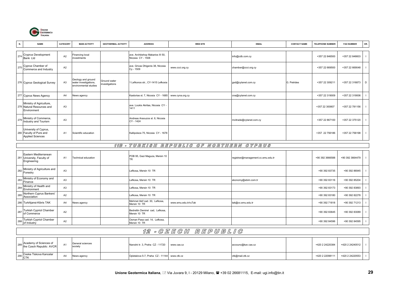

| N.  | <b>NAME</b>                                                                 | <b>CATEGORY</b> | <b>MAIN ACTIVITY</b>                                                 | <b>GEOTHERMAL ACTIVITY</b>     | <b>ADDRESS</b>                                        | <b>WEB SITE</b> | <b>EMAIL</b>            | <b>CONTACT NAME</b> | <b>TELEPHONE NUMBER</b> | <b>FAX NUMBER</b> | OR. |
|-----|-----------------------------------------------------------------------------|-----------------|----------------------------------------------------------------------|--------------------------------|-------------------------------------------------------|-----------------|-------------------------|---------------------|-------------------------|-------------------|-----|
|     | 274 Cryprus Development<br>Bank Ltd                                         | A2              | Financing local<br>investments                                       |                                | ave. Archbishop Makarios III 50,<br>Nicosia CY - 1508 |                 | info@cdb.com.cy         |                     | +357 22 846500          | +357 22 846603    |     |
| 275 | Cyprus Chamber of<br>Commerce and Industry                                  | A <sub>2</sub>  |                                                                      |                                | ave. Grivas Dhigenis 38, Nicosia<br>Cy - 1509         | www.ccci.org.cy | chamber@ccci.org.cy     |                     | +357 22 669500          | +357 22 669048    |     |
|     | 276 Cyprus Geological Survey                                                | A <sub>3</sub>  | Geology and ground<br>water investigations,<br>environmental studies | Ground water<br>investigations | 1 Lefkonos str., CY-1415 Lefkosia                     |                 | gsd@cytanet.com.cy      | G. Petrides         | +357 22 309211          | +357 22 316873    | D   |
|     | 277 Cyprus News Agency                                                      | A <sub>4</sub>  | News agency                                                          |                                | Kastorias st. 7, Nicosia CY - 1685                    | www.cyna.org.cy | cna@cytanet.com.cy      |                     | +357 22 319009          | +357 22 319006    |     |
|     | Ministry of Agriculture,<br>278 Natural Resources and<br>Environment        | A <sub>3</sub>  |                                                                      |                                | ave. Loukis Akritas, Nicosia CY -<br>1411             |                 |                         |                     | +357 22 300807          | +357 22 781156    |     |
|     | 279 Ministry of Commerce,<br>Industry and Tourism                           | A <sub>3</sub>  |                                                                      |                                | Andreas Araouzos st. 6, Nicosia<br>CY - 1424          |                 | mcitrade@cytanet.com.cy |                     | +357 22 867100          | +357 22 375120    |     |
|     | University of Cyprus,<br>280 Faculty of Pure and<br><b>Applied Sciences</b> | A <sub>1</sub>  | Scientific education                                                 |                                | Kallipoleos 75, Nicosia CY - 1678                     |                 |                         |                     | +357 22 756186          | +357 22 756198    |     |

#### 11B - T U R K I S H R E P U B L I C O F N O R T H E R N C Y P R U S

|     | Eastern Mediterranean<br>281 University, Faculty of<br>Engineering | A <sub>1</sub> | Technical education | POB 95, Gazi Maguza, Mersin 10                  |                      | registrar@management.cc.emu.edu.tr | +90 392 3666588 | +90 392 3664479 |  |
|-----|--------------------------------------------------------------------|----------------|---------------------|-------------------------------------------------|----------------------|------------------------------------|-----------------|-----------------|--|
| 282 | Ministry of Agriculture and<br>Forestry                            | A3             |                     | Lefkosa, Mersin 10 TR                           |                      |                                    | +90 392 83735   | +90 392 86945   |  |
|     | 283 Ministry of Economy and<br>Finance                             | A <sub>3</sub> |                     | Lefkosa, Mersin 10 TR                           |                      | ekonomy@ebim.com.tr                | +90 392 83116   | +90 392 85204   |  |
| 284 | Ministry of Health and<br>Environment                              | A <sub>3</sub> |                     | Lefkosa, Mersin 10 TR                           |                      |                                    | +90 392 83173   | +90 392 83893   |  |
|     | 285 Northern Cyprus Bankers'<br>Association                        | A2             |                     | Lefkosa, Mersin 10 TR                           |                      |                                    | +90 392 83180   | +90 392 82278   |  |
|     | 286 TurkAjansi-Kibris TAK                                          | A4             | News agency         | Mehmet Akif cad. 30, Lefkosa,<br>Mersin 10 TR   | www.emu.edu.tr/ruTak | tak@cc.emu.edu.tr                  | +90 392 71818   | +90 392 71213   |  |
| 287 | Turkish Cypriot Chamber<br>of Commerce                             | A <sub>2</sub> |                     | Bedrettin Demirel cad, Lefkosa,<br>Mersin 10 TR |                      |                                    | +90 392 83645   | +90 392 83089   |  |
| 288 | Turkish Cypriot Chamber<br>of Industry                             | A2             |                     | Osman Pasa cad. 14, Lefkosa,<br>Mersin 10 TR    |                      |                                    | +90 392 84596   | +90 392 84595   |  |

|                                                       |    |                             | <i>12 - C Z E C H</i>                       | REPUBLIG |                    |                 |                 |  |
|-------------------------------------------------------|----|-----------------------------|---------------------------------------------|----------|--------------------|-----------------|-----------------|--|
| 289 Academy of Sciences of<br>the Czech Republic AVCR |    | General sciences<br>society | Narodni tr. 3, Praha CZ - 11720 www.cas.cz  |          | accounc@kav.cas.cz | +420 2 24220384 | +420 2 24240512 |  |
| 290 Ceska Tiskova Kancelar                            | A4 | News agency                 | Opletalova 5-7, Praha CZ - 11144 www.ctk.cz |          | ctk@mail.ctk.cz    | +420 2 22098111 | +420 2 24220553 |  |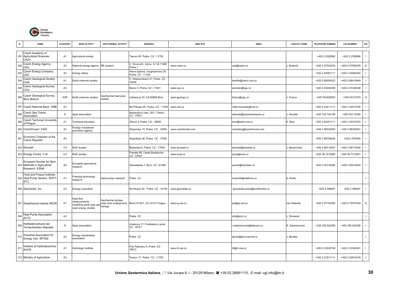

|     | <b>NAME</b>                                                              | CATEGORY       | <b>MAIN ACTIVITY</b>                                                           | <b>GEOTHERMAL ACTIVITY</b>      | <b>ADDRESS</b>                                        | <b>WEB SITE</b>     | <b>EMAIL</b>                  | <b>CONTACT NAME</b> | <b>TELEPHONE NUMBER</b> | <b>FAX NUMBER</b> | OR.            |
|-----|--------------------------------------------------------------------------|----------------|--------------------------------------------------------------------------------|---------------------------------|-------------------------------------------------------|---------------------|-------------------------------|---------------------|-------------------------|-------------------|----------------|
|     | Czech Academy of<br>291 Agricultural Sciences<br>CAZV                    | A <sub>1</sub> | Agricultural society                                                           |                                 | Tesnov 65, Praha CZ - 11705                           |                     |                               |                     | +420 2 2320582          | +420 2 2328898    |                |
| 292 | <b>Czech Energy Agency</b><br>CEA                                        | A <sub>3</sub> | National energy agency                                                         | RE support                      | U Sovových mlýnu 9, CZ-11800<br>Praha 1               | www.ceacr.cz        | cea@ceacr.cz                  | I. Bubeník          | +420 2 57534235         | +420 2 57530478   | D              |
| 293 | Czech Energy Company<br>CEZ                                              | A <sub>3</sub> | Energy utiliuty                                                                |                                 | Hlavni Sprava, Jungmannova 29,<br>Praha CZ - 11148    |                     |                               |                     | +420 2 24081111         | +420 2 24082440   |                |
| 294 | Czech Geological Society<br>CGS                                          | A <sub>1</sub> | Earth sciences society                                                         |                                 | . Holesovickach 41, Praha CZ -<br>8209                |                     | kachlik@natur.cuni.cz         |                     | +420 2 66009323         | +420 2 66410649   |                |
| 295 | Czech Geological Survey<br>CGU                                           | A <sub>3</sub> |                                                                                |                                 | Klarov 3, Praha CZ - 11821                            | www.cgu.cz          | secretar@cgu.cz               |                     | +420 2 24002206         | +420 2 57320438   |                |
| 296 | Czech Geological Survey,<br>Brno Branch                                  | A3R            | Earth sciences studies                                                         | Geothermal heat plow<br>studies | eitnerova 22, CZ-65869 Brno                           | www.geology.cz      | francu@cgu.cz                 | I. Francu           | +420 543429253          | +420 54312370     | D              |
| 297 | Czech National Bank CNB                                                  | A <sub>2</sub> |                                                                                |                                 | Na Prikope 28, Praha CZ - 11503                       | www.cnb.cz          | milan.tomanek@cnb.cz          |                     | +420 2 24411111         | +420 2 24413708   |                |
| 298 | Czech Spa Towns<br>Association                                           | D              | Spas association                                                               |                                 | Masarykovo nam. 20/1, Trebon<br>CZ-37901              |                     | starosta@marianskelazne.cz    | I. Houdek           | +420 333 724159         | +420 333 72350    | $\blacksquare$ |
| 299 | <b>Czech Technical University</b><br>of Prague                           | A <sub>1</sub> | <b>Fechnical education</b>                                                     |                                 | Zikova 4, Praha CZ - 16636                            |                     | broz@ssid.cvut.cz             | C. Broz             | +420 2 24351111         | +420 2 24310783   |                |
|     | 300 Czechlinvest CAZI                                                    | A <sub>3</sub> | Foreign investment<br>promotion agency                                         |                                 | Stepanska 15, Praha CZ - 12000                        | www.czechinvest.com | marketing@czechinvest.com     |                     | +420 2 96342500         | +420 2 96342501   |                |
| 301 | Economic Chamber of the<br>Czech Republic                                | A <sub>2</sub> |                                                                                |                                 | Argentiska 38, Praha CZ - 17005                       |                     |                               |                     | +420 2 66794939         | +420 2 875438     |                |
|     | 302 Ekowatt                                                              | C <sub>4</sub> | <b>RUE</b> studies                                                             |                                 | Bubenska 6, Praha CZ - 17000                          | www.ekowatt.cz      | ekowatt@ekowatt.cz            | . Beranovsky        | +420 2 66710247         | +420 2 66710248   |                |
|     | 303 Energy Centre C.B.                                                   | C <sub>4</sub> | <b>RUE</b> studies                                                             |                                 | Prazska 99, Ceské Budejovice<br>CZ-37004              | www.eccb.cz         | eccb@eccb.cz                  |                     | +420 38 7312580         | +420 38 7312581   |                |
|     | European Society for New<br>304 Methods in Agricultural<br>Research ESNA | A <sub>5</sub> | European agricultural<br>research                                              |                                 | Zemedelska 1, Brno CZ - 61300                         |                     | poschl@mendelu.cz             |                     | +420 5 45133294         | +420 5 45212044   | $\blacksquare$ |
|     | Food and Freeze Institute-<br>305 Heat Pump Section SCPT-<br><b>STC</b>  | A1             | reezing technology<br>esearch                                                  | Heat pumps research             | Praha CZ                                              |                     | svazchkt@netforce.cz          | K. Kodis            |                         |                   |                |
|     | 306 Geomedia sro                                                         | C <sub>4</sub> | Energy consultant                                                              |                                 | Na Nivach 25, Praha CZ - 14100                        | www.geomedia.cz     | geomedia.praha@worldonline.cz |                     | +420 2 499407           | +420 2 499407     |                |
|     | 307 Geophysical Insitute ASCR                                            | A <sub>1</sub> | Heat flow<br>neasurements.<br>nodelling earth heat and<br>solar energy studies | Geothermal studies.<br>storage  | solar heat underground Bocni II/1401, CZ-14131 Prague | www.ig.cas.cs       | jsa@ig.cas.cz                 | Jan Safanda         | +420 2 67103384         | +420 2 72761549   | $\mathsf D$    |
| 308 | Heat Pump Association<br><b>AVTC</b>                                     | A2             |                                                                                |                                 | Praha CZ                                              |                     | info@avtc.cz                  | Slovacek            |                         |                   |                |
| 309 | leilbäderverband der<br>Tschechischen Republik                           | D              | Spas association                                                               |                                 | Jiraskova 17, Frantiskovy Lazné<br>CZ-35101           |                     | .salamanczuk@telecom.cz       | R. Salamanczuk      | +420 166 542256         | +420 166 542356   |                |
| 310 | Industrial Association for<br>Energy Use SPVEZ                           | A <sub>2</sub> | Energy industrialists<br>association                                           |                                 | Praha CZ                                              |                     | spvez@pha.inecnet.cz          | . Bouska            |                         |                   |                |
| 311 | Institute of Hydrodynamics<br><b>AVCR</b>                                | A <sub>1</sub> | Hydrology Institute                                                            |                                 | Pod Patankou 5, Praha CZ -<br>16612                   | www.ih.cas.cz       | ih@ih.cas.cz                  |                     | +420 2 33323748         | +420 2 33324361   |                |
|     | 312 Ministry of Agriculture                                              | A <sub>3</sub> |                                                                                |                                 | Tesnov 17, Praha CZ - 11705                           |                     |                               |                     | +420 2 21811111         | +420 2 24810478   | $\blacksquare$ |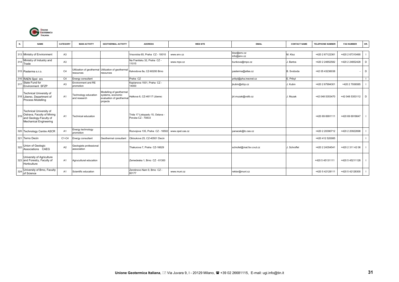

| N.  | <b>NAME</b>                                                                                                          | CATEGORY       | <b>MAIN ACTIVITY</b>                   | <b>GEOTHERMAL ACTIVITY</b>                                                           | <b>ADDRESS</b>                                       | <b>WEB SITE</b> | <b>EMAIL</b>               | <b>CONTACT NAME</b> | <b>TELEPHONE NUMBER</b> | <b>FAX NUMBER</b> | OR.          |
|-----|----------------------------------------------------------------------------------------------------------------------|----------------|----------------------------------------|--------------------------------------------------------------------------------------|------------------------------------------------------|-----------------|----------------------------|---------------------|-------------------------|-------------------|--------------|
|     |                                                                                                                      |                |                                        |                                                                                      |                                                      |                 |                            |                     |                         |                   |              |
|     | 313 Ministry of Environment                                                                                          | A <sub>3</sub> |                                        |                                                                                      | Vrsovicka 65, Praha CZ - 10010                       | www.env.cz      | kloz@env.cz<br>info@env.cz | M. Kloz             | +420 2 67122361         | +420 2 67310490   |              |
|     | 314 Ministry of Industry and<br>Trade                                                                                | A <sub>3</sub> |                                        |                                                                                      | Na Frantisku 32, Praha CZ -<br>11015                 | www.mpo.cz      | bunkova@mpo.cz             | . Bartos            | +420 2 24852582         | +420 2 24852428   | D            |
|     | 315 Pasterma s.r.o.                                                                                                  | C <sub>4</sub> | resources                              | Utilization of geothermal Utilization of geothermal<br>resources                     | Kalvodova 8a, CZ-60200 Brno                          |                 | pasterma@atlas.cz          | B. Svoboda          | +42 05 43236038         |                   | D            |
|     | 316 RAEN Spol sro                                                                                                    | C <sub>4</sub> | Energy consultant                      |                                                                                      | Praha CZ                                             |                 | pribyl@pha.inecnet.cz      | E. Pribyl           |                         |                   |              |
| 317 | State Fund for<br>Environment SFZP                                                                                   | A <sub>3</sub> | Environment and RE<br>promotion        |                                                                                      | Kaplanova 1931, Praha CZ -<br>14000                  |                 | jkubin@sfzp.cz             | J. Kubin            | +420 2 67994301         | +420 2 7936585    |              |
|     | <b>Technical University of</b><br>318 Liberec, Department of<br>Process Modelling                                    | A <sub>1</sub> | Technology education<br>and research   | Modelling of geothermal<br>systems, economic<br>evaluation of geothermal<br>projects | Halkova 6, CZ-46117 Liberec                          |                 | jiri.muzak@vslib.cz        | J. Muzak            | +42 048 5353470         | +42 048 5353112   | D            |
|     | <b>Technical University of</b><br>319 Ostrava, Faculty of Mining<br>and Geology-Faculty of<br>Mechanical Engineering | A <sub>1</sub> | <b>Technical education</b>             |                                                                                      | Trida 17 Listopadu 15, Ostava -<br>Poruba CZ - 70833 |                 |                            |                     | +420 69 6991111         | +420 69 6918647   |              |
|     | 320 Technology Centre ASCR                                                                                           | A <sub>1</sub> | Energy technology<br>promotion         |                                                                                      | Rozvojova 135, Praha CZ - 16502                      | www.opet.cas.cz | panacek@tc.cas.cz          |                     | +420 2 20390712         | +420 2 20922698   |              |
|     | 321 Terno Decin                                                                                                      | C1-C4          | Energy consultant                      | Geothermal consultant                                                                | Obloukova 25, CZ-40501 Decin                         |                 |                            |                     | +420 412 520085         |                   |              |
| 322 | Union of Geologic<br>Associations CAEG                                                                               | A <sub>2</sub> | Geologists professional<br>association |                                                                                      | Thakurova 7, Praha CZ-16629                          |                 | schrofel@mat.fsv.cvut.cz   | . Schroffel         | +420 2 24354541         | +420 2 311 42 06  | $\mathbf{I}$ |
|     | University of Agriculture<br>323 and Forestry, Faculty of<br>Horticulture                                            | A <sub>1</sub> | Agrucultural education                 |                                                                                      | Zemedeska 1, Brno CZ - 61300                         |                 |                            |                     | +420 5 45131111         | +420 5 45211128   | $\mathbf{I}$ |
| 324 | University of Brno, Faculty<br>of Science                                                                            | A1             | Scientific education                   |                                                                                      | Zerotinovo Nam 9. Brno CZ -<br>60177                 | www.muni.cz     | rektor@muni.cz             |                     | +420 5 42128111         | +420 5 42128300   | $\mathbf{I}$ |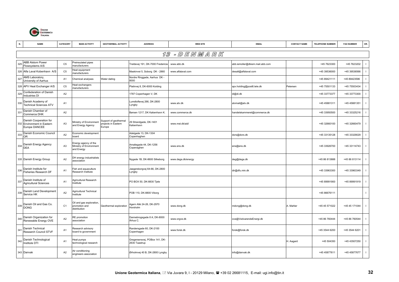

|                 | <b>NAME</b>                                                           | CATEGORY       | <b>MAIN ACTIVITY</b>                                          | <b>GEOTHERMAL ACTIVITY</b>                            | <b>ADDRESS</b>                                 | <b>WEB SITE</b>    | <b>EMAIL</b>                    | <b>CONTACT NAME</b> | <b>TELEPHONE NUMBER</b> | <b>FAX NUMBER</b> | OR.          |
|-----------------|-----------------------------------------------------------------------|----------------|---------------------------------------------------------------|-------------------------------------------------------|------------------------------------------------|--------------------|---------------------------------|---------------------|-------------------------|-------------------|--------------|
|                 |                                                                       |                |                                                               |                                                       |                                                | 13 - D E N M A R K |                                 |                     |                         |                   |              |
| 325             | <b>ABB Alstom Power</b><br>Flowsystems A/S                            | C <sub>5</sub> | Preinsulated pipes<br>manufacturers                           |                                                       | Treldevej 191, DK-7000 Fredericia              | www.abb.dk         | abb.iemoller@dkiem.mail.abb.com |                     | +45 7623300             | +45 7623202       |              |
|                 | 326 Alfa Laval Kobenhavn A/S                                          | C <sub>5</sub> | leat equipment<br>nanufacturers                               |                                                       | Maskinvei 5, Soborg DK - 2860                  | www.alfalaval.com  | desalt@alfalaval.com            |                     | +45 39536000            | +45 39536566      | $\mathbf{I}$ |
| 327             | AMS Laboratory,<br>University of Aarhus                               | A <sub>1</sub> | Chemical analyses                                             | Water dating                                          | Nordre Ringgade, Aarhus DK -<br>8000           |                    |                                 |                     | +45 89421111            | +45 89423596      |              |
|                 | 328 APV Heat Exchanger A/S                                            | C <sub>5</sub> | leat exchangers<br>nanufacturers                              |                                                       | Platinvej 8, DK-6000 Kolding                   |                    | apv.holding@post6.tele.dk       | Petersen            | +45 75501133            | +45 75503434      |              |
| 329             | Confederation of Danish<br>Industries DI                              | A <sub>2</sub> |                                                               |                                                       | 1787 Copenhagen V, DK                          |                    | di@di.dk                        |                     | +45 33773377            | +45 33773300      | $\mathbf{I}$ |
| 330             | Danish Academy of<br><b>Technical Sciences ATV</b>                    | A <sub>1</sub> |                                                               |                                                       | Lumdtoftevej 266, DK-2800<br>Lyngby            | www.atv.dk         | atvmail@atv.dk                  |                     | +45 45881311            | +45 45881351      |              |
| 33 <sup>2</sup> | Danish Chamber of<br>Commerce DHK                                     | A2             |                                                               |                                                       | Børsen 1217, DK København K.                   | www.commerce.dk    | handelskammeret@commerce.dk     |                     | +45 33950500            | +45 33325216      |              |
|                 | Danish Cooperation for<br>332 Environment in Eastern<br>Europe DANCEE | A <sub>3</sub> | Ministry of Environment<br>and Energy Agency                  | Support of geothermal<br>rojects in Eastern<br>Europe | 29 Strandgade, DK-1401<br>København            | www.mst.dk/aid/    |                                 |                     | +45 32660100            | +45 32660479      |              |
| 333             | Danish Economic Council<br><b>OR</b>                                  | A <sub>2</sub> | Economic development<br>board                                 |                                                       | Adelgade 13, DK-1304<br>Copenhaghen            |                    | dors@dors.dk                    |                     | +45 33135128            | +45 33329029      |              |
|                 | 334 Danish Energy Agency<br>DEA                                       | A <sub>3</sub> | Energy agency of the<br>Ministry of Environment<br>and Energy |                                                       | Amaliegade 44, DK-1256<br>Copenaghen           | www.ens.dk         | ens@ens.dk                      |                     | +45 33926700            | +45 33114743      | $\mathbf{I}$ |
|                 | 335 Danish Energy Group                                               | A2             | DH energy industrialists<br>association                       |                                                       | Nygade 1B, DK-8600 Silkeborg                   | www.dega.dk/energy | deg@dega.dk                     |                     | +45 86 813888           | +45 86 813114     |              |
| 336             | Danish Institute for<br>Fisheries Research DF                         | A <sub>1</sub> | ish and aquaculture<br>Research Institute                     |                                                       | Jaegersborgvej 64-66, DK-2800<br>∟yngby        |                    | dir@dfu.min.dk                  |                     | +45 33963300            | +45 33963349      |              |
| 337             | Danish Institute of<br><b>Agricultural Sciences</b>                   | A <sub>1</sub> | Agricultural Research<br>nstitute                             |                                                       | PO BOX 50, DK-8830 Tjele                       |                    |                                 |                     | +45 89991900            | +45 89991919      |              |
| 338             | Danish Land Development<br>Service HK                                 | A2             | Agricultural Technical<br>nstitute                            |                                                       | POB 110, DK-8800 Viborg                        |                    |                                 |                     | +45 86676111            |                   | $\mathbf{I}$ |
|                 | 339 Danish Oil and Gas Co.<br>DONG                                    | C <sub>1</sub> | Oil and gas exploration,<br>promotion and<br>distribution     | Geothermal exploration                                | Agern Allé 24-26, DK-2970<br>Horsholm          | www.dong.dk        | mdong@dong.dk                   | A. Mahler           | +45 45 571022           | +45 45 171044     | $\mathbf{I}$ |
| 340             | Danish Organization for<br>Renewable Energy OVE                       | A2             | <b>RE</b> promotion<br>association                            |                                                       | Dannebrogsgade 8 A, DK-8000<br>Århus C.        | www.orgve.dk       | ove@VedvarendeEnergi.dk         |                     | +45 86 760444           | +45 86 760544     | $\mathbf{I}$ |
| 341             | Danish Technical<br>Research Council STVF                             | A <sub>1</sub> | Research advisory<br>board to government                      |                                                       | Randersgade 60, DK-2100<br>Copenhagen          | www.forsk.dk       | forsk@forsk.dk                  |                     | +45 3544 6200           | +45 3544 6201     |              |
|                 | 342 Danish Technological<br>Institute DTI                             | A <sub>1</sub> | Heat pumps<br>echnological research                           |                                                       | Gregersensvej, POBox 141, DK-<br>2630 Taastrup |                    |                                 | H. Aagard           | +45 504350              | +45 43507250      |              |
|                 | 343 Danvak                                                            | A2             | Air conditioning<br>engineers association                     |                                                       | Ørholmvej 40 B, DK-2800 Lyngby                 |                    | info@danvak.dk                  |                     | +45 45877611            | +45 45877677      | $\mathbf{I}$ |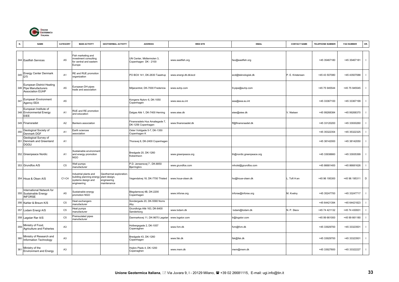

|     | <b>NAME</b>                                                                           | CATEGORY       | <b>MAIN ACTIVITY</b>                                                                               | <b>GEOTHERMAL ACTIVITY</b>                            | <b>ADDRESS</b>                                       | <b>WEB SITE</b>       | <b>EMAIL</b>             | <b>CONTACT NAME</b> | <b>TELEPHONE NUMBER</b> | <b>FAX NUMBER</b> | OR.                      |
|-----|---------------------------------------------------------------------------------------|----------------|----------------------------------------------------------------------------------------------------|-------------------------------------------------------|------------------------------------------------------|-----------------------|--------------------------|---------------------|-------------------------|-------------------|--------------------------|
|     | 344 Eastfish Services                                                                 | A <sub>5</sub> | Fish marketing and<br>investment consulting<br>for central and eastern<br>Europe                   |                                                       | UN Center, Midtermolen 3,<br>Copenhagen DK - 2100    | www.eastfish.org      | fao@eastfish.org         |                     | +45 35467180            | +45 35467181      | $\mathbf{I}$             |
| 345 | <b>Energy Center Denmark</b><br>DTI                                                   | A <sub>1</sub> | RE and RUE promotion<br>organization                                                               |                                                       | PO BOX 141, DK-2630 Taastrup                         | www.energi.dti.dk/ecd | ecd@teknologisk.dk       | P. E. Kristensen    | +45 43 507080           | +45 43507088      |                          |
|     | <b>European District Heating</b><br>346 Pipe Manufacturers<br><b>Association EUHP</b> | A <sub>5</sub> | European DH pipes<br>trade and association                                                         |                                                       | Miliøcentret, DK-7000 Fredericia                     | www.euhp.com          | 9-pipe@euhp.com          |                     | +45 75 945544           | +45 75 945545     | $\mathbf{I}$             |
| 347 | European Environment<br>Agency EEA                                                    | A5             |                                                                                                    |                                                       | Kongens Nytorv 6, DK-1050<br>Copenhagen              | www.eea.eu.int        | eea@eea.eu.int           |                     | +45 33367100            | +45 33367199      | -1                       |
|     | European Institute of<br>348 Environmental Energy<br>EIEE                             | A <sub>1</sub> | RUE and RE promotion<br>and education                                                              |                                                       | Dalgas Allé 1, DK-7400 Herning                       | www.eiee.dk           | eiee@eiee.dk             | V. Nielsen          | +45 99268384            | +45 99268370      |                          |
|     | 349 Finansradet                                                                       | A <sub>2</sub> | Bankers association                                                                                |                                                       | Finansradets Hus Amaliegade 7,<br>DK-1256 Copenhagen | www.finansraadet.dk   | ff@finansraadet.dk       |                     | +45 33120200            | +45 33930260      |                          |
| 350 | Geological Society of<br>Denmark DGF                                                  | A <sub>1</sub> | Earth sciences<br>association                                                                      |                                                       | Oster Voldgade 5-7, DK-1350<br>Copenhagen K          |                       |                          |                     | +45 35322354            | +45 35322325      |                          |
|     | Geological Survey of<br>351 Denmark and Greenland<br><b>DGGU</b>                      | A <sub>1</sub> |                                                                                                    |                                                       | Thoravej 8, DK-2400 Copenhagen                       |                       |                          |                     | +45 38142000            | +45 38142050      | $\overline{\phantom{a}}$ |
|     | 352 Greenpeace Nordic                                                                 | A <sub>1</sub> | Sustainable environmen<br>and energy promotion<br><b>NGO</b>                                       |                                                       | Bredgade 20, DK-1260<br>Kobenhavn                    | www.greenpeace.org    | th@nordic.greenpeace.org |                     | +45 33938660            | +45 33935399      | $\mathbf{I}$             |
|     | 353 Grundfos A/S                                                                      | C <sub>5</sub> | Well pumps<br>manufacturer                                                                         |                                                       | P.D. Jensensvej 7, DK-8850<br>Bjerringbro            | www.grundfos.com      | mholst@grundfos.com      |                     | +45 86681400            | +45 86681626      | $\mathbf{I}$             |
|     | 354 Houe & Olsen A/S                                                                  | $C1-C4$        | ndustrial plants and<br>uilding planning energy plant design,<br>systems design and<br>engineering | Geothermal exploration;<br>engineering<br>maintenance | Vegendalvej 18, DK-7700 Thisted                      | www.houe-olsen.dk     | ho@houe-olsen.dk         | Toft H.en           | +45 96 195300           | +45 96 195311     | D                        |
|     | International Network for<br>355 Sustainable Energy<br><b>INFORSE</b>                 | A <sub>5</sub> | Sustainable energy<br>promotion NGO                                                                |                                                       | Blegdamsvej 4B, DK-2200<br>Copenhagen                | www.inforse.org       | inforse@inforse.org      | M. Kvetny           | +45 35247700            | +45 33247717      | $\mathbf{I}$             |
|     | 356 Kahler & Breum K/S                                                                | C <sub>5</sub> | Heat exchangers<br>nanufacturer                                                                    |                                                       | Sondergade 20, DK-5580 Norre<br>Aby                  |                       |                          |                     | +45 64421394            | +45 64421823      |                          |
|     | 357 Lodam Energi A/S                                                                  | C <sub>5</sub> | leat pumps<br>nanufacturer                                                                         |                                                       | Grundtvigs Allé 163, DK-6400<br>Sønderborg           | www.lodam.dk          | lodam@lodam.dk           | N. P. Sleov         | +45 74 421132           | +45 74 430931     | $\mathbf{I}$             |
|     | 358 Løgstør Rør A/S                                                                   | C <sub>5</sub> | Preinsulated pipes<br>nanufacturer                                                                 |                                                       | Danmarksvej 11, DK-9670 Løgstør                      | www.logstor.com       | r@logstor.com            |                     | +45 99 661000           | +45 99 661180     | $\mathbf{I}$             |
| 359 | Ministry of Food,<br><b>Agriculture and Fisheries</b>                                 | A <sub>3</sub> |                                                                                                    |                                                       | Holbergsgade 2, DK-1057<br>Copenaghen                | www.fvm.dk            | vm@fvm.dk                |                     | +45 33929700            | +45 33323501      | $\overline{\phantom{a}}$ |
| 360 | Ministry of Research and<br>Information Technology                                    | A3             |                                                                                                    |                                                       | Bredgade 43, DK-1260<br>Copenhagen                   | www.fsk.dk            | fsk@fsk.dk               |                     | +45 33929700            | +45 33323501      | $\mathbf{I}$             |
| 361 | Ministry of the<br><b>Environment and Energy</b>                                      | A <sub>3</sub> |                                                                                                    |                                                       | Hojbro Plads 4, DK-1200<br>Copenaghen                | www.mem.dk            | mem@mem.dk               |                     | +45 33927600            | +45 33322227      | $\mathbf{I}$             |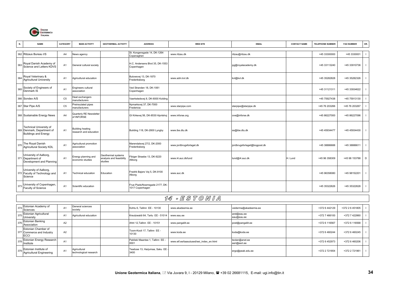

| N.  | <b>NAME</b>                                                                                 | CATEGORY       | <b>MAIN ACTIVITY</b>                       | <b>GEOTHERMAL ACTIVITY</b>                                | <b>ADDRESS</b>                                     | <b>WEB SITE</b>          | <b>EMAIL</b>                 | <b>CONTACT NAME</b> | <b>TELEPHONE NUMBER</b> | <b>FAX NUMBER</b> | OR.          |
|-----|---------------------------------------------------------------------------------------------|----------------|--------------------------------------------|-----------------------------------------------------------|----------------------------------------------------|--------------------------|------------------------------|---------------------|-------------------------|-------------------|--------------|
|     | 362 Ritzaus Bureau I/S                                                                      | A <sub>4</sub> | News agency                                |                                                           | St. Kongensgade 14, DK-1264<br>Copenaghen          | www.ritzau.dk            | ritzau@ritzau.dk             |                     | +45 33300000            | +45 3330001       |              |
|     | 363 Royal Danish Academy of<br>Science and Letters KDVS                                     | A <sub>1</sub> | General cultural society                   |                                                           | H.C. Andersens Blvd 35, DK-1553<br>Copenhagen      |                          | pg@royalacademy.dk           |                     | +45 33113240            | +45 33910736      | $\mathbf{I}$ |
|     | 364 Royal Veterinary &<br><b>Agricultural University</b>                                    | A <sub>1</sub> | Agricultural education                     |                                                           | Bulowsvej 13, DK-1870<br>Frederiksberg             | www.adm.kvl.dk           | kvl@kvl.dk                   |                     | +45 35282828            | +45 35282326      | $\mathbf{I}$ |
|     | 365 Society of Engineers of<br>Denmark IS                                                   | A <sub>1</sub> | Engineers cultural<br>association          |                                                           | Ved Stranden 18, DK-1061<br>Copenhagen             |                          |                              |                     | +45 31121311            | +45 33934622      | $\mathbf{I}$ |
|     | 366 Sondex A/S                                                                              | C <sub>5</sub> | leat exchangers<br>manufacturers           |                                                           | Vaerkstedsvej 8, DK-6000 Kolding                   |                          |                              |                     | +45 75927438            | +45 75913130      |              |
|     | 367 Star Pipe A/S                                                                           | C <sub>5</sub> | Preinsulated pipes<br>manufacturers        |                                                           | Nymarksvej 37, DK-7000<br>Fredericia               | www.starpipe.com         | starpipe@starpipe.dk         |                     | +45 76 203266           | +45 76 203267     |              |
|     | 368 Sustainable Energy News                                                                 | A <sub>4</sub> | Quarterly RE Newsletter<br>of INFORSE      |                                                           | GI Kirkevej 56, DK-8530 Hjortshoj                  | www.inforse.org          | ove@inforse.dk               |                     | +45 86227000            | +45 86227096      | $\mathbf{I}$ |
|     | <b>Technical University of</b><br>369 Denmark, Department of<br><b>Buildings and Energy</b> | A <sub>1</sub> | Building heating<br>research and education |                                                           | Building 118, DK-2800 Lyngby                       | www.ibe.dtu.dk           | ss@ibe.dtu.dk                |                     | +45 45934477            | +45 45934430      | $\mathbf{1}$ |
|     | 370 The Royal Danish<br><b>Agricultural Society KDL</b>                                     | A <sub>1</sub> | Agricultural promotion<br>association      |                                                           | Marendalsvej 27/2, DK-2000<br>Frederiksberg        | www.jordbrugsforlaget.dk | jordbrugsforlaget@bogpost.dk |                     | +45 38886688            | +45 38886611      | $\mathbf{I}$ |
|     | University of Aalborg,<br>371 Department of<br>Development and Planning                     | A <sub>1</sub> | Energy planning and<br>economic studies    | Geothermal systems<br>analysis and feasibility<br>studies | ibiger Straebe 13, DK-9220<br>Allborg              | www.i4.auc.dk/lund       | lund@i4.auc.dk               | H. Lund             | +45 96 358309           | +45 98 153788     | D            |
|     | University of Aalborg,<br>372 Faculty of Technology and<br>Science                          | A <sub>1</sub> | <b>Technical education</b>                 | Education                                                 | Fredrik Bajers Vej 5, DK-9100<br>Alborg            | www.auc.dk               |                              |                     | +45 96358080            | +45 98152201      | $\mathbf{I}$ |
| 373 | University of Copenhagen,<br>Faculty of Science                                             | A <sub>1</sub> | Scientific education                       |                                                           | Frue Plads/Noerregade 2177, DK-<br>1017 Copenhagen |                          |                              |                     | +45 35322626            | +45 35322628      | $\mathbf{I}$ |
|     |                                                                                             |                |                                            |                                                           |                                                    | 14 - ESTONIA             |                              |                     |                         |                   |              |
|     | Estonian Academy of                                                                         |                | General sciences                           |                                                           | $other & Tallinn \nE E 10120$                      | www.akadoomia.oo         | idarma@akadaamia aa          |                     | $272.8$ $112120$        | $+2722665$        |              |

| 374 Estonian Academy of<br>Sciences                              | A <sub>1</sub> | General sciences<br>society            | Kohtu 6, Tallinn EE - 10130                   | www.akadeemia.ee                        | veiderma@akadeemia.ee          | +372 6 442129 | +372 2 6 451805 |  |
|------------------------------------------------------------------|----------------|----------------------------------------|-----------------------------------------------|-----------------------------------------|--------------------------------|---------------|-----------------|--|
| 375 Estonian Agricultural<br>University                          | A <sub>1</sub> | Agricultural education                 | Kreutzwaldi 64. Tartu EE - 51014   www.eau.ee |                                         | aret@eau.ee<br>eau@eau.ee      | +372 7 466100 | +372 7 422860   |  |
| 376 Estonian Banking<br>Association                              | A <sub>2</sub> |                                        | Ahtri 12.Tallinn EE - 10151                   | www.pangaliit.ee                        | post@pangaliit.ee              | +372 6 116567 | +372 6 116568   |  |
| Estonian Chamber of<br>377 Commerce and Industry<br><b>IECCI</b> | A <sub>2</sub> |                                        | Toom-Kooli 17, Tallinn EE -<br>10130          | www.koda.ee                             | koda@koda.ee                   | +372 6 460244 | +372 6 460245   |  |
| 378 Estonian Energy Research<br>Institute                        | A <sub>1</sub> |                                        | Paldiski Maantee 1. Tallinn EE -<br>10001     | www.etf.ee/taasutused/eei index en.html | teolan@anet.ee<br>eeri@eeri.ee | +372 6 452973 | +372 6 460206   |  |
| 379 Estonian Institute of<br>Agricultural Engineering            | A1             | Agricultural<br>technological research | Teaduse 13, Harjumaa, Saku EE<br>3400         |                                         | ergo@peak.edu.ee               | +372 2 721854 | +372 2 721961   |  |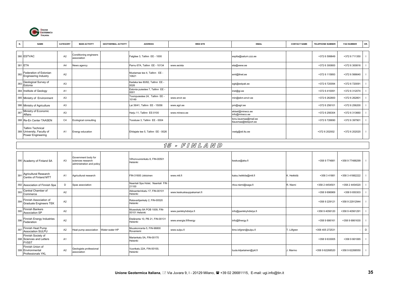

| N.  | <b>NAME</b>                                                                 | CATEGORY       | <b>MAIN ACTIVITY</b>                  | <b>GEOTHERMAL ACTIVITY</b> | <b>ADDRESS</b>                           | <b>WEB SITE</b> | <b>EMAIL</b>                                 | <b>CONTACT NAME</b> | <b>TELEPHONE NUMBER</b> | <b>FAX NUMBER</b> | OR. |
|-----|-----------------------------------------------------------------------------|----------------|---------------------------------------|----------------------------|------------------------------------------|-----------------|----------------------------------------------|---------------------|-------------------------|-------------------|-----|
|     | 380 ESTVAC                                                                  | A2             | Conditioning engineers<br>association |                            | Falgitee 3, Tallinn EE - 1000            |                 | esptta@saturn.zzz.ee                         |                     | +372 6 599849           | +372 6 711350     |     |
| 381 | <b>ETA</b>                                                                  | A4             | <b>News agency</b>                    |                            | Parnu 67A, Tallinn EE - 10134            | www.ee/eta      | eta@www.ee                                   |                     | +372 6 300800           | +372 6 300816     |     |
| 382 | Federation of Estonian<br><b>Engineering Industry</b>                       | A2             |                                       |                            | Mustamae tee 4. Tallinn EE -<br>10621    |                 | eml@ltnet.ee                                 |                     | +372 6 115893           | +372 6 566640     |     |
|     | 383 Geological Survey of<br>Estonia                                         | A <sub>3</sub> |                                       |                            | Kadaka tee 80/82, Tallinn EE -<br>0026   |                 | egk@estpak.ee                                |                     | +372 6 720094           | +372 6 720091     |     |
|     | 384 Institute of Geology                                                    | A <sub>1</sub> |                                       |                            | Estonia puiestee 7, Tallinn EE -<br>0001 |                 | inst@gi.ee                                   |                     | +372 6 410091           | +372 6 312074     |     |
|     | 385 Ministry of Environment                                                 | A <sub>3</sub> |                                       |                            | Toompuiestee 24, Tallinn EE -<br>10149   | www.envir.ee    | min@ekm.envir.ee                             |                     | +372 6 262800           | +372 6 262801     |     |
|     | 386 Ministry of Agriculture                                                 | A <sub>3</sub> |                                       |                            | Lai 39/41, Tallinn EE - 15056            | www.agri.ee     | pm@agri.ee                                   |                     | +372 6 256101           | +372 6 256200     |     |
| 387 | Ministry of Economic<br>Affairs                                             | A <sub>3</sub> |                                       |                            | Harju 11, Tallinn EE-0100                | www.mineco.ee   | ekisel@mineco.ee<br>info@mineco.ee           |                     | +372 6 256304           | +372 6 313660     |     |
|     | 388 Re-En Center TAASEN                                                     | C <sub>4</sub> | Ecological consulting                 |                            | Toostuse 3, Tallinn EE - 0004            |                 | tonu.lausmaa@mail.ee<br>tlausmaa@teleport.ee |                     | +372 6 726690           | +372 6 397901     |     |
|     | <b>Tallinn Technical</b><br>389 University, Faculty of<br>Power Engineering | A <sub>1</sub> | Energy education                      |                            | Ehitajate tee 5, Tallinn EE - 0026       |                 | vselg@sti.ttu.ee                             |                     | +372 6 202002           | +372 6 202020     |     |

#### 15 - F I N L A N D

|     | 390 Academy of Finland SA                                      | A <sub>3</sub> | Government body for<br>sciences research<br>administration and policy |                | Vilhonvuorenkatu 6, FIN-00501<br>Helsinki     |                           | keskus@aka.fi            |                   | +358 9 774881   | +358 9 77488299 |   |
|-----|----------------------------------------------------------------|----------------|-----------------------------------------------------------------------|----------------|-----------------------------------------------|---------------------------|--------------------------|-------------------|-----------------|-----------------|---|
| 391 | Agricultural Research<br>Centre of Finland MTT                 | A1             | Agricultural research                                                 |                | FIN-31600 Jokioinen                           | www.mtt.f                 | kaisu.heikkila@mtt.fi    | K. Heikkilä       | +358 3 41881    | +358 3 41882222 |   |
|     | 392 Association of Finnish Spa                                 | D              | Spas association                                                      |                | Naantali Spa Hotel, Naantali FIN<br>21100     |                           | ritva.niemi@saga.fi      | R. Niemi          | +358 2 4454501  | +358 2 4454520  |   |
| 393 | Central Chamber of<br>Commerce                                 | A2             |                                                                       |                | Akksanterinkatu 17, FIN-00101<br>Helsinki     | www.keskuskauppakamari.fi |                          |                   | +358 9 696969   | +358 9 650303   |   |
| 394 | Finnish Association of<br><b>Graduate Engineers TEK</b>        | A2             |                                                                       |                | Ratavartijankaty 2, FIN-00520<br>Helsinki     |                           |                          |                   | +358 9 229121   | +358 9 22912944 |   |
| 395 | Finnish Bankers<br>Association SP                              | A2             |                                                                       |                | Museokaty 8A POB 1009, FIN-<br>00101 Helsinki | www.pankkiyhdistys.fi     | info@pankkiyhdistys.fi   |                   | +358 9 4056120  | +358 9 40561291 |   |
| 396 | Finnish Energy Industries<br>Federation                        | A2             |                                                                       |                | Eteläranta 10, PB 21, FIN-00131<br>Helsinki   | www.energia.fi/finergy    | info@finergy.fi          |                   | +358 9 686161   | +358 9 6861630  |   |
| 397 | Finnish Heat Pump<br>Association SULPU                         | A2             | Heat pump association                                                 | Water-water HP | Muuskonranta 5. FIN-96800<br>Rovaniemi        | www.sulpu.fi              | timo.lofgren@sulpu.fi    | <b>T.</b> Löfgren | +358 405 272531 |                 | D |
|     | Finnish Society of<br>398 Sciences and Letters<br><b>FVSST</b> | A <sub>1</sub> |                                                                       |                | Mariankatu 5A, FIN-00170<br>Helsinki          |                           |                          |                   | +358 9 633005   | +358 9 661065   |   |
|     | Finnish Union of<br>399 Environmental<br>Professionals YKL     | A <sub>2</sub> | Geologists professional<br>association                                |                | Vuorikatu 22A, FIN-00100,<br>Helsinki         |                           | tuula.kilpelainen@ykl.fi | J. Marmo          | +358 9 62268520 | +358 9 62268550 |   |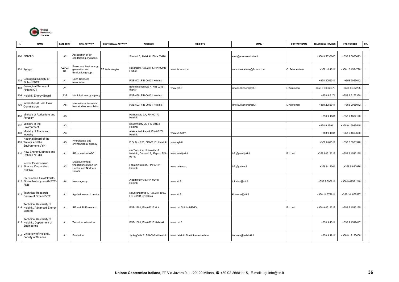

| N.  | <b>NAME</b>                                                                       | CATEGORY                  | <b>MAIN ACTIVITY</b>                                                                | <b>GEOTHERMAL ACTIVITY</b> | <b>ADDRESS</b>                                                            | <b>WEB SITE</b>                    | <b>EMAIL</b>              | <b>CONTACT NAME</b> | TELEPHONE NUMBER | <b>FAX NUMBER</b> | OR. |
|-----|-----------------------------------------------------------------------------------|---------------------------|-------------------------------------------------------------------------------------|----------------------------|---------------------------------------------------------------------------|------------------------------------|---------------------------|---------------------|------------------|-------------------|-----|
|     | 400 FINVAC                                                                        | A <sub>2</sub>            | Association of air<br>conditioning engineers                                        |                            | Sitratori 5, Helsinki FIN - 00420                                         |                                    | sulvi@suomenlvilutto.fi   |                     | +358 9 5633600   | +358 9 5665093    |     |
|     | 401 Fortum                                                                        | $C2-C3$<br>C <sub>4</sub> | ower and heat energy<br>generation and<br>distribution group                        | RE technologies            | Keilaniemi P.O.Box 1, FIN-00048<br>Fortum                                 | www.fortum.com                     | communications@fortum.com | C. Teir-Lehtinen    | +358 10 4511     | +358 10 4524798   |     |
| 402 | Geological Society of<br><b>Finland SGS</b>                                       | A <sub>1</sub>            | Earth Sciences<br>association                                                       |                            | POB 503, FIN-00101 Helsinki                                               |                                    |                           |                     | +358 2055011     | +358 2055012      |     |
| 403 | Geological Survey of<br>Finland GT                                                | A <sub>1</sub>            |                                                                                     |                            | Betonimiehenkuja 4, FIN-02151<br>Espoo                                    | www.gsf.fi                         | ilmo.kukkonen@gsf.fi      | Kukkonen            | +358 0 46932378  | +358 0 462205     |     |
|     | 404 Helsinki Energy Board                                                         | A3R                       | Municipal energy agency                                                             |                            | POB 469, FIN-00101 Helsinki                                               |                                    |                           |                     | +358 9 6171      | +358 9 6172360    |     |
| 405 | International Heat Flow<br>Commission                                             | A <sub>5</sub>            | nternational terrestrial<br>heat studies association                                |                            | POB 503, FIN-00101 Helsinki                                               |                                    | ilmo.kukkonen@gsf.fi      | Kukkonen            | +358 2055011     | +358 2055012      |     |
| 406 | Ministry of Agriculture and<br>Forestry                                           | A <sub>3</sub>            |                                                                                     |                            | Hallituskatu 3A, FIN-00170<br>Helsinki                                    |                                    |                           |                     | +358 9 1601      | +358 9 1602190    |     |
| 407 | Ministry of the<br>Environment                                                    | A <sub>3</sub>            |                                                                                     |                            | Kasarmikaty 25, FIN-00131<br>Helsinki                                     |                                    |                           |                     | +358 9 19911     | +358 9 19919545   |     |
| 408 | Ministry of Trade and<br>Industry                                                 | A <sub>3</sub>            |                                                                                     |                            | Aleksanterinkaty 4, FIN-00171<br>Helsinki                                 | www.vn.fi/ktm                      |                           |                     | +358 9 1601      | +358 9 1603666    |     |
|     | National Board of the<br>409 Waters and the<br>Environment VYH                    | A <sub>3</sub>            | Hydrological and<br>environmental agency                                            |                            | P.O. Box 250, FIN-00101 Helsinki                                          | www.vyh.fi                         |                           |                     | +358 0 69511     | +358 0 6951326    |     |
| 410 | New Energy Methods and<br>Options NEMO                                            | A <sub>1</sub>            | RE promotion NGO                                                                    |                            | c/o Technical University of<br>Helsinki, Otakaari 3, Espoo FIN -<br>02150 | www.kemijoki.fi                    | info@kemijoki.fi          | P. Lund             | +358 94513218    | +358 9 4513195    |     |
|     | Nordic Environment<br>411 Finance Corporation<br><b>NEFCO</b>                     | A2                        | <b>Mutigovernment</b><br>inancial institution for<br>Central and Northern<br>Europe |                            | Fabianinkatu 34, FIN-00171<br>Helsinki                                    | www.nefco.org                      | info@nefco.fi             |                     | +358 9 18001     | +358 9 630976     | - 1 |
|     | Oy Suomen Tietotolmisto-<br>412 Finska Notisbyran Ab STT-<br><b>FNB</b>           | A4                        | <b>Vews agency</b>                                                                  |                            | Albertinkaty 33, FIN-00101<br>Helsinki                                    | www.stt.fi                         | toimitus@stt.fi           |                     | +358 9 695811    | +358 9 69581218   |     |
| 413 | <b>Technical Research</b><br>Centre of Finland VTT                                | A <sub>1</sub>            | Applied research centre                                                             |                            | Koivurannantie 1, P.O.Box 1603.<br>FIN-40101 Jyväskylä                    | www.vtt.fi                         | kirjaamo@vtt.fi           |                     | +358 14 672611   | +358 14 672597    |     |
|     | <b>Technical University of</b><br>414 Helsinki, Advanced Energy<br><b>Sistems</b> | A <sub>1</sub>            | RE and RUE research                                                                 |                            | POB 2200, FIN-02015 Hut                                                   | www.hut.fi/Units/NEMO              |                           | P. Lund             | +358 9 4513218   | +358 9 4513195    |     |
|     | <b>Technical University of</b><br>415 Helsinki, Department of<br>Engineering      | A <sub>1</sub>            | Fechnical education                                                                 |                            | POB 1000, FIN-02015 Helsinki                                              | www.hut.fi                         |                           |                     | +358 9 4511      | +358 9 4512017    |     |
| 416 | University of Helsinki,<br>Faculty of Science                                     | A <sub>1</sub>            | Education                                                                           |                            | Jyrängöntie 2, FIN-00014 Helsinki                                         | www.helsinki.fi/ml/tdk/science.htm | tiedotus@helsinki.fi      |                     | +358 9 1911      | +358 9 19123008   |     |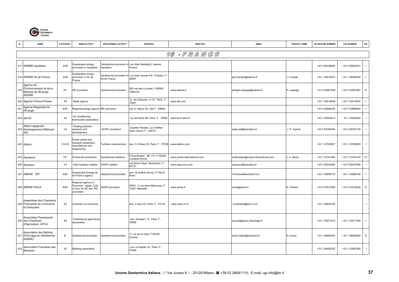

|     | <b>NAME</b>                                                                    | CATEGORY       | <b>MAIN ACTIVITY</b>                                                              | <b>GEOTHERMAL ACTIVITY</b>               | <b>ADDRESS</b>                                          | <b>WEB SITE</b>              | <b>EMAIL</b>                        | <b>CONTACT NAME</b> | TELEPHONE NUMBER | <b>FAX NUMBER</b> | OR.         |
|-----|--------------------------------------------------------------------------------|----------------|-----------------------------------------------------------------------------------|------------------------------------------|---------------------------------------------------------|------------------------------|-------------------------------------|---------------------|------------------|-------------------|-------------|
|     |                                                                                |                |                                                                                   |                                          |                                                         | 16 - FRANGE                  |                                     |                     |                  |                   |             |
|     | 417 ADEME Aquitaine                                                            | A3R            | Sustainable energy<br>promotion in Aquitaine                                      | Geothermal promotion in<br>Aquitaine     | rue Alain Mestadj 6, Ademe<br>France                    |                              |                                     |                     | +33 5 56338000   | +33 5 56803301    |             |
|     | 418 ADEME Ile de France                                                        | A3R            | Sustainable energy<br>promotion in Ile de<br>France                               | Geothermal promotion in<br>lle de France | rue Jean Jaures 6-8, Puteaux F<br>92807                 |                              | jean.lemale@ademe.fr                | J. Lemale           | +33 1 49014547   | +33 1 46455236    |             |
| 419 | Agence de<br>l'Environnement et de la<br>Maîtrise de l'Énergie<br><b>ADEME</b> | A <sub>3</sub> | RE promotion                                                                      | Geothermal promotion                     | 500 rue des Lucioles, F-06560<br>Valborne               | www.ademe.fr                 | philippe.laplaige@ademe.fr          | P. Laplaige         | +33 4 93957936   | +33 4 93957987    | D           |
|     | 420 Agence France-Presse                                                       | A4             | News agency                                                                       |                                          | pl. de la Bourse 11-15, Paris F<br>75061                | www.afp.com                  |                                     |                     | +33 1 40414646   | +33 1 40414632    |             |
| 421 | Agence Regionale de<br>l'Énergie                                               | A3R            | Regional energy agency RE promotion                                               |                                          | rue G. Delory 50, Lille F - 59800                       |                              |                                     |                     | +33 3 20886430   | +33 3 20886440    |             |
|     | 422 AICVF                                                                      | A2             | Air conditioning<br>technicians association                                       |                                          | rue de Rome 66, Paris F - 75008                         | www.aicvf.asso.fr            |                                     |                     | +33 1 53043510   | 33 1 42940454     |             |
|     | Alpes Ingegnerie<br>423 Developpement Batiment<br>AID                          | C <sub>4</sub> | Heating systems<br>research and<br>development                                    | SCHP consultant                          | Quartier Paradis, Le Chaffaut<br>Saint Jurson F - 04510 |                              | isojpi.aid@wanadoo.fr               | J. P. Isoardi       | +33 4 92346784   | +33 4 92347103    |             |
|     | 424 Alstom                                                                     | $C4-C5$        | Power plants and<br>ransport equipment<br>nanufacturer and<br>engineering         | Turbines manufacturer                    | ave. G. Kleber 25, Paris F - 75795                      | www.alstom.com               |                                     |                     | +33 1 47553827   | +33 1 47552883    |             |
|     | 425 Aquaprox                                                                   | C <sub>5</sub> | Chemicals production                                                              | Geothermal inhibitors                    | Rue Barbès - BP 177, F-92305<br>Levallois-Perret        | www.protex-international.com | postmaster@protex-international.com | J. C. Berce         | +33 1 41341400   | +33 1 41341416    | $\mathsf D$ |
|     | 426 Aquasun                                                                    | C <sub>4</sub> | Heat systems installer                                                            | SGHP installer                           | rue Denis Papin, Montardon F -<br>64121                 | www.aqua-sun.com             | aquasun@wanadoo.fr                  |                     | +33 5 59332592   | +33 5 59337560    |             |
|     | 427 ARENE IDF                                                                  | A3R            | Sustainable Energy Ile-<br>de-France agency                                       | Geothermal promotion                     | ave. de Suffren 94 bis, F-75015,<br>Paris               |                              | f.bremiere#areneidf.com             |                     | +33 1 53856175   | +33 1 53856169    |             |
|     | 428 ARENE PACA                                                                 | A3R            | Regional agency of<br>Provence, Alpes, Cote<br>d' Azur for EE and RE<br>promotion | <b>SGHP</b> promotion                    | CMCI - 2 rue Henri Barbusse, F-<br>13241 Marseille      | www.arene.fr                 | work@arene.fr                       | D. Flahaut          | +33 4 91915300   | +33 4 91919436    | D           |
|     | Assemblee des Chambres<br>429 Francaises de Commerce<br>et d'Industrie         | A2             | Chamber of commerce                                                               |                                          | ave. d' lena 45, Paris F - 75116                        | www.acfci.cci.fr             | contactdie@acfci.cci.fr             |                     | +33 1 40693700   |                   |             |
|     | Assemblee Permanente<br>430 des Chambres<br>d'Agriculture APCA                 | A2             | Professional agricultural<br>association                                          |                                          | ave. George V 9, Paris F -<br>75008                     |                              | accueil@apca.chambagri.fr           |                     | +33 1 53571010   | +33 1 53571005    |             |
|     | Association des Maîtres<br>431 d'Ouvrage en Géothermie<br>AGEMO                | В              | Geothermal promotion                                                              | Geothermal promotion                     | 11 rue de la Gare, F-94230<br>Cachan                    |                              | lenoir.didier@wanadoo.fr            | D. Lenoir           | +33 1 46645343   | +33 1 46636582    | D           |
| 432 | Association Francaise des<br>Bangues                                           | A2             | Banking association                                                               |                                          | rue La Fayette 18, Paris F -<br>75440                   |                              |                                     |                     | +33 1 48005252   | +33 1 42467640    |             |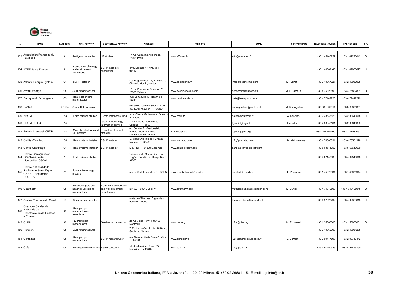

| N.  | <b>NAME</b>                                                                          | CATEGORY       | <b>MAIN ACTIVITY</b>                                      | <b>GEOTHERMAL ACTIVITY</b>                                  | <b>ADDRESS</b>                                                                  | <b>WEB SITE</b>              | <b>EMAIL</b>                 | <b>CONTACT NAME</b> | <b>TELEPHONE NUMBER</b> | <b>FAX NUMBER</b> | OR.            |
|-----|--------------------------------------------------------------------------------------|----------------|-----------------------------------------------------------|-------------------------------------------------------------|---------------------------------------------------------------------------------|------------------------------|------------------------------|---------------------|-------------------------|-------------------|----------------|
| 433 | Association Francaise du<br>Froid AFF                                                | A <sub>1</sub> | Refrigeration studies                                     | HP studies                                                  | 17 rue Guillarme Apoliinaire, F-<br>75006 Paris                                 | www.aff.asso.fr              | a.f.f@wanadoo.fr             |                     | +33 1 45445252          | 33 1 42220042     | D              |
|     | 434 ATEE Ile de France                                                               | A1             | Association of energy<br>and environment<br>technicians   | <b>SGHP</b> installers<br>association                       | ave. Laplace 47, Arcueil F -<br>94117                                           |                              |                              |                     | +33 1 46569143          | +33 1 49850627    |                |
|     | 435 Atlantic Energie System                                                          | C <sub>4</sub> | <b>SGHP</b> installer                                     |                                                             | es Ragonnieres 2A, F-44330 La<br>Chapelle Heulin, Nantes                        | www.geothermie.fr            | infos@geothermie.com         | M. Loiret           | +33 2 40067927          | +33 2 40067928    |                |
|     | 436 Avenir Energie                                                                   | C <sub>5</sub> | SGHP manufacturer                                         |                                                             | 13 rue Emmanuel Chabrier, F-<br>26000 Valence                                   | www.avenir-energie.com       | avenergie@wanadoo.fr         | L. Barrault         | +33 4 75822890          | +33 4 75822891    | $\mathsf D$    |
|     | 437 Barriquand Echangeurs                                                            | C <sub>5</sub> | Heat exchangers<br>nanufacturer                           |                                                             | rue St. Claude 13, Roanne F -<br>42334                                          | www.barriquand.com           | info@barriquand.com          |                     | +33 4 77442220          | +33 4 77442229    |                |
|     | 438 Besteci                                                                          | C1-C4          | Soultz HDR operator                                       |                                                             | c/o GEIE, route de Soultz - POB<br>38, Kutzenhausen F - 67250                   |                              | baumgaertner@soultz.net      | Baumgartner         | +33 388 809914          | +33 388 805351    |                |
|     | 439 BRGM                                                                             | A <sub>3</sub> | Earth science studies                                     | Geothermal consulting                                       | ave. Claude Guillemin 3, Orleans<br>$-45060$                                    | www.brgm.fr                  | a.desplan@brgm.fr            | A. Desplan          | +33 2 38643828          | +33 2 38643518    |                |
|     | 440 BRGM/CITEG                                                                       | A <sub>4</sub> |                                                           | Geothermal energy<br>nformation service                     | ave. Claude Guillemin 3,<br>Orleans F - 45060                                   |                              | f.jaudin@brgm.fr             | F.Jaudin            | +33 2 38643161          | +33 2 38643333    |                |
|     | 441 Bulletin Mensuel CPDP                                                            | A4             | Monthly petroleum and<br><b>RE</b> statistics             | French geothermal<br>statistics                             | ed: Comité Professionel du<br>Pétrole, POB 282, Rueil<br>Malmaison FR - 92505   | www.cpdp.org                 | cpdp@cpdp.org                |                     | +33 1 47 169460         | +33 1 47081057    |                |
|     | 442 Caldis Warmtec                                                                   | C <sub>4</sub> | Heat systems installer                                    | <b>SGHP</b> installer                                       | ZI Centr' Alp, rue de l' Eygala,<br>Moirans F - 38430                           | www.warmtec.com              | info@warmtec.com             | M. Malgouverne      | +33 4 76500891          | +33 4 76501328    |                |
|     | 443 Cantie Chauffage                                                                 | C4             | Heat systems installer                                    | <b>SGHP</b> installer                                       | n. 112. F - 81200 Mazamet                                                       | www.cantie-proceff.com       | cantie@cantie-proceff.com    |                     | +33 5 63614752          | +33 5 63613699    |                |
|     | Centre Géologique et<br>444 Géophysique de<br>Montpellier CGGM                       | A1             | Earth science studies                                     |                                                             | Université de Montpellier II, pl.<br>Eugène Batallion 2, Montpellier F<br>34060 |                              |                              |                     | +33 4 67143030          | +33 4 67543648    |                |
| 44  | Centre National de la<br>Recherche Scientifique<br>CNRS - Programme<br><b>ECODEV</b> | A <sub>1</sub> | Sustainable energy<br>esearch                             |                                                             | rue du Cerf 1, Meudon F - 92195                                                 | www.cnrs-bellevue.fr/-ecodev | ecodev@cnrs-dir.fr           | F. Pharabod         | +33 1 45075934          | +33 1 45075944    | $\blacksquare$ |
|     | 446 Cetetherm                                                                        | C <sub>5</sub> | leat echangers and<br>heating substations<br>manufacturer | Plate heat exchangers<br>and well equipment<br>manufacturer | BP 52, F-69210 Lentilly                                                         | www.cetetherm.com            | mathilde.buhot@cetetherm.com | M. Buhot            | +33 4 74019500          | +33 4 740195048   | D              |
|     | 447 Chaine Thermale du Soleil                                                        | D              | Spas owner/ operator                                      |                                                             | route des Thermes, Dignes les<br>Bains F - 04000                                |                              | thermes_digne@wanadoo.fr     |                     | +33 4 92323292          | +33 4 92323815    |                |
| 448 | Chambre Syndacale<br>Nationale de<br>Constructeurs de Pompes<br>à Chaleur            | A <sub>2</sub> | Heat pumps<br>nanufacturers<br>association                |                                                             |                                                                                 |                              |                              |                     |                         |                   |                |
|     | 449 CLER                                                                             | A <sub>2</sub> | RE promotion,<br>nanagement                               | Geothermal promotion                                        | 2b rue Jules Ferry, F-93100<br>Montreuil                                        | www.cler.org                 | infos@cler.org               | M. Poussard         | +33 1 55868000          | +33 1 55868001    | D              |
|     | 450 Climasol                                                                         | C <sub>5</sub> | SGHP manufacturer                                         |                                                             | Zi De La Louée - F - 44115 Haute<br>Goulaine, Nantes                            |                              |                              |                     | +33 2 40062900          | +33 2 40061288    |                |
|     | 451 Climastar                                                                        | C <sub>5</sub> | Heat pumps<br>nanufacturer                                | SGHP manufacturer                                           | rue Pierre et Marie Curie 6, Vitre<br>$-35504$                                  | www.climastar.fr             | JBRecherce@wanadoo.fr        | J. Bernier          | +33 2 99747893          | +33 2 99740442    |                |
|     | 452 Cofex                                                                            | C <sub>4</sub> | leat systems consultant SGHP consultant                   |                                                             | pl. des Lauriers Roses 5/7,<br>Marseille F - 13010                              | www.cofex.fr                 | info@cofex.fr                |                     | +33 4 91450325          | +33 4 91455190    |                |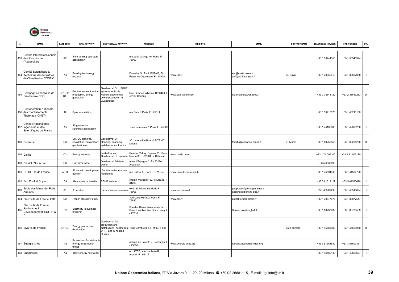

| N.  | <b>NAME</b>                                                                      | CATEGORY                | <b>MAIN ACTIVITY</b>                                          | <b>GEOTHERMAL ACTIVITY</b>                                                                          | <b>ADDRESS</b>                                                                          | <b>WEB SITE</b>            | <b>EMAIL</b>                                        | <b>CONTACT NAME</b> | <b>TELEPHONE NUMBER</b> | <b>FAX NUMBER</b> | OR.                      |
|-----|----------------------------------------------------------------------------------|-------------------------|---------------------------------------------------------------|-----------------------------------------------------------------------------------------------------|-----------------------------------------------------------------------------------------|----------------------------|-----------------------------------------------------|---------------------|-------------------------|-------------------|--------------------------|
|     | Comite Interprofessionnels<br>453 des Produits de<br>l'Aquaculture               | A <sub>2</sub>          | Fish farming operators<br>association                         |                                                                                                     | rue de la Grange 16, Paris F -<br>75009                                                 |                            |                                                     |                     | +33 1 53241555          | +33 1 53340324    | $\overline{\phantom{0}}$ |
|     | Comité Scientifique &<br>454 Technique des Industries<br>de Climatisation COSTIC | A1                      | Banking technology<br>esearch                                 |                                                                                                     | Domaine St. Paul, POB 66, St.<br>Remy les Chevreuse F - 78470                           | www.ucf.fr                 | enr@costic.asso.fr<br>ucf@ucf.ffbatiment.fr         | D. Daval            | +33 1 30852010          | +33 1 30852038    | $\mathbf{I}$             |
| 455 | Compagnie Française de<br>Geothermie CFG                                         | C1-C2<br>C <sub>4</sub> | Geothermal exploration,<br>production, energy<br>generation   | Geothermal DH, SGHP<br>systems in Ile de<br>France; geothermal<br>power production in<br>Guadeloupe | Rue Claude Guillemin, BP 6429, F<br>45100 Orleans                                       | www.gep-france.com         | cfg.orleans@wanadoo.fr                              |                     | +33 2 38643122          | +33 2 38643283    | $\mathsf D$              |
|     | Confédération Nationale<br>456 des Etablissements<br>Thermaux CNETh              | D                       | Spas association                                              |                                                                                                     | rue Cels 1, Paris F - 75014                                                             |                            |                                                     |                     | +33 1 53910575          | +33 1 43210180    |                          |
|     | Conseil National des<br>457 Ingenieurs et des<br>Scientifiques de France         | A <sub>1</sub>          | Engineers and<br>scientists association                       |                                                                                                     | rue Lamennais 7, Paris F - 75008                                                        |                            |                                                     |                     | +33 1 44136688          | +33 1 42898250    | $\blacksquare$           |
|     | 458 Coriance                                                                     | C <sub>3</sub>          | DH, DC planning,<br>nstallation, exploration;<br>gas business | Geothermal DH<br>planning, financing,<br>nstallation, exploration                                   | 30 rue Aristide Briand, F-77100<br>Meaux                                                |                            | fmartin@coriance.cogac.fr                           | F. Martin           | +33 1 60255656          | +33 1 60254266    | $\mathsf D$              |
|     | 459 Dalkia                                                                       | C <sub>3</sub>          | Energy services                                               | le-de-France                                                                                        | Quartier Valmy, Espace 21, Place<br>Geothermal DH operator Ronde 33, F-92981 La Défense | www.dalkia.com             |                                                     |                     | +33 1 71 007100         | +33 1 71 007170   |                          |
|     | 460 District d'Arcachan                                                          | C <sub>3</sub>          | Fish farm owner                                               | Geothermal fish farm<br>wner                                                                        | Alleè d'Espagne 2, F - 33120<br>Arcachan                                                |                            |                                                     |                     | +33 5 6833598           |                   | $\mathbf{I}$             |
|     | 461 DRIRE Ile de France                                                          | A3R                     | Economic development<br>agency                                | Geothermal operations<br>monitoring                                                                 | rue Crillon 10, Paris F - 75194                                                         | www.drire-ile-de-france.fr |                                                     |                     | +33 1 44594949          | +33 1 44594700    |                          |
|     | 462 Eco Confort Boyer                                                            | C <sub>4</sub>          | Heat systems installer                                        | SGHP installer                                                                                      | chemin Virebent 152, Toulouse F<br>31200                                                |                            |                                                     |                     | +33 5 61612122          | +33 5 61580620    |                          |
| 463 | Ecole des Mines de Paris<br>Armines                                              | A <sub>1</sub>          | Education                                                     | Earth sciences research                                                                             | blvd. St. Michel 60, Paris F -<br>75006                                                 | www.armines.net            | peuportier@cenerg.ensmp.fr<br>abenhass@ensm-ales.fr |                     | +33 1 40519050          | +33 1 40510094    |                          |
|     | 464 Electricité de France EDF                                                    | C <sub>2</sub>          | French electricity utility                                    |                                                                                                     | rue Louis Murat 2, Paris F -<br>75840                                                   | www.edf.fr                 | patrick.erhard @edf.fr                              |                     | +33 1 30877676          | +33 1 30877547    | $\blacksquare$           |
| 465 | Electricité de France<br>Recherche &<br>Développement EDF R &<br>ID              | C <sub>2</sub>          | Electricity in buildings<br>esearch                           |                                                                                                     | Site des Renardiéres, route de<br>Sens, Ecuelles, Moret sur Loing F<br>77818            |                            | Herve-Rivoalen@edf.fr                               |                     | +33 1 60737039          | +33 1 60736539    | $\blacksquare$           |
|     | 466 Elyo lle de France                                                           | $C1-C4$                 | Energy production,<br>distribution                            | Geothermal fluid<br>production and<br>DH, F and G heating<br>studies                                | distribution; geothermal 7 rue Cambronne, F-75007 Paris                                 |                            |                                                     | De Fournais         | +33 1 45663000          | +33 1 45663060    | D                        |
|     | 467 Energie-Cités                                                                | A <sub>5</sub>          | Promotion of sustainable<br>energy in European<br>towns       |                                                                                                     | chemin de Palente 2, Besançon I<br>25000                                                | www.energie-cites.org      | balcaraz@energie-cites.org                          |                     | +33 3 81653680          | +33 3 81507351    |                          |
|     | 468 Enerpresse                                                                   | A4                      | Daily energy newsletter                                       |                                                                                                     | ed: ATEE, ave. Laplace 47,<br>Arcueil F - 94117                                         |                            |                                                     |                     | +33 1 46569143          | +33 1 49850627    | $\blacksquare$           |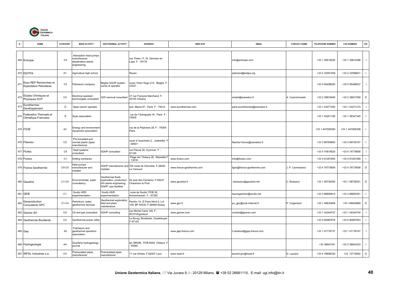

| N.  | <b>NAME</b>                                               | CATEGORY       | <b>MAIN ACTIVITY</b>                                                         | <b>GEOTHERMAL ACTIVITY</b>                                                                     | <b>ADDRESS</b>                                                     | <b>WEB SITE</b>           | <b>EMAIL</b>                 | <b>CONTACT NAME</b> | <b>TELEPHONE NUMBER</b> | <b>FAX NUMBER</b> | OR.          |
|-----|-----------------------------------------------------------|----------------|------------------------------------------------------------------------------|------------------------------------------------------------------------------------------------|--------------------------------------------------------------------|---------------------------|------------------------------|---------------------|-------------------------|-------------------|--------------|
|     | 469 Entropie                                              | C <sub>5</sub> | Absorption heat pumps<br>nanufacturer;<br>desalination plants<br>engineering |                                                                                                | ue Thiers 17, St. Germain en<br>aye F-78176                        |                           | info@entropie.com            |                     | +33 1 30618200          | +33 1 30614498    |              |
|     | 470 ESITPA                                                | A <sub>1</sub> | Agriculture high school                                                      |                                                                                                | Rouen                                                              |                           | pdenieul@esitpa.org          |                     | +33 2 32591459          | +33 2 32596621    |              |
| 471 | Esso REP Recherches et<br><b>Exploitation Pétrolières</b> | C <sub>3</sub> | Petroleum company                                                            | Bégles SGHP system<br>owner & operator                                                         | cours Victor Hugo 213, Bégles F<br>33321                           |                           |                              |                     | +33 5 56498200          | +33 5 56498527    |              |
| 472 | Etudes Chimiques et<br>Physiques ECP                      | C4             | Electrical assisted<br>echnologies consultant                                | 12S removal consultant                                                                         | 21 rue François Marchand, F-<br>45100 Orleans                      |                           | echph@wanadoo.fr             | . Czernichowski     | +33 2 38634946          | +33 2 38631590    | D            |
| 473 | Eurothermes<br>Devéloppement                              | D              | Spas owner/ operator                                                         |                                                                                                | ave. Maine 87, Paris F - 75014                                     | www.eurothermes.com       | paris.eurothermes@wanadoo.fr |                     | +33 1 43271250          | +33 1 43271274    |              |
| 474 | Federation Thermale et<br>Climatique Francaise            | D              | Spas association                                                             |                                                                                                | rue de l'Estrapade 16, Paris F -<br>75005                          |                           |                              |                     | +33 1 43251185          | +33 1 46347345    |              |
|     | 475 FG3E                                                  | A <sub>3</sub> | Energy and environmen<br>equipment association                               |                                                                                                | rue de la Pepiniere 28, F - 75008<br>Paris                         |                           |                              |                     | +33 1 447006390         | +33 1 447006399   | $\mathbf{I}$ |
|     | 476 Fiberdur                                              | C <sub>5</sub> | Pre-insulated and<br>ormal plastic pipes<br>nanufacturer                     |                                                                                                | oute d' Issenheim 2, Juebwiller<br>68501                           |                           | fiberdur.france@wanadoo.fr   |                     | +33 3 89765600          | +33 3 89749107    | $\mathbf{I}$ |
|     | 477 Fluitec                                               | C <sub>4</sub> | Heat systems<br>:onsultant                                                   | <b>SGHP</b> consultant                                                                         | ue Pascal 30, Oyonnax F -<br>01100                                 |                           |                              |                     | +33 4 74819520          | +33 4 74779808    |              |
|     | 478 Foraco                                                | C <sub>1</sub> | Orilling contractor                                                          |                                                                                                | Plage de l' Estacq 26, Marseille I<br>13016                        | www.foraco.com            | info@foraco.com              |                     | +33 4 91291845          | +33 4 91291846    | $\mathbf{I}$ |
|     | 479 France Geothermie                                     | $C4-C5$        | leat pumps<br>nanufacturer and<br>staller                                    | SGHP manufacturer and<br>installer                                                             | 700 ruote de Grenoble, F-38420<br>e Versoud                        | www.france-geothermie.com | fgeo@france-geothermie.com   | J. P. Cammarano     | +33 4 76775609          | +33 4 76775608    | D            |
|     | 480 Gaudriot                                              | C1-C4          | Environmental, water<br>consultancy                                          | Geothermal fluids<br>exploration, production;<br>DH plants engineerng;<br>SGHP; spa facilities | 52 quai des Carrieres, F-94227<br>Charenton le Pont                | www.gaudriot.fr           | cboissavy@gaudriot.net       | C. Boissavy         | +33 1 58736300          | +33 1 58736301    | D            |
|     | 481 GEIE                                                  | C <sub>1</sub> | Soultz HDR<br>xperimentation                                                 | Soultz HDR<br>experimentation                                                                  | route de Soultz, POB 38,<br><b>Kutzenhausen F - 67250</b>          |                           | baumgaertner@soultz.net      |                     | +33 3 88809914          | +33 3 88805351    | $\mathbf{I}$ |
| 482 | Geoproduction<br>Consultants GPC                          | C1-C4          | etroleum, water,<br>eothermal services                                       | Geothermal exploration,<br>field and plant<br>naintenance                                      | Perdrix 14, ZI Paris Nord II, Lot<br>109, BP 50030, F-95946 Roissy | www.gpc.fr                | pu_gpc@club-internet.fr      | P. Ungemach         | +33 1 48630808          | +33 148630889     | D            |
|     | 483 Georex SA                                             | C <sub>4</sub> | Oil and gas consultant                                                       | SGHP consulting                                                                                | ue Michel Carré 145, F -<br>95101Argenteuil                        | www.georex.com            | contact@georex.com           |                     | +33 1 34344747          | +33 1 34344740    |              |
|     | 484 Geothermie Bouillante                                 | C <sub>2</sub> | Geothermal power utility                                                     |                                                                                                | e Bourg, Bouillante, Guadeloupe<br>$-97125$                        |                           |                              |                     | +33 5 90987676          | +33 5 90987923    | $\mathbf{I}$ |
|     | 485 Gep                                                   | A2             | Petroleum and<br>geothermal operators<br>association                         |                                                                                                |                                                                    | www.gep-france.com        | h.tarabout@gep-france.com    |                     | +33 1 47176737          | +33 1 47176747    |              |
|     | 486 Hydrogeologie                                         | A4             | Quarterly hydrogeology<br>ournal                                             |                                                                                                | ed: BRGM, POB 6009 Orléans I<br>45060                              |                           |                              |                     | +33 38643161            | +33 2 38643333    |              |
|     | 487 INPAL Industries s.a.                                 | C <sub>5</sub> | Preinsulated pipes<br>manufacturer                                           | Preinsulated pipes<br>manufacturer                                                             | 11 rue d'Arles, F-69357 Lyon                                       | www.inpal.fr              | laurent.gro@inpal.fr         | G. Laurent          | +33 4 78696320          | +33 72718952      | $\mathsf D$  |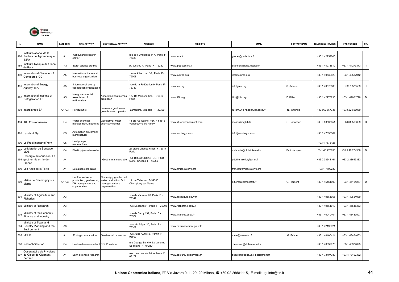

|     | <b>NAME</b>                                                         | CATEGORY       | <b>MAIN ACTIVITY</b>                                                             | <b>GEOTHERMAL ACTIVITY</b>                                                     | <b>ADDRESS</b>                                           | <b>WEB SITE</b>            | <b>EMAIL</b>                      | <b>CONTACT NAME</b> | <b>TELEPHONE NUMBER</b> | <b>FAX NUMBER</b> | OR.            |
|-----|---------------------------------------------------------------------|----------------|----------------------------------------------------------------------------------|--------------------------------------------------------------------------------|----------------------------------------------------------|----------------------------|-----------------------------------|---------------------|-------------------------|-------------------|----------------|
|     | Institut National de la<br>488 Recherche Agromomique<br><b>INRA</b> | A <sub>1</sub> | Agricultural research<br>center                                                  |                                                                                | rue de l'Université 147, Paris F<br>75338                | www.inra.fr                | grebet@paris.inra.fr              |                     | +33 1 42759000          |                   |                |
| 489 | Institut Physique du Globe<br>de Paris                              | A <sub>1</sub> | Earth science studies                                                            |                                                                                | I. Jussieu 4, Paris F - 75252                            | www.ipgp.jussieu.fr        | brandeis@ipgp.jussieu.fr          |                     | +33 1 44273612          | +33 1 44273373    | $\blacksquare$ |
| 490 | International Chamber of<br>Commerce ICC                            | A <sub>5</sub> | nternational trade and<br>business organization                                  |                                                                                | cours Albert 1er 38, Paris F -<br>75008                  | www.iccwbo.org             | icc@iccwbo.org                    |                     | +33 1 49532828          | +33 1 49532942    |                |
| 491 | International Energy<br>Agency IEA                                  | A <sub>5</sub> | nternational energy<br>cooperation organization                                  |                                                                                | rue de la Fédération 9, Paris F -<br>75739               | www.iea.org                | info@iea.org                      | S. Adams            | +33 1 40576500          | +33 1 576509      |                |
| 492 | International Institute of<br>Refrigeration IIR                     | A <sub>5</sub> | ntergovernmental<br>association of<br>refrigeration                              | Absorption heat pumps<br>promotion                                             | 77 Bd Malesherbes, F-75017<br>Paris                      | www.iifiir.org             | iifiir@iifiir.org                 | Billard             | +33 1 42273235          | +33 1 47631798    | $\mathsf D$    |
|     | 493 Interplantes SA                                                 | C1-C3          | lorticulturist                                                                   | amazere geothermal<br>greenhouses operator                                     | amazere, Miranele F - 32300                              |                            | Nillem.OFFringa@wanadoo.fr        | N. Offringa         | +33 562 667336          | +33 562 666939    |                |
|     | 494 IRH Environnement                                               | C <sub>4</sub> | Water chemical<br>management, modelling                                          | Geothermal water<br>chemistry control                                          | 11 bis rue Gabriel Péri, F-54515<br>Vandoeuvre lès Nancy | www.irh-environnement.com  | recherche@irh.fr                  | G. Pottocher        | +33 3 83503651          | +33 3 83503699    | $\mathsf D$    |
|     | 495 Landis & Gyr                                                    | C <sub>5</sub> | Automation equipment<br>nanufacturer                                             |                                                                                |                                                          | www.landis-gyr.com         | info@landis-gyr.com               |                     | +33 1 47393384          |                   |                |
|     | 496 Le Froid Industriel York                                        | C <sub>5</sub> | leat pumps<br>nanufacturer                                                       |                                                                                |                                                          |                            |                                   |                     | +33 1 7573125           |                   | $\mathbf{I}$   |
| 497 | Le Materiel de Sondage<br><b>MDS</b>                                | C <sub>4</sub> | Plastic pipes wholesaler                                                         |                                                                                | 24 place Charles Fillion, F-75017<br>Paris               |                            | mdsparis@club-internet.fr         | Petit Jacques       | +33 1 46 273635         | +33 1 46 274908   | D              |
|     | L'energie du sous-sol - La<br>498 geothermie en ile-de-<br>France   | A4             |                                                                                  | Geothermal newsletter                                                          | ed: BRGM/CDG/CITEG, POB<br>6009. Orleans F - 45060       |                            | géothermie.idf@brgm.fr            |                     | +33 2 38643161          | +33 2 38643333    |                |
|     | 499 Les Amis de la Terre                                            | A <sub>1</sub> | Sustainable life NGO                                                             |                                                                                |                                                          | www.amisdelaterre.org      | france@amisdelaterre.org          |                     | +33 1 7700232           |                   |                |
|     | Mairie de Champigny sur<br>$500$ Marne                              | $C1-C3$        | Geothermal water<br>production; geothermal,<br>DH management and<br>cogeneration | Champigny geothermal<br>water production, DH<br>nanagement and<br>cogeneration | 14 rue Talamoni, F-94500<br>Champigny sur Marne          |                            | g.flement@marie94.fr              | G. Flement          | +33 1 45164000          | +33 1 45164277    | D              |
| 501 | Ministry of Agriculture and<br>Fisheries                            | A <sub>3</sub> |                                                                                  |                                                                                | rue de Varenne 78, Paris F -<br>75349                    | www.agriculture.gouv.fr    |                                   |                     | +33 1 49554955          | +33 1 49554039    |                |
|     | 502 Ministry of Research                                            | A <sub>3</sub> |                                                                                  |                                                                                | rue Descartes 1, Paris F - 75005                         | www.recherche.gouv.fr      |                                   |                     | +33 1 49551010          | +33 1 45515363    |                |
| 503 | Ministry of the Economy,<br>Finance and Industry                    | A <sub>3</sub> |                                                                                  |                                                                                | rue de Bercy 139, Paris F -<br>75572                     | www.finances.gouv.fr       |                                   |                     | +33 1 40040404          | +33 1 43437597    |                |
|     | Ministry of Town and<br>504 Country Planning and the<br>Environment | A <sub>3</sub> |                                                                                  |                                                                                | ave. de Ségur 20, Paris F -<br>75302                     | www.environnement.gouv.fr  |                                   |                     | +33 1 42192021          |                   |                |
|     | 505 MNLE                                                            | A <sub>1</sub> | Ecologist association                                                            | Geothermal promotion                                                           | rue Jules Auffret 6, Pantin F -<br>3500                  |                            | mnle@wanadoo.fr                   | G. Prince           | +33 1 48460414          | +33 1 48464453    |                |
|     | 506 Neotechnics Sarl                                                | C <sub>4</sub> | leat systems consultant SGHP installer                                           |                                                                                | ue George Sand 9, La Varenne<br>St. Hilaire F - 94210    |                            | dev-neot@club-internet.fr         |                     | +33 1 48832075          | +33 1 43972095    |                |
|     | Observatoire de Physique<br>507 du Globe de Clermont<br>Ferrand     | A1             | Earth sciences research                                                          |                                                                                | ave. des Landais 24, Aubière F<br>63177                  | www.obs.univ-bpclermont.fr | t.souriot@opgc.univ-bpclermont.fr |                     | +33 4 73407380          | +33 4 73407382    |                |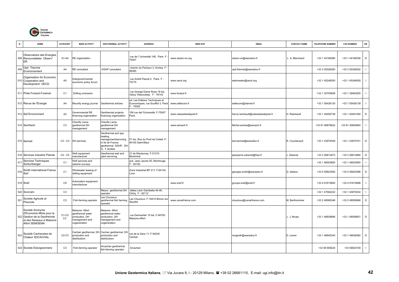

| N.  | <b>NAME</b>                                                                                                            | CATEGORY                  | <b>MAIN ACTIVITY</b>                                                                           | <b>GEOTHERMAL ACTIVITY</b>                                                                                        | <b>ADDRESS</b>                                                                   | <b>WEB SITE</b>        | <b>EMAIL</b>                       | <b>CONTACT NAME</b> | <b>TELEPHONE NUMBER</b> | <b>FAX NUMBER</b> | OR.          |
|-----|------------------------------------------------------------------------------------------------------------------------|---------------------------|------------------------------------------------------------------------------------------------|-------------------------------------------------------------------------------------------------------------------|----------------------------------------------------------------------------------|------------------------|------------------------------------|---------------------|-------------------------|-------------------|--------------|
|     | Observatoire des Energies<br>508 Renouvelables Observ'<br><b>ER</b>                                                    | A1-A4                     | RE organization                                                                                |                                                                                                                   | rue de l' Université 146, Paris F<br>75007                                       | www.observ-er.org      | observ.er@wanadoo.fr               | L. A. Blanchard     | +33 1 44180080          | +33 1 44180036    | $\mathsf D$  |
| 509 | Opti Thermie<br>Environnement                                                                                          | A <sub>4</sub>            | <b>RE</b> consultant                                                                           | SGHP consultant                                                                                                   | chemin du Pecheur 3, Arches F<br>88380                                           |                        | opti.thermie@wanadoo.fr            |                     | +33 3 29326283          | +33 3 29326202    | $\mathbf{I}$ |
|     | Organisation for Economic<br>510 Cooperation and<br>Development OECD                                                   | A <sub>5</sub>            | ntergovernmental<br>economic policy forum                                                      |                                                                                                                   | rue André Pascal 2. Paris F -<br>75775                                           | www.oecd.org           | webmaster@oecd.org                 |                     | +33 1 45248200          | +33 1 45248500    | $\mathbf{I}$ |
| 511 | Pride Forasol-Foramer                                                                                                  | C <sub>1</sub>            | Drilling contractor                                                                            |                                                                                                                   | rue Grange Dame Rose 16 bis,<br>Velizy Villacoublay F - 78143                    | www.forasol.fr         |                                    |                     | '+33 1 30705858         | +33 1 39463925    | $\mathbf{I}$ |
|     | 512 Revue de l'Energie                                                                                                 | A4                        | Mountly energy journal                                                                         | Geothermal articles                                                                                               | ed: Les Editions Techniques et<br>Economiques, rue Soufflot 3, Paris<br>$-75005$ | www.editecom.fr        | editecom@starnet.fr                |                     | +33 1 55426130          | +33 1 55426139    | $\mathbf{I}$ |
|     | 513 Saf Environment                                                                                                    | A <sub>2</sub>            | Governmental RE<br>financing organization                                                      | <b>Geothermal projects</b><br>inancing organization                                                               | 106 rue del l'Universitè, F-75007<br>Paris                                       | www.caissedesdepots.fr | herve.raimbault@caissedesdepots.fr | I. Raimbault        | +33 1 40492738          | +33 1 40491200    | D            |
|     | 514 Semhach                                                                                                            | C <sub>3</sub>            | Chevilly Larue<br>geothermal DH<br>nanagement                                                  | Chevilly Larue<br>geothermal DH<br>management                                                                     |                                                                                  | www.semach.fr          | Michel.andres@semach.fr            |                     | +33 61 46876622         | +33 61 45600854   | $\mathbf{I}$ |
|     | 515 Sermet                                                                                                             | $C3 - C4$                 | DH services                                                                                    | Geothermal and spa<br>heating<br>management/servicing<br>in Ile de France;<br>geothermal SGHP, DH<br>G. F studies | 51 bis. Rue du Pont de Creteil. F-<br>94100 Saint-Maur                           |                        | bet-sermet@wanadoo.fr              | R. Courdavault      | +33 1 43979349          | +33 1 43974701    | D            |
|     | 516 Services Industrie Petrole                                                                                         | C4 - C5                   | Vell equipment<br>nanufacturer                                                                 | Geothermal well and<br>plant servicing                                                                            | 21 de Maclaunay, F-51210<br>Montmiral                                            |                        | jeanpierre.zebendi@free.fr         | . Zebendi           | +33 3 26812973          | +33 3 26812680    | D            |
| 517 | Services Techniques<br>Schlumberger                                                                                    | C <sub>1</sub>            | Well services and<br>seismic surveys                                                           |                                                                                                                   | ave. Jean Jaures 50, Montrouge<br>$-92100$                                       |                        |                                    |                     | +33 1 46003800          | +33 1 46003950    | $\mathbf{I}$ |
| 518 | Smith International France<br>Sarl                                                                                     | C <sub>1</sub>            | Vholesaler leasing of<br>drilling equipment                                                    |                                                                                                                   | Zone Industrial BP 217, F-64142<br>Lons                                          |                        | georges.smith@wanadoo.fr           | G. Italiano         | +33 5 59923550          | +33 5 59923596    | D            |
|     | 519 Snef                                                                                                               | C <sub>5</sub>            | utomation equipment<br>nanufacturer                                                            |                                                                                                                   |                                                                                  | www.snef.fr            | groupe.snef@snef.fr                |                     | +33 4 91615800          | +33 4 91615896    |              |
|     | 520 Soccram                                                                                                            | C <sub>3</sub>            |                                                                                                | Meaux geothermal DH<br>operator                                                                                   | allées Léon Gambetta 44-46,<br>Clichy F - 92112                                  |                        |                                    |                     | +33 1 47562222          | +33 1 40870034    | $\mathbf{I}$ |
| 521 | Societe Agricole et<br>Piscicole                                                                                       | C <sub>3</sub>            | Fish-farming operator                                                                          | es Clouzioux<br>jeothermal fish farming<br>operator                                                               | es Clouzioux, F-18410 Brinon sur<br>Sauldre                                      | www.caviarfrance.com   | clouzioux@caviarfrance.com         | M. Berthommier      | +33 2 48585348          | +33 2 48585666    | D            |
| 522 | Societè Anonyme<br>d'Economie Mixte pour la<br>Gestion de la Geothermie<br>et des Reseaux à Maisons-<br>Alfort SEMGEMA | $C1-C2$<br>C <sub>3</sub> | <b>Aaisons- Alfort</b><br>geothermal water<br>production, DH<br>nanagement and<br>cogeneration | Maisons- Alfort<br>geothermal water<br>production, DH<br>nanagement and<br>cogeneration                           | rue Darmentier 15 bis, F-94700<br>Maisons-Alfort                                 |                        |                                    | J. L Nicais         | +33 1 48939686          | +33 1 48938651    | $\mathsf D$  |
| 523 | Societè Cachanaise de<br>Chaleur SOCACHAL                                                                              | $C2-C3$                   | Cachan geothermal, DH<br>production and<br>distributiom                                        | Cachan geothermal, DH<br>production and<br>distributiom                                                           | ue de la Gare 11, F-94230<br>Cachan                                              |                        | mogeoth@wanadoo.fr                 | D. Lenoir           | +33 1 46645343          | +33 1 46636582    | D            |
|     | 524 Societe Esturgeonniere                                                                                             | C <sub>3</sub>            | Fish-farming operator                                                                          | vrcachan geothermal<br>ish-farming operator                                                                       | Arcachan                                                                         |                        |                                    |                     | +33 56 909224           | +33 56834729      | $\mathbf{I}$ |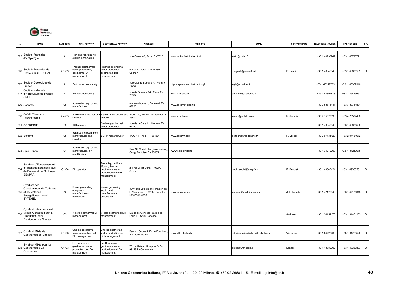

| N   | <b>NAME</b>                                                                                              | CATEGORY       | <b>MAIN ACTIVITY</b>                                                   | <b>GEOTHERMAL ACTIVITY</b>                                                                  | <b>ADDRESS</b>                                                                      | <b>WEB SITE</b>                  | <b>EMAIL</b>                         | <b>CONTACT NAME</b> | <b>TELEPHONE NUMBER</b> | <b>FAX NUMBER</b> | OR.            |
|-----|----------------------------------------------------------------------------------------------------------|----------------|------------------------------------------------------------------------|---------------------------------------------------------------------------------------------|-------------------------------------------------------------------------------------|----------------------------------|--------------------------------------|---------------------|-------------------------|-------------------|----------------|
| 525 | Société Francaise<br>d'Ichtyologie                                                                       | A1             | Fish and fish farming<br>cultural association                          |                                                                                             | rue Cuvier 43, Paris F - 75231                                                      | www.mnhn.fr/sfi/index.html       | keith@mnhn.fr                        |                     | +33 1 40793749          | +33 1 40793771    |                |
| 526 | Societè Fresnoise de<br>Chaleur SOFRECHAL                                                                | $C1-C3$        | Fresnes geothermal<br>water production,<br>deothermal DH<br>management | Fresnes geothermal<br>water production,<br>geothermal DH<br>management                      | rue de la Gare 11, F-94230<br>Cachan                                                |                                  | mogeoth@wanadoo.fr                   | D. Lenoir           | +33 1 46645343          | +33 1 46636582    | D              |
| 527 | Société Geologique de<br>France                                                                          | A1             | Earth sciences society                                                 |                                                                                             | rue Claude Bernard 77, Paris F<br>75005                                             | http://myweb.worldnet.net/~sqfr/ | sgfr@worldnet.fr                     |                     | +33 1 43317735          | +33 1 45357910    |                |
|     | Société Nationale<br>528 d'Horticulture de France<br><b>SNHF</b>                                         | A <sub>1</sub> | lorticultural society                                                  |                                                                                             | rue de Grenelle 84, Paris F -<br>75007                                              | www.snhf.asso.fr                 | snhf-wm@wanadoo.fr                   |                     | +33 1 44397878          | +33 1 45449657    |                |
|     | 529 Socomet                                                                                              | C <sub>5</sub> | Automation equipment<br>nanufacturer                                   |                                                                                             | rue Westhouse 1, Benefeld F -<br>67235                                              | www.socomet-sicon.fr             |                                      |                     | +33 3 88574141          | +33 3 88741884    |                |
| 530 | Sofath Thermatis<br>Technologies                                                                         | $C4-C5$        | nstaller                                                               | SGHP manufacturer and SGHP manufacturer and<br>installer                                    | POB 100, Portes Les Valence F<br>26802                                              | www.sofath.com                   | sofath@sofath.com                    | P. Sabatier         | +33 4 75573030          | +33 4 75572400    |                |
|     | 531 SOFREDITH                                                                                            | C <sub>3</sub> | DH operator                                                            | Cachan geothermal<br>water production                                                       | rue de la Gare 11, Cachan F -<br>94230                                              |                                  |                                      |                     | +33 1 46645343          | +33 1 46636582    | $\blacksquare$ |
|     | 532 Solterm                                                                                              | C <sub>5</sub> | RE heating equipment<br>manufacturer and<br>nstaller                   | SGHP manufacturer                                                                           | POB 11, Theix F - 56450                                                             | www.solterm.com                  | solterm@worldonline.fr               | R. Michel           | +33 2 97431120          | +33 2 97431672    |                |
|     | 533 Spie-Trindel                                                                                         | C <sub>4</sub> | Automation equipment<br>manufacturer, air<br>conditioning              |                                                                                             | Parc St. Christophe (Pole Galilée)<br>Cergy Pontoise F - 95865                      | www.spie-trindel.fr              |                                      |                     | +33 1 34212700          | +33 1 34219675    | $\blacksquare$ |
| 534 | Syndicat d'Equipement et<br>d'Aménagement des Pays<br>de France et de l'Aulnoye<br><b>SEAPFA</b>         | C1-C4          | DH operator                                                            | Fremblay, Le Blanc<br>Mesnil, Sevran<br>geothermal water<br>production and DH<br>nanagement | 2-4 rue Joliot Curie, F-93270<br>Sevran                                             |                                  | paul.benoist@seapfa.fr               | P. Benoist          | +33 1 43845424          | +33 1 49360551    | D              |
|     | Syndicat des<br>Constructeurs de Turbines<br>535 et de Materiels<br>Energetiques Lourd<br><b>SYTEMEL</b> | A <sub>2</sub> | Power generating<br>equipment<br>manufacturers<br>association          | Power generating<br>equipment<br>manufacturers<br>association                               | 39/41 rue Louis Blanc, Maison de<br>la Mécanique, F-92038 Paris La<br>Défense Cedex | www.mecanet.net                  | yrenard@mail.fimeca.com              | J. F. Leandri       | +33 1 47176048          | +33 1 47176045    | $\mathsf D$    |
| 536 | Syndicat Intercommunal<br>Villiers Gonesse pour la<br>Production et la<br>Distribution de Chaleur        | C <sub>3</sub> | Villiers geothermal DH<br>management                                   | Villiers geothermal DH<br>nanagement                                                        | Mairie de Gonesse, 66 rue de<br>Paris, F-95500 Gonesse                              |                                  |                                      | Andrevon            | +33 1 34451178          | +33 1 34451163    | D              |
|     | 537 Syndicat Mixte de<br>Geothermie de Chelles                                                           | $C1-C3$        | Chelles geothermal<br>water production and<br>DH management            | Chelles geothermal<br>water production and<br>DH management                                 | Parc du Souvenir Emile Fouchard,<br>-77500 Chelles                                  | www.ville-chelles.fr             | administration@dial.ville-chelles.fr | Vignacourt          | +33 1 64728403          | +33 1 64728520    | D              |
|     | Syndicat Mixte pour la<br>538 Geothermie à La<br>Courneuve                                               | $C1-C3$        | a Courneuve<br>geothermal water<br>production and DH<br>management     | a Courneuve<br>geothermal water<br>production and DH<br>management                          | 75 rue Rateau Urbapore 3, F-<br>93126 La Courneuve                                  |                                  | smge@wanadoo.fr                      | Lesage              | +33 1 48382002          | +33 1 48383803    | D              |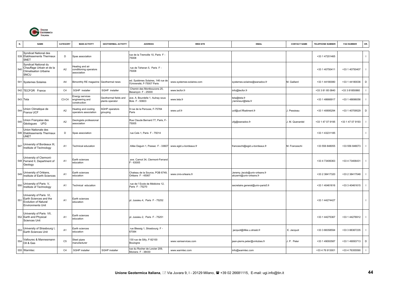

| N.  | <b>NAME</b>                                                                                           | CATEGORY       | <b>MAIN ACTIVITY</b>                                     | <b>GEOTHERMAL ACTIVITY</b>               | <b>ADDRESS</b>                                                  | <b>WEB SITE</b>           | <b>EMAIL</b>                                             | <b>CONTACT NAME</b> | <b>TELEPHONE NUMBER</b> | <b>FAX NUMBER</b> | OR.            |
|-----|-------------------------------------------------------------------------------------------------------|----------------|----------------------------------------------------------|------------------------------------------|-----------------------------------------------------------------|---------------------------|----------------------------------------------------------|---------------------|-------------------------|-------------------|----------------|
|     | Syndicat National des<br>539 Etablissements Thermaux<br>SNET                                          | D              | Spas association                                         |                                          | rue de la Tremoille 10, Paris F -<br>75008                      |                           |                                                          |                     | +33 1 47201465          |                   | -1             |
| 540 | Syndicat National du<br>Chauffage Urbain et de la<br><b>Climatisation Urbaine</b><br>SNCU             | A2             | leating and air<br>conditioning operators<br>association |                                          | rue de Teheran 5, Paris F -<br>75008                            |                           |                                                          |                     | +33 1 40750411          | +33 1 40750407    |                |
|     | 541 Systemes Solaires                                                                                 | A4             | Bimonthly RE magazine Geothermal news                    |                                          | ed. Systèmes Solaires, 146 rue de<br>'Université, F-75007 Paris | www.systemes-solaires.com | systemes.solaires@wanadoo.fr                             | M. Gaillard         | +33 1 44180080          | +33 1 44180036    | $\mathsf D$    |
|     | 542 TECFOR France                                                                                     | C <sub>4</sub> | SGHP installer                                           | SGHP installer                           | Chemin des Montboucons 25,<br>Besancon F - 25000                | www.tecfor.fr             | info@tecfor.fr                                           |                     | +33 3 81 85 0840        | +33 3 81850860    |                |
|     | 543 Teta                                                                                              | C3-C4          | Energy services<br>engineering and<br>construction       | Geothermal fields and<br>plants operator | ave. A. Bourdelle 1, Aulnay sous<br>Bois F - 93603              | www.teta.fr               | teta@teta.fr<br>j.lemineur@teta.fr                       |                     | +33 1 48666917          | +33 1 48696056    |                |
| 544 | Union Climatique de<br>France UCF                                                                     | A <sub>2</sub> | leating and cooling<br>operators association             | <b>SGHP</b> operators<br>grouping        | 9 rue de la Perouse. F-75784<br>Paris                           | www.ucf.fr                | ucf@ucf.ffbatiment.fr                                    | Pessieau            | +33 1 40695294          | +33 1 40709529    | $\mathsf D$    |
| 545 | Union Française des<br>Géologues UFG                                                                  | A2             | Geologists professional<br>association                   |                                          | Rue Claude Bernard 77, Paris, F-<br>75005                       |                           | ufg@wanadoo.fr                                           | . M. Quenardel      | +33 1 47 07 9195        | +33 1 47 07 9193  |                |
|     | Union Nationale des<br>546 Etablissements Thermaux<br><b>UNET</b>                                     | D              | Spas association                                         |                                          | rue Cels 1, Paris F - 75014                                     |                           |                                                          |                     | +33 1 43231185          |                   |                |
| 547 | University of Bordeaux III,<br>Institute of Technology                                                | A <sub>1</sub> | Fechnical education                                      |                                          | Allée Daguin 1, Pessac F - 33607                                | www.egid.u-bordeaux.fr    | franceschi@egid.u-bordeaux.fr                            | M. Franceschi       | +33 556 848055          | +33 556 848073    |                |
|     | University of Clermont-<br>548 Ferrand II, Department of<br>Geology                                   | A <sub>1</sub> | Earth sciences<br>education                              |                                          | ave. Carnot 34, Clermont-Ferrand<br>$= -63005$                  |                           |                                                          |                     | +33 4 73406363          | +33 4 73406431    |                |
| 549 | Jniversity of Orléans,<br>nstitute of Earth Sciences                                                  | A <sub>1</sub> | Earth sciences<br>education                              |                                          | Chateau de la Source, POB 6749.<br>Orléans F - 45067            | www.cnrs-orleans.fr       | Jeremy.Jacob@univ-orleans.fr<br>alczerni@univ-orleans.fr |                     | +33 2 38417320          | +33 2 38417048    |                |
| 550 | University of Paris V,<br>Institute of Technology                                                     | A <sub>1</sub> | Fechnical education                                      |                                          | rue de l'Ecole de Médicine 12,<br>Paris F - 75270               |                           | secretaire.general@univ-paris5.fr                        |                     | +33 1 40461616          | +33 3 40461615    |                |
| 551 | University of Paris VI,<br>Earth Sciences and the<br>Evolution of Natural<br><b>Environments Unit</b> | A <sub>1</sub> | Earth sciences<br>education                              |                                          | pl. Jussieu 4, Paris F - 75252                                  |                           |                                                          |                     | +33 1 44274427          |                   | - 1            |
|     | University of Paris VII,<br>552 Earth and Physical<br>Sciences Unit                                   | A <sub>1</sub> | Earth sciences<br>education                              |                                          | pl. Jussieu 2, Paris F - 75251                                  |                           |                                                          |                     | +33 1 44275367          | +33 1 44276912    |                |
| 553 | University of Strasbourg I,<br>Earth Sciences Unit                                                    | A <sub>1</sub> | Earth sciences<br>education                              |                                          | rue Blessig 1, Strasbourg F -<br>67084                          |                           | jacquot@illike.u.strasb.fr                               | E. Jacquot          | +33 3 88358594          | +33 3 88367235    |                |
| 554 | Vallourec & Mannesmann<br>Oil & Gas                                                                   | C <sub>5</sub> | Steel pipes<br>nanufacturer                              |                                          | 130 rue de Silly, F-92100<br>Boulogne                           | www.vamservices.com       | jean-pierre.peter@vmtubes.fr                             | . P. Peter          | +33 1 49093587          | +33 1 49093713    | $\mathsf D$    |
|     | 555 Warmtec                                                                                           | C4             | <b>SGHP</b> installer                                    | SGHP installer                           | rue du Rocher de Lorzier 209,<br>Moirans F - 38430              | www.warmtec.com           | info@warmtec.com                                         |                     | +33 4 76 913001         | +33 4 76355590    | $\blacksquare$ |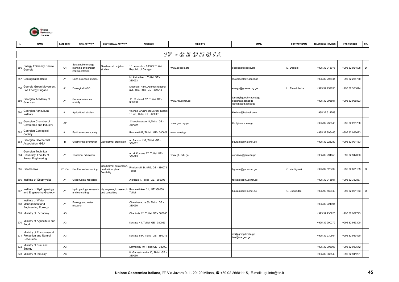

|     | <b>NAME</b>                                                            | CATEGORY       | <b>MAIN ACTIVITY</b>                                        | <b>GEOTHERMAL ACTIVITY</b>                                | <b>ADDRESS</b>                                                 | <b>WEB SITE</b>  | <b>EMAIL</b>                                                    | <b>CONTACT NAME</b> | <b>TELEPHONE NUMBER</b> | <b>FAX NUMBER</b> | OR.                      |
|-----|------------------------------------------------------------------------|----------------|-------------------------------------------------------------|-----------------------------------------------------------|----------------------------------------------------------------|------------------|-----------------------------------------------------------------|---------------------|-------------------------|-------------------|--------------------------|
|     |                                                                        |                |                                                             |                                                           |                                                                | 17 - GEORGIA     |                                                                 |                     |                         |                   |                          |
|     | <b>Energy Efficiency Centre</b><br>Georgia                             | C <sub>4</sub> | Sustainable energy<br>planning and project<br>mplementation | Geothermal projetcs<br>studies                            | 10 Lermontov, 380007 Tbilisi,<br>Republic of Georgia           | www.eecgeo.org   | eecgeo@eecgeo.org                                               | M. Dadiani          | +995 32 943076          | +995 32 921508    | D                        |
|     | 557 Geological Institute                                               | A <sub>1</sub> | Earth sciences studies                                      |                                                           | M. Aleksidze 1, Tbilisi GE -<br>380093                         |                  | root@geology.acnet.ge                                           |                     | +995 32 293941          | +995 32 235760    |                          |
| 558 | Georgia Green Movement,<br>Foe Energy Brigade                          | A <sub>1</sub> | Ecological NGO                                              |                                                           | Mushtaidi Park, Aghmashenebeli<br>ave. 182, Tblisi GE - 380012 |                  | energy@greens.org.ge                                            | . Tavarkiladze      | +995 32 952033          | +995 32 351674    |                          |
| 559 | Georgian Academy of<br>Sciences                                        | A <sub>1</sub> | General sciences<br>society                                 |                                                           | Pr. Rustaveli 52, Tbilisi GE -<br>380008                       | www.rmi.acnet.ge | tamaz@geophy.acnet.ge<br>geo@gas.acnet.ge<br>lado@acad.acnet.ge |                     | +995 32 998891          | +995 32 998823    |                          |
| 560 | Georgian Agricultural<br>Institute                                     | A <sub>1</sub> | Agricultural studies                                        |                                                           | /oenno-Gruzinskoi Dorogi, Digomi<br>13 km, Tbilisi GE - 380031 |                  | kbziava@hotmail.com                                             |                     | 995 32 514763           |                   | $\mathbf{I}$             |
| 561 | Georgian Chamber of<br>Commerce and Industry                           | A <sub>2</sub> |                                                             |                                                           | Chavchavadze 11, Tbilisi GE -<br>380079                        | www.gcci.org.ge  | ktm@ean.kheta.ge                                                |                     | +995 32 230045          | +995 32 235760    | $\mathbf{I}$             |
| 562 | Georgian Geological<br>Society                                         | A1             | Earth sciences society                                      |                                                           | Rustaveli 52, Tbilisi GE - 380008                              | www.acnet.ge     |                                                                 |                     | +995 32 996445          | +995 32 996623    |                          |
| 563 | Georgian Geothermal<br>Association GGA                                 | B              | Geothermal promotion                                        | Geothermal promotion                                      | II. Barnovi 137, Tbilisi GE -<br>380062                        |                  | bguram@gw.acnet.ge                                              |                     | +995 32 223289          | +995 32 001153    |                          |
|     | Georgian Technical<br>564 University, Faculty of<br>Power Engineering  | A <sub>1</sub> | echnical education                                          |                                                           | ul. M. Kostava 77, Tbilisi GE -<br>380075                      | www.gtu.edu.ge   | verulava@gtu.edu.ge                                             |                     | +995 32 294856          | +995 32 942033    | $\mathbf{I}$             |
|     | 565 Geothermia                                                         | C1-C4          | Geothermal consulting                                       | Geothermal exploration,<br>roduction; plant<br>easibility | Phaliashvili St. 87/3, GE - 380079<br>Tbilisi                  |                  | bguram@gw.acnet.ge                                              | O. Vardigoreli      | +995 32 525499          | +995 32 001153    | D                        |
|     | 566 Institute of Geophysics                                            | A1             | Geophysical research                                        |                                                           | Alexidze 1, Tbilisi GE - 380093                                |                  | root@geophy.acnet.ge                                            |                     | +995 32 943591          | +995 32 332867    | $\overline{\phantom{a}}$ |
| 567 | Institute of Hydrogeology<br>and Engineering Geology                   | A <sub>1</sub> | Hydrogeologic research<br>and consulting                    | Hydrogeologic research<br>and consulting                  | Rustaveli Ave. 31, GE 380008<br>Tbilisi,                       |                  | bguram@gw.acnet.ge                                              | G. Buachidze        | +995 99 560949          | +995 32 001153    | D                        |
|     | Institute of Water<br>568 Management and<br><b>Engineering Ecology</b> | A <sub>1</sub> | Ecology and water<br>esearch                                |                                                           | Chavchavadze 60, Tbilisi GE -<br>380030                        |                  |                                                                 |                     | +995 32 224094          |                   | $\mathbf{I}$             |
|     | 569 Ministry of Economy                                                | A <sub>3</sub> |                                                             |                                                           | Chanturia 12, Tbilisi GE - 380008                              |                  |                                                                 |                     | +995 32 230925          | +995 32 982743    | $\mathbf{I}$             |
| 570 | Ministry of Agriculture and<br>Food                                    | A <sub>3</sub> |                                                             |                                                           | Kostava 41, Tbilisi GE - 380023                                |                  |                                                                 |                     | +995 32 990272          | +995 32 933300    |                          |
|     | Ministry of Envronmental<br>571 Protection and Natural<br>Resources    | A <sub>3</sub> |                                                             |                                                           | Kostava 68A, Tbilisi GE - 380015                               |                  | irisi@gmep.kneta.ge<br>isar@isargeo.ge                          |                     | +995 32 230664          | +995 32 983420    |                          |
| 572 | Ministry of Fuel and<br>Energy                                         | A <sub>3</sub> |                                                             |                                                           | Lermontov 10, Tbilisi GE - 380007                              |                  |                                                                 |                     | +995 32 996098          | +995 32 933542    |                          |
|     | 573 Ministry of Industry                                               | A3             |                                                             |                                                           | K. Gamsakhurdia 30, Tbilisi GE<br>380060                       |                  |                                                                 |                     | +995 32 385549          | +995 32 941291    | $\mathbf{I}$             |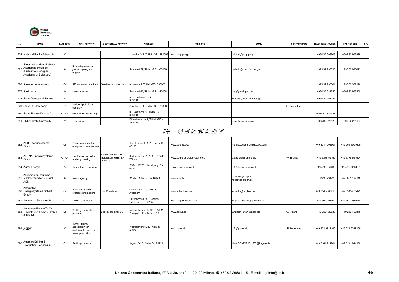

| N.  | <b>NAME</b>                                                                                   | CATEGORY       | <b>MAIN ACTIVITY</b>                                | <b>GEOTHERMAL ACTIVITY</b> | <b>ADDRESS</b>                           | <b>WEB SITE</b> | <b>EMAIL</b>             | <b>CONTACT NAME</b> | <b>TELEPHONE NUMBER</b> | <b>FAX NUMBER</b> | OR. |
|-----|-----------------------------------------------------------------------------------------------|----------------|-----------------------------------------------------|----------------------------|------------------------------------------|-----------------|--------------------------|---------------------|-------------------------|-------------------|-----|
|     |                                                                                               |                |                                                     |                            |                                          |                 |                          |                     |                         |                   |     |
|     | 574 National Bank of Georgia                                                                  | A <sub>2</sub> |                                                     |                            | Leonidze 3-5, Tbilisi GE - 380005        | www.nbg.gov.ge  | eristavi@nbg.gov.ge      |                     | +995 32 996505          | +995 32 999885    |     |
| 575 | Sakartvelos Metsnirebata<br>Akademiis Moambe<br>(Bulletin of Georgian<br>Academy of Sciences) | A4             | Bimonthly science<br>journal (georgian-<br>english) |                            | Rustaveli 52, Tbilisi GE - 380008        |                 | bulletin@presid.achet.ge |                     | +995 32 997593          | +995 32 998823    |     |
|     | 576 Sakenergogeneratsia                                                                       | C <sub>4</sub> | RE systems consultant                               | Geothermal consultant      | ul. Vekua 1, Tbilisi GE - 380005         |                 |                          |                     | +995 32 933381          | +995 32 372176    |     |
|     | 577 Sakinform                                                                                 | A4             | News agency                                         |                            | Rustaveli 42, Tbilisi GE - 380008        |                 | gha@Iberiapac.ge         |                     | +995 32 931920          | +995 32 999200    |     |
|     | 578 State Geological Survey                                                                   | A <sub>3</sub> |                                                     |                            | ul. Uznadze 4, Tbilisi GE -<br>380008    |                 | ROOT@geology.acnet.ge    |                     | +995 32 953181          |                   |     |
|     | 579 State Oil Company                                                                         | C <sub>1</sub> | National petroleum<br>company                       |                            | Abashidze 36, Tbilisi, GE - 380008       |                 |                          | R. Tevzadze         |                         |                   |     |
|     | 580 State Thermal Water Co.                                                                   | C1-C4          | Geothermal consulting                               |                            | ul. Bakhtrioni 30, Tbilisi GE-<br>380008 |                 |                          |                     | +995 32 389327          |                   |     |
|     | 581 Tbilisi State University                                                                  | $A^{\prime}$   | Education                                           |                            | Chavchavadze 1, Tbilisi GE -<br>380020   |                 | jacob@tsuiro.edu.ge      |                     | +995 32 225679          | +995 32 225107    |     |

## 18 - G E R M A N Y

| 582 | <b>ABB</b> Energiesysteme<br>GmbH                                  | C <sub>5</sub> | Power and industrial<br>equipment manufacturer                                  |                                                        | Kronfrinzenstr. 5-7. Essen D -<br>45128                   | www.abb.de/aes              | marlies.quenther@de.abb.com          |            | +49 201 1004601 | +49 201 1004609  |  |
|-----|--------------------------------------------------------------------|----------------|---------------------------------------------------------------------------------|--------------------------------------------------------|-----------------------------------------------------------|-----------------------------|--------------------------------------|------------|-----------------|------------------|--|
| 583 | <b>AETNA Energiesysteme</b><br>GmbH                                | C1-C4          | Geological consulting<br>and engineering                                        | SGHP planning and<br>installation: UHS: EP<br>planning | Karl Marx Straße 114, D-15745<br>Wildau                   | www.aetna-energiesysteme.de | aetna.es@t-online.de                 | W. Brandt  | +49 3375 56150  | +49 3375 561524  |  |
|     | 584 Agrar Energie                                                  | A4             | Agriculture magazine                                                            |                                                        | POB 105280 Heidelberg D -<br>6900                         | www.agrar-energie.de        | info@agrar-energie.de                |            | +49 4281 970 09 | +49 4281 9504 31 |  |
|     | Allgemeiner Deutscher<br>585 Nachrichtendienst GmbH<br><b>ADN</b>  | A4             | News agency                                                                     |                                                        | Mollstr, 1 Berlin D - 10178                               | www.adn.de                  | aktuelles@ddp.de<br>redaktion@adn.de |            | +49 30 231220   | +49 30 23122118  |  |
|     | Alternative<br>586 Energiesysteme Scherf<br>GmbH                   | C <sub>4</sub> | Solar and SGHP<br>systems engineering                                           | <b>SGHP</b> installer                                  | Calauer Str. 12, D-03229<br>Altdöbern                     | www.scherf-aes.de           | scherfb@t-online.de                  |            | +49 35434 60410 | +49 35434 60422  |  |
|     | 587 Anger's u. Sohne mbH                                           | C <sub>1</sub> | Drilling contractor                                                             |                                                        | Gutenbergstr. 33 Hessich<br>Lichtenau D - 37235           | www.angers-sochne.de        | Angers_Soehne@t-online.de            |            | +49 5602 93300  | +49 5602 933070  |  |
|     | Anneliese Baustoffe für<br>588 Umwelt und Tiefbau GmbH<br>& Co. KG | C <sub>5</sub> | <b>Building materials</b><br>producer                                           | Special grout for SGHP                                 | Neubeckumer Str. 92, D-59320<br>Ennigerloh Postfach 11 32 | www.azbut.de                | Christof.Pufahl@azag.de              | C. Pufahl  | +49 2524 29830  | +49 2524 29815   |  |
|     | 589 ASEW                                                           | A2             | Local utilities<br>association for<br>sustainable energy and<br>water promotion |                                                        | Volksgartenstr. 22 Koln D -<br>50677                      | www.asew.de                 | info@asew.de                         | R. Hemmers | +49 221 9318190 | +49 221 9318199  |  |
|     | 590 Austrian Drilling &<br>Production Services ADPS                | C <sub>1</sub> | Drilling contractor                                                             |                                                        | Itagstr. 5-17, Celle D - 29221                            |                             | Uwe.BOKEMUELLER@itag-ce.de           |            | +49 5141 914204 | +49 5141 914388  |  |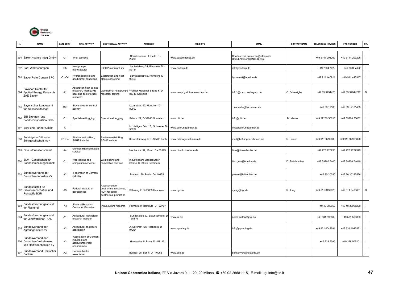

| N.  | <b>NAME</b>                                                               | CATEGORY       | <b>MAIN ACTIVITY</b>                                                               | <b>GEOTHERMAL ACTIVITY</b>                                                      | <b>ADDRESS</b>                                      | <b>WEB SITE</b>               | <b>EMAIL</b>                                              | <b>CONTACT NAME</b> | <b>TELEPHONE NUMBER</b> | <b>FAX NUMBER</b> | OR.                      |
|-----|---------------------------------------------------------------------------|----------------|------------------------------------------------------------------------------------|---------------------------------------------------------------------------------|-----------------------------------------------------|-------------------------------|-----------------------------------------------------------|---------------------|-------------------------|-------------------|--------------------------|
|     | 591 Baker Hughes Inteq GmbH                                               | C <sub>1</sub> | Well services                                                                      |                                                                                 | Christensenstr. 1, Celle D -<br>29206               | www.bakerhughes.de            | Charles.vanLammeren@inteq.com<br>Bernd.Albrecht@INTEQ.com |                     | +49 5141 203269         | +49 5141 203296   | $\overline{\phantom{a}}$ |
|     | 592 Bartl Warmepumpen                                                     | C <sub>5</sub> | leat pumps<br>nanufacturer                                                         | SGHP manufacturer                                                               | Lautertalweg 24, Blaustein D -<br>89134             | www.bartlwp.de                | nfo@bartlwp.de                                            |                     | +49 7304 7422           | +49 7304 7422     |                          |
|     | 593 Bauer Polte Consult BPC                                               | C1-C4          | lydrogeological and<br>geothermal consulting                                       | <b>Exploration and heat</b><br>plants consulting                                | Schwabenstr.56, Nurnberg D -<br>90459               |                               | bpconsult@t-online.de                                     |                     | +49 911 440911          | +49 911 440917    | $\mathbf{I}$             |
|     | Bavarian Center for<br>594 Applied Energy Research<br>ZAE Bayern          | A <sub>1</sub> | Absorption heat pumps<br>esearch, testing; RE<br>heat and cold storage<br>research | Geothermal heat pumps<br>research, testing                                      | Walther-Meissner-Straße 6, D-<br>85748 Garching     | www.zae.physik.tu-muenchen.de | info1@muc.zae-bayern.de                                   | C. Schweigler       | +49 89 3294420          | +49 89 32944212   | D                        |
| 595 | <b>Bayerisches Landesamt</b><br>fur Wasserwirtschaft                      | A3R            | Bavaria water control<br>agency                                                    |                                                                                 | -azarettstr. 67, Munchen D-<br>80602                |                               | poststelle@lfw.bayern.de                                  |                     | +49 89 12100            | +49 89 12101435   |                          |
| 596 | BBi Brunnen- und<br>Bohrlochinspektion GmbH                               | C <sub>1</sub> | Special well logging                                                               | Special well logging                                                            | Salzstr. 21, D-39245 Gommern                        | www.bbi.de                    | nfo@bbi.de                                                | M. Maurer           | +49 39200 50033         | +49 39200 50032   |                          |
| 597 | Behr und Partner GmbH                                                     | $\mathsf C$    |                                                                                    |                                                                                 | Im Heiligen Feld 17, Schwerte D<br>53239            | www.behrundpartner.de         | nfo@behrundpartner.de                                     |                     |                         |                   | $\mathbf{I}$             |
| 598 | Behringer + Dittmann<br>Bohrgesellschaft mbH                              | $C1-C4$        | Shallow well drilling<br><b>SGHP</b> installer                                     | Shallow well drilling,<br>SGHP installer                                        | Kreuzsteinweg 1c, D-90765 Fürth                     | www.behringer-dittmann.de     | mail@behringer-dittmann.de                                | R. Lerzer           | +49 911 9799600         | +49 911 97996020  | $\overline{\phantom{a}}$ |
|     | 599 Bine informationsdienst                                               | A4             | <b>German RE</b> information<br>service                                            |                                                                                 | Mechenstr. 57, Bonn D - 53129                       | www.bine.fiz-karlruhe.de      | bine@fiz-karlsruhe.de                                     |                     | +49 228 923790          | +49 228 9237929   |                          |
| 600 | BLM - Gesellschaft für<br>Bohrlochmessungen mbH                           | C <sub>1</sub> | Vell logging and<br>completion services                                            | <b>Nell logging and</b><br>completion services                                  | ndustriepark Magdeburger<br>Straße, D-39245 Gommern |                               | blm.gom@t-online.de                                       | D. Steinbrecher     | +49 39200 7400          | +49 39200 74019   | $\overline{1}$           |
| 601 | Bundersverband der<br>Deutschen Industrie eV                              | A <sub>2</sub> | Federation of German<br>ndustry                                                    |                                                                                 | Breitestr. 29, Berlin D - 10178                     |                               | presse@bdi-online.de                                      |                     | +49 30 20280            | +49 30 20282566   |                          |
|     | Bundesanstalt fur<br>602 Geowissenschaften und<br>Rohstoffe BGR           | A <sub>3</sub> | ederal institute of<br>geosciences                                                 | Assessment of<br>geothermal resources,<br>HDR research,<br>geothermal promotion | Stilleweg 2, D-30655 Hannover                       | www.bgr.de                    | r.jung@bgr.de                                             | R. Jung             | +49 511 6432820         | +49 511 6433661   | D                        |
| 603 | Bundesforschungsanstalt<br>fur Fischerei                                  | A <sub>1</sub> | Federal Research<br>Centre for Fisheries                                           | Aquaculture research                                                            | Palmaille 9, Hamburg D - 22767                      |                               |                                                           |                     | +49 40 389050           | +49 40 38905200   |                          |
| 604 | Bundesforschungsanstalt<br>fur Landwirtschaft FAL                         | A <sub>1</sub> | Agricultural technology<br>research institute                                      |                                                                                 | Bundesallee 50, Braunschweig D<br>38116             | www.fal.de                    | peter.weiland@fal.de                                      |                     | +49 531 596508          | +49 531 596363    | $\mathbf{I}$             |
| 605 | Bundesverband der<br>Agraringenieure eV                                   | A2             | Agricultural engineers<br>association                                              |                                                                                 | A. Durerstr. 126 Hochberg D -<br>97204              | www.agraring.de               | nfo@agrar-ing.de                                          |                     | +49 931 4042591         | +49 931 4042591   | $\overline{\phantom{a}}$ |
|     | Bundesverband der<br>606 Deutschen Volksbanken<br>und Raiffeisenbanken eV | A2             | Association of German<br>ndustrial and<br>agricultural credit<br>cooperatives      |                                                                                 | Heussallee 5, Bonn D - 53113                        |                               |                                                           |                     | +49 228 5090            | +49 228 509201    | $\mathbf{I}$             |
| 607 | <b>Bundesverband Deutscher</b><br>Banken                                  | A <sub>2</sub> | German banks<br>association                                                        |                                                                                 | Burgstr. 28, Berlin D - 10062                       | www.bdb.de                    | bankenverband@bdb.de                                      |                     |                         |                   | $\mathbf{I}$             |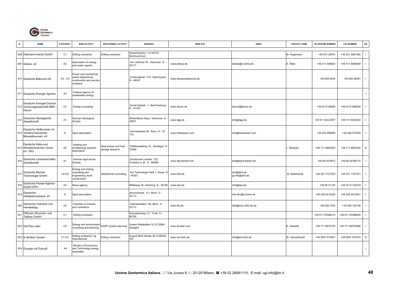

|     | <b>NAME</b>                                                           | CATEGORY       | <b>MAIN ACTIVITY</b>                                                               | <b>GEOTHERMAL ACTIVITY</b>              | <b>ADDRESS</b>                                        | <b>WEB SITE</b>        | <b>EMAIL</b>                 | <b>CONTACT NAME</b> | TELEPHONE NUMBER | <b>FAX NUMBER</b> | OR.            |
|-----|-----------------------------------------------------------------------|----------------|------------------------------------------------------------------------------------|-----------------------------------------|-------------------------------------------------------|------------------------|------------------------------|---------------------|------------------|-------------------|----------------|
|     | 608 Deilmann-Haniel GmbH                                              | C <sub>1</sub> | Drilling contractor                                                                | Drilling contractor                     | Haustenbecke 1, D-44319<br>Dortmund-Kurl              |                        |                              | M. Hegemann         | +49 231 28910    | +49 231 2891492   |                |
|     | 609 Deliwa eV                                                         | A2             | Association of energy<br>and water experts                                         |                                         | Am Listholze 78, Hannover D -<br>30177                | www.deliwa.de          | deliwa@t-online.de           | K. Ritter           | +49 511 909920   | +49 511 9099269   |                |
|     | 610 Deutsche Babcock AG                                               | $C4 - C5$      | Power and mechanical<br>plants engineering,<br>construction and service<br>company |                                         | Duisburgerstr. 375, Oberhausen<br>$D - 46041$         | www.deutschebabcock.de |                              |                     | +49 208 8330     | +49 208 26091     | $\Box$         |
|     | 611 Deutsche Energie Agentur                                          | A <sub>3</sub> | Federal Agency for<br>sustainable energy                                           |                                         |                                                       |                        |                              |                     |                  |                   |                |
|     | Deutsche Energie-Consult<br>612 Inenieurgesellschaft MBH<br>Decon     | C <sub>4</sub> | Energy consulting                                                                  |                                         | Norsk-Datastr. 1, Bad Homburg<br>$D - 61352$          | www.decon.de           | decon@decon.de               |                     | +49 6172 94600   | +49 6172 946020   |                |
| 613 | Deutsche Geologische<br>Gesellschaft                                  | A <sub>1</sub> | German Geological<br>Society                                                       |                                         | Alfred Bentz Haus, Hannover D<br>30631                | www.dgg.de             | info@dgg.de                  |                     | +49 511 643-2507 | +49 511 6432304   |                |
|     | Deutsche Heilbrunnen im<br>614 Verband Deutscher<br>Mineralbrunnen eV | D              | Spas association                                                                   |                                         | Kennedyallee 28, Bonn D - 53<br>175                   | www.heilwasser.com     | info@heilwasser.com          |                     | +49 228 959900   | +49 228 373453    |                |
|     | Deutsche Kalte-und<br>615 Klimatechnischer Verein<br>eV DKV           | A2             | Heating and<br>conditioning research<br>association                                | leat pumps and heat<br>storage research | Pfaffenwaldring 10, Studdgart D<br>70569              |                        |                              | Reichert            | +49 711 6853200  | +49 711 6853242   | $\mathsf D$    |
| 616 | Deutsche Landwirtschafts-<br>Gesellschaft                             | A <sub>1</sub> | German Agricultural<br>Society                                                     |                                         | Eschborner Landstr. 122,<br>Frankfurt a. M. D - 60489 | www.dlg-frankfurt.de   | info@dlg-frankfurt.de        |                     | +49 69 24788-0   | +49 69 24788110   |                |
| 617 | Deutsche Montan<br>Technologie GmbH                                   | C4-C5          | Energy and mining<br>consulting and<br>engineering; tools<br>construction          | Geothermal consulting                   | Am Technologie Park 1, Essen D<br>45307               | www.dmt.de             | dmt@dmt.de<br>gt.info@dmt.de | B. Hildebrandt      | +49 201 1721970  | +49 201 1721971   | $\blacksquare$ |
| 618 | Deutsche Presse-Agentur<br>GmbH DPA                                   | A4             | News agency                                                                        |                                         | Mittelweg 38, Hamburg D - 20148                       | www.dpa.de             | info@dpa.de                  |                     | +49 40 41130     | +49 40 41132219   |                |
| 619 | Deutscher<br>Heilbäderverband eV                                      | D              | Spas association                                                                   |                                         | Schumannstr. 111, Bonn D -<br>53113                   |                        | info.dhv@t-online.de         |                     | +49 228 2012020  | +49 228 2012041   |                |
| 620 | Deutscher Industrie und<br>Handelstag                                 | A2             | Chamber of industry<br>and commerce                                                |                                         | Adenauerallee 148, Bonn D -<br>53113                  | www.ihk.de             | diht@bonn.diht.ihk.de        |                     | +49 228 1040     | +49 228 104158    |                |
| 62  | Dittmann Brunnen- und<br>Tiefbau GmbH                                 | C <sub>1</sub> | Drilling contractor                                                                |                                         | Kreuzsteinweg 1C, Furth D -<br>90765                  |                        |                              |                     | +49 911 97996013 | +49 911 97996020  |                |
|     | 622 DS-Plan mbH                                                       | C <sub>4</sub> | Energy and environment<br>consulting and planning                                  | SGHP system planning                    | Untere Waldplätze 18, D-70569<br>Stuttgart            | www.ds-plan.com        |                              | E. Oesterle         | +49 711 6870700  | +49 711 68707068  |                |
|     | 623 E+M Bohr GmbH                                                     | C1-C5          | Drilling contractor; rig<br>nanufacturer                                           | Drilling contractor                     | August Mohl Straße 38, D-95030<br>Hof                 | www.em-bohr.de         | info@em-bohr.de              | W. Gemeinhardt      | +49 9281 974551  | +49 9281 974518   | $\mathsf D$    |
|     | 624 Energie mit Zukunft                                               | A4             | Ministry of Economics<br>and Technology energy<br>newsletter                       |                                         |                                                       |                        |                              |                     |                  |                   |                |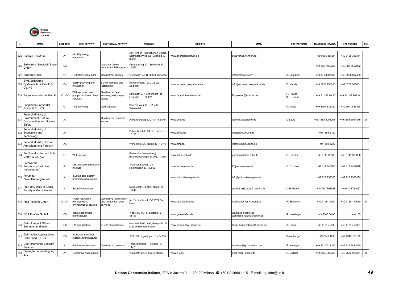

|     | <b>NAME</b>                                                                             | CATEGORY       | <b>MAIN ACTIVITY</b>                                       | <b>GEOTHERMAL ACTIVITY</b>                                  | <b>ADDRESS</b>                                                              | <b>WEB SITE</b>            | <b>EMAIL</b>                                   | <b>CONTACT NAME</b>     | <b>TELEPHONE NUMBER</b> | <b>FAX NUMBER</b> | OR.         |
|-----|-----------------------------------------------------------------------------------------|----------------|------------------------------------------------------------|-------------------------------------------------------------|-----------------------------------------------------------------------------|----------------------------|------------------------------------------------|-------------------------|-------------------------|-------------------|-------------|
|     | 625 Energie Spektrum                                                                    | A4             | Monthly energy<br>magazine                                 |                                                             | ed: Henrich Publikationen GmbH,<br>Starnbergerweg 62, Gilching D -<br>82205 | www.energiespektrum.de     | es@verlag.henrich.de                           |                         | +49 8105 38530          | +49 8105 385311   |             |
| 626 | Erdwärme Neustadt-Glewe<br>GmbH                                                         | C <sub>3</sub> |                                                            | Neustadt-Glewe<br>geothermal DH operator                    | Obotritenring 40, Schwerin D -<br>19059                                     |                            |                                                |                         | +49 385 7552267         | +49 385 7552822   |             |
|     | 627 Erdwerk GmbH                                                                        | C <sub>1</sub> | Hydrology consultant                                       | Geothermal studies                                          | Viktoriastr. 24, D-80803 München                                            |                            | info@erdwerk.com                               | A. Schubert             | +49 89 38887488         | +49 89 38887489   |             |
|     | EWS Erdwärme-<br>628 Systemtechnik GmbH &<br>Co. KG                                     | C <sub>4</sub> | SGHP planning and<br><b>nstallation</b>                    | SGHP planning and<br>nstallation                            | Hengsterberg 15, D-33129<br>Delbrück                                        | www.erdwaerme-systeme.de   | info@erdwaerme-systeme.de                      | E. Mands                | +49 5250 995850         | +49 5250 995851   |             |
|     | 629 Fagro International GmbH                                                            | C1-C4          | Well services, well<br>oumps distributor; heat<br>services | Geothermal heat<br>services; well pumps<br>supply           | Saturnstr. 2, Ronnenberg ot<br>Empelde D - 30952                            | www.fagro-international.de | Fagrointer@t-online.de                         | H. Rower<br>K. E. Braun | +49 511 43 80 30        | +49 511 43 803 14 |             |
| 630 | Fangmann Salzwedel<br>GmbH & Co. KG                                                     | C <sub>1</sub> | Well servicing                                             | Well servicing                                              | Brietzer Weg 10, D-29410<br>Salzwedel                                       |                            |                                                | K. Thiele               | +49 3901 836320         | +49 3901 836328   |             |
| 631 | Federal Ministry of<br>Environment, Nature<br><b>Conservation and Nuclear</b><br>Safety | A <sub>3</sub> |                                                            | Geothermal research<br>support                              | Nexanderplatz 6, D-10178 Berlin                                             | www.bmu.de                 | loewe.klaus@bmu.de                             | . Löwe                  | +49 1888 3054267        | +49 1888 3054375  | D           |
|     | Federal Ministry of<br>632 Economics and<br>Technology                                  | A <sub>3</sub> |                                                            |                                                             | Scharnhorststr. 34-37, Berlin D<br>10115                                    | www.bmwi.de                | info@bmwi.bund.de                              |                         | +49 1888 6150           |                   |             |
| 633 | Federal Ministry of Food,<br>Agriculture and Forestry                                   | A <sub>3</sub> |                                                            |                                                             | Wilhelmstr. 54, Berlin D - 10177                                            | www.bml.de                 | internet@bml.bund.de                           |                         | +49 1888 5290           |                   |             |
| 634 | Ferdinand Koller und Sohn<br>GmbH & Co. KG                                              | C <sub>1</sub> | Well services                                              |                                                             | Firmensitz (Verwaltung)<br>Bruchkampweg 5, D-29227 Celle                    | www.koller-celle.de        | gosslar@koller-celle.de                        | P. Gosslar              | +49 5141 98980          | +49 5141 989898   |             |
| 635 | Fernwarme<br>Forschungsinstitut in<br>Hannover eV                                       | A <sub>1</sub> | DH and cooling research<br>institute                       |                                                             | Max von Lauestr. 23,<br>Hemmingen D - 30966                                 | www.fernwaerme.de          | ffi@fernwaerme.de                              | C. D. Kruse             | +49 511 943700          | +49 511 9437070   |             |
| 636 | Forum fur<br>Zukunftsenergien eV                                                        | A <sub>1</sub> | Sustainable energy<br>promotion association                |                                                             |                                                                             | www.zukunftsenergien.de    | info@zukunftsenergien.de                       |                         | +49 228 959550          | +49 228 9595550   |             |
| 637 | Free University of Berlin,<br>Faculty of Geosciences                                    | A1             | Scientific education                                       |                                                             | Malteserstr. 74-100, Berlin D -<br>12249                                    |                            | geotherm@zedat.fu-berlin.de                    | B. Giese                | +49 30 7792553          | +49 30 7761067    |             |
|     | 638 Fritz Planung GmbH                                                                  | C1-C4          | Water resources<br>nanagement,<br>environmental studies    | Geothermal exploration<br>and production, plant<br>services | Am Schönblick 1, D-72574 Bad<br>Urach                                       | www.fritz-planung.de       | Service@Fritz-Planung.de                       | P. Eberwein             | +49 7125 15000          | +49 7125 150050   | $\mathsf D$ |
|     | 639 GEA Ecoflex GmbH                                                                    | C <sub>5</sub> | Heat exchangers<br>nanufacturer                            |                                                             | Voss-str. 11/13, Sarstedt D -<br>31157                                      | www.gea-ecoflex.de         | lug@gea-ecoflex.de<br>webmaster@gea-ecoflex.de | R. Vosshage             | +49 5066 601-0          | and 105           |             |
| 640 | Gebr. Lange & Söhne<br>Brunnenbau GmbH                                                  | C <sub>5</sub> | HP manufacturer                                            | SGHP manufacturer                                           | lauptbetrieb Ludwig-Meyn-Str. 6<br>, D-25469 Halstenbek                     | www.brunnenbau-lange.de    | lange-brunnenbau@t-online.de                   | A. Lange                | +49 4101 49030          | +49 4101 490321   |             |
| 641 | Gebrmuller Apparatebau<br>GmbH and Co KG                                                | C <sub>5</sub> | Valves and control<br>systems manufacturer                 |                                                             | POB 30, Ingelfingen D - 74665                                               |                            |                                                | Braunberger             | +49 7940 1230           | +49 7940 123192   |             |
| 64  | GeoForschungs Zentrum<br>Potsdam                                                        | A <sub>1</sub> | Geothermal research                                        | Geothermal research                                         | Telegrafenberg, Potsdam D-<br>14473                                         |                            | huenges@gfz-potsdam.de                         | E. Huenges              | +49 331 7414140         | +49 331 2881450   |             |
|     | Geologische Vereinigung<br>e. V.                                                        | A <sub>1</sub> | Geological Association                                     |                                                             | Vulkanstr. 23, D-56743 Medig                                                | www.g-v.de                 | geol.ver@t-online.de                           | R. Spitzlei             | +49 2652 989360         | +49 2652 989361   | D           |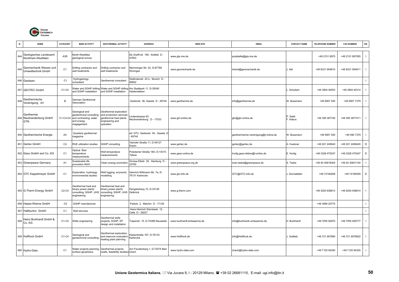

|     | <b>NAME</b>                                         | CATEGORY       | <b>MAIN ACTIVITY</b>                                                                                     | <b>GEOTHERMAL ACTIVITY</b>                                                                                  | <b>ADDRESS</b>                                             | <b>WEB SITE</b>            | <b>EMAIL</b>                          | <b>CONTACT NAME</b> | <b>TELEPHONE NUMBER</b> | <b>FAX NUMBER</b> | OR.            |
|-----|-----------------------------------------------------|----------------|----------------------------------------------------------------------------------------------------------|-------------------------------------------------------------------------------------------------------------|------------------------------------------------------------|----------------------------|---------------------------------------|---------------------|-------------------------|-------------------|----------------|
| 644 | Geologisches Landesamt<br>Nordrhein-Westfalen       | A3R            | North-Westfalia<br>geological survey                                                                     |                                                                                                             | De Greiff-str. 195, Krefeld D -<br>47803                   | www.gla.nrw.de             | poststelle@gla.nrw.de                 |                     | +49 2151 8970           | +49 2151 897505   |                |
| 645 | Geomechanik Wasser und<br>Umwelttechnik GmbH        | C <sub>1</sub> | Drilling contractor and<br>well treatments                                                               | Drilling contractor and<br>well treatments                                                                  | Memminger Str. 42, D-87789<br>Woringen                     | www.geomechanik.de         | inland@geomechanik.de                 | . Abt               | +49 8331 954810         | +49 8331 954811   |                |
|     | 646 Geoteam                                         | C <sub>1</sub> | Hydrogeology<br>consultant                                                                               | Geothermal consultant                                                                                       | Dietlindenstr. 20 b, Munich D -<br>80802                   |                            |                                       |                     |                         |                   | $\blacksquare$ |
|     | 647 GEOTEC GmbH                                     | C1-C4          | Vater and SGHP drilling<br>and SGHP installation                                                         | Water and SGHP drilling<br>and SGHP installation                                                            | Am Stadtpark 11, D-39340<br>Haldensleben                   |                            |                                       | Schubert            | +49 3904 45053          | +49 3904 40314    |                |
| 648 | Geothermische<br>Vereinigung eV                     | B              | German Geothermal<br>Association                                                                         |                                                                                                             | Gartenstr. 36, Geeste D - 49744                            | www.geothermie.de          | info@geothermie.de                    | W. Bussmann         | +49 5907 545            | +49 5907 7379     |                |
|     | Geothermie<br>649 Neubrandenburg GmbH<br><b>GTN</b> |                | Geological and<br>geotechnical consulting<br>C1-C3-C4 and contracting; water<br>and energy<br>nagagement | Geothermal exploration<br>and production services<br>geothermal heat plants<br>engineering and<br>operation | indenstrasse 63.<br>Neubrandenburg D - 17033               | www.gtn-online.de          | gtn@gtn-online.de                     | Seibt<br>. Kabus    | +49 395 367740          | +49 395 3677411   | $\blacksquare$ |
|     | 650 Geothermische Energie                           | A4             | Quarterly geothermal<br>magazine                                                                         |                                                                                                             | ed: GTV, Gartenstr. 36, Geeste D<br>49744                  |                            | geothermische-vereinigung@t-online.de | W. Bussmann         | +49 5907 545            | +49 590 7379      |                |
|     | 651 Gertec GmbH                                     | C <sub>4</sub> | RUE utilization studies                                                                                  | SGHP consulting                                                                                             | Viehofer Straße 11, D-45127<br>Essen                       | www.gertec.de              | gertec@gertec.de                      | A. Huebner          | +49 201 245640          | +49 201 2456420   | $\mathsf D$    |
|     | 652 Geso GmbH and Co. KG                            | C <sub>1</sub> | Optical fiber<br>emperature<br>neasurements                                                              | Well temperature<br>measurements                                                                            | Potsdamer Straße 18A, D-14315<br>Teltow                    | www.geso-online.de         | hurtig.geso-teltow@t-online.de        | E. Hurtig           | +49 3328 470247         | +49 3328 470247   | D              |
|     | 653 Greenpeace Germany                              | A <sub>1</sub> | Sustainable life<br>promotion NGO                                                                        | Clean energy promotion                                                                                      | Grosse Elbstr. 39, Hamburg D -<br>22765                    | www.greenpeace.org.de      | sven.teske@greenpeace.de              | S. Teske            | +49 40 30618304         | +49 40 30631104   |                |
|     | 654 GTC Kappelmeyer GmbH                            | C <sub>1</sub> | Exploration, hydrology<br>environmental studies                                                          | Well logging, economic<br>nodelling                                                                         | Heinrich-Wittmann-Str. 7a, D-<br>76131 Karlsruhe           | www.gtc-info.de            | GTC@GTC-info.de                       | . Dornstädter       | +49 72160008            | +49 72160009      | D              |
|     | 655 G-Therm Energy GmbH                             | $C2-C4$        | Geothermal heat and<br>sinary power plants<br>consulting; SGHP, UHS<br>engineering                       | Geothermal heat and<br>binary power plants<br>consulting; SGHP, UHS<br>engineering                          | lengsterberg 15, D-33129<br>Delbrück                       | www.g-therm.com            |                                       |                     | +49 5250 938813         | +49 5250 938814   |                |
|     | 656 Haase-Warme GmbH                                | C <sub>5</sub> | SGHP manufacturer                                                                                        |                                                                                                             | Parkstr. 2, Malchin D - 17139                              |                            |                                       |                     | +49 3994 20770          |                   |                |
|     | 657 Halliburton GmbH                                | C1             | Well services                                                                                            |                                                                                                             | Hans Heinrich Warnkestr. 12,<br>Celle D - 29227            |                            |                                       |                     |                         |                   |                |
| 658 | Heinz Burkhardt GmbH &<br>Co. KG                    | $C1-C4$        | Vells engineering                                                                                        | Geothermal wells<br>projects; SGHP, EP<br>design and installation                                           | Fulpenstr. 15, D-75389 Neuweiler                           | www.burkhardt-erdwaerme.de | info@burkhardt-erdwaerme.de           | H. Burkhardt        | +49 7055 92970          | +49 7055 929777   |                |
|     | 659 HotRock GmbH                                    | C1-C4          | Geological and<br>jeotechnical consulting;                                                               | Geothermal exploration<br>and reservoir evaluation<br>eating plant planning                                 | <aiserstraße 167,="" d-76133<br="">Karlsruhe</aiserstraße> | www.HotRock.de             | info@HotRock.de                       | . Gottlieb          | +49 721 957890          | +49 721 9578922   |                |
|     | 660 Hydro-Data                                      | C <sub>1</sub> | Water projects planning,<br>surface geophisics                                                           | Geothermal projects<br>(wells, feasibility studies) Urach                                                   | Am Freudenberg 1, D-72574 Bad                              | www.hydro-data.com         | Urach@hydro-data.com                  |                     | +49 7125 94350          | +49 7125 94325    |                |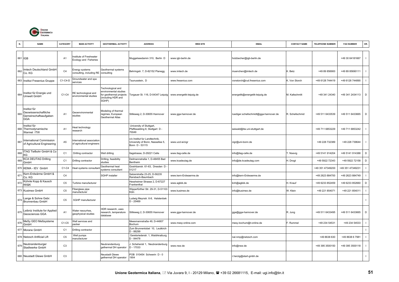

|     | <b>NAME</b>                                                                 | CATEGORY       | <b>MAIN ACTIVITY</b>                                  | <b>GEOTHERMAL ACTIVITY</b>                                                                          | <b>ADDRESS</b>                                                                      | <b>WEB SITE</b>          | <b>EMAIL</b>                           | <b>CONTACT NAME</b> | <b>TELEPHONE NUMBER</b> | <b>FAX NUMBER</b> | OR.            |
|-----|-----------------------------------------------------------------------------|----------------|-------------------------------------------------------|-----------------------------------------------------------------------------------------------------|-------------------------------------------------------------------------------------|--------------------------|----------------------------------------|---------------------|-------------------------|-------------------|----------------|
|     | 661 IGB                                                                     | A <sub>1</sub> | nstitute of Freshwater<br>Ecology and Fisheries       |                                                                                                     | Muggelseedamm 310, Berlin D                                                         | www.igb-berlin.de        | holzbecher@igb-berlin.de               |                     |                         | +49 30 64181667   |                |
| 662 | Imtech Deutschland GmbH<br>Co. KG                                           | C <sub>4</sub> | Energy systems<br>consulting, including RE            | Geothermal systems<br>consulting                                                                    | Behringstr. 7, D-82152 Planegg                                                      | www.imtech.de            | muenchen@imtech.de                     | K. Betz             | +49 89 856900           | +49 89 85690111   |                |
|     | 663 Institut Fresenius Gruppe                                               | $C1-C4-D$      | Groundwater and spa<br>services                       |                                                                                                     | Taunusstein, D                                                                      | www.fresenius.com        | vonstorch@rud.fresenius.com            | K. Von Storch       | +49 6128 744419         | +49 6128 744890   |                |
| 664 | Institut für Energie und<br>Umwelt GmbH                                     | $C1-C4$        | RE technological and<br>environmental studies         | Technological and<br>environmental studies<br>for geothermal projects<br>including HDR and<br>SGHP) | Forgauer St. 116, D-04347 Leipzig                                                   | www.energetik-leipzig.de | energetik@energetik-leipzig.de         | M. Kaltschmitt      | +49 341 24340           | +49 341 2434113   | D              |
| 665 | Institut für<br>Geowissenschaftliche<br>Gemeinschaftsaufgaben<br><b>GGA</b> | A <sub>1</sub> | Geoenvironmental<br>studies                           | Modeling of thermal<br>regimes, European<br>Geothermal Atlas                                        | Stilleweg 2, D-30655 Hannover                                                       | www.gga-hannover.de      | ruediger.schellschmidt@gga-hannover.de | R. Schellschmid     | +49 511 6433539         | +49 511 6433665   | D              |
|     | Institut für<br>666 Thermodynamische<br>Warmet ITW                          | A <sub>1</sub> | leat technology<br>esearch                            |                                                                                                     | University of Stuttgart,<br>Pfaffewalding 6; Stuttgart D -<br>0049                  |                          | seiwald@itw.uni-stuttgart.de           |                     | +49 711 6853229         | +49 711 6853242   |                |
|     | 667 International Commission<br>of Agricultural Engineering                 | A <sub>5</sub> | nternational association<br>of agricultural engineers |                                                                                                     | c/o Institut fur Landtechnik.<br>University of Bonn, Nassellee 5,<br>Bonn D - 53115 | www.ucd.ie/cigr          | cigr@uni-bonn.de                       |                     | +49 228 732389          | +49 228 739644    |                |
| 668 | TAG Tiefbohr GmbH & Co<br>KG                                                | C <sub>1</sub> | Drilling contractor                                   | Well drilling                                                                                       | tagstrasse, D-29221 Celle                                                           | www.itag-celle.de        | info@itag-celle.de                     | . Noevig            | +49 5141 914204         | +49 5141 914388   | $\mathsf D$    |
| 669 | <b>KCA DEUTAG Drilling</b><br>GmbH                                          | C <sub>1</sub> | Orilling contractor                                   | Drilling, feasibility<br>studies                                                                    | Deilmannstraße 1, D-48455 Bad<br>Bentheim                                           | www.kcadeutag.de         | info@de.kcadeutag.com                  | H. Drogt            | +49 5922 72343          | +49 5922 72158    | $\mathsf D$    |
|     | 670 KEMA - IEV GmbH                                                         | C1-C4          | leat systems consultan                                | Geothermal heat<br>systems consultant                                                               | Gostritzerstr. 61-63, Dresden D<br>01217                                            |                          |                                        |                     | +49 351 47349200        | +49 351 47349231  |                |
| 671 | Kern-Erdwärme GmbH &<br>Co. KG                                              | C4             |                                                       | SGHP installer                                                                                      | Salzerstraße 23-25, D-56235<br>Ransbach-Baumbach                                    | www.kern-Erdwaerme.de    | info@kern-Erdwaerme.de                 |                     | +49 2623 884700         | +49 2623 884749   | $\blacksquare$ |
| 672 | Kühnle Kopp & Kausch<br>KK&K                                                | C <sub>5</sub> | Turbine manufacturer                                  |                                                                                                     | lessheimer Strasse 2, D-67227<br>Frankenthal                                        | www.agkkk.de             | knh@agkkk.de                           | H. Knauf            | +49 6233 852459         | +49 6233 852660   | D              |
|     | 673 Kusimex GmbH                                                            | C5             | Fiberglass pipe<br>manufacturer                       |                                                                                                     | Wipperfürther Str. 29-31, D-51103<br>Köln                                           | www.kusimex.de           | info@kusimex.de                        | W. Klein            | +49 221 854071          | +49 221 854011    | $\mathbf{I}$   |
| 674 | Lange & Sohne Gebr.<br>Brunnenbau GmbH                                      | C <sub>5</sub> | SGHP manufacturer                                     |                                                                                                     | udwig Meynstr. 6-8, Halstenbek<br>$D - 25469$                                       |                          |                                        |                     |                         |                   |                |
| 675 | Leibniz Institute for Applied<br>Geosciences GGA                            | A <sub>1</sub> | Water resourhes,<br>geophysical studies               | HDR research, uses<br>research, temperature<br>database                                             | Stilleweg 2, D-30655 Hannover                                                       | www.gga-hannover.de      | gga@gga-hannover.de                    | R. Jung             | +49 511 6433495         | +49 511 6433665   | D              |
| 676 | MeSy GEO Meßsysteme<br>GmbH                                                 | C1-C5          | <b>Nell services and</b><br>packer                    |                                                                                                     | Meesmannstraße 49, D-44807<br>Bochum                                                | www.mesy-online.com      | mesy.bochum@t-online.de                | F. Rummel           | +49 234 54531           | +49 234 54533     |                |
|     | 677 Morane GmbH                                                             | C <sub>1</sub> | Drilling contractor                                   |                                                                                                     | Zum Brunnentobel 10, Leutkirch<br>D - 88299                                         |                          |                                        |                     |                         |                   |                |
|     | 678 Netzsch Artificial Lift                                                 | C <sub>5</sub> | Well pumps<br>nanufacturer                            |                                                                                                     | Geretsriederstr. 1, Waldrkraiburg<br>$D - 84478$                                    |                          | nal.nmp@netzsch.com                    |                     | +49 8638 630            | +49 8638 6 7981   |                |
| 679 | Neubrandenburger<br>Stadtwerke GmbH                                         | C <sub>3</sub> |                                                       | Neubrandenburg<br>gethermal DH operator                                                             | Scheherstr 1, Neubrandenburg<br>D - 17033                                           | www.nsw.de               | info@nsw.de                            |                     | +49 395 3500150         | +49 395 3500118   |                |
|     | 680 Neustadt Glewe GmbH                                                     | C <sub>3</sub> |                                                       | <b>Neustadt Glewe</b><br>gethermal DH operator                                                      | POB 010454 Schwerin D - 0<br>1904                                                   |                          | r.herzig@start-gmbh.de                 |                     |                         |                   |                |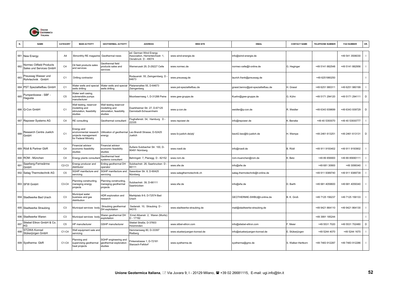

|     | <b>NAME</b>                                                | <b>CATEGORY</b> | <b>MAIN ACTIVITY</b>                                                                | <b>GEOTHERMAL ACTIVITY</b>                                                     | <b>ADDRESS</b>                                                                    | <b>WEB SITE</b>              | <b>EMAIL</b>                       | <b>CONTACT NAME</b> | <b>TELEPHONE NUMBER</b> | <b>FAX NUMBER</b> | OR.            |
|-----|------------------------------------------------------------|-----------------|-------------------------------------------------------------------------------------|--------------------------------------------------------------------------------|-----------------------------------------------------------------------------------|------------------------------|------------------------------------|---------------------|-------------------------|-------------------|----------------|
|     | 681 New Energy                                             | A4              | Bimonthly RE magazine                                                               | Geothermal news                                                                | ed: German Wind Energy<br>Association, Herrenteichsstr. 1,<br>Osnabruck D - 49074 | www.wind-energie.de          | info@wind-energie.de               |                     |                         | +49 541 3506030   | $\mathbf{I}$   |
| 682 | <b>Normec Oilfield Products</b><br>Sales und Services GmbH | C <sub>4</sub>  | Oil field products sales<br>and services                                            | Geothermal field<br>products sales and<br>services                             | Nernerusstr 29, D-29227 Celle                                                     | www.normec.de                | normec-celle@t-online.de           | G. Heginger         | +49 5141 882548         | +49 5141 882956   | $\blacksquare$ |
|     | Preussag Wasser und<br>Rohrtechnik GmbH                    | C <sub>1</sub>  | Drilling contractor                                                                 |                                                                                | Rodauerstr. 55, Zwingernberg D<br>64673                                           | www.preussag.de              | laurich.frank@preussag.de          |                     | +49 6251980250          |                   | $\mathbf{I}$   |
| 684 | PST Spezialtiefbau GmbH                                    | C <sub>1</sub>  | Vater wells and special<br>wells drilling                                           | Water wells and special<br>wells drilling                                      | Platanenallee 55, D-64673<br>Zwingenberg                                          | www.pst-spezialtiefbau.de    | grassl.benno@pst-spezialtiefbau.de | H. Grassl           | +49 6251 980311         | +49 6251 980199   | $\mathbf{I}$   |
| 685 | Pumpenboese - SBF -<br>Hagusta                             | C <sub>5</sub>  | Water well casing.<br>submersible pumps<br>nanufacturer                             |                                                                                | Moorbeernweg 1, D-31288 Peine                                                     | www.gwe-gruppe.de            | Kuehn@gwe-gruppe.de                | G. Kühn             | +49 5171 294120         | +49 5171 294111   | D              |
|     | 686 Q-Con GmbH                                             | C <sub>1</sub>  | Well testing, reservoir<br>nodelling and<br>stimulation, feasibility<br>studies     | Well testing reservoir<br>nodelling and<br>stimulation, feasibility<br>studies | Duerkheimer Str. 27, D-67125<br>Dannstadt-Schauernheim                            | www.q-con.de                 | weidler@q-con.de                   | R. Weidler          | +49 6343 939699         | +49 6343 939729   | D              |
|     | 687 Repower Systems AG                                     | C <sub>4</sub>  | <b>RE</b> consulting                                                                | Geothermal consultant                                                          | Flughafenstr. 54, Hamburg D -<br>2335                                             | www.repower.de               | info@repower.de                    | K. Beneke           | +49 40 5393070          | +49 40 53930777   |                |
| 688 | Research Centre Juelich<br>GmbH                            | C <sub>1</sub>  | Energy and<br>environmental research<br>projects management<br>for Federal Ministry | Utilization of geothermal<br>energy                                            | Leo Brandt Strasse, D-52425<br>Juelich                                            | www.fz-juelich.de/ptj/       | beo42.beo@fz-juelich.de            | H. Wempe            | +49 2461 613251         | +49 2461 613131   | D              |
|     | 689 Rödl & Partner GbR                                     | C <sub>4</sub>  | inancial advisor<br>economic feasibility<br>studies                                 | Financial advisor<br>economic feasibility<br>studies                           | Äußere Sulzbacher Str. 100, D-<br>90491 Nürnberg                                  | www.roedl.de                 | info@roedl.de                      | B. Rödl             | +49 911 9193402         | +49 911 9193902   | $\mathbf{I}$   |
|     | 690 ROM - München                                          | C <sub>4</sub>  | Energy plants consultar                                                             | Geothermal heat<br>systems consultant                                          | Behringstr. 7, Planegg D - 82152                                                  | www.rom.de                   | rom-muenchen@rom.de                | K. Betz             | +49 89 856900           | +49 89 85690111   | $\mathbf{I}$   |
| 691 | Saarberg-Fernwärme<br>GmbH                                 | $C2-C3$         | Energy producer and<br>listributor                                                  | Erding geothermal DH<br>operator                                               | Sulzbachstr. 26, Saarbrucken D<br>6111                                            | www.sfw.de                   | info@sfw.de                        |                     | +49 681 30900           | +49 3099340       | $\mathbf{I}$   |
|     | 692 Satag Thermotechnik AG                                 | C <sub>5</sub>  | SGHP manifacture and<br>servicing                                                   | SGHP manifacture and<br>servicing                                              | Sassnitzer Str. 8, D-90425<br>Nürnberg                                            | www.satagthermotechnik.ch    | satag.thermotechnik@t-online.de    |                     | +49 911 9389740         | +49 911 9389739   | $\mathbf{I}$   |
|     | 693 SFW GmbH                                               | C3-C4           | Planning constructing,<br>maneging energy<br>projects                               | lanning constructing,<br>maneging geothermal<br>projects                       | Sulzbachstr, 39, D-66111<br>Saarbrücken                                           | www.sfw.de                   | info@sfw.de                        | D. Barth            | +49 681 4059600         | +49 681 4059340   | $\mathbf{I}$   |
|     | 694 Stadtwerke Bad Urach                                   | C <sub>3</sub>  | Municipal water<br>business and gas<br>distribution                                 | IDR exploration and<br>esearch                                                 | Marktplatz 8-9, D-72574 Bad<br>Urach                                              |                              | GEOTHERMIE-SWBU@t-online.de        | B. K. Groß          | +49 7125 156237         | +49 7125 156133   | $\mathbf{I}$   |
|     | 695 Stadtwerke Straubing                                   | C <sub>3</sub>  | Municipal services body                                                             | Straubing geothermal<br>DH exploitation                                        | Sedanstr. 10, Straubing D -<br>94315                                              | www.stadtwerke-straubing.de  | mail@stadtwerke-straubing.de       |                     | +49 9421 864110         | +49 9421 864130   | $\mathbf{I}$   |
|     | 696 Stadtwerke Waren                                       | C <sub>3</sub>  | Municipal services body                                                             | Waren geothermal DH<br>exploitation                                            | Ernst Albanstr. 2, Waren (Muritz)<br>$D - 17192$                                  |                              |                                    |                     | +49 3991 185244         |                   | $\mathbf{I}$   |
| 697 | Stiebel Eltron GmbH & Co.<br>KG.                           | C <sub>5</sub>  | IP manufacturer                                                                     | GSHP manufacturer                                                              | Stiebel Straße, D-37603<br>lolzminden                                             | www.stibel-eltron.com        | info@stiebel-eltron.com            | F. Meier            | +49 5531 7020           | +49 5531 702480   | D              |
| 698 | STÜWA Konrad<br>Stükerjürgen GmbH                          | C1-C4           | Vell equipment sale and<br>servicing                                                |                                                                                | Hemmersweg 80, D-33397<br>Rietberg                                                | www.stuekerjuergen-konrad.de | info@stuekerjuergen-konrad.de      | E. Stükerjürgen     | +49 5244 4070           | +49 5244 1670     | $\mathbf{I}$   |
|     | 699 Systherma GbR                                          | $C1-C4$         | lanning and<br>upervising geothermal<br>heat projects                               | SGHP engineering and<br>geothermal exploration<br>studies                      | inkenstrasse 1, D-72181<br>Starzach-Felldorf                                      | www.systherma.de             | systherma@gmx.de                   | S. Walker-Hertkorn  | +49 7483 912287         | +49 7483 912286   |                |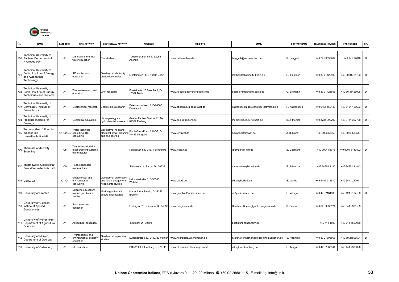

|     | <b>NAME</b>                                                                                        | CATEGORY       | <b>MAIN ACTIVITY</b>                                       | <b>GEOTHERMAL ACTIVITY</b>                                                         | <b>ADDRESS</b>                                | <b>WEB SITE</b>                  | <b>EMAIL</b>                             | <b>CONTACT NAME</b> | <b>TELEPHONE NUMBER</b> | <b>FAX NUMBER</b> | OR.          |
|-----|----------------------------------------------------------------------------------------------------|----------------|------------------------------------------------------------|------------------------------------------------------------------------------------|-----------------------------------------------|----------------------------------|------------------------------------------|---------------------|-------------------------|-------------------|--------------|
|     | <b>Technical University of</b><br>700 Aachen, Department of<br>Hydrogeology                        | A <sub>1</sub> | Mineral and thermal<br>water education                     | Spa studies                                                                        | Templergraben 55, D-52056<br>Aachen           | www.rwth-aachen.de               | langguth@rwth-aachen.de                  | R. Langguth         | +49 241 8096789         | +49 241 92648     | D            |
| 701 | <b>Technical University of</b><br>Berlin, Institute of Energy<br>and Automation<br>Technology      | A <sub>1</sub> | RE studies and<br>education                                | Geothermal electricity<br>production studies                                       | Einsteinufer 11, D-10587 Berlin               |                                  | rolf.hanitsch@iee.tu-berlin.de           | R. Hanitsch         | +49 30 31422403         | +49 30 31421133   | D            |
|     | <b>Technical University of</b><br>702 Berlin, Institute of Energy<br><b>Techniques and Systems</b> | A <sub>1</sub> | hermal research and<br>education                           | <b>GHP</b> research                                                                | Einsteinufer 25 Sekr TA 8, D-<br>10587 Berlin | www.tu-berlin.de/~energiesysteme | georg.erdmann@tu-berlin.de               | G. Erdmann          | +49 30 31424656         | +49 30 31426908   | D            |
|     | Technical University of<br>703 Darmstadt, Institute of<br>Geotechnics                              | A <sub>1</sub> | Geotechnical research                                      | Energy piles research                                                              | Petersenstrasse 13, D-64380<br>Darmatadt      | www.gt.bauing.tu-darmstadt.de    | katzenbach@geotechnik.tu-darmstadt.de    | R. Katzenbach       | +49 6151 162149         | +49 6151 166683   | D            |
|     | <b>Technical University of</b><br>704 Freiberg, Institute for<br>Geology                           | A1             | Geological education                                       | lydrogeology and<br>nydrochemistry research 09599 Freiberg                         | Gustav Zeuber Strasse 12, D-                  | www.geo.tu-freiberg.de           | merkelr@geo.tu-freiberg.de               | B. J. Merkel        | +49 3731 392792         | +49 3731 392720   | D            |
|     | Terrawat Ges. f. Energie,<br>705 Wasser und<br>Umwelttechnik mbH                                   | C1-C2-C4       | Water technical<br>consulting; RE<br>consulting            | Geothermal heat and<br>electrical power planning 84435 Lengdorf<br>and engineering | Bischof-Arn-Platz 2. II OG. D-                | www.terrawat.de                  | ruhland@terrawat.de                      | J. Ruhland          | +49 8083 53950          | +49 8083 539517   |              |
|     | 706 Thermal Conductivity<br>Scanning                                                               | C <sub>5</sub> | Thermal conducivity<br>measurement systems<br>manufacturer |                                                                                    | Kornacker 4, D-94571 Schaufling               | www.tcscan.de                    | lippmann@l-gm.de                         | E. Lippmann         | +49 9904 84076          | +49 9904 8119802  | D            |
|     | 707 Thermowave Gesellschaft<br>Fuer Waermetechnik mbH                                              | C <sub>5</sub> | Heat exchangers<br>manufacturer                            |                                                                                    | Eichenweg 4, Berga D - 06536                  |                                  | thermowave@t-online.de                   | . Schenker          | +49 34651 4180          | +49 34651 41813   | $\mathbf{I}$ |
|     | 708 UBeG GbR                                                                                       | $C1-C4$        | Geotechnical and<br>environmental<br>consulting            | Geothermal exploration<br>and field management;<br>heat plants studies             | Industriestraße 3, D-35580<br>Wetzlar         | www.UbeG.de                      | UBeG@UBeG.de                             | E. Mands            | +49 6441 212910         | +49 6441 212911   |              |
|     | 709 University of Bremen                                                                           | A1             | Scientific education;<br>narine geophysics<br>studies      | Aarine geothermal<br>shows investigation                                           | Klagenfurter Straße, D-28359<br>Bremen        | www.geophys2.uni-bremen.de       | vill@uni-bremen.de                       | I. Villinger        | +49 421 2184509         | +49 421 2187163   | D            |
|     | University of Giessen,<br>710 Instute of Applied<br>Geosciences                                    | A <sub>1</sub> | Earth sciences<br>education                                |                                                                                    | Ludwigstr. 23, Giessen D - 35390              | www.uni-giessen.de               | Bernhard.Buehn@geolo.uni-giessen.de      | <b>B.</b> Sanner    | +49 641 9936124         | +49 641 9936109   |              |
|     | University of Hohenheim,<br>711 Department of Agricultural<br>Sciences                             | A1             | Agricultural education                                     |                                                                                    | Stuttgart D - 70593                           |                                  | post@uni-hohenheim.de                    |                     | +49 711 4590            | +49 711 4593960   | $\mathbf{I}$ |
| 712 | University of Münich,<br>Department of Geology                                                     | A <sub>1</sub> | Hydrogeology and<br>environmental geology<br>education     | <b>Seothermal exploration</b><br>studies                                           | uisenstrasse 37, D-80333 Münich               | www.hydrologie.uni.munchen.de    | Stefan.Wohnlich@iaag.geo.uni-muenchen.de | S. Wohnlich         | +49 89 21806568         | +49 89 21806594   | D            |
|     | 713 University of Oldenburg                                                                        | A1             | <b>RE</b> education                                        |                                                                                    | POB 2503, Oldenburg D - 26111                 | www.physik.uni-oldenburg.de/ehf  | edu@uni-oldenburg.de                     | E. Knagge           | +49 441 7983544         | +49 441 7983326   | $\mathbf{I}$ |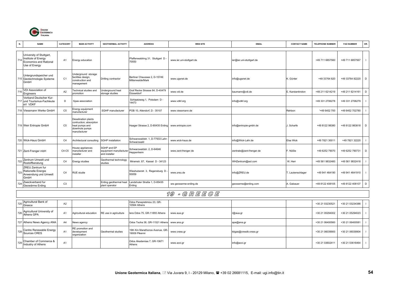

| N.  | <b>NAME</b>                                                                                    | <b>CATEGORY</b> | <b>MAIN ACTIVITY</b>                                                                               | <b>GEOTHERMAL ACTIVITY</b>                             | <b>ADDRESS</b>                                   | <b>WEB SITE</b>          | <b>EMAIL</b>             | <b>CONTACT NAME</b> | <b>TELEPHONE NUMBER</b> | <b>FAX NUMBER</b> | OR. |
|-----|------------------------------------------------------------------------------------------------|-----------------|----------------------------------------------------------------------------------------------------|--------------------------------------------------------|--------------------------------------------------|--------------------------|--------------------------|---------------------|-------------------------|-------------------|-----|
|     |                                                                                                |                 |                                                                                                    |                                                        |                                                  |                          |                          |                     |                         |                   |     |
|     | University of Stuttgart,<br>714 Institute of Energy<br>Economics and Rational<br>Use of Energy | A1              | Energy education                                                                                   |                                                        | - Pfaffenwaldring 31, Stuttgart D<br>70550       | www.ier.uni-stuttgart.de | ier@ier.uni-stuttgart.de |                     | +49 711 6857560         | +49 711 6857567   | - 1 |
|     | Untergrundspeicher und<br>715 Geotechnologie Systeme<br>GmbH                                   | C <sub>1</sub>  | Underground storage<br>facilities design,<br>construction and<br>management                        | Drilling contractor                                    | Berliner Chaussee 2, D-15749<br>Mittenwalde/Mark | www.ugsnet.de            | info@ugsnet.de           | K. Günter           | +49 33764 820           | +49 33764 82220 D |     |
| 716 | VDI Association of<br>Engineers                                                                | A2              | <b>Fechnical studies and</b><br>promotion                                                          | Underground heat<br>storage studies                    | Graf Recke Strasse 84, D-40479<br>Düsseldorf     | www.vdi.de               | baumann@vdi.de           | E. Karstantinidon   | +49 211 6214219         | +49 211 6214161   | D   |
|     | Verband Deutscher Kur-<br>717 und Tourismus-Fachleute<br>eV VDKF                               | D               | Spas association                                                                                   |                                                        | Schlaatzweg 1, Potsdam D -<br>4473               | www.vdkf.org             | info@vdkf.org            |                     | +49 331 2706278         | +49 331 2706279   |     |
|     | 718 Viessmann Werke GmbH                                                                       | C <sub>5</sub>  | Energy equipment<br>manufacturer                                                                   | SGHP manufacturer                                      | POB 10, Allendorf, D - 35107                     | www.viessmann.de         |                          | Rehbon              | '+49 6452 700           | +49 6452 702780   |     |
|     | 719 Weir Entropie GmbH                                                                         | C <sub>5</sub>  | Desalination plants<br>contruction; absorption<br>heat pumps and<br>downhole pumps<br>manufacturer |                                                        | laager Strasse 2, D-85435 Erding                 | www.entropie.com         | info@entropie-gmbh.de    | J. Scharfe          | +49 8122 98380          | +49 8122 983818 D |     |
|     | 720 Wick-Haus GmbH                                                                             | C <sub>4</sub>  | Architectural consulting                                                                           | <b>SGHP</b> installation                               | Schwarzwaldstr. 1, D-77933 Lahr<br>Schwarzwald   | www.wick-haus.de         | info@Wick-Lahr.de        | Elsa Wick           | +49 7821 30011          | +49 7821 32220    |     |
|     | 721 Zent-Frenger mbH                                                                           | $C4-C5$         | louse appliances<br>nanufacturer and<br>installer                                                  | SGHP and EP<br>equipment manufacturer<br>and installer | Schwarzwaldstr. 2, D-64646<br>Heppenheim         | www.zent-frenger.de      | zentrale@zent-frenger.de | F. Nüßle            | +49 6252 79070          | +49 6252 790731   | D   |
|     | 722 Zentrum Umwelt und<br>Rostoffberatung                                                      | C <sub>4</sub>  | Energy studies                                                                                     | Geothermal technology<br>studies                       | Miramstr. 87, Kassel D - 34123                   |                          | WHZentrum@aol.com        | W. Herr             | +49 561 9832460         | +49 561 9832418   |     |
|     | ZREU Zentrum fur<br>723 Rationelle Energie<br>Anwendung und Umwelt<br>GmbH                     | C <sub>4</sub>  | <b>RUE</b> studie                                                                                  |                                                        | Wieshuberstr. 3, Regensburg D<br>93059           | www.zreu.de              | info@ZREU.de             | T. Lautenschlager   | +49 941 464190          | +49 941 4641910   |     |
| 72. | Zweckverband fur<br>Geowärme Erding                                                            | C <sub>3</sub>  |                                                                                                    | Erding geothermal heat<br>plant operator               | andshuter Straße 1, D-85435<br>Erding            | ww.geowarme-erding.de    | geowarme@erding.com      | A. Gabauer          | +49 8122 408105         | +49 8122 408107   | D   |
|     |                                                                                                |                 |                                                                                                    |                                                        |                                                  | 19 - GREECE              |                          |                     |                         |                   |     |

|     | 725 Agricultural Bank of<br>Greece          | A2             |                                                 |                       | Odos Panepistimiou 23, GR-<br>10564 Athens      |              |                        | +30 21 03230521 | +30 21 03234386 |  |
|-----|---------------------------------------------|----------------|-------------------------------------------------|-----------------------|-------------------------------------------------|--------------|------------------------|-----------------|-----------------|--|
| 726 | , Agricultural University of<br>Athens GPA  | A <sub>1</sub> | Agricultural education                          | RE use in agriculture | lera Odos 75, GR-11855 Athens                   | www.aua.gr   | r@aua.gr               | +30 21 05294002 | +30 21 05294023 |  |
|     | 727 Athens News Agency ANA                  | A4             | News agency                                     |                       | Odos Tsoha 36, GR-11521 Athens www.ana.gr       |              | ape@ana.gr             | +30 21 06400560 | +30 21 06400581 |  |
| 728 | Centre Renewable Energy<br>Sources CRES     | A <sub>1</sub> | RE promotion and<br>development<br>organization | Geothermal studies    | 19th Km Marathonos Avenue, GR-<br>19009 Pikermi | www.cress.gr | ktigas@cresdb.cress.gr | +30 21 06039900 | +30 21 06039904 |  |
| 729 | Chamber of Commerce &<br>Industry of Athens | A <sub>1</sub> |                                                 |                       | Odos Akademias 7, GR-10671<br>Athens            | www.acci.gr  | info@acci.gr           | +30 21 03602411 | +30 21 03616464 |  |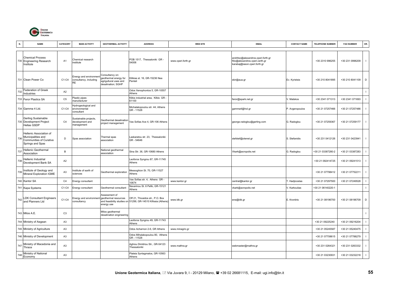

| N.  | <b>NAME</b>                                                                                  | CATEGORY       | <b>MAIN ACTIVITY</b>                                          | <b>GEOTHERMAL ACTIVITY</b>                                                              | <b>ADDRESS</b>                                                                                  | <b>WEB SITE</b>    | <b>EMAIL</b>                                                                                         | <b>CONTACT NAME</b>   | <b>TELEPHONE NUMBER</b> | <b>FAX NUMBER</b> | OR.          |
|-----|----------------------------------------------------------------------------------------------|----------------|---------------------------------------------------------------|-----------------------------------------------------------------------------------------|-------------------------------------------------------------------------------------------------|--------------------|------------------------------------------------------------------------------------------------------|-----------------------|-------------------------|-------------------|--------------|
|     | <b>Chemical Process</b><br>730 Engineering Research<br>Institute                             | A <sub>1</sub> | Chemical research<br>nstitute                                 |                                                                                         | POB 1517, Thessaloniki GR -<br>54006                                                            | www.cperi.forth.gr | andritso@alexandros.cperi.forth.gr<br>ilio@alexandros.cperi.certh.gr<br>karabaj@iason.cperi.forth.gr |                       | +30 2310 996255         | +30 231 0996209   | $\mathbf{I}$ |
|     | 731 Clean Power Co                                                                           | $C1-C4$        | Energy and environment<br>consultancy, including<br><b>RE</b> | Consultancy on:<br>geothermal energy for<br>agrigultural uses and<br>desalination; SGHP | Kilikias st. 16, GR-15236 Nea<br>Penteli                                                        |                    | skir@aua.gr                                                                                          | Ev. Kyristsis         | +30 210 8041895         | +30 210 8041109   | D            |
| 732 | Federation of Greek<br>Industries                                                            | A2             |                                                               |                                                                                         | Odos Xenophontos 5, GR-10557<br>Athens                                                          |                    |                                                                                                      |                       |                         |                   | $\mathbf{I}$ |
|     | 733 Feror Plastics SA                                                                        | C <sub>5</sub> | Plastic pipes<br>manufacturer                                 |                                                                                         | Kilkis industrial area, Kilkis GR -<br>61100                                                    |                    | feror@spark.net.gr                                                                                   | V. Matskos            | +30 2341 071313         | +30 2341 071693   | $\mathbf{I}$ |
|     | 734 Gamma 4 Ltd.                                                                             | $C1-C4$        | lydrogeological and<br>environmental<br>consultant            |                                                                                         | Michalakopoulou str. 44, Athens<br>GR - 11528                                                   |                    | gamma4@hol.gr                                                                                        | P. Avgeropoulos       | +30 21 07257466         | +30 21 07257486   | $\mathbf{I}$ |
|     | Gerling Sustainable<br>735 Development Project<br>Hellas GSDP                                | C <sub>4</sub> | Sustainable projects,<br>development and<br>management        | Geothermal desalination<br>project management                                           | Vas Sofias Ave 4, GR-106 Athens                                                                 |                    | george.radoglou@gerling.com                                                                          | G. Radoglou           | +30 21 07259367         | +30 21 07259177   | $\mathbf{I}$ |
| 736 | Hellenic Association of<br>Municipalities and<br>Communities of Curative<br>Springs and Spas | D              | Spas association                                              | <b>Thermal</b> spas<br>association                                                      | Laskaratou str. 23, Thessaloniki<br>GR - 54646                                                  |                    | stefstef@otenet.gr                                                                                   | S. Stefanidis         | +30 231 0412126         | +30 231 0423941   | $\mathbf{I}$ |
| 737 | Hellenic Geothermal<br>Association                                                           | B              |                                                               | National geothermal<br>association                                                      | Sina Str. 36, GR-10680 Athens                                                                   |                    | Vkark@acropolis.net                                                                                  | G. Radoglou           | +30 21 03387280-2       | +30 21 03387283   | $\mathbf{I}$ |
| 738 | Hellenic Industrial<br>Development Bank SA                                                   | A2             |                                                               |                                                                                         | Leoforos Syngrou 87, GR-11745<br>Athens                                                         |                    |                                                                                                      |                       | +30 21 092414725        | +30 21 09241513   | $\mathbf{I}$ |
| 739 | Institute of Geology and<br>Mineral Exploration IGME                                         | A <sub>3</sub> | nstitute of earth of<br>sciences                              | Geothermal exploration                                                                  | Messoghion St. 70, GR-11527<br>Athens                                                           |                    |                                                                                                      |                       | +30 21 07798412         | +30 21 07752211   |              |
|     | 740 Kantor SA                                                                                | C <sub>4</sub> | Energy consultant                                             |                                                                                         | Vas Sofias str. 4, Athens GR -<br>10674                                                         | www.kantor.gr      | central@kantor.gr                                                                                    | <b>F. Hadjicostas</b> | +30 21 07297500         | +30 21 07249528   | $\mathbf{I}$ |
|     | 741 Kapa Systems                                                                             | C1-C4          | Energy consultant                                             | Geothermal consultant                                                                   | Navarinou St. 6 Pefki, GR-15121<br>Athens                                                       |                    | /kark@acropolis.net                                                                                  | V. Karkoulias         | +30 21 06140220-1       |                   | $\mathbb{L}$ |
|     | 742 LDK Consultant Engineers<br>and Planners Ltd                                             | C1-C4          | Energy and environment<br>consultancy                         | Assessment of<br>geothermal resources<br>energy use                                     | Off 21, Thivaidos str., P.O. Box<br>and feasibility studies on 51299, GR-14510 Kifissia (Athens | www.ldk.gr         | ene@ldk.gr                                                                                           | E. Krontiris          | +30 21 08196700         | +30 21 08196709   | D            |
|     | 743 Milos A.E.                                                                               | C <sub>3</sub> |                                                               | Milos geothermal<br>desalination engineering                                            |                                                                                                 |                    |                                                                                                      |                       |                         |                   | $\mathbf{I}$ |
|     | 744 Ministry of Aegean                                                                       | A <sub>3</sub> |                                                               |                                                                                         | Leoforos Syngrou 49, GR-11743<br>Athens                                                         |                    |                                                                                                      |                       | +30 21 09225240         | +30 21 09216204   | $\mathbf{I}$ |
|     | 745 Ministry of Agriculture                                                                  | A <sub>3</sub> |                                                               |                                                                                         | Odos Acharnon 2-6, GR Athens                                                                    | www.minagric.gr    |                                                                                                      |                       | +30 21 05245587         | +30 21 05240475   | $\mathbf{I}$ |
|     | 746 Ministry of Development                                                                  | A <sub>3</sub> |                                                               |                                                                                         | Odos Mihalakopoulou 80, Athens<br>GR-11528                                                      |                    |                                                                                                      |                       | +30 21 07708615         | +30 21 07788279   | $\mathbf{I}$ |
| 747 | Ministry of Macedonia and<br>Thrace                                                          | A <sub>3</sub> |                                                               |                                                                                         | Aghiou Dimitriou Str., GR-54123<br>Thessaloniki                                                 | www.mathra.gr      | webmaster@mathra.gr                                                                                  |                       | +30 231 0264321         | +30 231 0263332   | $\mathbf{I}$ |
| 748 | Ministry of National<br>Economy                                                              | A <sub>3</sub> |                                                               |                                                                                         | Plateia Syntagmatos, GR-10563<br>Athens                                                         |                    |                                                                                                      |                       | +30 21 03230931         | +30 21 03232218   | $\mathbf{I}$ |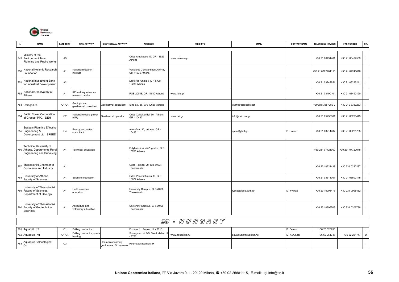

| N.  | <b>NAME</b>                                                                                         | CATEGORY       | <b>MAIN ACTIVITY</b>                    | <b>GEOTHERMAL ACTIVITY</b> | <b>ADDRESS</b>                                    | <b>WEB SITE</b> | <b>EMAIL</b>        | <b>CONTACT NAME</b> | <b>TELEPHONE NUMBER</b> | <b>FAX NUMBER</b> | OR.            |
|-----|-----------------------------------------------------------------------------------------------------|----------------|-----------------------------------------|----------------------------|---------------------------------------------------|-----------------|---------------------|---------------------|-------------------------|-------------------|----------------|
|     | Ministry of the<br>749 Environment Town<br>Planning and Public Works                                | A <sub>3</sub> |                                         |                            | Odos Amaliados 17, GR-11523<br>Athens             | www.minenv.gr   |                     |                     | +30 21 06431461         | +30 21 06432589   | - 1            |
|     | 750 National Hellenic Research<br>Foundation                                                        | A <sub>1</sub> | National research<br>institute          |                            | Vassileos Constantinou Ave 48,<br>GR-11635 Athens |                 |                     |                     | +30 21 0722981115       | +30 21 07246618   |                |
| 751 | National Investment Bank<br>for Industrial Development                                              | A <sub>2</sub> |                                         |                            | eoforos Amalias 12-14, GR-<br>10236 Athens        |                 |                     |                     | +30 21 03242651         | +30 21 03296211   |                |
|     | 752 National Observatory of<br>Athens                                                               | A <sub>1</sub> | RE and sky sciences<br>research centre  |                            | POB 20048, GR-11810 Athens                        | www.noa.gr      |                     |                     | +30 21 03490104         | +30 21 03490120   |                |
|     | 753 Omega Ltd.                                                                                      | $C1-C4$        | Geologic and<br>geothermal consultant   | Geothermal consultant      | Sina Str. 36, GR-10680 Athens                     |                 | vkark@acropolis.net |                     | +30 210 3387280-2       | +30 210 3387283   |                |
|     | 754 Public Power Corporation<br>of Greece PPC DEH                                                   | C <sub>2</sub> | National electric power<br>utility      | Geothermal operator        | Odos Xalkokondyli 30, Athens<br>GR - 10432        | www.dei.gr      | info@dei.com.gr     |                     | +30 21 05230301         | +30 21 05238445   |                |
|     | <b>Srategic Planning Effective</b><br>755 Engineering &<br>Development Ltd SPEED                    | C <sub>4</sub> | Energy and water<br>consultant          |                            | Averof str. 30, Athens GR -<br>10433              |                 | speed@hol.gr        | P. Catsis           | +30 21 08214407         | +30 21 08225755   | $\blacksquare$ |
|     | <b>Technical University of</b><br>756 Athens, Departments Rural<br><b>Engineering and Surveying</b> | A <sub>1</sub> | Technical education                     |                            | Polytechnioupoli Zografou, GR-<br>15780 Athens    |                 |                     |                     | +30 231 07721000        | +30 231 07722048  | - 1            |
|     | 757 Thessaloniki Chamber of<br>Commerce and Industry                                                | A <sub>1</sub> |                                         |                            | Odos Tsimiski 29, GR-54624<br>Thessaloniki        |                 |                     |                     | +30 231 0224438         | +30 231 0230237   |                |
| 758 | University of Athens,<br>Faculty of Sciences                                                        | A1             | Scientific education                    |                            | Odos Panepistimiou 30, GR-<br>10679 Athens        |                 |                     |                     | +30 21 03614301         | +30 21 03602145   |                |
|     | University of Thessaloniki<br>759 Faculty of Sciences,<br>Department of Geology                     | A <sub>1</sub> | Earth sciences<br>education             |                            | University Campus, GR-54006<br>Thessaloniki       |                 | fyticas@geo.auth.gr | M. Fytikas          | +30 231 0998475         | +30 231 0998482   | - 1            |
|     | University of Thessaloniki,<br>760 Faculty of Geotechnical<br>Sciences                              | A <sub>1</sub> | Agriculture and<br>veterinary education |                            | University Campus, GR-54006<br>Thessaloniki       |                 |                     |                     | +30 231 0996703         | +30 231 0206738   |                |

## 20 - H U N G A R Y

| 761 Aquadrill Kft                 |        | Drilling contractor                   |                  | Fuzfa ut 1, Pomaz H - 2013                  |                 |                      | B. Ferenc   | +36 26 326990 |               |  |
|-----------------------------------|--------|---------------------------------------|------------------|---------------------------------------------|-----------------|----------------------|-------------|---------------|---------------|--|
| 762 Aquaplus Kft                  | C1-C4  | Drilling contractor, space<br>heating |                  | Sovenyhazi ut 1/B, Sandorfalva H<br>$-6762$ | www.aquaplus.hu | aquaplus@aquaplus.hu | M. Kurunczi | +36 62 251747 | +36 62 251747 |  |
| 763 Aquaplus Balneological<br>Co. | $\sim$ |                                       | Hodmezovasarhely | geothermal DH operator Hodmezovasarhely H   |                 |                      |             |               |               |  |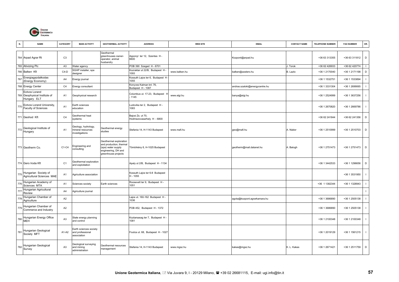

|     | <b>NAME</b>                                                  | CATEGORY       | <b>MAIN ACTIVITY</b>                                             | <b>GEOTHERMAL ACTIVITY</b>                                                                                            | <b>ADDRESS</b>                                 | <b>WEB SITE</b> | <b>EMAIL</b>                   | <b>CONTACT NAME</b> | <b>TELEPHONE NUMBER</b> | <b>FAX NUMBER</b> | OR.            |
|-----|--------------------------------------------------------------|----------------|------------------------------------------------------------------|-----------------------------------------------------------------------------------------------------------------------|------------------------------------------------|-----------------|--------------------------------|---------------------|-------------------------|-------------------|----------------|
|     | 764 Arpad Agrar Rt                                           | C <sub>3</sub> |                                                                  | Geothermal<br>greenhouses owner-<br>operator, animal<br>husbandry                                                     | Apponyl ter 12, Szentes H -<br>6600            |                 | Kozpont@arpad.hu               |                     | +36 63 313355           | +36 63 311812     | D              |
|     | 765 Ativizing Plc                                            | A <sub>3</sub> | Water agency                                                     |                                                                                                                       | POB 390 Szeged H - 6701                        |                 |                                | J. Torok            | +36 62 426933           | +36 62 420774     |                |
|     | 766 Balken Kft                                               | $C4-D$         | SGHP installer, spa<br>designer                                  |                                                                                                                       | Kozraktar ut 22/B, Budapest H-<br>1093         | www.balken.hu   | balken@axelero.hu              | B. Lazlo            | +36 1 2170040           | +36 1 2171198     | $\mathsf D$    |
| 767 | Energiagazdalkodas<br>(Energy Economy)                       | A4             | Energy journal                                                   |                                                                                                                       | Kossuth Lajos ter 6, Budapest H<br>1055        |                 |                                |                     | +36 1 1532751           | +36 1 1533894     |                |
|     | 768 Energy Center                                            | C <sub>4</sub> | Energy consultant                                                |                                                                                                                       | Konyves Kalman krt. 76,<br>Budapest H - 1087   |                 | andras.szaloki@energycentre.hu |                     | +36 1 3331304           | +36 1 2699065     |                |
|     | Eotvos Lorand<br>769 Geophysical Institute of<br>Hungary ELT | A1             | Geophysical research                                             |                                                                                                                       | Columbus ut. 17-23, Budapest H<br>1145         | www.elgi.hu     | banya@elgi.hu                  |                     | +36 1 2524999           | +36 1 3637256     |                |
| 770 | Eotvos Lorand University,<br>Faculty of Sciences             | A <sub>1</sub> | Earth sciences<br>education                                      |                                                                                                                       | Ludovika ter 2, Budapest H-<br>1083            |                 |                                |                     | +36 1 2670820           | +36 1 2669786     |                |
|     | 771 Geohod Kft                                               | C <sub>4</sub> | Geothermal heat<br>systems                                       |                                                                                                                       | Bajcsi Zs. ut 70,<br>Hodmezovasarhely H - 6800 |                 |                                |                     | +36 62 241844           | +36 62 241356     | D              |
|     | 772 Geological Institute of<br>Hungary                       | A <sub>1</sub> | Geology, hydrology,<br>nineral resources<br><b>nvestigations</b> | Geothermal energy<br>studies                                                                                          | Stefania 14, H-1143 Budapest                   | www.mafi.hu     | geo@mafi.hu                    | A. Nádor            | +36 1 2510999           | +36 1 2510703     | D              |
|     | 773 Geotherm Co.                                             | C1-C4          | Engineering and<br>consulting                                    | Geothermal exploration<br>and production; thermal<br>(spa) water supply<br>engineering, DH and<br>greenhouse projects | Tömörkény 6, H-1025 Budapest                   |                 | geotherm@mail.datanet.hu       | A. Balogh           | +36 1 2751473           | +36 1 2751473 D   |                |
|     | 774 Gero Iroda Kft                                           | C <sub>1</sub> | Geothermal exploration<br>and exploitation                       |                                                                                                                       | Apaly ut 2/B, Budapest H - 1134                |                 |                                |                     | +36 1 3442533           | +36 1 1296656     | $\mathsf D$    |
| 775 | Hungarian Society of<br><b>Agricultural Sciences MAE</b>     | A <sub>1</sub> | Agriculture association                                          |                                                                                                                       | Kossuth Lajos ter 6-8 Budapest<br>H - 1055     |                 |                                |                     |                         | +36 1 3531950     |                |
| 776 | Hungarian Academy of<br>Sciences MTA                         | A <sub>1</sub> | Sciences society                                                 | Earth sciences                                                                                                        | Roosevelt ter 9, Budapest H-<br>1051           |                 |                                |                     | +36 1 1382344           | +36 1 1328943     |                |
| 777 | Hungarian Agricultural<br>Review                             | A <sub>4</sub> | Agriculture journal                                              |                                                                                                                       |                                                |                 |                                |                     |                         |                   | $\blacksquare$ |
| 778 | Hungarian Chamber of<br>Agriculture                          | A2             |                                                                  |                                                                                                                       | Lajos ut. 160-162 Budapest H -<br>1036         |                 | agota@kozpont.agrarkamara.hu   |                     | +36 1 3686890           | +36 1 2505138     |                |
| 779 | Hungarian Chamber of<br>Commerce and Industry                | A <sub>2</sub> |                                                                  |                                                                                                                       | POB 452, Budapest H - 1372                     |                 |                                |                     | +36 1 3686890           | +36 1 2505138     |                |
| 780 | Hungarian Energy Office<br><b>MEH</b>                        | A <sub>3</sub> | State energy planning<br>and control                             |                                                                                                                       | Koztarsasag ter 7, Budapest H<br>1081          |                 |                                |                     | +36 1 2100348           | +36 1 2100348     | - 1            |
| 781 | Hungarian Geological<br>Society MFT                          | A1-A2          | Earth sciences society<br>and professional<br>association        |                                                                                                                       | Foutca ut. 68, Budapest H - 1027               |                 |                                |                     | +36 1 2019129           | +36 1 1561215     |                |
| 782 | Hungarian Geological<br>Survey                               | A <sub>3</sub> | Geological surveying<br>and mining<br>administration             | Geothermal resources<br>management                                                                                    | Stefania 14, H-1143 Budapest                   | www.mgsz.hu     | kakas@mgsz.hu                  | K. L. Kakas         | +36 1 2671421           | +36 1 2511759     | D              |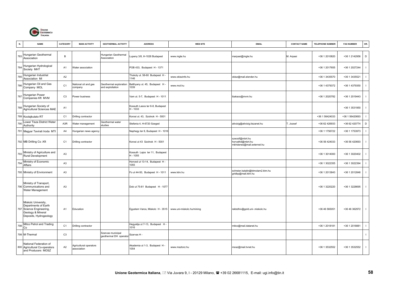

| N.  | <b>NAME</b>                                                                                                            | CATEGORY       | <b>MAIN ACTIVITY</b>                  | <b>GEOTHERMAL ACTIVITY</b>                 | <b>ADDRESS</b>                              | <b>WEB SITE</b>           | <b>EMAIL</b>                                                     | <b>CONTACT NAME</b> | <b>TELEPHONE NUMBER</b> | <b>FAX NUMBER</b> | OR.            |
|-----|------------------------------------------------------------------------------------------------------------------------|----------------|---------------------------------------|--------------------------------------------|---------------------------------------------|---------------------------|------------------------------------------------------------------|---------------------|-------------------------|-------------------|----------------|
| 783 | Hungarian Geothermal<br>Association                                                                                    | $\overline{B}$ |                                       | Hungarian Geothermal<br>Association        | upeny 3/8, H-1026 Budapest                  | www.mgte.hu               | marpasi@mgte.hu                                                  | M. Arpasi           | +36 1 2010820           | +36 1 2142956     | D              |
| 784 | Hungarian Hydrological<br>Society MHT                                                                                  | A <sub>1</sub> | Water association                     |                                            | POB 433, Budapest H - 1371                  |                           |                                                                  |                     | +36 1 2017655           | +36 1 2027244     |                |
| 785 | Hungarian Industrial<br>Association MI                                                                                 | A <sub>2</sub> |                                       |                                            | Thokoly ut. 58-60 Budapest H -<br>1146      | www.okiszinfo.hu          | okisz@mail.elender.hu                                            |                     | +36 1 3435570           | +36 1 3435521     | - 1            |
| 786 | Hungarian Oil and Gas<br>Company MOL                                                                                   | C <sub>1</sub> | National oil and gas<br>company       | Geothermal exploration<br>and exploitation | Batthyany ut. 45, Budapest H-<br>1039       | www.mol.hu                |                                                                  |                     | +36 1 4379372           | +36 1 4379350     |                |
| 787 | Hungarian Power<br>Companies Kft MVM                                                                                   | C <sub>3</sub> | Power business                        |                                            | Vam ut. 5-7, Budapest H - 1011              |                           | ibakacs@mvm.hu                                                   |                     | +36 1 2020782           | +36 1 2019443     |                |
|     | 788 Hungarian Society of<br>Agricultural Sciences MAE                                                                  | A <sub>1</sub> |                                       |                                            | Kossuth Lasos ter 6-8, Budapest<br>H - 1033 |                           |                                                                  |                     |                         | +36 1 3531950     | - 1            |
|     | 789 Koolajkutato RT                                                                                                    | C <sub>1</sub> | Drilling contractor                   |                                            | Korosi ut. 43, Szolnok H - 5001             |                           |                                                                  |                     | +36 1 56424033          | +36 1 56420693    |                |
| 790 | Lower Tisza District Water<br>Authority                                                                                | A3R            | Water management                      | Geothermal water<br>studies                | Stefania 4, H-6720 Szeged                   |                           | ativizig@ativizig.tiszanet.hu                                    | T. Jozsef           | +36 62 426933           | +36 62 420774     | D              |
|     | 791 Magyar Tavirati Iroda MTI                                                                                          | A4             | Hungarian news agency                 |                                            | Naphegy ter 8, Budapest H - 1016            |                           |                                                                  |                     | +36 1 1756722           | +36 1 1753973     |                |
|     | 792 MB Drilling Co.Kft                                                                                                 | C <sub>1</sub> | Drilling contractor                   |                                            | Korosi ut 43 Szolnok H - 5001               |                           | szecsif@mbrt.hu<br>horvathd@mbrt.hu<br>mbhdenes@mail.externet.hu |                     | +36 56 424033           | +36 56 420693     | $\blacksquare$ |
| 793 | Ministry of Agriculture and<br>Rural Development                                                                       | A <sub>3</sub> |                                       |                                            | Kossuth Lajos ter 11, Budapest<br>H - 1055  |                           |                                                                  |                     | +36 1 3014000           | +36 1 3020402     |                |
| 794 | Ministry of Economic<br>Affairs                                                                                        | A <sub>3</sub> |                                       |                                            | Honved ut 13-14, Budapest H-<br>1055        |                           |                                                                  |                     | +36 1 3022355           | +36 1 3022394     | $\blacksquare$ |
|     | 795 Ministry of Environment                                                                                            | A3             |                                       |                                            | Fo ut 44-50, Budapest H - 1011              | www.ktm.hu                | schreier.katalin@ktmolam2.ktm.hu<br>gridbp@mail.ktm.hu           |                     | +36 1 2013843           | +36 1 2012846     |                |
|     | Ministry of Transport,<br>796 Communications and<br>Water Management                                                   | A <sub>3</sub> |                                       |                                            | Dob ut 75-81 Budapest H - 1077              |                           |                                                                  |                     | +36 1 3220220           | +36 1 3228695     | $\blacksquare$ |
|     | Miskolc University,<br>Departments of Earth<br>797 Science Engineering,<br>Geology & Mineral<br>Deposits, Hydrogeology | A <sub>1</sub> | Education                             |                                            | Egyetem Varos, Miskolc H - 3515             | www.uni-miskolc.hu/mining | rekbdhiv@gold.uni-.miskolc.hu                                    |                     | +36 46 565051           | +36 46 362972     | $\mathbf{I}$   |
| 798 | Mitco Petrol and Trading<br>Co                                                                                         | C <sub>1</sub> | Drilling contractor                   |                                            | Hegyalija ut 7-13, Budapest H<br>1016       |                           | mitco@mail.datanet.hu                                            |                     | +36 1 2018181           | +36 1 2018881     | $\mathbf{I}$   |
|     | 799 M-Thermal                                                                                                          | C <sub>3</sub> |                                       | Szarvas municipal<br>geothermal DH operato | Szarvas H -                                 |                           |                                                                  |                     |                         |                   | $\blacksquare$ |
|     | National Federation of<br>800 Agricultural Co-operators<br>and Producers MOSZ                                          | A2             | Agricultural operators<br>association |                                            | Akademia ut 1-3, Budapest H -<br>1054       | www.msztorz.hu            | mosz@mail.tvnet.hu                                               |                     | +36 1 3532552           | +36 1 3532552     |                |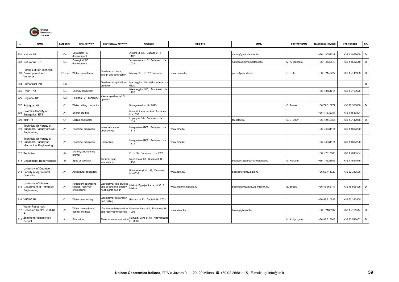

| N.  | <b>NAME</b>                                                                   | CATEGORY       | <b>MAIN ACTIVITY</b>                                      | <b>GEOTHERMAL ACTIVITY</b>                                              | <b>ADDRESS</b>                                | <b>WEB SITE</b>         | <b>EMAIL</b>                    | <b>CONTACT NAME</b> | <b>TELEPHONE NUMBER</b> | <b>FAX NUMBER</b> | OR.            |
|-----|-------------------------------------------------------------------------------|----------------|-----------------------------------------------------------|-------------------------------------------------------------------------|-----------------------------------------------|-------------------------|---------------------------------|---------------------|-------------------------|-------------------|----------------|
|     |                                                                               |                |                                                           |                                                                         |                                               |                         |                                 |                     |                         |                   |                |
|     | 801 Natura Kft                                                                | C <sub>4</sub> | Ecological RE<br>development                              |                                                                         | Akacfa ut 135, Budapest H-<br>1162            |                         | natura@mail.datanet.hu          |                     | +36 1 4052017           | +36 1 4055609     | D              |
|     | 802 Naturaqua Kft                                                             | C <sub>4</sub> | Ecological RE<br>development                              |                                                                         | Vizimolnar koz. 7, Budapest H -<br>1031       |                         | naturaqua@mail.datanet.hu       | M. A. Igazgato      | +36 1 4532510           | +36 1 4532510     | D              |
|     | Porció Ltd. for Technical<br>803 Development and<br>Ventures                  | C1-C4          | Water consultancy                                         | Geothermal plants,<br>design and contruction                            | Mátray 8/b, H-1012 Budapest                   | www.porcio.hu           | porcio@elender.hu               | G. Szita            | +36 1 2143727           | +36 1 2145953     | D              |
|     | 804 Primorfruct Kft                                                           | C <sub>3</sub> |                                                           | Geothermal agricultural<br>products                                     | Iparhegyl ut 18, Kiskunmajsa H-<br>6120       |                         |                                 |                     |                         |                   | D              |
|     | 805 Pylon Kft                                                                 | C <sub>4</sub> | Enengy consultant                                         |                                                                         | stenhegyi ut 9/D, Budapest H -<br>1126        |                         |                                 |                     | +36 1 3554614           | +36 1 2129626     | $\mathbf{I}$   |
|     | 806 Regioho Kft                                                               | C <sub>3</sub> | Regional DH company                                       | /asvar geothermal DH<br>operator                                        |                                               |                         |                                 |                     |                         |                   | $\mathbf{I}$   |
|     | 807 Rotaqua Kft                                                               | C <sub>1</sub> | Water drilling contractor                                 |                                                                         | Kovagoszollos H - 7673                        |                         |                                 | C. Tamas            | +36 72 315777           | +36 72 336800     | $\mathsf D$    |
| 808 | Scientific Society of<br>Energetics ETE                                       | A <sub>1</sub> | Energy studies                                            |                                                                         | Kossuth Lajos ter 6-8, Budapest<br>$H - 1055$ |                         |                                 |                     | +36 1 1532751           | +36 1 1533894     | $\mathbf{I}$   |
|     | 809 TDE Kft                                                                   | C <sub>1</sub> | Drilling contractor                                       |                                                                         | upeny ut 3/b, Budapest H-<br>026              |                         | tde@tde.hu                      | S. G. Ugyv          | +36 1 2142955           | +36 1 2142956     | D              |
|     | Technical University of<br>810 Budapest, Faculty of Civil<br>Engineering      | A <sub>1</sub> | <b>Fechnical education</b>                                | <b>Nater resources</b><br>engineering                                   | Muegyetem-RKP, Budapest H-<br>1111            | www.bme.hu              |                                 |                     | +36 1 4631111           | +36 1 4632220     | $\mathbf{I}$   |
|     | Technical University of<br>811 Budapest, Faculty of<br>Mechanical Engineering | A <sub>1</sub> | <b>Technical education</b>                                | Energetics                                                              | Muegyetem-RKP, Budapest H<br>1111             | www.bme.hu              |                                 |                     | +36 1 4631111           | +36 1 4632220     | $\mathbf{I}$   |
|     | 812 Technika                                                                  | A4             | Monthly engineering<br>iournal                            |                                                                         | Fo ut 68, Budapest H - 1027                   |                         |                                 |                     | +36 1 2017083           | +36 1 2018564     |                |
|     | 813 Ungarischer Bäderverband                                                  | D              | Spas association                                          | Thermal spas<br>association                                             | Nepfurdo ut 38, Budapest H -<br>1138          |                         | budapest.spas@mail.datanet.hu   | G. Horvath          | +36 1 4524505           | +36 1 4524515     |                |
|     | University of Debrecen,<br>814 Faculty of Agricultural<br>Sciences            | A <sub>1</sub> | Agricultural education                                    |                                                                         | Boszormenyi ut. 138, Debrecen<br>H - 4032     | www.date.hu             | pepopeter@fs2.date.hu           |                     | +36 52 414329           | +36 52 347596     | $\mathbf{I}$   |
|     | University of Miskolc,<br>815 Department of Petroleum<br>Engineering          | A <sub>1</sub> | Petroleum operations<br>studies, reservoir<br>engineering | Geothermal field studies<br>and geothermal energy<br>heat plants design | Miskolc Egyejemkaros, H-3515<br>Miskolc       | www.kfgi.uni-miskolc.hu | boboke@kfg2.kfgi.uni-miskolc.hu | E. Bobok            | +36 46 565111           | +36 46 565495     | D              |
|     | 816 VIKUV Rt                                                                  | C <sub>1</sub> | Water prospecting                                         | Geothermal exploration<br>and drilling                                  | Rakoczi ut 72, Cegled H - 2702                |                         |                                 |                     | +36 53 310922           | +36 53 310505     | $\blacksquare$ |
|     | <b>Water Resources</b><br>817 Research Centre VITUKI                          | A <sub>1</sub> | Water research and<br>control institute                   | Geothermal exploration<br>and reservoir modelling                       | Kvassay Jeno ut 1, Budapest H<br>1095         | www.vituki.hu           | bakony@vituki.hu                |                     | +36 1 2168137           | +36 1 2161514     | D              |
| 818 | Zsigmond Vilmos High<br>School                                                | A1             | Education                                                 | Thermal water education                                                 | Hunyadi Jeno ut 18, Nagykanizsa<br>H - 8800   |                         |                                 | M. A. Igazgato      | +36 93 516005           | +36 93 516002     | D              |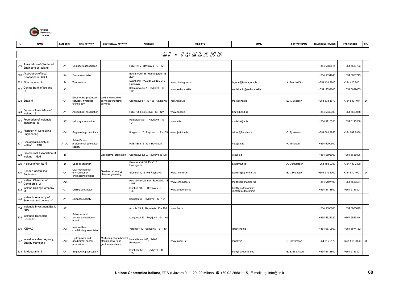

|                 | <b>NAME</b>                                          | CATEGORY       | <b>MAIN ACTIVITY</b>                                     | <b>GEOTHERMAL ACTIVITY</b>                                        | <b>ADDRESS</b>                              | <b>WEB SITE</b>    | <b>EMAIL</b>                                 | <b>CONTACT NAME</b> | <b>TELEPHONE NUMBER</b> | <b>FAX NUMBER</b> | OR.                      |
|-----------------|------------------------------------------------------|----------------|----------------------------------------------------------|-------------------------------------------------------------------|---------------------------------------------|--------------------|----------------------------------------------|---------------------|-------------------------|-------------------|--------------------------|
|                 |                                                      |                |                                                          |                                                                   |                                             | 21 - IGELAND       |                                              |                     |                         |                   |                          |
| 819             | Association of Chartered<br>Engineers of Iceland     | A <sub>1</sub> | Engineers association                                    |                                                                   | POB 1745, Reykjavik IS - 121                |                    |                                              |                     | +354 5688511            | +354 5689703      | $\mathbf{I}$             |
| 820             | Association of local<br>Newspapers SBH               | A4             | Press association                                        |                                                                   | Baejarhraun 16, Hafnarfjordur IS<br>220     |                    |                                              |                     | +354 5651945            | '+354 5650745     |                          |
|                 | 821 Blue Lagoon Ltd.                                 | D              | Thermal spa                                              |                                                                   | Svartsengi P.O.Box 22, ISL-240<br>Grindavik | www.bluelagoon.is  | lagoon@bluelagoon.is                         | A. Sverrisdóttir    | +354 420 8800           | +354 420 8801     |                          |
| 822             | Central Bank of Iceland                              | A <sub>2</sub> |                                                          |                                                                   | Kalkofnsvegur 1, Reykjavik IS -<br>150      | www.sedlabanki.is  | sedlabanki@sedlabanki.is                     |                     | +354 5699600            | +354 5699605      |                          |
|                 | 823 Enex hf                                          | C <sub>1</sub> | Geothermal production<br>services, hydrogen<br>echnology | Well and reservoir<br>services; financing<br>services             | Grensásvegi 1, IS-108 Reykjavík             | http://enex.is     | mail@enex.is                                 | E. T. Elíasson      | +354 533 1070           | +354 533 1071     | D                        |
| 824             | Farmers Association of<br>Iceland BI                 | A <sub>1</sub> | Agricultural association                                 |                                                                   | POB 7080, Reykjavik IS - 127                | www.bondi.is       | bi@bi.bondi,is                               |                     | +354 5630300            | +354 5623058      |                          |
| 825             | Federation of Icelandic<br>Industries IS             | A <sub>2</sub> | ndustry association                                      |                                                                   | Hallveigarstig 1, Reykjavik IS -<br>121     | www.si.is          | mottaka@si.is                                |                     | +354 5115555            | +354 5115566      |                          |
| 826             | Fjarhitun hf Consulting<br>Engineering               | C <sub>4</sub> | Engineering consultant                                   |                                                                   | Borgartun 17, Reykjavik IS - 105            | www.fjarhitun.is   | oddur@fjarhitun.is                           | O. Bjornsson        | +354 562 8955           | +354 562 8950     |                          |
| 827             | Geological Society of<br>Iceland GSI                 | A1-A2          | Scientific and<br>professional geological<br>society     |                                                                   | POB 8803 IS -128, Reykjavik                 |                    | heto@ni.is                                   | H. Torfason         | +354 5900500            |                   | $\mathbf{I}$             |
| 828             | Geothermal Association of<br>Iceland GAI             | $\,$ B         |                                                          | Geothermal promotion                                              | Grensasvegur 9, Reykjavik IS108             |                    | vs@os.is                                     |                     | +354 5696000            | +354 5688896      | $\overline{\phantom{a}}$ |
|                 | 829 Heilsustofnun NLFÍ                               | D              | Spas association                                         |                                                                   | Graenumörk 10, ISL-810<br>Hveragerdi        |                    | arni@hnlfi.is                                | . Gunnarsson        | +354 483 0300           | +354 483 0300     |                          |
| 830             | Hönnun Consulting<br>Engineers                       | C <sub>4</sub> | Civil mechanical<br>environmental<br>engineering studies | Geothermal energy<br>plants engineering                           | Síðumúli 1, IS-108 Reykjavík                | www.honnun.is      | bjorn.ingi@honnun.is                         | B. I. Sveinsson     | +354 510 4000           | +354 510 4001     | D                        |
| 83 <sup>2</sup> | Iceland Chamber of<br>Commerce VI                    | A2             |                                                          |                                                                   | Hus Verslunarinnar, Reykjavik<br>103        | www.chamber.is     | mottaka@chamber.is                           |                     | +354 5107100            | +354 5686564      |                          |
| 832             | Iceland Drilling Company<br>hf                       | C <sub>1</sub> | Drilling contractor                                      |                                                                   | Skipholt 50 D, Reykjavik IS -<br>105        | www.jardboranir.is | bent@jardboranir.is<br>jbinfo@jardboranir.is |                     | +354 5113800            | +354 5113801      |                          |
| 833             | Icelandic Academy of<br>Sciences and Letters VI      | A1             | Sciences society                                         |                                                                   | Barugotu 3, Reykjavik IS - 101              |                    |                                              |                     |                         |                   | $\mathbf{I}$             |
| 834             | Icelandic Investment Bank<br><b>FBA</b>              | A <sub>2</sub> |                                                          |                                                                   | Armula 13 A, Reykjavik IS - 108             | www.fba.is         |                                              |                     | +354 5805000            | +354 5805099      | $\mathbf{I}$             |
| 835             | Icelandic Research<br>Council RI                     | A <sub>3</sub> | Sciences and<br>technology advisory<br>board             |                                                                   | Laugavegi 13, Reykjavik IS - 101            |                    |                                              |                     | +354 5621320            | +354 5529814      | $\overline{\phantom{a}}$ |
|                 | 836 ICEVAC                                           | A <sub>2</sub> | <b>Jational heat</b><br>conditioning association         |                                                                   | Ystabae 11, Reykjavik IS - 110              |                    | lafi@isholf.is                               |                     | +354 5870660            | +354 5874162      |                          |
| 837             | Invest in Iceland Agency,<br><b>Energy Marketing</b> | A3             | lydropower and<br>geothermal energy<br>oromotion         | Marketing of geothermal<br>electric power and<br>geothermal steam | Háaleitisbraut 68, IS-103<br>Reykjavík      | www.invest.is      | mil@lv.is                                    | G. Ingvarsson       | +354 515 9170           | +354 515 9003     | D                        |
|                 | 838 Jardboaranir hf                                  | C <sub>4</sub> | Engineering consultant                                   |                                                                   | Skipholti 50 D, Reykjavik IS -<br>105       |                    | bent@jardboranir.is                          | B. S. Einarsson     | +354 5113800            | +354 5113801      | $\mathbf{I}$             |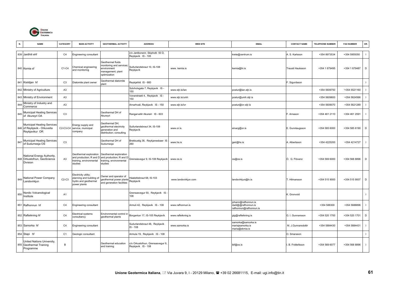

| N.  | <b>NAME</b>                                                                         | CATEGORY       | <b>MAIN ACTIVITY</b>                                                                     | <b>GEOTHERMAL ACTIVITY</b>                                                                       | <b>ADDRESS</b>                                         | <b>WEB SITE</b>      | <b>EMAIL</b>                                                        | <b>CONTACT NAME</b> | <b>TELEPHONE NUMBER</b> | <b>FAX NUMBER</b> | OR.          |
|-----|-------------------------------------------------------------------------------------|----------------|------------------------------------------------------------------------------------------|--------------------------------------------------------------------------------------------------|--------------------------------------------------------|----------------------|---------------------------------------------------------------------|---------------------|-------------------------|-------------------|--------------|
|     | 839 Jardhiti ehf                                                                    | C <sub>4</sub> | Engineering consultant                                                                   |                                                                                                  | c/o Jardboranir, Skipholti 50 D,<br>Reykjavik IS - 105 |                      | krete@centrum.is                                                    | S. Karlsson         | +354 8973534            | +354 5955050      | $\mathbf{I}$ |
|     | 840 Kemia sf                                                                        | C1-C4          | Chemical engineering<br>and monitoring                                                   | Geothermal fluids<br>nonitoring and services<br>environment<br>nanagement; plant<br>optimization | Suðurlandsbraut 10, IS-108<br>Reykjavík                | www. kemia.is        | kemia@hi.is                                                         | Trausti Hauksson    | +354 1 679495           | +354 1 679487     | D            |
|     | 841 Kisildjan hf                                                                    | C <sub>3</sub> | Diatomite plant owner                                                                    | Geothermal diatomite<br>plant                                                                    | Reykjahlid IS - 660                                    |                      |                                                                     | . Sigurdsson        |                         |                   | $\mathbf{I}$ |
|     | 842 Ministry of Agriculture                                                         | A3             |                                                                                          |                                                                                                  | Solvholsgata 7, Reykjavik IS -<br>150                  | www.stjr.is/lan      | postur@lan.stjr.is                                                  |                     | +354 5609750            | '+354 5521160     | $\mathbf{I}$ |
|     | 843 Ministry of Environment                                                         | A3             |                                                                                          |                                                                                                  | Vonarstraeti 4, Reykjavik IS -<br>150                  | www.stjr.is/umh      | postur@umh.stjr.is                                                  |                     | +354 5609600            | +354 5624566      | $\mathbf{I}$ |
| 844 | Ministry of Industry and<br>Commerce                                                | A <sub>3</sub> |                                                                                          |                                                                                                  | Arnarhvali, Reykjavik IS - 150                         | www.stjr.is/ivr      | postur@ivr.stjr.is                                                  |                     | +354 5609070            | +354 5621289      | $\mathbf{I}$ |
| 845 | <b>Municipal Heating Services</b><br>of Akureyri OA                                 | C <sub>3</sub> |                                                                                          | Geothermal DH of<br>Akureyri                                                                     | Rangarvellir Akureiri IS - 603                         |                      |                                                                     | . Arnason           | +354 461 2110           | +354 461 2591     | $\mathbf{I}$ |
|     | <b>Municipal Heating Services</b><br>846 of Reykjavik - Orkuveita<br>Reykjavikur OR | C2-C3-C4       | Energy supply and<br>service, municipal<br>company                                       | Geothermal DH;<br>geothermal electricity<br>generation and<br>distribution; consulting           | Suðurlandsbraut 34, IS-108<br>Reykjavík                | www.or.is            | einarg@or.is                                                        | E. Gunnlaugsson     | +354 585 6000           | +354 585 6190     | D            |
| 847 | <b>Municipal Heating Services</b><br>of Sudurnesja OS                               | C <sub>3</sub> |                                                                                          | Geothermal DH of<br>Sudurnesja                                                                   | Brekkustig 36, Reykjanesbaer IS<br>260                 | www.hs.is            | geir@hs.is                                                          | A. Albertsson       | +354 4225200            | +354 4214727      | $\mathbf{I}$ |
|     | National Energy Authority,<br>848 Orkustofnun, GeoScience<br>Division               | A3             | Geothermal exploration<br>and production; R and D<br>training, environmental<br>studies  | Geothermal exploration<br>and production; R and D<br>training, environmental<br>studies          | Grensásvegur 9, IS-108 Reykjavík                       | www.os.is            | os@os.is                                                            | Ó. G. Flóvenz       | +354 569 6000           | +354 568 8896     | D            |
| 849 | National Power Company<br>Landsvirkjun                                              | $C2-C3$        | Electricity utility;<br>blanning and building of<br>hydro and geothermal<br>power plants | Owner and operator of<br>geothermal power plants<br>and generation facilities                    | láaleitisbraut 68, IS-103<br>Reykjavík                 | www.landsvirkjun.com | landsvirkjun@lv.is                                                  | . Hilmarsson        | +354 515 9000           | +354 515 9007     | D            |
| 850 | Nordic Volcanological<br>Institute                                                  | A <sub>1</sub> |                                                                                          |                                                                                                  | Grensasvegur 50, Reykjavik IS<br>108                   |                      |                                                                     | C. Gronvold         |                         |                   | $\mathbf{I}$ |
|     | 851 Rafhonnun hf                                                                    | C <sub>4</sub> | Engineering consultant                                                                   |                                                                                                  | Armuli 42, Reykjavik IS - 108                          | www.rafhonnun.is     | johann@rafhonnun.is<br>dadi@@rafhonnun.is<br>rafhonnun@rafhonnun.is |                     | +354 588300             | +354 5688896      | $\mathbf{I}$ |
|     | 852 Rafteikning hf                                                                  | C <sub>4</sub> | Electrical systems<br>consultancy                                                        | Environmental control in<br>geothermal plants                                                    | Borgantun 17, IS-105 Reykjavík                         | www.rafteikning.is   | gig@rafteikning.is                                                  | G. I. Gunnarsson    | +354 520 1700           | +354 520 1701     | D            |
|     | 853 Samorka hf                                                                      | C <sub>4</sub> | Engineering consultant                                                                   |                                                                                                  | Sudurlandsbraut 48, Reykjavik<br>S - 108               | www.samorka.is       | samorka@samorka.is<br>mariajsamorka.is<br>maria@skmia.is            | M. J.Gunnarsdottir  | +354 5884430            | +354 5884431      | $\mathbf{I}$ |
|     | 854 Stapi hf                                                                        | C <sub>1</sub> | Geologic consultant                                                                      |                                                                                                  | Armula 19, Reykjavik IS - 108                          |                      |                                                                     | O. Smarason         |                         |                   | $\mathbf{L}$ |
|     | United Nations University,<br>855 Geothermal Training<br>Programme                  | B              |                                                                                          | Geothermal education<br>and training                                                             | :/o Orkustofnun, Grensasvegur 9,<br>Reykjavik IS - 108 |                      | ibf@os.is                                                           | . B. Fridleifsson   | +354 569 6077           | +354 568 8896     | $\mathbf{I}$ |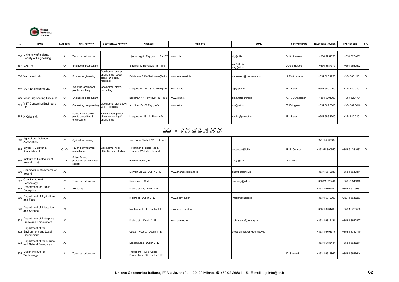

| N.  | <b>NAME</b>                                                  | CATEGORY       | <b>MAIN ACTIVITY</b>                                      | <b>GEOTHERMAL ACTIVITY</b>                                                 | <b>ADDRESS</b>                                           | <b>WEB SITE</b>        | <b>EMAIL</b>                   | <b>CONTACT NAME</b> | TELEPHONE NUMBER | <b>FAX NUMBER</b> | OR.            |
|-----|--------------------------------------------------------------|----------------|-----------------------------------------------------------|----------------------------------------------------------------------------|----------------------------------------------------------|------------------------|--------------------------------|---------------------|------------------|-------------------|----------------|
| 856 | University of Iceland,<br>Faculty of Engineering             | A <sub>1</sub> | <b>Fechnical education</b>                                |                                                                            | Hjardarhag 6, Reykjavik IS - 107                         | www.hi.is              | vkj@hi.is                      | V. K. Jonsson       | +354 5254653     | +354 5254632      | $\blacksquare$ |
|     | 857 VAG hf                                                   | C <sub>4</sub> | Engineering consultant                                    |                                                                            | Sidumuli 1, Reykjavik IS - 108                           |                        | vag@itn.is<br>vag@isl.is       | A. Gunnarsoon       | +354 5887979     | +354 5680592      | $\blacksquare$ |
|     | 858 Varmaverk ehf.                                           | C <sub>4</sub> | Process engineering                                       | Geothermal energy<br>engineering (power<br>plants, DH, spa,<br>facilities) | Dalshraun 5, IS-220 Hafnarfjördur                        | www.varmaverk.is       | varmaverk@varmaverk.is         | Matthíasson         | +354 565 1750    | +354 565 1951     | $\mathsf D$    |
|     | 859 VGK Engineering Ltd.                                     | C <sub>4</sub> | ndustrial and power<br>plant consulting                   | Geothermal plants<br>consulting                                            | augavegur 178, IS-101Reykjavík                           | www.vgk.is             | vgk@vgk.is                     | R. Maack            | +354 540 0100    | +354 540 0101     | $\mathsf D$    |
|     | 860 Virkir Engineering Group h                               | C <sub>4</sub> | Engineering consultant                                    |                                                                            | Borgartun 17, Reykjavik IS - 105                         | www.virkir.is          | gig@rafteikning.is             | G. I. Gunnarsson    | +354 5201700     | +354 5201701      | $\blacksquare$ |
| 861 | VST Consulting Engineers<br>Ltd.                             | C <sub>4</sub> | Consulting, engineering                                   | Geothermal plants (DH,<br>G, F, T) design                                  | Ármúli 4, IS-108 Reykjavík                               | www.vst.is             | vst@vst.is                     | . Erlingsson        | +354 569 5000    | +354 569 5010     | $\mathsf D$    |
|     | 862 X-Orka ehf.                                              | C <sub>4</sub> | Calina binary power<br>blants consulting &<br>engineering | Kalina binary power<br>blants consulting &<br>engineering                  | augavegur, IS-101 Reykjavík                              |                        | x-orka@simnet.is               | R. Maack            | +354 586 8700    | +354 540 0101     | $\mathsf D$    |
|     |                                                              |                |                                                           |                                                                            |                                                          | 22 - IRELAND           |                                |                     |                  |                   |                |
| 863 | Agricultural Science<br>Association                          | A1             | Agricultural society                                      |                                                                            | rish Farm Bluebell 12, Dubilin IE                        |                        |                                |                     | +353 1 4603682   |                   | $\blacksquare$ |
| 864 | Bryan P. Connor &<br>Associates Ltd.                         | C1-C4          | <b>RE</b> and environment<br>consultancy                  | Geothermal heat<br>utilisation and studies                                 | Richmond Priests Road.<br>ramore, Waterford Ireland      |                        | bpcassoc@iol.ie                | B. P. Connor        | +353 51 390650   | +353 51 381932    | D              |
| 865 | nstitute of Geologists of<br>IGI<br>Ireland                  | A1-A2          | Scientific and<br>professional geological<br>society      |                                                                            | Belfield, Dublin, IE                                     |                        | info@igi.ie                    | Clifford            |                  |                   | $\blacksquare$ |
| 866 | Chambers of Commerce of<br>Ireland                           | A2             |                                                           |                                                                            | Merrion Sq. 22, Dublin 2 IE                              | www.chambersireland.ie | chambers@iol.ie                |                     | +353 1 6612888   | +353 1 6612811    | $\blacksquare$ |
| 867 | Cork Institute of<br>Technology                              | A <sub>1</sub> | echnical education                                        |                                                                            | Rossa ave., Cork IE                                      |                        | scassidy@cit.ie                |                     | +353 21 326244   | +353 21 545343    | - 1            |
| 868 | Department for Public<br>Enterprise                          | A <sub>3</sub> | RE policy                                                 |                                                                            | Kildare st. 44, Dublin 2 IE                              |                        |                                |                     | +353 1 6707444   | +353 1 6709633    | $\blacksquare$ |
| 869 | Department of Agriculture<br>and Food                        | A <sub>3</sub> |                                                           |                                                                            | Kildare st., Dublin 2 IE                                 | www.irlgov.ie/daff     | infodaff@indigo.ie             |                     | +353 1 6072000   | +353 1 6616263    | $\blacksquare$ |
| 870 | Department of Education<br>and Science                       | A <sub>3</sub> |                                                           |                                                                            | Marlborough st., Dublin 1 IE                             | www.irlgov.ie/educ     |                                |                     | +353 1 8734700   | +353 1 8729553    |                |
| 871 | Department of Enterprise,<br>Trade and Employment            | A <sub>3</sub> |                                                           |                                                                            | Kildare st., Dublin 2 IE                                 | www.entemp.ie          | webmaster@entemp.ie            |                     | +353 1 6312121   | +353 1 3612827    |                |
|     | Department of the<br>872 Environment and Local<br>Government | A <sub>3</sub> |                                                           |                                                                            | Custom House, Dublin 1 IE                                |                        | press-office@environ.irlgov.ie |                     | +353 1 6793377   | +353 1 8742710    | $\blacksquare$ |
| 873 | Department of the Marine<br>and Natural Resources            | A <sub>3</sub> |                                                           |                                                                            | eeson Lane, Dublin 2 IE                                  |                        |                                |                     | +353 1 6785444   | +353 1 6618214    |                |
| 874 | Dublin Institute of<br>Technology                            | A1             | <b>Fechnical education</b>                                |                                                                            | Fitzwilliam House, Upper<br>Pembroke st. 30, Dublin 2 IE |                        |                                | D. Steward          | +353 1 6614862   | +353 1 6616644    | $\blacksquare$ |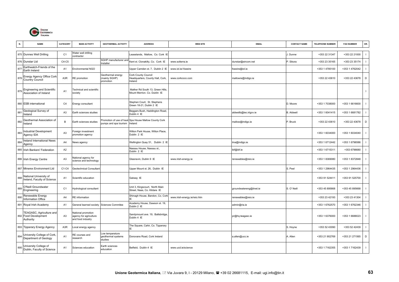

| N.  | <b>NAME</b>                                                   | CATEGORY       | <b>MAIN ACTIVITY</b>                                              | <b>GEOTHERMAL ACTIVITY</b>                      | <b>ADDRESS</b>                                                     | <b>WEB SITE</b>              | <b>EMAIL</b>            | <b>CONTACT NAME</b> | TELEPHONE NUMBER | <b>FAX NUMBER</b> | OR.         |
|-----|---------------------------------------------------------------|----------------|-------------------------------------------------------------------|-------------------------------------------------|--------------------------------------------------------------------|------------------------------|-------------------------|---------------------|------------------|-------------------|-------------|
|     | 875 Dunnes Well Drilling                                      | C <sub>1</sub> | Water well drilling<br>contractor                                 |                                                 | easelands, Mallow, Co. Cork IE                                     |                              |                         | Dunne               | +353 22 31347    | +353 22 21000     |             |
|     | 876 Dunstar Ltd                                               | C4-C5          |                                                                   | SGHP manufacturer and<br>nstaller               | Kent st. Clonakilty, Co. Cork IE                                   | www.solterra.ie              | dunstar@eircom.net      | P. Sikora           | +353 23 35165    | +353 23 35174     |             |
| 877 | Earthwatch-Friends of the<br>Earth Ireland                    | A <sub>1</sub> | Environmental NGO                                                 |                                                 | Upper Camden st. 7, Dublin 2 IE                                    | www.iol.ie/-foeeire          | foeeire@iol.ie          |                     | +353 1 4785100   | +353 1 4762042    |             |
| 878 | Energy Agency Office Cork<br><b>Country Council</b>           | A3R            | RE promotion                                                      | Geothermal energy<br>mainly SGHP)<br>promotion  | Cork County Council<br>Headquarters, County Hall, Cork,<br>Ireland | www.corkcoco.com             | mallowre@indigo.ie      |                     | +353 22 43610    | +353 22 43678     | D           |
| 879 | Engineering and Scientific<br>Association of Ireland          | A <sub>1</sub> | Fechnical and scientific<br>society                               |                                                 | Mather Rd South 13. Green Hills.<br>Mount Merrion. Co. Dublin IE   |                              |                         |                     |                  |                   |             |
|     | 880 ESB international                                         | C <sub>4</sub> | Energy consultant                                                 |                                                 | Stephen Court, St. Stephens<br>Green 18-21, Dublin 2 IE            |                              |                         | D. Moore            | +353 1 7038000   | +353 1 6616600    |             |
| 881 | Geological Survey of<br>Ireland                               | A <sub>3</sub> | Earth sciences studies                                            |                                                 | Beggars Bush, Haddington Road,<br>Dublin 4 IE                      |                              | aldwellb@tec.irlgov.ie  | <b>B.</b> Aldwell   | +353 1 6041415   | +353 1 6681782    |             |
| 882 | Geothermal Association of<br>reland                           | B              | Earth sciences studies                                            | pumps and spa tourism                           | Promotion of use of heat Spa House Mallow County Cork<br>Ireland   |                              | mallow@indigo.ie        | P. Bruck            | +353 22 43610    | +353 22 43678     | $\mathsf D$ |
| 883 | <b>Industrial Development</b><br>Agency IDA                   | A <sub>3</sub> | oreign investment<br>promotion agency                             |                                                 | Wilton Park House, Wilton Place,<br>Dublin 2 IE                    |                              |                         |                     | +353 1 6034000   | +353 1 6034040    |             |
| 884 | reland International News<br>Agency                           | A4             | News agency                                                       |                                                 | Wellington Quay 51, Dublin 2 IE                                    |                              | iina@indigo.ie          |                     | +353 1 6712442   | +353 1 6796586    |             |
|     | 885 Irish Bankers' Federation                                 | A <sub>2</sub> |                                                                   |                                                 | Nassau House, Nassau st.,<br>Dublin 2 IE                           |                              | ibf@ibf.ie              |                     | +353 1 6715311   | +353 6796680      |             |
|     | 886 Irish Energy Centre                                       | A <sub>3</sub> | <b>Vational agency for</b><br>science and technology              |                                                 | Glasnevin, Dublin 9 IE                                             | www.irish-energy.ie          | renewables@reio.ie      |                     | +353 1 8369080   | +353 1 8372848    |             |
|     | 887 Minerex Environment Ltd                                   | C1-C4          | <b>Geotechnical Consultan</b>                                     |                                                 | Upper Mount st. 26, Dublin IE                                      |                              |                         | S. Peel             | +353 1 2964435   | +353 1 2964436    |             |
| 888 | National University of<br>Ireland, Faculty of Science         | A <sub>1</sub> | Scientific education                                              |                                                 | Galway IE                                                          |                              |                         |                     | +353 91 524411   | +353 91 525700    |             |
| 889 | O'Neill Groundwater<br>Engineering                            | C <sub>1</sub> | lydrological consultant                                           |                                                 | Unit 3, Kingscourt, North Main<br>Street, Naas, Co. Kildare IE     |                              | groundwatereng@tinet.ie | S. O' Neill         | +353 45 895668   | +353 45 895668    |             |
| 890 | Renewable Energy<br><b>Information Office</b>                 | A4             | RE information                                                    |                                                 | Shinagh House, Bandon, Co. Cork                                    | www.irish-energy.ie/reio.htm | renewables@reio.ie      |                     | +353 23 42193    | +353 23 41304     |             |
|     | 891 Royal Irish Academy                                       | A <sub>1</sub> | General learned society                                           | <b>Sciences Commitee</b>                        | Academy House, Dawson st. 19,<br>Dublin 2 IE                       |                              | admin@ria.ie            |                     | +353 1 6762570   | +353 1 6762346    |             |
|     | TEAGASC, Agriculture and<br>892 Food Development<br>Authority | A <sub>3</sub> | National promotion<br>agency for agriculture<br>and food industry |                                                 | Sandymount ave. 19, Ballsbridge,<br>Dublin 4 IE                    |                              | pr@hq.teagasc.ie        |                     | +353 1 6376000   | +353 1 6688023    |             |
|     | 893 Tipperary Energy Agency                                   | A3R            | ocal energy agency                                                |                                                 | The Square, Cahir, Co. Tipperary                                   |                              |                         | S. Hoyne            | +353 52 43090    | +353 52 42439     |             |
| 894 | Jniversity College of Cork,<br>Department of Geology          | A <sub>1</sub> | RE courses and<br>esearch                                         | ow temperature<br>geothermal systems<br>studies | Donovans Road, Cork Ireland                                        |                              | a.allen@ucc.ie          | A. Allen            | +353 21 902769   | +353 21 271565    | $\mathsf D$ |
| 895 | University College of<br>Dublin, Faculty of Science           | A1             | Sciences education                                                | Earth sciences<br>education                     | Belfield, Dublin 4 IE                                              | www.ucd.ie/science           |                         |                     | +353 1 7162355   | +353 1 7162439    |             |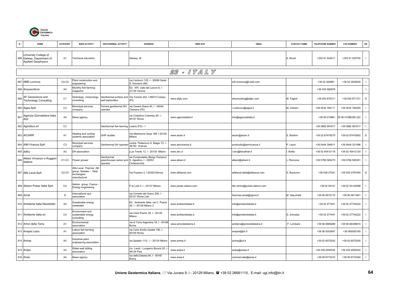

|     | <b>NAME</b>                                                                     | CATEGORY       | <b>MAIN ACTIVITY</b>                                                       | <b>GEOTHERMAL ACTIVITY</b>                      | <b>ADDRESS</b>                                                              | <b>WEB SITE</b>        | <b>EMAIL</b>                   | <b>CONTACT NAME</b> | <b>TELEPHONE NUMBER</b> | <b>FAX NUMBER</b>  | OR.            |
|-----|---------------------------------------------------------------------------------|----------------|----------------------------------------------------------------------------|-------------------------------------------------|-----------------------------------------------------------------------------|------------------------|--------------------------------|---------------------|-------------------------|--------------------|----------------|
|     | University College of<br>896 Galway, Department of<br><b>Applied Geophysics</b> | A1             | <b>Technical education</b>                                                 |                                                 | Galway IE                                                                   |                        |                                | A. Brock            | +353 91 524411          | +353 91 525700     |                |
|     |                                                                                 |                |                                                                            |                                                 |                                                                             | 23 - ITALY             |                                |                     |                         |                    |                |
|     | 897 ABB Lummus                                                                  | C4-C5          | lant construction and<br>engineering                                       |                                                 | via Carducci 125, I - 20099 Sesto<br>S. Giovanni (MI)                       |                        | info.lummus@it.abb.com         |                     | +39 02 262881           | +39 02 2628200     |                |
|     | 898 Acquacoltura                                                                | A <sub>4</sub> | Monthly fish-farming<br>nagazine                                           |                                                 | Ed. API, viale del Lavoro 8, I -<br>37135 Verona                            |                        |                                |                     | +39 045 580978          |                    | $\blacksquare$ |
| 899 | AF Geoscience and<br><b>Technology Consulting</b>                               | C <sub>1</sub> | lydrology, volcanology<br>consulting                                       | well exploration                                | Geothermal surface and Via Toniolo 222, I-56010 Campo<br>(PI)               | www.afgtc.com          | afconsulting@afgtc.com         | M. Fagioli          | +39 050 870311          | +39 050 871721     | D              |
|     | 900 Agea SpA                                                                    | C <sub>3</sub> | Municipal services<br>company                                              | Ferrara geothermal DH<br>operator               | via Cesare Diana 40, I - 44044<br>Cassana (FE)                              |                        | .rubinucci@agea.it             | M. Chiarini         | +39 0532 780111         | +39 0532 780200    |                |
| 901 | Agenzia Giornalistica Italia<br>AGI                                             | A4             | News agency                                                                |                                                 | via Cristoforo Colombo 90, I -<br>00147 Roma                                | www.agenziaitalia.it   | info@agenziaitalia.it          |                     | +39 06 519961           | 39 06 51996356 222 |                |
|     | 902 Agroittica srl                                                              | C <sub>3</sub> |                                                                            | Geothermal fish-farming Lesina (FG) - I         |                                                                             |                        |                                |                     | +39 0882 991817         | +39 0882 991817    |                |
|     | 903 AICARR                                                                      | A1             | leating and cooling<br>systems association                                 | <b>GHP</b> studies                              | Via Melchiorre Gioia 168, I-20125<br>Milano                                 | www.aicarr.it          | aicarr@aicarr.it               | S. Boldrini         | +39 02 67479270         | +39 02 67479262    | D              |
|     | 904 AIM Vicenza SpA                                                             | C <sub>3</sub> | Municipal services<br>company                                              | Geothermal DH operato                           | contrà Pedemuro S. Biagio 72, I<br>36100 Vicenza                            | www.aimvicenza.it      | protocollo@aimvicenza.it       | P. Leoni            | +39 0444 394911         | +39 0444 321496    |                |
|     | 905 AIRU                                                                        | A2             | DH association                                                             |                                                 | p.za Trento 13, I - 20135 Milano                                            | www.airu.it            | .airu@tiscalinet.it            | Bottio              | +39 02 45412118         | +39 02 45412120    |                |
| 906 | Albani Vincenzo e Ruggier<br>Italiana                                           | $C1-C3$        | Flower grower                                                              | Geothermal<br>greenhouses owner and<br>operator | via Fontanatetta (Borgo Pantano)<br>S. Agostino, I - 00053<br>Civitavecchia | www.albani.it          | albani@albani.it               | . Roncone           | +39 0766 560270         | +39 0766 560351    |                |
|     | 907 Alfa Laval SpA                                                              | $C2-C5$        | Alfa Laval Thermal AB<br>roup, Sweden - Heat<br>exchangers<br>manufacturer |                                                 | Via Pusiano 2, I-20052 Monza                                                | www.alfalaval.com      | alfalaval.italia@alfalaval.com | S. Buraccini        | +39 039 27041           | +39 039 2781000    | D              |
|     | 908 Alstom Power Italia SpA                                                     | C <sub>4</sub> | Alstom group, France<br>Energy engineering                                 |                                                 | P.le Lodi 3, I - 20137 Milano                                               | www.power.alstom.com   | titti.cimino@power.alstom.com  |                     | +39 02 54141            | +39 02 54142588    |                |
|     | 909 Amat                                                                        | D              | nternational spa<br>association                                            |                                                 | via Corrado del Greco 206, I -<br>00121 Roma Lido                           |                        | thermae.amat@agora.it          | M. Giacchetti       | +39 06 5672715          | +39 06 5611801     |                |
|     | 910 Ambiente Italia Newsletter                                                  | A4             | Sustainable energy<br>newsletter                                           |                                                 | Ed. Ambiente Italia, via C. Poerio<br>39. I - 20129 Milano 3                | www.ambienteitalia.it  | info@ambienteitalia.it         |                     | +39 02 277441           | +39 02 27744222    |                |
|     | 911 Ambiente Italia srl                                                         | C <sub>4</sub> | Environment and<br>sustainable energy<br>consulting                        |                                                 | via Carlo Poerio 39, I - 20129<br>Milano                                    | www.ambienteitalia.it  | info@ambienteitalia.it         | G. Schultze         | +39 02 277441           | +39 02 27744222    |                |
|     | 912 Amici della Terra                                                           | A1             | Environmental<br>association                                               |                                                 | via di Torre Argentina 18, I - 00186<br>Roma                                | www.amicidellaterra.it | amiterra@amicidellaterra.it    | P. Lombard          | +39 06 6868289          | +39 06 68308610    |                |
|     | 913 Anapia Lazio                                                                | A <sub>1</sub> | atium fish-farming<br>association                                          |                                                 | via Carlo Emilio Gadda 156, I -<br>00100 Roma                               |                        | anapial@tin.it                 |                     | +39 06 5003647          | +39 065005165      |                |
|     | 914 Animp                                                                       | A2             | ndustrial plant<br>engineering association                                 |                                                 | via Spalato 11/2, I - 20124 Milano                                          | www.animp.it           | animp@iol.it                   |                     | +39 02 6070242          | +39 02 6070245     |                |
|     | 915 Anipa                                                                       | A2             | Nater-well drilling<br>association                                         |                                                 | c/o Landi - Lungarno Buozzi 20,<br>56124 Pisa                               | www.anipa.it           | anipa@anipa.it                 |                     | +39 039 2000224         | +39 039 2000224    |                |
|     | 916 Ansa                                                                        | A4             | News agency                                                                |                                                 | via della Dataria 94, I - 00187<br>Roma                                     | www.ansa.it            | commerciale@ansa.it            |                     | +39 06 6774310          | +39 06 6774354     |                |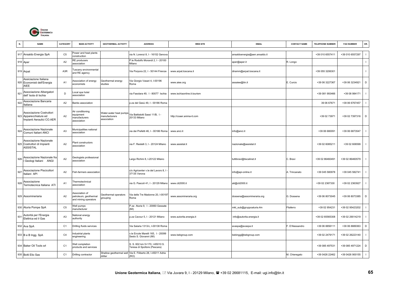

|       | <b>NAME</b>                                                                     | CATEGORY       | <b>MAIN ACTIVITY</b>                                            | <b>GEOTHERMAL ACTIVITY</b>                             | <b>ADDRESS</b>                                                     | <b>WEB SITE</b>             | <b>EMAIL</b>                  | <b>CONTACT NAME</b> | TELEPHONE NUMBER | <b>FAX NUMBER</b> | OR.            |
|-------|---------------------------------------------------------------------------------|----------------|-----------------------------------------------------------------|--------------------------------------------------------|--------------------------------------------------------------------|-----------------------------|-------------------------------|---------------------|------------------|-------------------|----------------|
|       | 917 Ansaldo Energia SpA                                                         | C <sub>5</sub> | Power and heat plants<br>construction                           |                                                        | via N. Lorenzi 8, I - 16152 Genova                                 |                             | ansaldoenergia@aen.ansaldo.it |                     | +39 010 6557411  | +39 010 6557297   |                |
|       | 918 Aper                                                                        | A2             | RE producers<br>association                                     |                                                        | P.le Rodolfo Morandi 2, I - 20100<br>Milano                        |                             | aper@aper.it                  | R. Longo            |                  |                   | $\blacksquare$ |
|       | 919 Arpat                                                                       | A3R            | Tuscany environmental<br>and RE agency                          |                                                        | Via Porpora 22, I - 50144 Firenze                                  | www.arpat.toscana.it        | diramm@arpat.toscana.it       |                     | +39 055 3206301  |                   |                |
|       | Assiciazione Italiana<br>920 Economisti dell'Energia<br>AIEE                    | A <sub>1</sub> | Association of energy<br>economists                             | Geothermal energy<br>studies                           | Via Giorgio Vasari 4, I-00196<br>Roma                              | www.aiee.org                | assaiee@tin.it                | E. Curcio           | +39 06 3227367   | +39 06 3234921    | D              |
| 921   | Associazione Albergatori<br>dell' Isola di Ischia                               | D              | ocal spa hotel<br>association                                   |                                                        | via Fasolara 49, I - 80077 Ischia                                  | www.ischiaonline.it.tourism |                               |                     | +39 081 993466   | +39 08 984171     |                |
| 92    | Associazione Bancaria<br>taliana                                                | A <sub>2</sub> | Banks association                                               |                                                        | p.za del Gesù 49, I - 00186 Roma                                   |                             |                               |                     | 39 06 67671      | +39 06 6767457    |                |
|       | Associazione Costruttori<br>923 Apparecchiature ed<br>Impianti Aeraulici CO.AER | A2             | Air conditioning<br>equipment<br>nanufacturers<br>association   | Water-water heat pumps<br>nanufacturers<br>association | /ia Battistotti Sassi 11/B, I -<br>20133 Milano                    | http://coaer.anima-it.com   |                               |                     | +39 02 73971     | +39 02 7397316    | D              |
| $92-$ | Associazione Nazionale<br>Comuni Italiani ANCI                                  | A <sub>3</sub> | Municipalities national<br>association                          |                                                        | via dei Prefetti 46, I - 00186 Roma                                | www.anci.it                 | info@anci.it                  |                     | +39 06 680091    | +39 06 6873547    |                |
|       | Associazione Nazionale<br>925 Costruttori di Impianti<br><b>ASSISTAL</b>        | A2             | Plant constructors<br>association                               |                                                        | via F. Restelli 3, I - 20124 Milano                                | www.assistal.it             | nazionale@assistal.it         |                     | +39 02 6085211   | +39 02 606599     |                |
| 926   | Associazione Nazionale fra<br>Geologi Italiani ANGI                             | A <sub>2</sub> | Geologists professional<br>association                          |                                                        | Largo Richini 8, I-20122 Milano                                    |                             | tuttibravi@tiscalinet.it      | C. Bravi            | +39 02 86460491  | +39 02 86460579   |                |
| 927   | Associazione Piscicoltori<br>Italiani API                                       | A2             | Fish-farmers association                                        |                                                        | c/o Agricenter v.le del Lavoro 8, I<br>37135 Verona                |                             | info@api-online.it            | A. Trincanato       | +39 045 580978   | +39 045 582741    |                |
| 928   | Associazione<br>Termotecnica Italiana ATI                                       | A <sub>1</sub> | Thermotechnical<br>association                                  |                                                        | via G. Pascoli 41, I - 20129 Milano                                | www.cti2000.it              | ati@cti2000.it                |                     | +39 02 2367330   | +39 02 2363927    |                |
|       | 929 Assomineriaria                                                              | A2             | Association of<br>petroleum, geothermal<br>and mining operators | Geothermal operators<br>grouping                       | Via delle Tre Madonne 20, I-00197<br>Roma                          | www.assomineraria.org       | dossena@assomineraria.org     | G. Dossena          | +39 06 8073045   | +39 06 8073385    | $\mathsf D$    |
|       | 930 Aturia Pompe SpA                                                            | C <sub>5</sub> | Well pumps<br>nanufacturer                                      |                                                        | P.za Aturia 9, 1 - 20060 Gessate<br>(MI)                           |                             | mkt_sub@gruppoaturia.4m       | Filaferro           | +39 02 954231    | +39 02 95423202   |                |
| 93'   | Autorità per l'Energia<br>Elettrica ed il Gas                                   | A <sub>3</sub> | National energy<br>authority                                    |                                                        | p.za Cavour 5, I - 20121 Milano                                    | www.autorita.energia.it     | info@autorita.energia.it      |                     | +39 02 65565308  | +39 02 29014219   |                |
|       | 932 Ava SpA                                                                     | C <sub>1</sub> | Drilling fluids services                                        |                                                        | Via Salaria 1313/c, I-00138 Roma                                   |                             | avaspa@avaspa.it              | . D'Alessandro      | +39 06 8856111   | +39 06 8889363    | D              |
|       | 933 B e B Ingg. SpA                                                             | C <sub>4</sub> | ndustrial plants<br>engineering                                 |                                                        | v.le Ercole Marelli 165, I - 20099<br>Sesto S. Giovanni (MI)       | www.bebgroup.com            | bebingg@bebgroup.com          |                     | +39 02 2479171   | +39 02 26223140   |                |
|       | 934 Baker Oil Tools srl                                                         | C <sub>1</sub> | Well completion<br>products and services                        |                                                        | S. S. 602 km 5+170, I-65010 S.<br>Teresa di Spoltore (Pescara)     |                             |                               |                     | +39 085 497531   | +39 085 4971224   | D              |
|       | 935 Botti Elio Sas                                                              | C <sub>1</sub> | Drilling contractor                                             | driller                                                | Shallow geothermal well Via E. Filiberto 28, I-45011 Adria<br>(RO) |                             |                               | M. Chieregato       | +39 0426 22462   | +39 0426 900155   | $\mathbf{I}$   |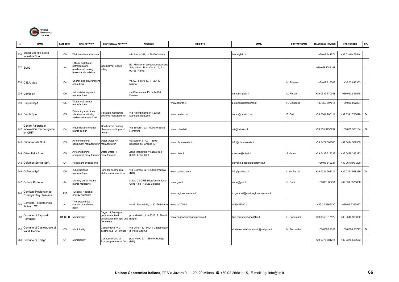

| N.  | <b>NAME</b>                                                   | CATEGORY         | <b>MAIN ACTIVITY</b>                                                                | <b>GEOTHERMAL ACTIVITY</b>                                                        | <b>ADDRESS</b>                                                                          | <b>WEB SITE</b>              | <b>EMAIL</b>                        | <b>CONTACT NAME</b> | <b>TELEPHONE NUMBER</b> | <b>FAX NUMBER</b> | OR.                      |
|-----|---------------------------------------------------------------|------------------|-------------------------------------------------------------------------------------|-----------------------------------------------------------------------------------|-----------------------------------------------------------------------------------------|------------------------------|-------------------------------------|---------------------|-------------------------|-------------------|--------------------------|
| 936 | Breda Energia Sesto<br>Industria SpA                          | C <sub>5</sub>   | <b>Nell head manufacturer</b>                                                       |                                                                                   | le Sarca 336, I - 20126 Milano                                                          |                              | brensi@tin.it                       |                     | +39 02 644771           | +39 02 64477544   |                          |
|     | 937 BUIG                                                      | A <sub>4</sub>   | Official bulletin of<br>betroleum and<br>geothermal mining<br>leases and statistics | Geothermal leases<br>listing                                                      | Ed. Ministry of productive activities<br>Sale office : P.za Verdi 10, I -<br>00198 Roma |                              |                                     |                     | +39 0685082147          |                   | $\mathbf{I}$             |
|     | 938 C.E.A. Sas                                                | C <sub>4</sub>   | Energy and environment<br>consulting                                                |                                                                                   | via G. Ferrero 10, 1 - 20143<br>Milano                                                  |                              |                                     | M. Brianza          | +39 02 816363           | +39 02 816363     | $\mathbf{I}$             |
|     | 939 Campi srl                                                 | C <sub>5</sub>   | ndustrial equipment<br>nanufacturer                                                 |                                                                                   | ria Diamantina 15, I - 44100<br>Ferrara                                                 |                              | campi.srl@tin.it                    | J. Penzo            | +39 0532 770048         | +39 0532 55518    | $\mathbf{I}$             |
|     | 940 Caprari SpA                                               | C <sub>5</sub>   | Nater well pumps<br>nanufacturer                                                    |                                                                                   |                                                                                         | www.caprari.it               | p.gianoglio@caprari.it              | . Gianoglio         | +39 059 897611          | +39 059 897894    | $\mathbf{I}$             |
|     | 941 Cemb SpA                                                  | C <sub>5</sub>   | Balancing machines,<br>vibration monitoring<br>systems manufacturer                 | Vibration monitoring<br>systems manufacturer                                      | Via Risorgimento 9, I-23826<br>Mandello del Lario                                       | www.cemb.com                 | cemb@cemb.com                       | E. Coti             | +39 0341 706111         | +39 0341 735678   | D                        |
|     | Centro Ricerche e<br>942 Innovazioni Tecnologiche<br>srl CRIT | C <sub>4</sub>   | ndustrial and energy<br>plants design                                               | <b>Geothermal heating</b><br>plants consulting and<br>design                      | /ia Tevere 70, I - 500019 Sesto<br>Fiorentino                                           | www.critweb.it               | crit@critweb.it                     |                     | +39 055 3437297         | +39 055 301184    | D                        |
|     | 943 ClimaVeneta SpA                                           | C <sub>5</sub>   | ir conditioning<br>equipment manufacturer manufacturer                              | water-water HP                                                                    | ria Sarson 57/C, I - 36061<br>Bassano del Grappa (VI)                                   | www.climaveneta.it           | nfo@climaveneta.it                  |                     | +39 0424 509500         | +39 0424 509509   | -1                       |
|     | 944 Clivet Italia SpA                                         | C <sub>5</sub>   | ir conditioning<br>equipment manufacturer manufacturer                              | water-water HP                                                                    | Zona Industriale Villapaiera, I -<br>32030 Feltre (BL)                                  | www.clivet.it                | s.venco@clivet.it                   | S.Venco             | +39 0439 313333         | +39 0439 313382   | -1                       |
|     | 945 Cofathec Servizi SpA                                      | C <sub>4</sub>   | leat plant engineering                                                              |                                                                                   |                                                                                         |                              | giovanni.pozzuto@cofathec.it        |                     | +39 06 549231           | +39 06 54901200   | $\overline{\phantom{a}}$ |
|     | 946 Cofimco SpA                                               | C <sub>5</sub>   | ndustrial fans<br>nanufacturer                                                      | Fans for geothermal<br>stations manufacturer                                      | Via Gramsci 62, I-28050 Pombia<br>(NO)                                                  | www.cofimco.com              | info@cofimco.it                     | de Paruta           | +39 0321 968311         | +39 0321 968339   | D                        |
|     | 947 Colture Protette                                          | A4               | Monthly green house<br>plants magazine                                              |                                                                                   | Sole 24 ORE Edagricole srl, via<br>Goito 13, I - 40126 Bologna                          | www.gce.it                   | sede@gce.it                         | G. Setti            | +39 051 65751           | +39 051 6575856   | $\mathbf{I}$             |
| 948 | Comitato Regionale per<br>l'Energia Reg. Toscana              | A <sub>3</sub> R | uscany Regional<br>energy Authority                                                 |                                                                                   |                                                                                         | www.regione.toscana.it       | m.gomboli@mail.regione.toscana.it   |                     |                         |                   | $\mathbf{I}$             |
| 949 | Comitato Termotecnico<br>Italiano CTI                         | A <sub>1</sub>   | Thermotechnics<br>standards definition<br>body                                      |                                                                                   | via G. Pascoli 41, I - 20129 Milano                                                     | www.cti2000.it               | cti@cti2000.it                      |                     | +39 02 2367330          | +39 02 2363927    |                          |
|     | 950 Comune di Bagno di<br>Romagna                             | C1-C3-D          | Municipality                                                                        | Bagno di Romagna<br>geothermal field<br>concessionaire; spa and Bagno<br>DH owner | p.za Martiri 1, I - 47026 S. Piero in                                                   | www.bagnodiromagnaturismo.it | llpp.comunebagno@tin.it             | E. Canestrini       | +39 0543 917122         | +39 0543 903032   |                          |
| 951 | Comune di Castelnuovo di<br>Val di Cecina                     | C <sub>3</sub>   | Municipality                                                                        | Castelnuovo V.C.<br>geothermal DH owner                                           | Via Verdi 13, I-56041 Castelnuovo<br>di Val di Cecina                                   |                              | sindaco.castelnuovovdc@sirt.pisa.it | M. Bernardini       | +39 0588 2351           | +39 0588 20727    | D                        |
|     | 952 Comune di Rodigo                                          | C <sub>1</sub>   | Municipality                                                                        | Concessionaire of<br>Rodigo geothermal field (MN)                                 | .za Nievo 3, I - 46040 Rodigo                                                           |                              |                                     |                     | +39 0376 684211         | +39 0376 650683   |                          |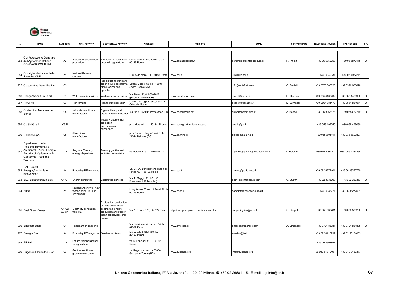

|     | <b>NAME</b>                                                                                                                                   | CATEGORY         | <b>MAIN ACTIVITY</b>                                                 | <b>GEOTHERMAL ACTIVITY</b>                                                                                                            | <b>ADDRESS</b>                                                             | <b>WEB SITE</b>                             | <b>EMAIL</b>                      | <b>CONTACT NAME</b> | <b>TELEPHONE NUMBER</b> | <b>FAX NUMBER</b> | OR.            |
|-----|-----------------------------------------------------------------------------------------------------------------------------------------------|------------------|----------------------------------------------------------------------|---------------------------------------------------------------------------------------------------------------------------------------|----------------------------------------------------------------------------|---------------------------------------------|-----------------------------------|---------------------|-------------------------|-------------------|----------------|
| 953 | Confederazione Generale<br>dell'Agricoltura Italiana<br><b>CONFAGRICOLTURA</b>                                                                | A2               | Agriculture association<br>promotion                                 | Promotion of renewable<br>energy in agriculture                                                                                       | Corso Vittorio Emanuele 101, I-<br>00186 Roma                              | www.confagricoltura.it                      | serambie@confagricoltura.it       | F. Trifiletti       | +39 06 6852258          | +39 06 6879118    | D              |
| 954 | Consiglio Nazionale delle<br>Ricerche CNR                                                                                                     | A <sub>1</sub>   | <b>Vational Research</b><br>Council                                  |                                                                                                                                       | P.le Aldo Moro 7, I - 00185 Roma                                           | www.cnr.it                                  | urp@urp.cnr.it                    |                     | +39 06 49931            | +39 06 4957241    |                |
|     | 955 Cooperativa Sette Frati sr                                                                                                                | C <sub>3</sub>   |                                                                      | Rodigo fish-farming and<br>plants owner and<br>operator                                                                               | green house geothermal Strada Mussolina 1, I - 460044<br>Sacca, Goito (MN) |                                             | info@settefrati.com               | C. Sordelli         | +39 0376 686825         | +39 0376 686828   |                |
|     | 956 Copgo Wood Group srl                                                                                                                      | C <sub>1</sub>   | Vell reservoir servicing                                             | Well reservoir servicing                                                                                                              | Via Aterno 72/4, I-66020 S.<br>qiovanni Teatino (CH)                       | www.woodgroup.com                           | cwg-it@iternet.it                 | R. Thomas           | +39 085 4462202         | +39 085 4460930   | $\mathsf D$    |
|     | 957 Cosa srl                                                                                                                                  | C <sub>3</sub>   | Fish farming                                                         | Fish farming operator                                                                                                                 | ocalità la Tagliata snc, I-58015<br>Orbetello Scalo                        |                                             | cosasrl@tiscalinet.it             | M. Gilmozzi         | +39 0564 881479         | +39 0564 881071   | D              |
| 958 | Costruzioni Meccaniche<br>Bertoli                                                                                                             | C <sub>5</sub>   | ndustrial machinery<br>nanufacturer                                  | Rig machinery and<br>equipment manufacturer                                                                                           | Via Aia 8, I-56045 Pomarance (PI)                                          | www.bertoligroup.net                        | cmbertoli@sirt.pisa.it            | A. Bertoli          | +39 0588 65176          | +39 0588 62749    | $\mathsf D$    |
|     | 959 Co.Svi.G srl                                                                                                                              | C <sub>3</sub> R |                                                                      | Tuscany geothermal<br>promotion<br>ntermunicipal<br>consortium                                                                        | p.za Muratori, I - 50134 Firenze                                           | www.cosvig-rtrt.regione.toscana.it          | cosvig@tin.it                     |                     | +39 055 495050          | +39 055 495050    |                |
|     | 960 Dalmine SpA                                                                                                                               | C <sub>5</sub>   | Steel pipes<br>nanufacturer                                          |                                                                                                                                       | p.za Caduti 6 Luglio 1944, 1, I -<br>24044 Dalmine (BG)                    | www.dalmine.it                              | daldos@dalmine.it                 |                     | +39 0355601111          | +39 035 5603827   |                |
| 961 | Dipartimento delle<br>Politiche Territoriali e<br>Ambientali - Area Energia,<br>Autorità di Vigilanza sulla<br>Geotermia - Regione<br>Toscana | A3R              | Regional Tuscany<br>energy department                                | Tuscany geothermal<br>activities supervision                                                                                          | via Baldazzi 19-21 Firenze - I                                             |                                             | . paldino@mail.regione.toscana.it | . Paldino           | +39 055 438421          | +39 055 4384355   | $\blacksquare$ |
| 962 | EAI Report-<br>Energia, Ambiente e<br>innovazione                                                                                             | A4               | Bimonthly RE magazine                                                |                                                                                                                                       | Ed. ENEA, Lungotevere Thaon di<br>Revel 76, I - 00196 Roma                 | www.eai.it                                  | lacroce@sede.enea.it              |                     | +39 06 36272401         | +39 06 36272720   |                |
|     | 963 ELC Electroconsult SpA                                                                                                                    | C1-C4            | Energy consulting                                                    | <b>Exploration services</b>                                                                                                           | Via 1° Maggio 41, I-20121<br>Baranzate di Bollate (MI)                     |                                             | elcmil@compuserve.com             | G. Quattri          | +39 02 3833203          | +39 02 383353     | $\mathsf D$    |
|     | 964 Enea                                                                                                                                      | A <sub>1</sub>   | <b>Vational Agency for new</b><br>echnologies, RE and<br>environment |                                                                                                                                       | Lungotevere Thaon di Revel 76, I<br>00196 Roma                             | www.enea.it                                 | campiotti@casaccia.enea.it        |                     | +39 06 36271            | +39 06 36272591   |                |
|     | 965 Enel GreenPower                                                                                                                           | $C1-C2$<br>C3-C4 | Electricity generation<br>from RE                                    | Exploration, production<br>of geothermal fluids,<br>geothermal energy<br>production and supply,<br>technical services and<br>training | Via A. Pisano 120, I-56122 Pisa                                            | http://enelgreenpower.enel.it/it/index.html | cappetti.guido@enel.it            | G. Cappetti         | +30 050 535781          | +30 050 533290    | D              |
|     | 966 Enereco Scarl                                                                                                                             | C <sub>4</sub>   | leat plant engineering                                               |                                                                                                                                       | Via Divisione dei Carpazi 14, I-<br>61032 Fano                             | www.emeroco.it                              | enereco@enereco.com               | A. Simoncelli       | +39 0721 83981          | +39 0721 861885   | D              |
|     | 967 Energia Blu                                                                                                                               | A4               | Bimonthly RE magazine Geothermal items                               |                                                                                                                                       | & L, p.za 5 Giornate 10, I -<br>20129 Milano                               |                                             | enerblu@tin.it                    |                     | +39 02 54115799         | +39 02 55184053   | $\blacksquare$ |
|     | 968 ERSAL                                                                                                                                     | A3R              | atium regional agency<br>for agriculture                             |                                                                                                                                       | via R. Lanciani 38. I - 00162<br>Roma                                      |                                             |                                   |                     | +39 06 8603857          |                   |                |
|     | 969 Euganea Floricoltori Scrl                                                                                                                 | C <sub>3</sub>   | Geothermal flower<br>greenhouses owner                               |                                                                                                                                       | via Regazzoni 44, I - 35030<br>Galzigano Terme (PD)                        | www.euganea.org                             | info@euganea.org                  |                     | +39 049 9131049         | +39 049 9130377   | $\blacksquare$ |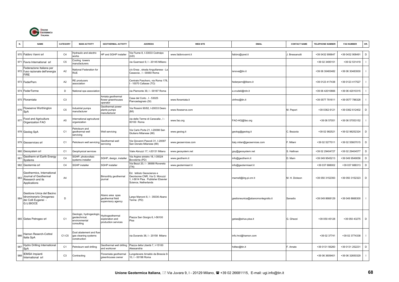

| N.  | <b>NAME</b>                                                                             | CATEGORY       | <b>MAIN ACTIVITY</b>                                                    | <b>GEOTHERMAL ACTIVITY</b>                                       | <b>ADDRESS</b>                                                                                                           | <b>WEB SITE</b>     | <b>EMAIL</b>                      | <b>CONTACT NAME</b> | <b>TELEPHONE NUMBER</b> | <b>FAX NUMBER</b> | OR.            |
|-----|-----------------------------------------------------------------------------------------|----------------|-------------------------------------------------------------------------|------------------------------------------------------------------|--------------------------------------------------------------------------------------------------------------------------|---------------------|-----------------------------------|---------------------|-------------------------|-------------------|----------------|
|     | 970 Fabbro Vanni srl                                                                    | C <sub>4</sub> | Hydraulic and electric<br>vorks                                         | HP and SGHP installer                                            | Via Fiume 8, I-33033 Codroipo<br>UD)                                                                                     | www.fabbrovanni.it  | fabbro@qnet.it                    | Bressanutti         | +39 0432 906647         | +39 0432 908491   | $\mathsf D$    |
|     | 971 Favra International srl                                                             | C <sub>5</sub> | Cooling towers<br>nanufacturers                                         |                                                                  | via Guerrazzi 9, I - 20145 Mlilano                                                                                       |                     |                                   |                     | +39 02 3495151          | +39 02 531419     |                |
|     | Federazione Italiana per<br>972 l'uso razionale dell'energia<br><b>FIRE</b>             | A <sub>2</sub> | <b>National Federation for</b><br>RUE.                                  |                                                                  | c/o Enea, strada Anguillarese - La<br>Casaccia, I - 00060 Roma                                                           |                     | isnova@tin.it                     |                     | +39 06 30483482         | +39 06 30483930   |                |
|     | 973 FederPern                                                                           | A <sub>2</sub> | RE producers<br>ssociation                                              |                                                                  | Centrale Paschero, via Roma 178,<br>- 10070 Cafasse (TO)                                                                 |                     | federpern@libero.it               |                     | +39 0123 417438         | +39 0123 417527   |                |
|     | 974 FederTerme                                                                          | D              | <b>Vational spa association</b>                                         |                                                                  | via Piemonte 39, I - 00187 Roma                                                                                          |                     | a.crudeli@rdn.it                  |                     | +39 06 42010666         | +39 06 42010315   |                |
|     | 975 Floramiata                                                                          | C <sub>3</sub> |                                                                         | Amiata geothermal<br>flower greenhouses<br>operator              | Casa del Corto, I - 53025<br>Piancastagnaio (SI)                                                                         | www.floramiata.it   | ohfmo@tin.it                      |                     | +39 0577 781611         | +39 0577 786328   |                |
| 976 | Flowserve Worthington<br>SpA                                                            | C <sub>5</sub> | ndustrial pumps<br>nanufacturer                                         | <b>Beothermal</b> power<br>olants pumps<br>manufacturer          | Via Rossini 90/92, I-20033 Desio<br>(MI)                                                                                 | www.flowserve.com   |                                   | M. Pepori           | +39 0362 6121           | +39 0362 612402   | $\mathsf D$    |
| 977 | Food and Agriculture<br>Organization FAO                                                | A <sub>5</sub> | nternational agricultural<br>rganization                                |                                                                  | via delle Terme di Caracalla, I -<br>00100 Roma                                                                          | www.fao.org         | FAO-HQ@fao.org                    |                     | +39 06 57051            | +39 06 57053152   |                |
|     | 978 Geolog SpA                                                                          | C <sub>1</sub> | Petroleum and<br>jeothermal well<br>servicing                           | Well servicing                                                   | Via Carlo Porta 21, I-20098 San<br>Giuliano Milanese (MI)                                                                | www.geolog.it       | geolog@geolog.it                  | C. Bezzola          | +39 02 982521           | +39 02 98252324   | D              |
|     | 979 Geoservices srl                                                                     | C <sub>1</sub> | Petroleum well servicing                                                | Geothermal well<br>servicing                                     | Via Giovanni Pascoli 31, I-20097<br>San Donato Milanese (MI)                                                             | www.geoservices.com | italy.milan@geoservices.com       | F. Milani           | +39 02 5277011          | +39 02 55607015   | $\mathsf D$    |
|     | 980 Geosystem srl                                                                       | C <sub>1</sub> | Geophysical services                                                    |                                                                  | Viale Abruzzi 17, I-20131 Milano                                                                                         | www.geosystem.net   | gsy@geosystem.net                 | S. Hallinan         | +39 02 29404727         | +39 02 29404577   | D              |
| 981 | Geotherm srl Earth Energy<br>Systems                                                    | C4             | GHP, photovoltaic<br>ystems installer                                   | SGHP, design, installer                                          | Via Argine sinistro 18, I-35024<br>Bovolenta (PD)                                                                        | www.geotherm.it     | info@geotherm.it                  | D. Marn             | +39 049 9545213         | +39 049 9549056   | D              |
|     | 982 Geotermia srl                                                                       | C4             | <b>SGHP</b> installer                                                   | <b>SGHP</b> installer                                            | Via Bezzi 20, I - 38068 Rovereto<br>(TN)                                                                                 | www.geotermiasrl.it | info@geotermiasrl.it              |                     | +39 037 688002          | +39 037 688313    | $\mathsf D$    |
| 983 | Geothermics, International<br>Journal of Geothermal<br>Research and its<br>Applications | A4             |                                                                         | Bimonthly geothermal<br>ournal                                   | Ed. Istituto Geoscienze e<br>Georisorse CNR, Via G. Moruzzi<br>, I-5614 Pisa. Publisher Elsevier<br>Science, Netherlands |                     | marnell@iirg.pi.cnr.it            | M. H. Dickson       | +39 050 3152393         | +39 050 3152323   | D              |
| 984 | Gestione Unica del Bacino<br>Idrominerario Omogeneo<br>dei Colli Euganei -<br>G.U.BIOCE | D              |                                                                         | Abano area spas<br>geothermal field<br>supervisory agency        | argo Marconi 8, I - 35036 Abano<br>Terme (PD)                                                                            |                     | gestioneunica@abanomontegrotto.it | Sanadio             | +39 049 8668129         | +39 049 8666300   | $\blacksquare$ |
|     | 985 Getas Petrogeo srl                                                                  | C <sub>1</sub> | Geologic, hydrogeologic<br>reotechnical,<br>environmental<br>consulting | <b>Hydrogeothermal</b><br>exploration and<br>production services | Piazza San Giorgio 6, I-56100<br>Pisa                                                                                    |                     | getas@sirius.pisa.it              | G. Ghezzi           | +39 050 45128           | +39 050 43275     | D              |
| 986 | Hamon Reserch-Cottrel<br>Italia SpA                                                     | $C1-C5$        | lust abatement and flue<br>gas cleaning systems<br>construction         |                                                                  | via Durando 38, I - 20158 Milano                                                                                         |                     | info.hrci@hamon.com               |                     | +39 02 37741            | +39 02 3774338    |                |
| 987 | Hydro Drilling International<br>SpA                                                     | C <sub>1</sub> | etroleum well drilling                                                  | Geothermal well drilling<br>and workover                         | Piazza della Libertà 7, I-15100<br>Alessandria                                                                           |                     | hditec@tin.it                     | F. Amato            | +39 0131 56260          | +39 0131 252231   | D              |
| 988 | <b>IEMSA Impianti</b><br>International srl                                              | C <sub>3</sub> | Contracting                                                             | Floramiata geothermal<br>greenhouses owner                       | ungotevere Arnaldo da Brescia 9-<br>10, I - 00196 Roma                                                                   |                     |                                   |                     | +39 06 3609401          | +39 06 32650329   |                |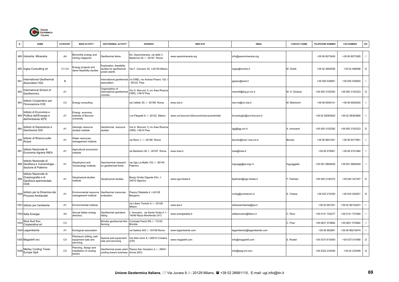

| N.   | <b>NAME</b>                                                                        | CATEGORY       | <b>MAIN ACTIVITY</b>                                        | <b>GEOTHERMAL ACTIVITY</b>                                         | <b>ADDRESS</b>                                                | <b>WEB SITE</b>                                | <b>EMAIL</b>                 | <b>CONTACT NAME</b> | <b>TELEPHONE NUMBER</b> | <b>FAX NUMBER</b> | OR.          |
|------|------------------------------------------------------------------------------------|----------------|-------------------------------------------------------------|--------------------------------------------------------------------|---------------------------------------------------------------|------------------------------------------------|------------------------------|---------------------|-------------------------|-------------------|--------------|
|      | 989 Industria Mineraria                                                            | A4             | Bimonthly energy and<br>nining magazine                     | Geothermal items                                                   | Ed. Assomineraria, via delle 3<br>Madonne 20, I - 00197 Roma  | www.assomineraria.org                          | info@assomineraria.org       |                     | +39 06 8073045          | +39 06 8073385    | $\mathbf{I}$ |
|      | 990 Ingea Consulting srl                                                           | C1-C4          | Energy projects and<br>lams feasibility studies             | Exploration, feasibility<br>studies for geothermal<br>power plants | Via F. Carcano 30, I-20149 Milano                             |                                                | ingea@mclink.it              | M. Girelli          | +39 02 4693556          | +39 02 466598     | D            |
| 991  | nternational Geothermal<br><b>Association IGA</b>                                  | $\overline{B}$ |                                                             | nternational geothermal<br>association                             | c/o ENEL via Andrea Pisano 120,<br>56122 Pisa                 |                                                | igasec@enel.it               |                     | +39 050 535891          | +39 050 535893    | $\mathbf{I}$ |
| 992  | nternational School of<br>Geothermics                                              | A <sub>1</sub> |                                                             | Organization of<br>nternational geothermal<br>courses              | Via G. Moruzzi 1( c/o Area Ricerca<br>CNR), I-5614 Pisa       |                                                | marnell@iirg.pi.cnr.it       | M. H. Dickson       | +39 050 3152393         | +39 050 3152323   | D            |
| 993  | Istituto Cooperativo per<br>'Innovazione ICIE                                      | C <sub>4</sub> | Energy consulting                                           |                                                                    | ria Velletri 35, I - 00198 Roma                               | www.icie.it                                    | icie.rm@rm.icie.it           | M. Melchiorri       | +39 06 8549141          | +39 06 8550250    | $\mathbf{I}$ |
|      | Istituto di Economia e<br>994 Politica dell'Energia e<br>dell'Ambiente IEFE        | A <sub>1</sub> | Energy economy<br>nstitute of Bocconi<br>university         |                                                                    | Le Filippetti 9, I - 20122 Milano                             | www.uni-bocconi.it/bocconi/ricerca/centri/iefe | lia.bertoglio@uni-bocconi.it |                     | +39 02 58363820         | +39 02 58363890   | $\mathbf{I}$ |
| 995  | Istituto di Geoscienze e<br>Georisorse IGG                                         | A <sub>1</sub> | Geologic resource<br>studies institute                      | Geothermal resource<br>studies                                     | /ia G. Moruzzi 1( c/o Area Ricerca<br>CNR), I-5614 Pisa       |                                                | igg@igg.cnr.it               | A. Innocenti        | +39 050 3152382         | +39 050 3152323   | D            |
| 996  | Istituto di Ricerca sulle<br>Acque                                                 | A <sub>1</sub> | <b>Nater resources</b><br>nanagement institute              |                                                                    | ria Reno 1, I - 00198 Roma                                    |                                                | blundo@irsa1.irsa.cnr.it     | Blundo              | +39 06 8841451          | +39 06 8417861    | $\mathbf{I}$ |
| 997  | Istituto Nazionale di<br>Economia Agraria INEA                                     | A <sub>1</sub> | Agricultural economics<br>nstitute                          |                                                                    | ria Barberini 36, I - 00187 Roma                              | www.inea.it                                    | inea@inea.it                 |                     | +39 06 478561           | +39 06 4741984    | $\mathbf{I}$ |
|      | Istituto Nazionale di<br>998 Geofisica e Vulcanologia -<br>Sezione di Palermo      | A1             | Geophysics and<br>/olcanology Institute                     | Geochemical research<br>on geothermal fluids                       | ia Ugo La Malfa 153, I - 90144<br>Palermo                     |                                                | inguagg@pa.ingv.it           | inguaggiato         | +39 091 6809400         | +39 091 6809449   | $\mathbf{I}$ |
| 999  | Istituto Nazionale di<br>Oceanografia e di<br>Geofisica sperimentale<br><b>OGS</b> | A <sub>1</sub> | <b>Geophysical studies</b><br>nstitute                      | <b>Geophysical studies</b>                                         | Borgo Grotta Gigante 42/c, I-<br>4010 Sgonico                 | www.ogs.trieste.it                             | fpalmieri@ogs.trieste.it     | . Palmieri          | +39 040 2140372         | +39 040 327307    | D            |
| 1000 | Istituto per la Dinamica dei<br>Processi Ambientali                                | A <sub>1</sub> | Environmental resource<br>management institute              | Geothermal rosources<br>evaluation                                 | lazza Cittadella 4, I-24129<br>Bergamo                        |                                                | cnrbg@uninetcom.it           | S. Chiesa           | +39 035 210350          | +39 035 524051    | D            |
|      | 1001 Istituto per l'ambiente                                                       | A <sub>1</sub> | Environmental institute                                     |                                                                    | ria Libero Temolo 4, I - 20126<br>Milano                      | www.ipa.it                                     | istitutoambiente@ipa.it      |                     | +39 02 661301           | +39 02 66102201   | $\mathbf{I}$ |
|      | 1002 Italia Energia                                                                | A <sub>4</sub> | Annual Italian energy<br>lirectory                          | <b>Geothermal operators</b><br>listing                             | Annuario, via Santa Giulia 4, I<br>4049 Nizza Monferrato (AT) | www.energiaitalia.it                           | editannuario@libero.it       | C. Ricci            | +39 0141 702277         | +39 0141 701694   |              |
| 100: | Ittica Sud Soc.<br>Cooperativa srl                                                 | C <sub>3</sub> |                                                             | Brindisi geothermal fish-<br>farming                               | Contrada Pandi SN, I - 72100<br><b>Brindisi</b>               |                                                |                              | C. Pizzi            | +39 0831 574882         | +39 0831 574882   | $\mathbf{I}$ |
|      | 1004 Legambiente                                                                   | A <sub>1</sub> | Ecological association                                      |                                                                    | ria Salaria 403, I - 00199 Roma                               | www.legambiante.com                            | legambiente@legambiente.com  |                     | +39 06 862681           | +39 06 86218474   | $\mathbf{I}$ |
|      | 1005 Magadrill snc                                                                 | C <sub>4</sub> | Petroleum drilling, well<br>equipment sale and<br>servicing | Special well equipment<br>sale and servicing                       | Via Aldo moro 8, I-26010 Credera<br>CR)                       | www.magadrill.com                              | info@magadrill.com           | S. Roderi           | +39 0373 615000         | +39 0373 61989    | D            |
| 1006 | Marley Cooling Tower<br>Europe SpA                                                 | C <sub>5</sub> | lanning, design and<br>nstallation of cooling<br>towers     | Geothermal power plant<br>cooling towers business Arona (NO)       | Piazza San Graziano 2, I - 28041                              |                                                | info@spig-int.com            |                     | +39 0322 233456         | +39 02 233458     | D            |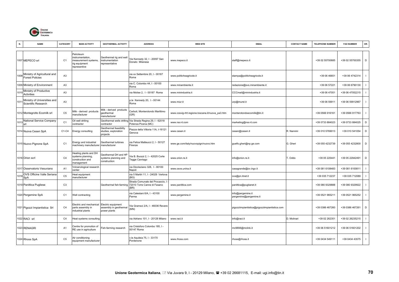

|      | <b>NAME</b>                                         | CATEGORY       | <b>MAIN ACTIVITY</b>                                                                  | <b>GEOTHERMAL ACTIVITY</b>                                   | <b>ADDRESS</b>                                                                                | <b>WEB SITE</b>                                  | <b>EMAIL</b>                                  | <b>CONTACT NAME</b> | <b>TELEPHONE NUMBER</b> | <b>FAX NUMBER</b> | OR.         |
|------|-----------------------------------------------------|----------------|---------------------------------------------------------------------------------------|--------------------------------------------------------------|-----------------------------------------------------------------------------------------------|--------------------------------------------------|-----------------------------------------------|---------------------|-------------------------|-------------------|-------------|
|      | 1007 MEPECO srl                                     | C <sub>1</sub> | Petroleum<br>nstrumentation,<br>measurement systems,<br>rig equipment<br>representive | Geothermal rig and well<br>instrumentation<br>representative | /ia Kennedy 32, I - 20097 San<br>Donato Milanese                                              | www.mepeco.it                                    | staff@mepeco.it                               |                     | +39 02 55700685         | +39 02 55700355   | D           |
| 1008 | Ministry of Agricultural and<br>Forest Policies     | A <sub>3</sub> |                                                                                       |                                                              | via xx Settembre 20, I - 00187<br>Roma                                                        | www.politicheagricole.it                         | stampa@politicheagricole.it                   |                     | +39 06 46651            | +39 06 4742314    |             |
|      | 1009 Ministry of Environment                        | A3             |                                                                                       |                                                              | via C. Colombo 44, I - 00100<br>Roma                                                          | www.minambiente.it                               | redazione@svs.minambiente.it                  |                     | +39 06 57221            | +39 06 6790130    |             |
|      | Ministry of Productive<br>Activities                | A <sub>3</sub> |                                                                                       |                                                              | via Molise 2, 1 - 00187 Roma                                                                  | www.minindustria.it                              | CCCmail@minindustria.it                       |                     | +39 06 47051            | +39 06 47052215   |             |
| 101  | Ministry of Universities and<br>Scientific Research | A3             |                                                                                       |                                                              | p.le Kennedy 20, I - 00144<br>Roma                                                            | www.miur.it                                      | urp@murst.it                                  |                     | +39 06 59911            | +39 06 59912967   |             |
|      | 1012 Montegrotto Ecomilk srl                        | C <sub>5</sub> | Milk - derived products<br>manufacturer                                               | Milk - derived products<br>geothermal<br>manufacturer        | Carboli, Monterotondo Marittimo<br>GR)                                                        | www.cosvig-rtrt.regione.toscana.it/nuova_pa3.htm | monterotondoecomilk@tin.it                    |                     | +39 0566 916161         | +39 0566 917763   |             |
| 1013 | National Service Company<br>srl                     | C <sub>1</sub> | Oil well drilling<br>contractor                                                       | contractor                                                   | Geothermal wells drilling Via Strada Regina 29, I - 62018<br>Potenza Picena (MC)              | www.nsc-it.com                                   | marketing@nsc-it.com                          |                     | +39 0733 884023         | +39 0733 884025   | $\mathsf D$ |
|      | 1014 Nuova Cesen SpA                                | C1-C4          | Energy consulting                                                                     | Geothermal feasibility<br>studies, exploration<br>projects   | Piazza della Vittoria 11A, I-16121<br>Genova                                                  | www.cesen.it                                     | cesen@cesen.it                                | R. Nannini          | +39 010 5769013         | +39 010 541054    | D           |
|      | 1015 Nuovo Pignone SpA                              | C <sub>1</sub> | Energy and industrial<br>machinery manufacturer                                       | Geothermal turbines<br>manufacturer                          | via Felice Matteucci 2, I - 50127<br>Firenze                                                  | www.ge.com/italy/nuovopign/nuovo.htm             | guelfo.gheri@np.ge.com                        | G. Gheri            | +39 055 4232739         | +39 055 4232800   | D           |
|      | 1016 Orion scrl                                     | C <sub>4</sub> | leating plants and DH<br>systems planning<br>construction and<br>management           | Geothermal DH and HP<br>systems planning and<br>construction | /ia B. Buozzi 2, I - 42025 Corte<br><b>Fegge Cavriago</b>                                     | www.orion.re.it                                  | info@orion.re.it                              | . Oddo              | +39 05 225441           | +39 05 22942491   | D           |
|      | 1017 Osservatorio Vesuviano                         | A <sub>1</sub> | Volcanological research<br>center                                                     |                                                              | via Diocleziano 328, I - 80100<br>Napoli                                                      | www.osve.unina.it                                | casagrande@ov.ingv.it                         |                     | +39 081 6108483         | +39 081 6100811   |             |
| 101  | OVS Officine Valle Seriana<br>SpA                   | C <sub>5</sub> | Heat equipment<br>manufacturer                                                        |                                                              | via 5 Martiri 11, I - 24029 Vertova<br>(BG)                                                   |                                                  | ovs@pn.itnet.it                               |                     | +39 035 712237          | +39 035 712089    |             |
|      | 1019 Panittica Pugliese                             | C <sub>3</sub> |                                                                                       |                                                              | Strada Comunale del Procaccio,<br>Geothermal fish-farming 72010 Torre Canne di Fasano<br>(BR) | www.panittica.com                                | panittica@puglianet.it                        |                     | +39 080 9329888         | +39 080 9329922   |             |
|      | 1020 Pergemine SpA                                  | C <sub>1</sub> | Well contracting                                                                      |                                                              | via Calestani 6/A, I - 43100<br>Parma                                                         | www.pergemine.it                                 | info@pergemine.it<br>pergemine@pergemine.it   |                     | +39 0521 965211         | +39 0521 965252   |             |
|      | 1021 Pigozzi Impiantistica Srl                      | C <sub>4</sub> | Electric and mechanical<br>parts assembly in<br>industrial plants                     | Electric equipment<br>assembly in geothermal<br>power plants | Via Gramsci 2/A, I - 46036 Revere<br>(MN)                                                     |                                                  | pigozziimpiantistica@pigozziimpiantistica.com |                     | +39 0386 467260         | +39 0386 467261   | D           |
|      | 1022 RACI srl                                       | C <sub>4</sub> | Heat systems consulting                                                               |                                                              | via Adriano 101, I - 20128 Milano                                                             | www.raci.it                                      | info@raci.it                                  | D. Molinari         | +39 02 262351           | +39 02 26235215   |             |
|      | 1023 RENAGRI                                        | A <sub>1</sub> | Centre for promotion of<br>RE use in agriculture                                      | Fish-farming research                                        | via Cristoforo Colombo 185, I -<br>00147 Roma                                                 |                                                  | mc9898@mclink.it                              |                     | +39 06 51601212         | +39 06 51601202   |             |
|      | 1024 Rhoss SpA                                      | C <sub>5</sub> | Air conditioning<br>equipment manufacturer                                            |                                                              | v.le Aquileia 75, I - 33170<br>Pordenone                                                      | www.rhoss.com                                    | rhoss@rhoss.it                                |                     | +39 0434 549111         | +39 0434 43575    |             |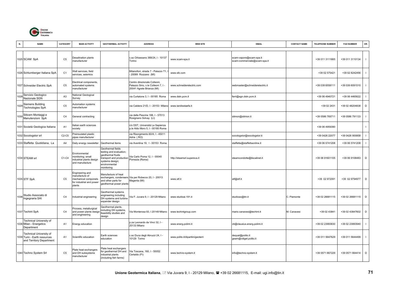

| N.   | <b>NAME</b>                                                                         | CATEGORY                       | <b>MAIN ACTIVITY</b>                                                                            | <b>GEOTHERMAL ACTIVITY</b>                                                                                                                      | <b>ADDRESS</b>                                                                                   | <b>WEB SITE</b>                 | <b>EMAIL</b>                                            | <b>CONTACT NAME</b> | <b>TELEPHONE NUMBER</b> | <b>FAX NUMBER</b> | OR.          |
|------|-------------------------------------------------------------------------------------|--------------------------------|-------------------------------------------------------------------------------------------------|-------------------------------------------------------------------------------------------------------------------------------------------------|--------------------------------------------------------------------------------------------------|---------------------------------|---------------------------------------------------------|---------------------|-------------------------|-------------------|--------------|
|      | 1025 SCAM SpA                                                                       | C <sub>5</sub>                 | Desalination plants<br>manufacturer                                                             |                                                                                                                                                 | c.so Orbassano 368/24, I - 10137<br>Torino                                                       | www.scam-spa.it                 | scam-vapore@scam-spa.it<br>scam-commerciale@scam-spa.it |                     | +39 011 3111665         | +39 011 3110134   | $\mathbf{I}$ |
|      | 1026 Schlumberger Italiana SpA                                                      | C <sub>1</sub>                 | Well services, field<br>services, seismics                                                      |                                                                                                                                                 | Milanofiori, strada 7 - Palazzo T1<br>20089 Rozzano (MI)                                         | www.slb.com                     |                                                         |                     | +39 02 575421           | +39 02 8242456    |              |
|      | 1027 Schneider Electric SpA                                                         | C <sub>5</sub>                 | Electrical components,<br>automated systems<br>manufacturer                                     |                                                                                                                                                 | Centro direzionale Colleoni,<br>Palazzo Sirio, v.le Colleoni 7, I -<br>20041 Agrate Brianza (MI) | www.schneiderelectric.com       | webmaster@schneiderelectric.it                          |                     | +39 039 6558111         | +39 039 6091510   | $\mathbf{I}$ |
| 102  | Servizio Geologico<br>Nazionale SGN                                                 | A <sub>3</sub>                 | <b>National Geological</b><br>Survey                                                            |                                                                                                                                                 | via Curtatone 3, I - 00185 Roma                                                                  | www.dstn.pcm.it                 | ferri@sgn.dstn.pcm.it                                   |                     | +39 06 4940721          | +39 06 4465622    | $\mathbf{I}$ |
| 1029 | Siemens Building<br>Technologies SpA                                                | C <sub>5</sub>                 | Automation systems<br>manufacturer                                                              |                                                                                                                                                 | via Caldera 21/D, I - 20153 Milano                                                               | www.landisstaefa.it             |                                                         |                     | +39 02 2431             | +39 02 48204838   | D            |
| 1030 | Siticem Montaggi e<br>Manutenzioni SpA                                              | C <sub>4</sub>                 | General contracting                                                                             |                                                                                                                                                 | via delle Pescine 188, I - 57013<br>Rosignano Solvay (LI)                                        |                                 | sitmon@sitmon.it                                        |                     | +39 0586 769711         | +39 0586 791133   | $\mathbf{I}$ |
|      | 1031 Società Geologica Italiana                                                     | A1                             | talian earth sciences<br>society                                                                |                                                                                                                                                 | c/o DST, Università La Sapienza<br>p.le Aldo Moro 5, I - 00185 Roma                              |                                 |                                                         |                     | +39 06 4959390          |                   | $\mathbf{I}$ |
|      | 1032 Socologstor srl                                                                | C <sub>2</sub> -C <sub>5</sub> | Preinsulated plastic<br>pipes manufacturer                                                      |                                                                                                                                                 | via Risorgimento 60/A, I - 45011<br>Adria (RO)                                                   |                                 | socologstor@socologstor.it                              |                     | +39 0426 22077          | +39 0426 900858   | $\mathbf{I}$ |
|      | 1033 Staffetta Quotidiana, La                                                       | A <sub>4</sub>                 | Daily energy newsletter                                                                         | Geothermal items                                                                                                                                | via Aventina 19, I - 00153 Roma                                                                  |                                 | staffetta@staffettaonline.it                            |                     | +39 06 5741208          | +39 06 5741208    | $\mathbf{I}$ |
|      | 1034 STEAM srl                                                                      | C1-C4                          | Environmental<br>monitoring; small<br>ndustrial plants design<br>and manufacture                | Geothermal fields<br>testing and evaluation;<br>geothermal fluids<br>transport and production<br>systems design;<br>environmental<br>monitoring | Via Carlo Poma 12, I - 00040<br>Pomezia (Roma)                                                   | http://steamsrl.supereva.it     | steamcondotte@tiscalinet.it                             |                     | +39 06 91601105         | +39 06 9108483    | D            |
|      | 1035 STF SpA                                                                        | C <sub>5</sub>                 | Engineering and<br>manufacture of<br>mechanical componets<br>for industrial and power<br>plants | Manufacture of heat<br>and other parts for<br>geothermal power plants                                                                           | exchangers, condensers Via per Robecco 20, I - 20013<br>Magenta (MI)                             | www.stf.it                      | stf@stf.it                                              |                     | +39 02 972091           | +39 02 9794977    | D            |
| 1036 | Studio Associato di<br>Ingegnaria SAI                                               | C <sub>4</sub>                 | Industrial engineering                                                                          | Geothermal systems<br>engineering including<br>DH systems and turbine<br>expander design                                                        | Via F. Juvara 9, I - 20129 Milano                                                                | www.studioai.191.it             | studioax@tin.it                                         | C. Piemonte         | +39 02 26681115         | +39 02 26681115   | D            |
|      | 1037 Techint SpA                                                                    | C <sub>4</sub>                 | Process, metallurgical<br>and power plants design<br>and engineering                            | Geothermal plants,<br>ncluding DH systems,<br>easibility studies and<br>design                                                                  | Via Monterosa 93, I 20149 Milano                                                                 | www.techintgroup.com            | mario.canavesi@techint.it                               | M. Canavesi         | +39 02 43841            | +39 02 43847602   | D            |
|      | Technical University of<br>1038 Milan - Energetics<br>Department                    | A1                             | Energy education                                                                                |                                                                                                                                                 | p.za Leonardo da Vinci 32, I -<br>20133 Milano                                                   | www.energ.polimi.it             | cti@clausius.energ.polimi.it                            |                     | +39 02 23993830         | +39 02 23993940   |              |
|      | Technical University of<br>1039 Turin - Earth resources<br>and Territory Department | A <sub>1</sub>                 | Scientific education                                                                            | Earth sciences<br>education                                                                                                                     | c.so Duca degli Abruzzi 24, I -<br>10129 Torino                                                  | www.polito.it/dipartim/geoterri | dequal@polito.it<br>geam@vdiget.polito.it               |                     | +39 011 5647629         | +39 011 5644499   | $\mathbf{I}$ |
|      | 1040 Techno System Srl                                                              | C <sub>5</sub>                 | Plate heat exchangers<br>and DH subsystems<br>manufacturer                                      | Plate heat exchangers<br>for geothermal DH and<br>industrial plants<br>(including fish farms)                                                   | Via Toscana, 160, I - 50052<br>Certaldo (FI)                                                     | www.techno-system.it            | info@techno-system.it                                   |                     | +39 0571 667229         | +39 0571 664414   | D            |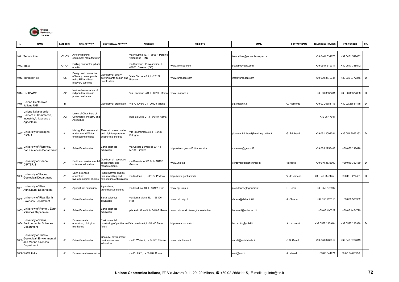

| N.   | <b>NAME</b>                                                                              | CATEGORY                       | <b>MAIN ACTIVITY</b>                                                                   | <b>GEOTHERMAL ACTIVITY</b>                                                | <b>ADDRESS</b>                                           | <b>WEB SITE</b>                      | <b>EMAIL</b>                         | <b>CONTACT NAME</b> | <b>TELEPHONE NUMBER</b> | <b>FAX NUMBER</b> | OR.          |
|------|------------------------------------------------------------------------------------------|--------------------------------|----------------------------------------------------------------------------------------|---------------------------------------------------------------------------|----------------------------------------------------------|--------------------------------------|--------------------------------------|---------------------|-------------------------|-------------------|--------------|
|      | 1041 Tecnoclima                                                                          | C <sub>2</sub> -C <sub>5</sub> | Air conditioning<br>equipment manufacturer                                             |                                                                           | via Industria 19, I - 38057 Pergine<br>Valsugana (TN)    |                                      | tecnoclima@tecnoclimaspa.com         |                     | +39 0461 531676         | +39 0461 512432   | $\mathbf{I}$ |
|      | 1042 Trevi                                                                               | C1-C4                          | Drilling contractor, pillars<br>erection                                               |                                                                           | ia Dismano, Pievesestina I -<br>47023 Cesena (FO)        | www.trevispa.com                     | trevi@trevispa.com                   |                     | +39 0547 319311         | +39 0547 318542   | $\mathbf{I}$ |
|      | 1043 Turboden srl                                                                        | C <sub>5</sub>                 | esign and costruction<br>of binary power plants<br>sing RE and heat<br>ecovery systems | <b>Geothermal binary</b><br>power plants design and<br>construction       | Viale Stazione 23, I - 25122<br><b>Brescia</b>           | www.turboden.com                     | info@turboden.com                    |                     | +39 030 3772341         | +39 030 3772346   | D            |
|      | 1044 UNAPACE                                                                             | A <sub>2</sub>                 | lational association of<br>ndipendent electric<br>power producers                      |                                                                           | Via Ombrone 2/G, I - 00198 Roma                          | www.unapace.it                       |                                      |                     | +39 06 8537281          | +39 06 85372838   | D            |
| 1045 | Unione Geotermica<br>Italiana UGI                                                        | $\overline{B}$                 |                                                                                        | Geothermal promotion                                                      | Via F. Juvara 91 - 20129 Milano                          |                                      | ugi.info@tin.it                      | C. Piemonte         | +39 02 26681115         | +39 02 26681115   | D            |
| 1046 | Unione Italiana delle<br>Camere di Commercio,<br>Industria, Artigianato e<br>Agricoltura | A <sub>2</sub>                 | Jnion of Chambers of<br>Commerce, Industry and<br>Agriculture                          |                                                                           | .za Sallustio 21, I - 00187 Roma                         |                                      |                                      |                     | +39 06 47041            |                   | $\mathbf{I}$ |
|      | University of Bologna,<br>$1047$ DICMA                                                   | A <sub>1</sub>                 | Mining, Petroelum and<br>underground Water<br>engineering studies                      | Thermal mineral water<br>and high temperature<br>geothermal studies       | le Risorgimento 2, I - 40136<br>Bologna                  |                                      | giovanni.brighenti@mail.ing.unibo.it | G. Brighenti        | +39 051 2093381         | +39 051 2093392   | D            |
| 1048 | University of Florence,<br>Earth sciences Department                                     | A <sub>1</sub>                 | Scientific education                                                                   | Earth sciences<br>education                                               | via Cesare Lombroso 6/17, I -<br>50134 Firenze           | http://steno.geo.unifi.it/index.html | malesani@geo.unifi.it                |                     | +39 055 2757483         | +39 055 218628    | $\mathbf{I}$ |
|      | 1049 University of Genoa,<br>DIPTERIS                                                    | A <sub>1</sub>                 | Earth and environmenta<br>sciences education                                           | Geothermal resources<br>assessment and<br>neasurements                    | ia Benedetto XV, 5, I - 16132<br>Genova                  | www.unige.it                         | verdoya@dipteris.unige.it            | Verdoya             | +39 010 3538090         | +39 010 352169    | D            |
| 050  | University of Padoa,<br>Geological Department                                            | A <sub>1</sub>                 | Earth sciences<br>education:<br>nydrogeological studies                                | Hydrothermal studies;<br>field modelling and<br>exploitation optimization | ria Rudena 3, I - 35137 Padova                           | http://www.geol.unipd.it             |                                      | V. de Zanche        | +39 049 8274450         | +39 049 8274451   | D            |
| 1051 | Jniversity of Pisa,<br>Agricultural Department                                           | A1                             | Agricultural education                                                                 | Agriculture,<br>greenhouses studies                                       | ria Carducci 40, I - 56127 Pisa                          | www.agr.unipi.it                     | presidenza@agr.unipi.it              | G. Serra            | +39 050 578597          |                   | $\mathbf{I}$ |
| 1052 | University of Pisa, Earth<br>Sciences Department                                         | A <sub>1</sub>                 | Scientific education                                                                   | Earth sciences<br>education                                               | ia Santa Maria 53, I - 56126<br>Pisa                     | www.dst.unipi.it                     | sbrana@dst.unipi.it                  | . Sbrana            | +39 050 920115          | +39 050 500932    | $\mathbf{I}$ |
| 1053 | University of Rome I, Earth<br>sciences Department                                       | A <sub>1</sub>                 | Scientific education                                                                   | Earth sciences<br>education                                               | p.le Aldo Moro 5, I - 00185 Roma                         | www.uniroma1.it/energ/index-ita.htm  | bertolotti@uniroma1.it               |                     | +39 06 490329           | +39 06 4454729    | $\mathbf{I}$ |
|      | University of Siena,<br>1054 Environmental Sciences<br>Department                        | A1                             | Environmental<br>education; biological<br>monitoring                                   | Environmental<br>fields                                                   | nonitoring of geothermal Via Laterina 8, I - 53100 Siena | http://www.dst.unisi.it              | lazzarotto@unisi.it                  | . Lazzarotto        | +39 0577 233940         | +39 0577 233938   | $\mathsf D$  |
| 1055 | University of Trieste,<br>Geological, Environmental<br>and Marine sciences<br>Department | A1                             | Scientific education                                                                   | Geology, environment,<br>narine sciences<br>education                     | via E. Weiss 2. I - 34127 Trieste                        | www.univ.trieste.it                  | carulli@univ.trieste.it              | G.B. Carulli        | +39 040 6762019         | +39 040 6762019   | $\mathbf{I}$ |
|      | 1056 WWF Italia                                                                          | A1                             | Environment association                                                                |                                                                           | ria Po 25/C, I - 00198 Roma                              |                                      | wwf@wwf.it                           | . Masullo           | +39 06 844971           | +39 06 84497236   | $\mathbf{I}$ |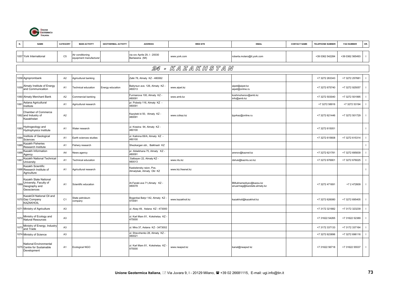

| N.   | <b>NAME</b>                                                                          | CATEGORY       | <b>MAIN ACTIVITY</b>                       | <b>GEOTHERMAL ACTIVITY</b> | <b>ADDRESS</b>                                      | <b>WEB SITE</b>    | <b>EMAIL</b>                                          | <b>CONTACT NAME</b> | <b>TELEPHONE NUMBER</b> | <b>FAX NUMBER</b> | OR.            |
|------|--------------------------------------------------------------------------------------|----------------|--------------------------------------------|----------------------------|-----------------------------------------------------|--------------------|-------------------------------------------------------|---------------------|-------------------------|-------------------|----------------|
|      | 1057 York International                                                              | C <sub>5</sub> | Air conditioning<br>equipment manufacturer |                            | via xxv Aprile 29, I - 20030<br>Barlassina (MI)     | www.york.com       | roberta.molaro@it.york.com                            |                     | +39 0362 542284         | +39 0362 565493   | $\blacksquare$ |
|      |                                                                                      |                |                                            |                            |                                                     | 24 - KAZAKHSTAN    |                                                       |                     |                         |                   |                |
|      | 1058 Agroprombank                                                                    | A2             | Agricultural banking                       |                            | Zalki 78, Almaty KZ - 480062                        |                    |                                                       |                     | +7 3272 263343          | +7 3272 257681    |                |
|      | 1059 Almaty Institute of Energy<br>and Communication                                 | A <sub>1</sub> | <b>Fechnical education</b>                 | Energy education           | Baityrsun ave. 126, Almaty KZ -<br>480013           | www.aipet.kz       | aipet@aipet.kz<br>aipet@online.ru                     |                     | +7 3272 675740          | +7 3272 925057    |                |
|      | 1060 Almaty Merchant Bank                                                            | A2             | Commercial banking                         |                            | Furmanova 100, Almaty KZ -<br>480091                | www.amb.kz         | koshmuhanov@amb.kz<br>info@amb.kz                     |                     | +7 3272 503040          | +7 3272 501995    | -1             |
| 106  | Astana Agricultural<br>Institute                                                     | A <sub>1</sub> | Agricultural research                      |                            | pr. Pobedy 116, Almaty KZ -<br>480091               |                    |                                                       |                     | +7 3272 58916           | +7 3272 53194     |                |
|      | Chamber of Commerce<br>1062 and Industry of<br>Kazakhstan                            | A2             |                                            |                            | Kazybek bi 50, Almaty KZ -<br>480091                | www.ccikaz.kz      | tpprkaz@online.ru                                     |                     | +7 3272 621446          | +7 3272 501729    |                |
| 1063 | Hydrogeology and<br>Hydrophysics Institute                                           | A1             | Water research                             |                            | ul. Krasina 94, Almaty KZ -<br>480100               |                    |                                                       |                     | +7 3272 615051          |                   |                |
| 1064 | Institute of Geological<br>Sciences                                                  | A <sub>1</sub> | Earth sciences studies                     |                            | ul. Kalinina 69/A, Almaty KZ -<br>480100            |                    |                                                       |                     | +7 3272 615608          | +7 3272 615314    | $\blacksquare$ |
| 1065 | Kazakh Fisheries<br>Research Institute                                               | A <sub>1</sub> | Fishery research                           |                            | Shezkargan obl., Balkhash KZ                        |                    |                                                       |                     |                         |                   |                |
| 1066 | Kazakh Information<br>Agency                                                         | A <sub>4</sub> | News agency                                |                            | pr. Ablaikhana 75, Almaty KZ -<br>480091            |                    | arenov@kaznet.kz                                      |                     | +7 3272 621781          | +7 3272 695839    | $\blacksquare$ |
| 106  | Kazakh National Technical<br>University                                              | A <sub>1</sub> | <b>Fechnical education</b>                 |                            | Satbayev 22, Almaty KZ -<br>180013                  | www.ntu.kz         | dshuk@kazntu.sci.kz                                   |                     | +7 3272 676901          | +7 3272 676025    | - 1            |
|      | Kazakh Scientific<br>1068 Research Institute of<br>Agriculture                       | A1             | Agricultural research                      |                            | Kaskelensky raion, Pos.<br>Almalybak, Almaty Obl KZ | www.kiz.freenet.kz |                                                       |                     |                         |                   | $\mathbf{I}$   |
|      | Kazakh State National<br>1069 University, Faculty of<br>Geography and<br>Geosciences | A <sub>1</sub> | Scientific education                       |                            | Al-Farabi ave 71, Almaty KZ -<br>480078             |                    | BMukhamediyev@kazsu.kz<br>anuarmag@kazstate.almaty.kz |                     | +7 3272 471691          | +7 2 472609       | $\blacksquare$ |
|      | KazakOil National Oil and<br>1070 Gaz Company<br>KAZAKHOIL                           | C <sub>1</sub> | State petroleum<br>company                 |                            | Bogenbai Batyr 142, Almaty KZ -<br>470091           | www.kazakhoil.kz   | kazakhoil@kazakhoil.kz                                |                     | +7 3272 626080          | +7 3272 695405    |                |
|      | 1071 Ministry of Agriculture                                                         | A <sub>3</sub> |                                            |                            | ul. Abay 49, Astana KZ - 473000                     |                    |                                                       |                     | +7 3172 321882          | +7 3172 323239    | - 1            |
|      | Ministry of Ecology and<br>1072 Natural Resources                                    | A <sub>3</sub> |                                            |                            | ul. Karl Marx 81, Kokshetau KZ<br>475000            |                    |                                                       |                     | +7 31622 54265          | +7 31622 52389    |                |
|      | 1073 Ministry of Energy, Industry<br>and Trade                                       | A <sub>3</sub> |                                            |                            | ul. Mira 37, Astana KZ - 3473002                    |                    |                                                       |                     | +7 3172 337133          | +7 3172 337164    | $\blacksquare$ |
|      | 1074 Ministry of Science                                                             | A <sub>3</sub> |                                            |                            | ul. Shevchenko 28, Almaty KZ -<br>480021            |                    |                                                       |                     | +7 3272 623896          | +7 3272 696116    | $\blacksquare$ |
|      | National Environmental<br>1075 Centre for Sustainable<br>Development                 | A <sub>1</sub> | Ecological NGO                             |                            | ul. Karl Marx 81, Kokshetau KZ -<br>475000          | www.neapsd.kz      | kanat@neapsd kz                                       |                     | +7 31622 56718          | +7 31622 55537    | -1             |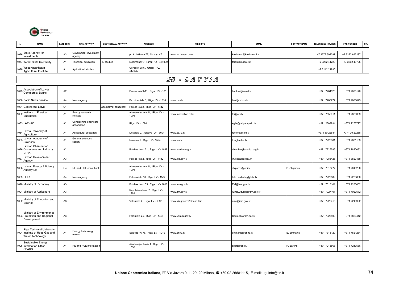

| N.   | <b>NAME</b>                                                                       | <b>CATEGORY</b> | <b>MAIN ACTIVITY</b>                  | <b>GEOTHERMAL ACTIVITY</b> | <b>ADDRESS</b>                         | <b>WEB SITE</b>             | <b>EMAIL</b>            | <b>CONTACT NAME</b> | <b>TELEPHONE NUMBER</b> | <b>FAX NUMBER</b> | OR.            |
|------|-----------------------------------------------------------------------------------|-----------------|---------------------------------------|----------------------------|----------------------------------------|-----------------------------|-------------------------|---------------------|-------------------------|-------------------|----------------|
| 1076 | State Agency for<br>Investments                                                   | A <sub>3</sub>  | Government investment<br>agency       |                            | pr. Ablakhana 77, Almaty KZ            | www.kazinvest.com           | kazinvest@kazinvest.kz  |                     | +7 3272 692297          | +7 3272 692237    |                |
|      | 1077 Tarazi State University                                                      | A <sub>1</sub>  | Fechnical education                   | <b>RE</b> studies          | Suleimanov 7, Taraz KZ - 484039        |                             | targu@nursat.kz         |                     | +7 3262 44220           | +7 3262 49725     |                |
| 1078 | West Kazakhstan<br>Agricultural Institute                                         | A <sub>1</sub>  | Agricultural studies                  |                            | Gorodok SKhl, Uralsk KZ-<br>417025     |                             |                         |                     | +7 3112 21930           |                   | $\blacksquare$ |
|      |                                                                                   |                 |                                       |                            |                                        | 25 - LATVIA                 |                         |                     |                         |                   |                |
|      |                                                                                   |                 |                                       |                            |                                        |                             |                         |                     |                         |                   |                |
| 1079 | Association of Latvian<br><b>Commercial Banks</b>                                 | A <sub>2</sub>  |                                       |                            | Perses iela 9-11, Riga LV - 1011       |                             | bankas@latnet.lv        |                     | +371 7284528            | +371 7828170      |                |
|      | 1080 Baltic News Service                                                          | A4              | <b>Vews agency</b>                    |                            | Baznicas iela 8, Riga LV - 1010        | www.bns.lv                  | bns@rb.bns.lv           |                     | +371 7288777            | +371 7860025      |                |
|      | 1081 Geotherma Latvia                                                             | C1              |                                       | Geothermal consultant      | Perses iela 2, Riga LV - 1442          |                             |                         |                     |                         |                   |                |
| 1082 | Institute of Physical<br>Energetics                                               | A <sub>1</sub>  | Energy research<br>institute          |                            | Aizkraukles iela 21, Riga LV -<br>1006 | www.innovation.lv/fei       | fei@edi.lv              |                     | +371 7552011            | +371 7820339      | $\blacksquare$ |
|      | 1083 LATVAC                                                                       | A2              | Conditioning engineers<br>association |                            | Riga LV - 1098                         |                             | egils@latipa.apollo.lv  |                     | +371 2369934            | +371 2273727      | $\blacksquare$ |
| 084  | Latvia University of<br>Agriculture                                               | A <sub>1</sub>  | Agricultural education                |                            | Liela iela 2, Jelgava LV - 3001        | www.cs.llu.lv               | rector@cs.llu.lv        |                     | +371 30 22584           | +371 30 27238     | $\blacksquare$ |
| 085  | Latvian Academy of<br>Sciences                                                    | A <sub>1</sub>  | General sciences<br>society           |                            | laukums 1, Riga LV - 1524              | www.lza.lv                  | Iza@ac.Iza.lv           |                     | +371 7225361            | +371 7821153      |                |
|      | Latvian Chamber of<br>1086 Commerce and Industry<br>TRK                           | A <sub>2</sub>  |                                       |                            | Brivibas bulv. 21, Riga LV - 1849      | www.sun.lcc.org.lv          | chamber@sun.lcc.org.lv  |                     | +371 7225595            | +371 7820092      | $\blacksquare$ |
| 108  | Latvian Development<br>Agency                                                     | A <sub>3</sub>  |                                       |                            | Perses iela 2, Riga LV - 1442          | www.lda.gov.lv              | invest@lda.gov.lv       |                     | +371 7283425            | +371 8820458      |                |
| 1088 | Latvian Energy Efficiency<br>Agency Ltd                                           | C4              | RE and RUE consultant                 |                            | Aizkraukles iela 21, Riga LV -<br>1006 |                             | shipkovs@edi.lv         | P. Shipkovs         | +371 7013277            | +371 7013266      | $\blacksquare$ |
|      | 1089 LETA                                                                         | A4              | News agency                           |                            | Palasta iela 10, Riga LV - 1502        |                             | leta.marketing@leta.lv  |                     | +371 7222509            | +371 7223850      | $\mathbf{I}$   |
|      | 1090 Ministry of Economy                                                          | A <sub>3</sub>  |                                       |                            | Brivibas bulv. 55, Riga LV - 1010      | www.lem.gov.lv              | EM@lem.gov.lv           |                     | +371 7013101            | +371 7280882      | $\blacksquare$ |
|      | 1091 Ministry of Agriculture                                                      | A <sub>3</sub>  |                                       |                            | Republikas lauk. 2, Riga LV -<br>1981  | www.zm.gov.lv               | Ginta.Uzulina@zm.gov.lv |                     | +371 7027107            | +371 7027512      |                |
| 1092 | Ministry of Education and<br>Science                                              | A <sub>3</sub>  |                                       |                            | Valnu iela 2, Riga LV - 1098           | www.iclug.lv/izm/e/head.htm | enic@izm.gov.lv         |                     | +371 7222415            | +371 7213992      | $\blacksquare$ |
|      | Ministry of Environmental<br>1093 Protection and Regional<br>Development          | A <sub>3</sub>  |                                       |                            | Peldu iela 25, Riga LV - 1494          | www.varam.gov.lv            | Saule@varqm.gov.lv      |                     | +371 7026400            | +371 7820442      | $\blacksquare$ |
|      | Riga Technical University,<br>1094 Institute of Heat, Gas and<br>Water Technology | A <sub>1</sub>  | Energy technology<br>research         |                            | Salacas 16-76, Riga LV - 1019          | www.bf.rtu.lv               | eihmanis@bf.rtu.lv      | . Eihmanis          | +371 7313120            | +371 7821234      | $\blacksquare$ |
|      | Sustainable Energy<br>1095 Information Office<br><b>SPARS</b>                     | A1              | RE and RUE information                |                            | Akademijas Lavik 1, Riga LV -<br>1050  |                             | spars@bkc.lv            | P. Barons           | +371 7213566            | +371 7213566      | $\blacksquare$ |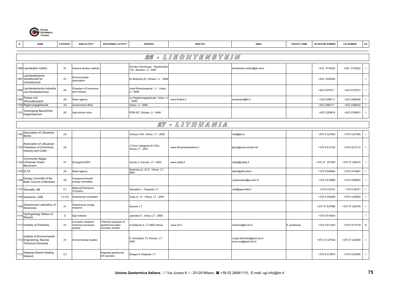

| N.   | <b>NAME</b>                                                                           | CATEGORY       | <b>MAIN ACTIVITY</b>                                 | <b>GEOTHERMAL ACTIVITY</b>                                     | <b>ADDRESS</b>                                            | <b>WEB SITE</b>          | <b>EMAIL</b>                                            | <b>CONTACT NAME</b> | <b>TELEPHONE NUMBER</b> | <b>FAX NUMBER</b> | OR.                      |
|------|---------------------------------------------------------------------------------------|----------------|------------------------------------------------------|----------------------------------------------------------------|-----------------------------------------------------------|--------------------------|---------------------------------------------------------|---------------------|-------------------------|-------------------|--------------------------|
|      |                                                                                       |                |                                                      |                                                                |                                                           |                          |                                                         |                     |                         |                   |                          |
|      |                                                                                       |                |                                                      |                                                                |                                                           | 26 - LIEGHTENSTEIN       |                                                         |                     |                         |                   |                          |
|      | 1096 Liechtestein Institut                                                            | A1             | General studies institute                            |                                                                | Auf dem Kirchhugel, Oberbendern<br>134, Bendern LI - 9487 |                          | liechtestein-institut@lie-net.li                        |                     | +423 3733022            | +423 3735422      | $\mathbf{I}$             |
|      | Liechtesteinische<br>1097 Gesellschaft fur<br>Umweltschutz                            | A1             | Environmental<br>association                         |                                                                | m Bretscha 22, Schaan LI - 9494                           |                          |                                                         |                     | +423 2325262            |                   | $\mathbf{I}$             |
| 098  | Liechtesteinische Industrie<br>und Handelskammer                                      | A2             | Chamber of Commerce<br>and Industry                  |                                                                | Josef Rheinbergerstr. 11, Vaduz<br>-l - 9490              |                          |                                                         |                     | +423 2375511            | +423 2375512      | $\overline{\phantom{a}}$ |
| 1099 | Presse und<br>Informationsamt                                                         | A4             | <b>Vews agency</b>                                   |                                                                | c/o Regierungsgebaude, Vaduz L<br>9490                    | www.firstlink.li         | presseamt@llv.li                                        |                     | +423 2366111            | +423 2366460      |                          |
|      | 1100 Regierungsgebaude                                                                | A <sub>3</sub> | Government office                                    |                                                                | Vaduz LI - 9490                                           |                          |                                                         |                     | +423 2366111            | +423 2366022      |                          |
| 1101 | Vereinigung Bauerlicher<br>Organisationen                                             | A <sub>2</sub> | Agricultural union                                   |                                                                | POB 467, Schaan LI - 9494                                 |                          |                                                         |                     | +423 2329614            | +423 2329631      | $\mathbf{I}$             |
|      |                                                                                       |                |                                                      |                                                                |                                                           | 27 - LITHUANIA           |                                                         |                     |                         |                   |                          |
| 1102 | Association of Lithuanian<br><b>Banks</b>                                             | A2             |                                                      |                                                                | Vilniaus 4/35, Vilnius LT - 2600                          |                          | mail@lba.lt                                             |                     | +370 5 227063           | +370 5 227065     | $\mathbf{I}$             |
|      | Association of Lithuanian<br>1103 Chambers of Commerce,<br>Industry and Crafts        | A2             |                                                      |                                                                | J-Tumo Vaizganto 9/1-63a,<br>Vilnius LT - 2001            | www.lithuaniachambers.lt | Ippra@post.omnitel.net                                  |                     | +370 5 612102           | +370 5 612112     | $\mathbf{I}$             |
|      | Community Atgaja-<br>1104 Lithuanian Green<br>Movement                                | A1             | Ecological NGO                                       |                                                                | Jezuitu 3, Kaunas LT - 3000                               | www.zalieji.lt           | zalieji@zalieji.lt                                      |                     | +370 37 207250          | +370 37 209274    |                          |
|      | 1105 ELTA                                                                             | A4             | News agency                                          |                                                                | Gedimino pr. 21/2, Vilnius LT -<br>2600                   |                          | eltars@elta.elta.lt                                     |                     | +370 5 628864           | +370 5 619507     | $\overline{1}$           |
|      | 1106 Energy Committe of the<br>Baltic Council of Ministers                            | A <sub>5</sub> | htergovernmental<br>energy committee                 |                                                                |                                                           |                          | .kazlauskas@po.ekm.lt.                                  |                     | +370 5 610669           | +370 5 626845     |                          |
|      | 1107 Geonafta AB                                                                      | C <sub>1</sub> | <b>Vational Petroleom</b><br>Company                 |                                                                | Gamyklos 1, Gargzdai LT                                   |                          | mail@geonafta.lt                                        |                     | +370 6 53141            | +370 6 55371      | $\mathbf{I}$             |
|      | 1108 Geoterma UAB                                                                     | C1-C4          | Geothermal consultant                                |                                                                | Zveju st. 14, Vilnius LT - 2600                           |                          |                                                         |                     | +370 5 225009           | +370 5 225963     | $\mathbf{I}$             |
| 1109 | Greenhouse Laboratory of<br>Neveronys                                                 | A <sub>1</sub> | Greenhouse energy<br>esearch                         |                                                                | Kaunas LT                                                 |                          |                                                         |                     | +370 37 537888          | +370 37 224418    |                          |
| 111  | Hydrogeology Station of<br>Resorts                                                    | $\mathsf D$    | Spa institute                                        |                                                                | Jasinskio 9, Vilnius LT - 2600                            |                          |                                                         |                     | +370 5 614930           |                   | $\mathbf{I}$             |
|      | 1111 Institute of Chemistry                                                           | A1             | Corrosion research:<br>chemical processes<br>studies | Chemical analyses of<br>geothermal water;<br>corrosion studies | A.Goštauto 9, LT-2600 Vilnius                             | www.chi.lt               | chemins@ktl.mii.lt                                      | E.Juzeliūnas        | +370 5 611543           | +370 5 617018     | D                        |
|      | Institute of Environmental<br>1112 Engineering, Kaunas<br><b>Technical University</b> | A <sub>1</sub> | Environmental studies                                |                                                                | <. Donelaicio 73, Kaunas LT -<br>3006                     |                          | Jurgis.Staniskis@apini.ktu.lt<br>envir.eng@apini.ktu.lt |                     | +370 37 227044          | +370 37 202640    | $\mathbf{I}$             |
| 1113 | Klaipeda District Heating<br>Network                                                  | C <sub>3</sub> |                                                      | Klapeida geothermal<br>DH operator                             | Danges 8, Klaipeda LT                                     |                          |                                                         |                     | +370 6 213672           | +370 6 254560     | $\perp$                  |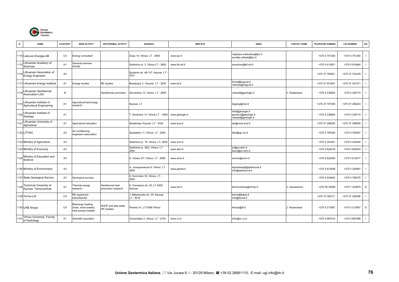

| N.   | <b>NAME</b>                                            | <b>CATEGORY</b> | <b>MAIN ACTIVITY</b>                                              | <b>GEOTHERMAL ACTIVITY</b>                 | <b>ADDRESS</b>                           | <b>WEB SITE</b> | <b>EMAIL</b>                                                    | <b>CONTACT NAME</b> | <b>TELEPHONE NUMBER</b> | <b>FAX NUMBER</b> | OR.          |
|------|--------------------------------------------------------|-----------------|-------------------------------------------------------------------|--------------------------------------------|------------------------------------------|-----------------|-----------------------------------------------------------------|---------------------|-------------------------|-------------------|--------------|
|      | 1114 Lietuvos Energija AB                              | C <sub>4</sub>  | Energy consultant                                                 |                                            | Zveju 14, Vilnius LT - 2600              | www.lpc.lt      | virginijus.zukauskas@lpc.lt<br>aurelija.velkyte@lpc.lt          |                     | +370 5 751340           | +370 5 751340     |              |
| 111! | Lithuanian Academy of<br>Sciences                      | A <sub>1</sub>  | General sciences<br>society                                       |                                            | Gedimino pr. 3, Vilnius LT - 2600        | www.ktl.mii.lt  | prezidum@ktl.mii.lt                                             |                     | +370 5 613651           | +370 5 618464     |              |
| 1116 | Lithuanian Association of<br><b>Energy Engineers</b>   | A2              |                                                                   |                                            | Studentu str. 48-137, Kaunas LT<br>3031  |                 |                                                                 |                     | +370 37 765621          | +370 37 754329    |              |
|      | 1117 Lithuanian Energy Institute                       | A <sub>1</sub>  | Energy studies                                                    | RE studies                                 | Breslaujos 3, Kaunas LT - 3035           | www.lei.lt      | birute@isag.lei.lt<br>vilemas@isag.lei.lt                       |                     | +370 37 401801          | +370 37 351271    |              |
| 1118 | Lithuanian Geothermal<br><b>Association LGA</b>        | $\,$ B          |                                                                   | Geothermal promotion                       | Sevcenkos 13, Vilnius LT - 2600          |                 | vitarast@geologin.lt                                            | . Rasteniene        | +370 5 236804           | +370 5 236710     |              |
| 1119 | Lithuanian Institute of<br>Agricultural Engineering    | A <sub>1</sub>  | Agricultural technology<br>research                               |                                            | Kaunas LT                                |                 | liageng@mei.lt                                                  |                     | +370 37 797456          | +370 37 380243    |              |
|      | 1120 Lithuanian Institute of<br>Geology                | A <sub>1</sub>  |                                                                   |                                            | Sevenkos 13, Vilnius LT - 2600           | www.geologin.lt | info@geologin.lt<br>gmotura@geologin.lt<br>vitarast@geologin.lt |                     | +370 5 236804           | +370 5 236710     |              |
| 112  | Lithuanian University of<br>Agriculture                | A1              | Agricultural education                                            |                                            | Akademija, Kaunas LT - 4324              | www.lzua.lt     | laa@nora.lzua.lt                                                |                     | +370 37 298255          | +370 37 296500    |              |
|      | 1122 LITVAC                                            | A <sub>2</sub>  | Air conditioning<br>engineers association                         |                                            | Sauletekio 11, Vilnius LT - 2054         |                 | lites@ap.vtu.lt                                                 |                     | +370 5 760328           | +370 5 700497     |              |
|      | 1123 Ministry of Agriculture                           | A <sub>3</sub>  |                                                                   |                                            | Gedimino pr. 19, Vilnius LT- 2600        | www.zum.lt      |                                                                 |                     | +370 5 391001           | +370 5 224440     |              |
|      | 1124 Ministry of Economy                               | A <sub>3</sub>  |                                                                   |                                            | Gedimino pr. 38/2, Vilnius LT-<br>2600   | www.ekm.lt      | pr@po.ekm.lt<br>kanc@po.ekm.lt                                  |                     | +370 5 622416           | +370 5 623974     | $\mathbf{I}$ |
|      | 1125 Ministry of Education and<br>Science              | A <sub>3</sub>  |                                                                   |                                            | A. Volano 2/7, Vilnius LT - 2600         | www.smm.lt      | smmin@smm.lt                                                    |                     | +370 5 622483           | +370 5 612077     |              |
|      | 1126 Ministry of Environment                           | A <sub>3</sub>  |                                                                   |                                            | A. Juozapavieiuas 9, Vilnius LT<br>2694  | www.gamta.lt    | kapcelianija@aplinkuma.lt<br>info@aplinkuma.lt                  |                     | +370 5 610558           | +370 5 220847     |              |
|      | 1127 State Geological Service                          | A <sub>3</sub>  | Geological surveys                                                |                                            | S. Konorskio 35, Vilnius LT -<br>2600    |                 |                                                                 |                     | +370 5 634642           | +370 5 706376     |              |
| 1128 | <b>Technical University of</b><br>Kaunas, Termocentras | A <sub>1</sub>  | Thermal energy<br>esearch                                         | Geothermal heat<br>production research     | K. Donelaicio str. 20, LT-3000<br>Kaunas | www.ktu.lt      | termocentras@mf.ktu.lt                                          | . lukosevicius      | +370 99 32069           | +370 7 323879     | D            |
|      | 1129 Terma Ltd                                         | C <sub>5</sub>  | RE equipment<br>nanufacturer                                      |                                            | J. Bakanausko str. 20, Kaunas<br>LT-3018 |                 | terma@takas.lt<br>info@terma.lt                                 |                     | +370 37 392311          | +370 37 392096    |              |
|      | 1130 UAB Alropa                                        | C <sub>4</sub>  | Bioenergy heating<br>(solar, wood waste);<br>heat pumps Installer | SGHP and lake water<br><b>IP</b> installer | Paneriu 51, LT-2006 Vilnius              |                 | Alropa@iti.lt                                                   | . Paulauskas        | +370 5 213067           | +370 5 213067     | D            |
| 113  | Vilnius University, Faculty<br>of Hydrology            | A <sub>1</sub>  | Scientific education                                              |                                            | Universiteto 3, Vilnius LT - 2734        | www.vu.lt       | infor@cr.vu.lt                                                  |                     | +370 5 687010           | +370 5 687096     |              |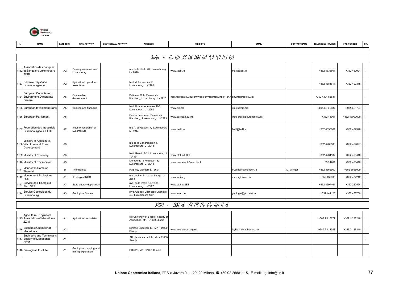

| N.   | <b>NAME</b>                                                                  | CATEGORY       | <b>MAIN ACTIVITY</b>                         | <b>GEOTHERMAL ACTIVITY</b> | <b>ADDRESS</b>                                                         | <b>WEB SITE</b>                                                         | <b>EMAIL</b>               | <b>CONTACT NAME</b> | <b>TELEPHONE NUMBER</b> | <b>FAX NUMBER</b> | OR.            |
|------|------------------------------------------------------------------------------|----------------|----------------------------------------------|----------------------------|------------------------------------------------------------------------|-------------------------------------------------------------------------|----------------------------|---------------------|-------------------------|-------------------|----------------|
|      |                                                                              |                |                                              |                            |                                                                        |                                                                         |                            |                     |                         |                   |                |
|      |                                                                              |                |                                              |                            |                                                                        | 28 - LUXEMBOURG                                                         |                            |                     |                         |                   |                |
|      | <b>Association des Banques</b><br>1132 et Banquiers Luxembourg<br>ABBL       | A <sub>2</sub> | Banking association of<br>uxembourg.         |                            | ue de la Poste 20, Luxembourg<br>$-2010$                               | www.abbl.lu                                                             | mail@abbl.lu               |                     | +352 4636601            | +352 460921       | $\mathbf{I}$   |
| 1133 | Centrale Paysanne<br>Luxembourgeoise                                         | A <sub>2</sub> | Agricultural operators<br>association        |                            | olvd. d' Avranches 16<br>uxembourg L - 2980                            |                                                                         |                            |                     | +352 4881611            | +352 400375       | $\mathbf{I}$   |
|      | European Commission,<br>1134 Environment Directorate<br>General              | A <sub>5</sub> | <b>Sustainable</b><br>development            |                            | Batiment Cub, Plateau de<br>Kirchberg, Luxembourg L - 2920             | http://europa.eu.int/comm/dgs/environment/index_en.h envinfo@cec.eu.int |                            |                     | +352 4301 53537         |                   | $\overline{1}$ |
|      | 1135 European Investment Bank                                                | A <sub>5</sub> | Banking and financing                        |                            | blvd. Konrad Adenauer 100,<br>uxembourg L - 2950                       | www.eib.org                                                             | i.ralet@eib.org            |                     | +352 4379 2687          | +352 437 704      | $\mathbf{I}$   |
|      | 1136 European Parliament                                                     | A <sub>5</sub> |                                              |                            | Centre Européen, Plateau du<br>Kirchberg, Luxembourg L - 2929          | www.europarl.eu.int                                                     | indu-press@europarl.eu.int |                     | +352 43001              | +352 43007009     | $\mathbf{I}$   |
|      | 1137 Federation des Industriels<br>Luxembourgeois FEDIL                      | A <sub>2</sub> | ndustry federation of<br>uxembourg           |                            | ue A. de Gasperi 7, Luxembourg<br>$-1013$                              | www.fedil.lu                                                            | fedil@fedil.lu             |                     | +352 4353661            | +352 432328       | $\mathbf{I}$   |
|      | Ministry of Agriculture,<br>1138 Viticulture and Rural<br>Development        | A <sub>3</sub> |                                              |                            | ue de la Congrégation 1,<br>uxembourg L - 2913                         |                                                                         |                            |                     | +352 4782500            | +352 464027       | $\mathbf{I}$   |
|      | 1139 Ministry of Economy                                                     | A3             |                                              |                            | blvd. Royal 19-21 Luxembourg<br>2449                                   | www.etat.lu/ECOI                                                        |                            |                     | +352 4784137            | +352 460448       |                |
|      | 1140 Ministry of Environment                                                 | A <sub>3</sub> |                                              |                            | Montée de la Pétrusse 18,<br>uxembourg L - 2918                        | www.mev.etat.lu/annu.html                                               |                            |                     | +352 4781               | +352 400410       | $\overline{1}$ |
| 114  | Mondorf le Domaine<br>Thermal                                                | D              | Thermal spa                                  |                            | OB 52, Mondorf L - 5601                                                |                                                                         | m.olinger@mondorf.lu       | M. Olinger          | +352 3666900            | +352 3666909      | $\mathbf{I}$   |
|      | Mouvement Ecologique<br>FOE                                                  | A <sub>1</sub> | Ecological NGO                               |                            | ue Vauban 6, Luxembourg L-<br>2663                                     | www.foei.org                                                            | meco@ci.rech.lu            |                     | +352 439030             | +352 422242       |                |
|      | Service de l' Energie d'<br>Etat SEE                                         | A <sub>3</sub> | State energy departmen                       |                            | ave, de la Porte Neuve 34.<br>uxembourg L - 2227                       | www.etat.lu/SEE                                                         |                            |                     | +352 4697461            | +352 222524       |                |
| 1144 | Service Geologique du<br>Luxembourg                                          | A <sub>3</sub> | Geological Survey                            |                            | blvd. Grande-Duchesse Charlotte<br>43, Luxembourg 1331                 | www.lu.uu.net                                                           | geologie@pch.etat.lu       |                     | +352 444126             | +352 458760       |                |
|      |                                                                              |                |                                              |                            |                                                                        | 29 - MAGEDONIA                                                          |                            |                     |                         |                   |                |
|      | Agricultural Engineers<br>1145 Association of Macedonia<br>ZZIM              | A <sub>1</sub> | Agricultural association                     |                            | c/o University of Skopje, Faculty of<br>Agriculture, MK - 91000 Skopie |                                                                         |                            |                     | +389 2 115277           | +389 1 238218     | $\mathbf{I}$   |
|      | Economic Chamber of<br>Macedonia                                             | A2             |                                              |                            | Dimitrie Cupovski 13, MK - 91000<br>Skopje                             | www.mchamber.org.mk                                                     | ic@ic.mchamber.org.mk      |                     | +389 2 118088           | +389 2 116210     | $\mathbf{I}$   |
|      | <b>Engineers and Technicians</b><br>1147 Society of Macedonia<br><b>SITM</b> | A <sub>1</sub> |                                              |                            | Nikola Vapcarov b.b., MK - 91000<br>Skopje                             |                                                                         |                            |                     |                         |                   | $\mathbf{I}$   |
|      | 1148 Geological Institute                                                    | A1             | Geological mapping and<br>mining exploration |                            | POB 28, MK - 91001 Skopje                                              |                                                                         |                            |                     |                         |                   | $\mathbf{I}$   |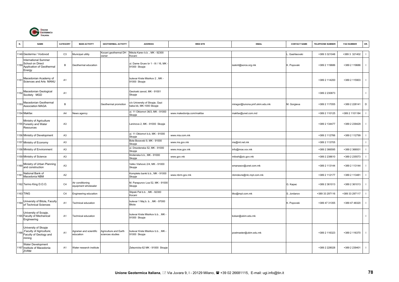

|      | <b>NAME</b>                                                                                 | CATEGORY       | <b>MAIN ACTIVITY</b>                     | <b>GEOTHERMAL ACTIVITY</b>                | <b>ADDRESS</b>                                            | <b>WEB SITE</b>           | <b>EMAIL</b>                   | <b>CONTACT NAME</b> | <b>TELEPHONE NUMBER</b> | <b>FAX NUMBER</b> | OR.                      |
|------|---------------------------------------------------------------------------------------------|----------------|------------------------------------------|-------------------------------------------|-----------------------------------------------------------|---------------------------|--------------------------------|---------------------|-------------------------|-------------------|--------------------------|
|      | 1149 Geoterma / Vodovod                                                                     | C <sub>3</sub> | Municipal utility                        | Cocani geothermal DH<br>owner             | Nikola Karev b.b., MK - 92300<br>Kocani                   |                           |                                | Gashteovski         | +389 3 321048           | +389 3 321402     | $\mathbf{I}$             |
|      | <b>International Summer</b><br>1150 School on Direct<br>Application of Geothermal<br>Energy | B              | Geothermal education                     |                                           | ul. Dame Gruev br 1 - III / 16, MK -<br>91000 Skopje      |                           | isskiril@soros.org.mk          | K. Popovski         | +389 2 119686           | +389 2 119686     | $\mathbf{I}$             |
| 1151 | Macedonian Academy of<br>Sciences and Arts MANU                                             | A <sub>1</sub> |                                          |                                           | bulevar Krste Misirkov 2, MK -<br>91000 Skopje            |                           |                                |                     | +389 2 114200           | +389 2 115903     | $\overline{\phantom{a}}$ |
|      | 1152 Macedonian Geological<br>Socitety MGD                                                  | A <sub>1</sub> |                                          |                                           | Geoloski zavod, MK - 91001<br>Skopje                      |                           |                                |                     | +389 2 230873           |                   | $\mathbf{I}$             |
| 1153 | Macedonian Geothermal<br><b>Association MAGA</b>                                            | $\,$ B         |                                          | Geothermal promotion                      | c/o University of Skopje, Gazi<br>baba bb, MK-1000 Skopje |                           | miragor@iunona.pmf.ukim.edu.mk | M. Gorgieva         | +389 2 117055           | +389 2 228141     | D                        |
|      | 1154 Makfax                                                                                 | A4             | News agency                              |                                           | ul. 11 Oktomvri 36/3, MK - 91000<br>Skopje                | www.makedonija.com/makfax | makfax@unet.com.md             |                     | +389 2 110125           | +389 2 1101184    | $\mathbf{I}$             |
|      | Ministry of Agriculture<br>1155 Forestry and Water<br>Resources                             | A <sub>3</sub> |                                          |                                           | Leninova 2, MK - 91000 Skopje                             |                           |                                |                     | +389 2 134477           | +389 2 239429     | $\mathbf{I}$             |
|      | 1156 Ministry of Development                                                                | A3             |                                          |                                           | ul. 11 Oktomvri b.b, MK - 91000<br>Skopje                 | www.mia.com.mk            |                                |                     | +389 2 112766           | +389 2 112799     |                          |
|      | 1157 Ministry of Economy                                                                    | A <sub>3</sub> |                                          |                                           | Bote Bocevski 9, MK - 91000<br>Skopje                     | www.ms.gov.mk             | ms@mt.net.mk                   |                     | +389 2 113705           |                   | $\mathbf{I}$             |
|      | 1158 Ministry of Environment                                                                | A <sub>3</sub> |                                          |                                           | ul. Drezdenska 52, MK - 91000<br>Skopje                   | www.moe.gov.mk            | info@moe.vov.mk                |                     | +389 2 366595           | +389 2 366931     |                          |
|      | 1159 Ministry of Science                                                                    | A <sub>3</sub> |                                          |                                           | lindenska b.b., MK - 91000<br>Skopje                      | www.gov.mk                | milosh@zic.gov.mk              |                     | +389 2 238610           | +389 2 235573     | $\mathbf{I}$             |
|      | 1160 Ministry of Urban Planning<br>and construction                                         | A3             |                                          |                                           | Velko Vlahovic 2/4, MK - 91000<br>Skopje                  |                           | smanasov@unet.com.mk           |                     | +389 2 113144           | +389 2 113144     |                          |
| 116  | National Bank of<br>Macedonia NBM                                                           | A2             |                                          |                                           | Kompleks banki b.b., MK - 91000<br>Skopje                 | www.nbrm.gov.mk           | nbmdevre@nlc.mpt.com.mk        |                     | +389 2 112177           | +389 2 113481     |                          |
|      | 1162 Termo King D.O.O.                                                                      | C <sub>4</sub> | Air conditioning<br>equipment wholesaler |                                           | M. Parapunov Loa 52, MK - 91000<br>Skopje                 |                           |                                | G. Kapac            | +389 2 361013           | +389 2 361013     | $\mathbf{I}$             |
|      | 1163 TING                                                                                   | C4             | Engineering education                    |                                           | Stipski Pat b.b., MK - 92300<br>Kocani                    |                           | tiko@mpt.com.mk                | S. Jordanov         | +389 33 297116          | +389 33 297117    |                          |
| 1164 | University of Bitola, Faculty<br>of Technical Sciences                                      | A <sub>1</sub> | <b>Technical education</b>               |                                           | bulevar 1 Maj b. b., MK - 97000<br>Bitola                 |                           |                                | K. Popovski         | +389 47 31355           | +389 47 48320     | $\mathbf{I}$             |
|      | University of Scopje,<br>1165 Faculty of Mechanical<br>Engineering                          | A <sub>1</sub> | <b>Fechnical education</b>               |                                           | bulevar Krste Misirkov b.b., MK -<br>91000 Skopje         |                           | kokan@ukim.edu.mk              |                     |                         |                   | $\mathbf{I}$             |
|      | University of Skopje<br>1166 Faculty of Agriculture;<br>Faculty of Geology and<br>mining    | A <sub>1</sub> | Agrarian and scientific<br>education     | Agriculture and Earth<br>sciences studies | bulevar Krste Misirkov b.b., MK -<br>91000 Skopje         |                           | postmaster@ukim.edu.mk         |                     | +389 2 116323           | +389 2 116370     | $\mathbf{I}$             |
|      | <b>Water Development</b><br>1167 Institute of Macedonia<br><b>ZVRM</b>                      | A1             | Water research institute                 |                                           | Zeleznicka 62 MK - 91000 Skopje                           |                           |                                |                     | +389 2 228028           | +389 2 239401     | $\mathbf{I}$             |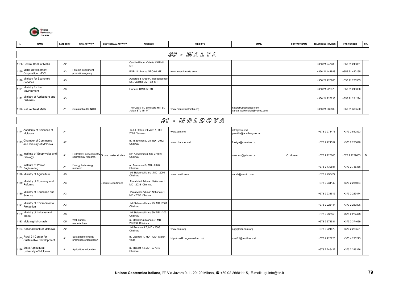

| N.   | <b>NAME</b>                                         | CATEGORY       | <b>MAIN ACTIVITY</b>                           | <b>GEOTHERMAL ACTIVITY</b> | <b>ADDRESS</b>                                             | <b>WEB SITE</b>                                                                             | <b>EMAIL</b>                                         | <b>CONTACT NAME</b> | <b>TELEPHONE NUMBER</b> | <b>FAX NUMBER</b> | OR.                      |
|------|-----------------------------------------------------|----------------|------------------------------------------------|----------------------------|------------------------------------------------------------|---------------------------------------------------------------------------------------------|------------------------------------------------------|---------------------|-------------------------|-------------------|--------------------------|
|      |                                                     |                |                                                |                            |                                                            | 30 - MALTA                                                                                  |                                                      |                     |                         |                   |                          |
|      | 168 Central Bank of Malta                           | A2             |                                                |                            | Castille Place, Valletta CMR 01<br>ИT                      |                                                                                             |                                                      |                     | +356 21 247480          | +356 21 243051    | $\mathbf{I}$             |
|      | Malta Development<br>Corporation MDC                | A <sub>3</sub> | oreign investment<br>promotion agency          |                            | POB 141 Marsa GPO 01 MT                                    | www.investinmalta.com                                                                       |                                                      |                     | +356 21 441888          | +356 21 440165    | $\mathbf{I}$             |
|      | Ministry for Economic<br>Services                   | A <sub>3</sub> |                                                |                            | Auberge d' Aragon, Independence<br>Sq., Valletta CMR 02 MT |                                                                                             |                                                      |                     | +356 21 226263          | +356 21 250955    |                          |
| 117  | Ministry for the<br>Environment                     | A <sub>3</sub> |                                                |                            | Floriana CMR 02 MT                                         |                                                                                             |                                                      |                     | +356 21 222378          | +356 21 243306    |                          |
| 1172 | Ministry of Agriculture and<br>Fisheries            | A <sub>3</sub> |                                                |                            |                                                            |                                                                                             |                                                      |                     | +356 21 225236          | +356 21 231294    | $\mathbf{I}$             |
|      | 1173 Nature Trust Malta                             | A1             | Sustainable life NGO                           |                            | The Oasis 11, Birkirkara Hill, St.<br>Julian STJ 15 MT     | www.naturetrustmalta.org                                                                    | naturetrust@yahoo.com<br>vanya_walkerleigh@yahoo.com |                     | +356 21 389500          | +356 21 389500    | $\mathbf{I}$             |
|      |                                                     |                |                                                |                            |                                                            | $\mathcal{Z} \mathcal{I} = M \mathcal{O} L \mathcal{D} \mathcal{O} \mathcal{V} \mathcal{A}$ |                                                      |                     |                         |                   |                          |
| 117  | Academy of Sciences of                              | A1             |                                                |                            | B-dul Stefan cel Mare 1, MD -<br>2001 Chisinau             | www.asm.md                                                                                  | info@asm.md                                          |                     | +373 2 271478           | +373 2 542823     | $\overline{\phantom{a}}$ |
|      | Moldova                                             |                |                                                |                            |                                                            |                                                                                             | prezidiu@academy.as.md                               |                     |                         |                   |                          |
| 1175 | Chamber of Commerce<br>and Industry of Moldova      | A2             |                                                |                            | Il. M. Eminescu 28, ND - 2012<br>Chisinau                  | www.chamber.md                                                                              | foreign@chamber.md                                   |                     | +373 2 221552           | +373 2 233810     | $\mathbf{I}$             |
| 1176 | Institute of Geophysics and<br>Geology              | A <sub>1</sub> | Hydrology, geochemistry<br>seismology research | Ground water studies       | Str. Academiei 3, MD-277028<br>Chisinau                    |                                                                                             | cmoraru@yahoo.com                                    | C. Moraru           | +373 2 723608           | +373 2 7239663    | D                        |
| 117  | Institute of Power<br>Engineering                   | A <sub>1</sub> | Energy technology<br>esearch                   |                            | Il. Academiei 5, MD - 2028<br>Chisinau                     |                                                                                             |                                                      |                     | +373 2 739887           | +373 2 735386     | $\overline{\phantom{a}}$ |
|      | 1178 Ministry of Agriculture                        | A <sub>3</sub> |                                                |                            | bd Stefan cel Mare, MD - 2001<br>Chisinau                  | www.camib.com                                                                               | camib@camib.com                                      |                     | +373 2 233427           |                   | $\mathbf{I}$             |
| 1179 | Ministry of Economy and<br>Reforms                  | A <sub>3</sub> |                                                | <b>Energy Department</b>   | Piata Marii Adunari Nationale 1,<br>MD - 2033 Chisinau     |                                                                                             |                                                      |                     | +373 2 234142           | +373 2 234064     |                          |
| 1180 | Ministry of Education and<br>Science                | A <sub>3</sub> |                                                |                            | Piata Marii Adunari Nationale 1,<br>MD - 2033 Chisinau     |                                                                                             |                                                      |                     | +373 2 233515           | +373 2 233474     | $\mathbf{I}$             |
| 1181 | Ministry of Environmental<br>Protection             | A <sub>3</sub> |                                                |                            | bd Stefan cel Mare 73, MD -2001<br>Chisinau                |                                                                                             |                                                      |                     | +373 2 225144           | +373 2 233806     | $\overline{\phantom{a}}$ |
| 1182 | Ministry of Industry and<br>Trade                   | A <sub>3</sub> |                                                |                            | bd Stefan cel Mare 69, MD - 2001<br>Chisinau               |                                                                                             |                                                      |                     | +373 2 233556           | +373 2 222473     | $\mathbf{I}$             |
|      | 1183 Moldavghidromash                               | C <sub>5</sub> | <b>Vell pumps</b><br>nanufacturer              |                            | Il. Meshterup Manole 7, MD -<br>277036 Chisinau            |                                                                                             |                                                      |                     | +373 2 371531           | +373 2 374069     |                          |
|      | 1184 National Bank of Moldova                       | A2             |                                                |                            | bd Renasterii 7, MD - 2006<br>Chisinau                     | www.bnm.org                                                                                 | agg@extr.bnm.org                                     |                     | +373 2 221679           | +373 2 229591     |                          |
|      | 1185 Rural 21 Center for<br>Sustainable Development | A <sub>1</sub> | Sustainable energy<br>promotion organization   |                            | I. Libertatii 1, MD - 4201 Stefan<br>Voda                  | http://rural21.ngo.moldnet.md/                                                              | rural21@moldnet.md                                   |                     | +373 4 223223           | +373 4 223223     | $\blacksquare$           |
| 1186 | State Agricultural<br>University of Moldova         | A1             | Agriculture education                          |                            | I. Mircesti 44, MD - 277049<br>Chisinau                    |                                                                                             |                                                      |                     | +373 2 246422           | +373 2 246326     |                          |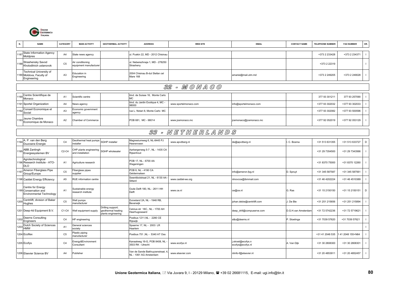

| N.   | <b>NAME</b>                                                                   | CATEGORY       | <b>MAIN ACTIVITY</b>                       | <b>GEOTHERMAL ACTIVITY</b>                                    | <b>ADDRESS</b>                                            | <b>WEB SITE</b>       | <b>EMAIL</b>                         | <b>CONTACT NAME</b> | <b>TELEPHONE NUMBER</b> | <b>FAX NUMBER</b> | OR. |
|------|-------------------------------------------------------------------------------|----------------|--------------------------------------------|---------------------------------------------------------------|-----------------------------------------------------------|-----------------------|--------------------------------------|---------------------|-------------------------|-------------------|-----|
| 1187 | <b>State Information Agency</b><br>Moldpres                                   | A4             | State news agency                          |                                                               | ul. Puskin 22, MD - 2012 Chisinau                         |                       |                                      |                     | +373 2 233428           | +373 2 234371     |     |
| 1188 | Strashensky Savod<br>Kholodilnich ustanovok                                   | C <sub>5</sub> | Air conditioning<br>equipment manufacturer |                                                               | Il. Neberezhnaja 1, MD - 278250<br>Strasheny              |                       |                                      |                     | +373 2 22319            |                   |     |
|      | Technical University of<br>1189 Moldova, Faculty of<br>Engineering            | A <sub>3</sub> | Education in<br>Engineering                |                                                               | 2004 Chisinau B-dul Stefan cel<br>Mare 168                |                       | amariei@mail.utm.md                  |                     | +373 2 249205           | +373 2 249028     |     |
|      |                                                                               |                |                                            |                                                               |                                                           | 32 - MONAGO           |                                      |                     |                         |                   |     |
| 1190 | Centre Scientifique de                                                        | A <sub>1</sub> | Scientific centre                          |                                                               | blvd. de Suisse 16, Monte Carlo                           |                       |                                      |                     | 377 93 301211           | 377 93 257090     |     |
|      | Monaco                                                                        |                |                                            |                                                               | MC.<br>blvd. du Jardin Exotique 4, MC -                   |                       |                                      |                     |                         |                   |     |
|      | 1191 Sportel Organization<br>Conseil Economique et                            | A4             | News agency<br>Economic government         |                                                               | 98000                                                     | www.sportelmonaco.com | info@sportelmonaco.com               |                     | +377 93 302032          | +377 93 302033    |     |
| 1192 | Social                                                                        | A3             | agency                                     |                                                               | ue L. Notari 8, Monte Carlo MC                            |                       |                                      |                     | +377 93 302082          | +377 93 500596    |     |
| 1193 | Jeune Chambre<br>Economique de Monaco                                         | A2             | Chamber of Commerce                        |                                                               | POB 681, MC - 98014                                       | www.jcemonaco.mc      | jcemonaco@jcemonaco.mc               |                     | +377 92 052019          | +377 92 053129    |     |
|      |                                                                               |                |                                            |                                                               |                                                           | 33 - NETHERLANDS      |                                      |                     |                         |                   |     |
|      | A. P. van den Berg                                                            | C <sub>4</sub> | Geothermal heat pumps                      | SGHP installer                                                | Magnesiumweg 6, NL-8445 PJ                                |                       |                                      |                     |                         |                   | D   |
| 119  | Duurzane Energie                                                              |                | nstaller                                   |                                                               | leerenveen                                                | www.apvdberg.nl       | de@apvdberg.nl                       | C. Bosma            | +31 513 631355          | +31 513 633727    |     |
| 1195 | ABB Zantingh<br>Energiesystemen BV                                            | $C2-C4$        | CHP plants engineering<br>and installation | SGHP wholesaler                                               | Aarbergerweg 5-7, NL - 1435 CA<br>Rijsenhout              |                       |                                      |                     | +31 29 7354500          | +31 29 7343566    |     |
|      | Agrotechnological<br>1196 Research Institute - ATO-<br><b>DLO</b>             | A <sub>1</sub> | Agriculture research                       |                                                               | POB 17, NL - 6700 AA<br>Vageningen                        |                       |                                      |                     | +31 8370 75000          | +31 8370 12260    |     |
| 119  | Ameron Fiberglass Pipe<br>Group/Europe                                        | C <sub>5</sub> | iberglass pipes<br>supplier                |                                                               | POB 6, NL - 4190 CA<br><b>Geldermalsen</b>                |                       | nfo@ameron.fpg.nl                    | D. Spruyt           | +31 345 587587          | +31 345 587561    |     |
|      | 1198 Caddet Energy Efficiency                                                 | A <sub>5</sub> | RUE information centre                     |                                                               | Swentibolstraat 21, NL - 6130 AA<br>Sittard               | www.caddet-ee.org     | nInovcce@ibmmail.com                 |                     | +31 46 4202224          | +31 46 4510389    |     |
|      | Centre for Energy<br>1199 Conservation and<br><b>Environmental Technology</b> | A <sub>1</sub> | Sustainable energy<br>esearch institute    |                                                               | Oude Delft 180, NL - 2611 HH<br><b>Delft</b>              | www.ce.nl             | ce@ce.nl                             | G. Ras              | +31 15 2150150          | +31 15 2150151    | D   |
| 120  | Centrilift, division of Baker<br>Hughes                                       | C <sub>5</sub> | <b>Well pumps</b><br>manufacturer          |                                                               | Duiveland 2A, NL - 1948 RB,<br>Beverwijk                  |                       | johan.debie@centrilift.com           | . De Bie            | +31 251 215656          | +31 251 215894    |     |
|      | 1201 Deep-4d Equipment B.V.                                                   | C1-C4          | Vell equipment supply                      | Drilling support;<br>geothermal heating<br>plants engineering | Celcius str 18C., NL - 1700 AH<br>leerhugowaard           |                       | deep_drill@compuserve.com            | D.G.H.van Amsterdam | +31 72 5742236          | +31 72 5719621    |     |
| 1202 | Deerns Consulting<br>Engineers                                                | C <sub>4</sub> | <b>IP</b> engineering                      |                                                               | Postbus 1211, NL - 2280 CE<br>Rijswijk                    |                       | s&o@deerns.nl                        | P. Stoelinga        | +31 7039 57620          | +31 7039 57621    |     |
| 1203 | Dutch Society of Sciences<br><b>HMW</b>                                       | A <sub>1</sub> | General sciences<br>society                |                                                               | Spaarne 17, NL - 2003 LR<br>laarlem                       |                       |                                      |                     |                         |                   |     |
|      | 1204 Ecoflex                                                                  | C <sub>5</sub> | Plastic piping<br>nanufacturer             |                                                               | Postbus 751, NL - 5340 AT Oss                             |                       |                                      |                     | +31 41 2048 535         | 141 2048 155+N64  |     |
|      | 1205 Ecofys                                                                   | C <sub>4</sub> | Energy&Environment<br>Consultant           |                                                               | Canaalweg 16-G, POB 8408, NL<br>3503 RK - Utrecht         | www.ecofys.nl         | .stroet@ecofys.n<br>ecofys@ecofys.nl | A. Van Dijk         | +31 30 2808300          | +31 30 2808301    |     |
|      | 1206 Elsevier Science BV                                                      | A4             | Publisher                                  |                                                               | /an de Sande Bakhuyzenstraat, 4<br>NL - 1061 AG Amsterdam | www.elsevier.com      | nlinfo-f@elsevier.nl                 |                     | +31 20 4853911          | +31 20 4852457    |     |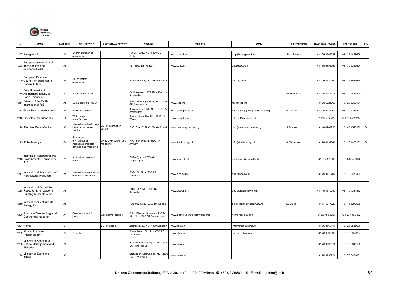

| N.   | <b>NAME</b>                                                                           | CATEGORY       | <b>MAIN ACTIVITY</b>                                                      | <b>GEOTHERMAL ACTIVITY</b>       | <b>ADDRESS</b>                                                  | <b>WEB SITE</b>                    | <b>EMAIL</b>                   | <b>CONTACT NAME</b> | <b>TELEPHONE NUMBER</b> | <b>FAX NUMBER</b> | OR.            |
|------|---------------------------------------------------------------------------------------|----------------|---------------------------------------------------------------------------|----------------------------------|-----------------------------------------------------------------|------------------------------------|--------------------------------|---------------------|-------------------------|-------------------|----------------|
|      | 1207 Energiened                                                                       | A2             | Energy companies<br>association                                           |                                  | PO Box 9042, NL - 6800 GD<br>Arnhem                             | www.energiened.nl                  | hkip@energiened.nl             | J.M. Linthorst      | +31 26 3562228          | +31 26 4428629    |                |
|      | European association of<br>1208 geoscientists and<br>engineers EAGE                   | A <sub>5</sub> |                                                                           |                                  | NL - 3990 DB Houten                                             | www.eage.nl                        | eage@eage.nl                   |                     | +31 30 6354055          | +31 30 6343524    |                |
|      | European Business<br>1209 Council for Sustainable<br><b>Energy Future</b>             | A <sub>5</sub> | RE operators<br>association                                               |                                  | Stalen Enk 45, NL - 6881 BN Velp                                |                                    | metz@e5.org                    |                     | +31 26 3620450          | +31 26 3613654    | - 1            |
|      | Free University of<br>1210 Amsterdam, faculty of<br><b>Earth Sciences</b>             | A1             | Scientific education                                                      |                                  | De Boelelaan 1105, NL - 1081 HV<br>Amsterdam                    |                                    |                                | W. Roelevold        | +31 20 4447777          | +31 20 4445300    |                |
| 121  | Friends of the Earth<br>International FoEI                                            | A <sub>5</sub> | Sustainable life NGO                                                      |                                  | Prince Henrik gade 48, NL - 1000<br><b>GD Amsterdam</b>         | www.foei.org                       | foei@foei.org                  |                     | +31 20 6221369          | +31 20 6392181    |                |
|      | 1212 GreenPeace International                                                         | A <sub>5</sub> | Ecological NGO                                                            |                                  | Keizersgracht 176, NL - 1016 DW<br>Amsterdam                    | www.greenpeace.org                 | karl.mallon@ams.greenpeace.org | K. Mallon           | +31 20 5236200          | +31 20 5236222    |                |
|      | 1213 Grundfos Nederland B.V.                                                          | C <sub>5</sub> | Well pumps<br>nanufacturer                                                |                                  | ampulslaan 190, NL - 1382 JS<br>Veesp                           | www.grundfos.nl                    | info_gnl@grundfos.nl           |                     | +31 294 492 222         | +31 294 492 244   |                |
|      | 1214 IEA Heat Pump Centre                                                             | A <sub>5</sub> | nternational heat pump<br>information centre<br>service                   | GSHP information<br>centre       | P. O. Box 17, NL-6130 AA Sittard                                | www.heatpumpcentre.org             | hpc@heatpumpcentre.org         | J. Bouma            | +31 46 4202236          | +31 46 4510389    | $\mathsf D$    |
|      | 1215 IF Technology                                                                    | C <sub>4</sub> | Energy and<br>nvironmental<br>nnovative products<br>develop and marketing | UHS, GHP design and<br>nodelling | . O. Box 605, NL-6800 AP<br>Arnhem                              | www.iftechnology.nl                | info@iftechnology.nl           | A. Willemsen        | +31 26 4431541          | +31 26 4460153    | $\mathsf D$    |
|      | Institute of Agricultural and<br>1216 Environmental Engineering<br><b>IMA</b>         | A <sub>1</sub> | Agricultural research<br>centre                                           |                                  | POB 43, NL - 6700 AA<br>Nageningen                              | www.imag.dlo.nl                    | postkamer@imag.dlo.nl          |                     | +31 317 476300          | +31 317 425670    |                |
| 1217 | International Association of<br><b>Horticultural Producers</b>                        | A <sub>5</sub> | nternational agricultural<br>operators association                        |                                  | POB 200, NL - 2700 AG<br>Zotermsen                              | www.aiph.org.uk                    | pt@tuinbouw.nl                 |                     | +31 79 3470707          | +31 79 3470404    |                |
|      | International Council for<br>1218 Research & Innovation in<br>Building & Construction | A <sub>5</sub> |                                                                           |                                  | POB 1837, NL - 3000 BV -<br>Rotterdam                           | www.cibworld.nl                    | secretariat@cibworld.nl        |                     | +31 10 4110240          | +31 10 4334372    | $\blacksquare$ |
| 121  | International Institute Of<br>Energy Law                                              | A <sub>5</sub> |                                                                           |                                  | POB 9520, NL - 2300 RA Leiden                                   |                                    | e.d.cross@law.leidenunv.nl     | E. Cross            | +31 71 5277723          | +31 71 5277509    |                |
| 1220 | Journal of Volcanology and<br>Geothermal research                                     | A4             | Quarterly scientific<br>journal                                           | Geothermal articles              | Publ. Elsevier Science - P.O.Box<br>211, NL - 1000 AE Amsterdam | www.elsevier.com/locate/jvolgeores | nlinfo-f@elsevier.nl           |                     | +31 20 485 3757         | +31 20 485 3432   |                |
|      | 1221 Kema                                                                             | C <sub>4</sub> |                                                                           | SGHP installer                   | Zeunerstr. 83, NL - 1069 Dresden                                | www.kema.nl                        | information@kema.nl            |                     | +31 26 3569111          | +31 26 3515606    |                |
| 122  | Kluwer Academic<br>Publishers BV                                                      | A <sub>4</sub> | Publisher                                                                 |                                  | Spuibulevard 50, NL - 3300 AZ<br>Dordrecht                      | www.wkap.nl                        | services@wkap.nl               |                     | +31 78 6392392          | +31 78 6392254    |                |
|      | Ministry of Agriculture,<br>1223 Nature Management and<br>Fisheries                   | A <sub>3</sub> |                                                                           |                                  | Bezuidenhoutseweg 73, NL - 2500<br>EA - The Hague               | www.minlnv.nl                      |                                |                     | +31 70 3793911          | +31 70 3815133    |                |
| 122  | Ministry of Economic<br>Affairs                                                       | A <sub>3</sub> |                                                                           |                                  | Bezuidenhoutseweg 30, NL - 2500<br>EC - The Hague               | www.minez.nl                       |                                |                     | +31 70 3798911          | +31 70 3474081    |                |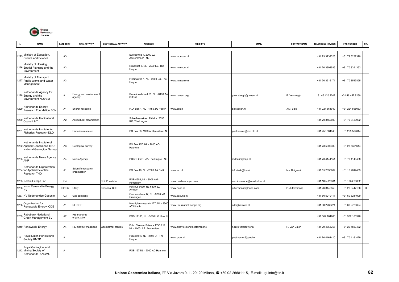

| N.   | <b>NAME</b>                                                                           | CATEGORY       | <b>MAIN ACTIVITY</b>                | <b>GEOTHERMAL ACTIVITY</b> | <b>ADDRESS</b>                                           | <b>WEB SITE</b>                | <b>EMAIL</b>                | <b>CONTACT NAME</b> | <b>TELEPHONE NUMBER</b> | <b>FAX NUMBER</b> | OR.                      |
|------|---------------------------------------------------------------------------------------|----------------|-------------------------------------|----------------------------|----------------------------------------------------------|--------------------------------|-----------------------------|---------------------|-------------------------|-------------------|--------------------------|
| 1225 | Ministry of Education,<br>Culture and Science                                         | A <sub>3</sub> |                                     |                            | Europaweg 4, 2700 LZ -<br>Zoeteremeer - NL               | www.monocw.nl                  |                             |                     | +31 79 3232323          | +31 79 3232320    | $\mathbf{I}$             |
|      | Ministry of Housing,<br>1226 Spatial Planning and the<br>Environment                  | A <sub>3</sub> |                                     |                            | Rijnstraat 8, NL - 2500 EZ, The<br>Hague                 | www.minvrom.nl                 |                             |                     | +31 70 3393939          | +31 70 3391352    | $\overline{\phantom{a}}$ |
|      | Ministry of Transport,<br>1227 Public Works and Water<br>Management                   | A <sub>3</sub> |                                     |                            | Plesmaweg 1, NL - 2500 EX, The<br>Hague                  | www.minvenw.nl                 |                             |                     | +31 70 3516171          | +31 70 3517895    | $\overline{\phantom{a}}$ |
|      | Netherlands Agency for<br>1228 Energy and the<br><b>Environment NOVEM</b>             | A <sub>1</sub> | Energy and environment<br>agency    |                            | Swentiboldstraat 21, NL - 6130 AA<br>Sittard             | www.novem.org                  | p.versteegh@novem.nl        | P. Versteegh        | 31 46 420 2202          | +31 46 452 8260   | $\mathbf{I}$             |
| 1229 | <b>Netherlands Energy</b><br>Research Foundation ECN                                  | A <sub>1</sub> | Energy research                     |                            | P.O. Box 1, NL - 1755 ZG Petten                          | www.ecn.nl                     | bais@ecn.nl                 | J.M. Bais           | +31 224 564949          | +31 224 568053    | $\mathbf{I}$             |
| 1230 | Netherlands Horticultural<br>Council NT                                               | A <sub>2</sub> | Agricultural organization           |                            | Schiefbaanstraat 29, NL - 2596<br>RC, The Hague          |                                |                             |                     | +31 70 3450600          | +31 70 3453902    | $\overline{\phantom{a}}$ |
| 1231 | Netherlands Institute for<br>Fisheries Research-DLO                                   | A1             | Fisheries research                  |                            | PO Box 68, 1970 AB ljmuiden - NL                         |                                | postmaster@rivo.dlo.nl      |                     | +31 255 564646          | +31 255 564644    | $\mathbf{I}$             |
|      | Netherlands Institute of<br>1232 Applied Geoscience TNO<br>National Geological Survey | A <sub>3</sub> | Geological survey                   |                            | PO Box 157, NL - 2000 AD<br>Haarlem                      |                                |                             |                     | +31 23 5300300          | +31 23 5351614    | $\mathbf{I}$             |
| 1233 | Netherlands News Agency<br>ANP                                                        | A4             | News Agency                         |                            | POB 1, 2501 - AA The Hague - NL                          |                                | redacrie@anp.nl             |                     | +31 70 4141151          | +31 70 4140438    | $\overline{1}$           |
|      | Netherlands Organization<br>1234 for Applied Scientific<br>Research TNO               | A <sub>1</sub> | Scientific research<br>organization |                            | PO Box 49, NL - 2600 AA Delft                            | www.tno.nl                     | infodesk@tno.nl             | Ms. Ruigrook        | +31 15 2696969          | +31 15 2612403    | $\overline{1}$           |
|      | 1235 Nordic Europe BV                                                                 | C4             |                                     | SGHP installer             | POB 4508, NL - 3006 AM -<br>Rotterdam                    | www.nordic-europe.com          | nordic-europe@wordonline.nl |                     | +31 1024 20081          | +31 1024 20082    |                          |
| 1236 | Nuon Renewable Energy<br><b>NV</b>                                                    | $C2-C3$        | Utility                             | Seasonal UHS               | Postbus 9039, NL-6800 EZ<br>Arnhem                       | www.nuon.nl                    | juffermansp@nuon.com        | P. Juffermansp      | +31 26 8442858          | +31 26 8442186    | D                        |
| 1237 | NV Nederlandse Gasunie                                                                | C <sub>3</sub> | Gas company                         |                            | Concourslaan 17, NL - 9700 MA<br>Groningen               | www.gasunie.nl                 |                             |                     | +31 50 5219111          | +31 50 5211999    | $\overline{\phantom{a}}$ |
|      | 1238 Organization for<br>Renewable Energy ODE                                         | A1             | re ngo                              |                            | loonigiemstraplein 127, NL - 3500<br>AT Utrecht          | www.DuurzameEnergie.org        | ode@knware.nl               |                     | +31 30 2769224          | +31 30 2720624    | $\overline{\phantom{a}}$ |
| 1239 | Rabobank Nederland<br>Groen Management BV                                             | A <sub>2</sub> | RE financing<br>organization        |                            | POB 17100, NL - 3500 HG Utrecht                          |                                |                             |                     | +31 302 164983          | +31 302 161976    | $\mathbf{I}$             |
|      | 1240 Renewable Energy                                                                 | A <sub>4</sub> | RE monthly magazine                 | Geothermal articles        | Publ. Elsevier Science POB 211<br>NL - 1000 AE Amsterdam | www.elsevier.com/locate/renene | n.linfo-f@elsevier.nl       | H. Van Balen        | +31 20 4853757          | +31 20 4853432    |                          |
| 1241 | Royal Dutch Horticultural<br>Society KMTP                                             | A <sub>1</sub> |                                     |                            | POB 87910 NL - 2508 DH The<br>Hague                      | www.groei.nl                   | postmaster@groei.nl         |                     | +31 70 4161410          | +31 70 4161429    | -1                       |
|      | Royal Geological and<br>1242 Mining Society of<br>Netherlands KNGMG                   | A <sub>1</sub> |                                     |                            | POB 157 NL - 2000 AD Haarlem                             |                                |                             |                     |                         |                   | $\mathbf{I}$             |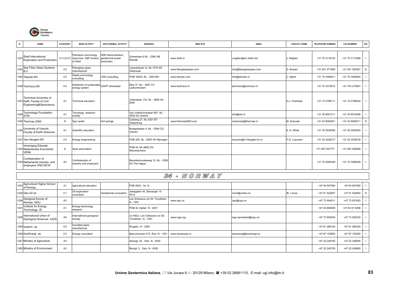

| N.   | <b>NAME</b>                                                                              | <b>CATEGORY</b> | <b>MAIN ACTIVITY</b>                                                | <b>GEOTHERMAL ACTIVITY</b>                           | <b>ADDRESS</b>                                   | <b>WEB SITE</b>         | <b>EMAIL</b>             | <b>CONTACT NAME</b> | <b>TELEPHONE NUMBER</b> | <b>FAX NUMBER</b> | OR. |
|------|------------------------------------------------------------------------------------------|-----------------|---------------------------------------------------------------------|------------------------------------------------------|--------------------------------------------------|-------------------------|--------------------------|---------------------|-------------------------|-------------------|-----|
|      |                                                                                          |                 |                                                                     |                                                      |                                                  |                         |                          |                     |                         |                   |     |
|      | $I_{1243}$ Shell International<br><b>Exploration and Production</b>                      |                 | Petroleum and energy<br>C1-C2-C3 resources E&P division<br>of Shell | HDR demonstration:<br>geothermal power<br>production | Volmerlaan 8 NL - 2280 AB<br>Rijswijk            | www.shell.nl            | j.regtien@stv.shell.com  | J. Regtien          | +31 70 3116122          | +31 70 3113366    |     |
|      | 1244 Star Fiber Glass Systems<br>B.V                                                     | C <sub>5</sub>  | Fiberglass pipes<br>nanufacturer                                    |                                                      | Lübeckstraat 12. NL-7575 EE<br>Oldenzaal         | www.fiberglasspipes.com | info@fiberglasspipes.com | G. Busser           | +31 541 571666          | +31 541 520461    | D   |
|      | 1245 Tebodin BV                                                                          | C <sub>4</sub>  | Vaste and energy<br>consulting                                      | UHS consulting                                       | POB 16029, NL - 2500 BA                          | www.tebodin.com         | info@tebodin.nl          | C. Nijhof           | +31 70 3480911          | +31 70 3480645    |     |
|      | 1246 Techneco BV                                                                         | C <sub>4</sub>  | Distributor of sustainable<br>energy system                         | SGHP wholesaler                                      | Elbe 37, NL - 2267 CV<br>Leidschendam            | www.techneco.nl         | techneco@techneco.nl     |                     | +31 70 3272613          | +31 703 272941    |     |
|      | <b>Technical University of</b><br>1247 Delft, Faculty of Civil<br>Engineering&Geoscience | A <sub>1</sub>  | Technical education                                                 |                                                      | Julianalaan 134, NL - 2600 AA<br>Delft           |                         |                          | H.J. Overbeek       | +31 15 2789111          | +31 15 2786522    |     |
| 1248 | <b>Technology Foundation</b><br><b>STW</b>                                               | A <sub>1</sub>  | Fecnology research<br>society                                       |                                                      | Van Vollenhovenlaan 661. NL -<br>3502 GA Utrecht |                         | info@stw.nl              |                     | +31 30 6001211          | +31 30 6014408    |     |
|      | 1249 Thermae 2000                                                                        | D               | Spa center                                                          | Hot springs                                          | Canberg 27, NL-6301 BT<br>Valkenburg             | www.thermae2000.com     | msobczak@thermae.nl      | M. Sobczak          | +31 43 6092001          | +31 43 6092011    | D   |
|      | 1250 University of Utrecht,<br>Faculty of Earth Sciences                                 | A <sub>1</sub>  | Scientific education                                                |                                                      | Budapestplan 4, NL - 3584 CD<br>Utrecht          |                         |                          | S. H. White         | +31 30 2535050          | +31 30 2535030    |     |
|      | 1251 Van Heugten BV                                                                      | C <sub>4</sub>  | Energy engeneering                                                  |                                                      | POB 305, NL - 6500 AH Nijmegen                   |                         | luscuere@V-Heugten-bv.nl | P.G. Luscuere       | +31 24 3228317          | +31 24 3235016    |     |
|      | Vereniging Erkende<br>1252 Nederlandse Kuurcentre<br><b>VENK</b>                         | D               | Spas association                                                    |                                                      | POB 44, NL-9693 ZG<br>Nieuweschans               |                         |                          |                     | +31 597 527777          | +31 597 528585    |     |
|      | Confederation of<br>1253 Netherlands industry and<br>employers VNO-NCW                   | A <sub>2</sub>  | Confederation of<br>industry and employers                          |                                                      | Bezuidenhoutseweg 12, NL - 2509<br>AA The Haque  |                         |                          |                     | +31 70 3490349          | +31 70 3490300    |     |

|  | 34 - NORWAY |  |  |  |  |  |  |  |
|--|-------------|--|--|--|--|--|--|--|
|--|-------------|--|--|--|--|--|--|--|

|                                                                      | シーケ            |                                     |                       |                                                       |                  |                         |          |               |                 |  |  |  |
|----------------------------------------------------------------------|----------------|-------------------------------------|-----------------------|-------------------------------------------------------|------------------|-------------------------|----------|---------------|-----------------|--|--|--|
| Agricultural Higher School<br>of Norway                              | A <sub>1</sub> | Agricultural education              |                       | POB 5003, As N                                        |                  |                         |          | +47 64 947500 | +47 64 947505   |  |  |  |
| 1255 Geo-42 as                                                       | C <sub>1</sub> | Oil exploration<br>consultant       | Geothermal consultant | Jelsagaten 44, Stavanger N -<br>4012                  |                  | oivinl@online.no        | Æ. Lonne | +47 51 522657 | +47 51 522852 D |  |  |  |
| 1 <sub>1256</sub> Geolgical Survey of<br>Norway NGU                  | A <sub>3</sub> |                                     |                       | Leiv Erikssons vei 39, Trondheim<br>N - 7491          | www.ngu.no       | ngu@ngu.no              |          | +47 73 904011 | +47 73 921620   |  |  |  |
| 1257 Institute for Energy<br>Technology IE                           | A <sub>1</sub> | Energy technology<br>research       |                       | POB 40, Kjeller N - 2007                              |                  |                         |          | +47 63 806000 | +47 63 81 6356  |  |  |  |
| 1 <sub>1258</sub> International Union of<br>Geological Sciences IUGS | A <sub>5</sub> | International geological<br>society |                       | c/o NGU, Leiv Erikssons vei 39,<br>Trondheim N - 7491 | www.iugs.org     | iugs.secretariat@ngu.no |          | +47 73 904040 | +47 73 502230   |  |  |  |
| 1259 Isoterm as                                                      | C <sub>5</sub> | Insulated pipes<br>manufacturer     |                       | Ringebu N - 2360                                      |                  |                         |          | +47 61 280100 | +47 61 280320   |  |  |  |
| 1260 KanEnergi as                                                    | C <sub>4</sub> | Energy consultant                   |                       | Baerumsveien 473, Rud N - 1351                        | www.kanenergi.no | kanenergi@kanenergi.no  |          | +47 67 153850 | +47 67 150250   |  |  |  |
| 1261 Ministry of Agriculture                                         | A <sub>3</sub> |                                     |                       | Akersgt. 42, Oslo N - 0030                            |                  |                         |          | +47 22 249100 | +47 22 249555   |  |  |  |
| 1262 Ministry of Environment                                         | A <sub>3</sub> |                                     |                       | Myntgt. 2, Oslo N - 0030                              |                  |                         |          | +47 22 245700 | +47 22 249560   |  |  |  |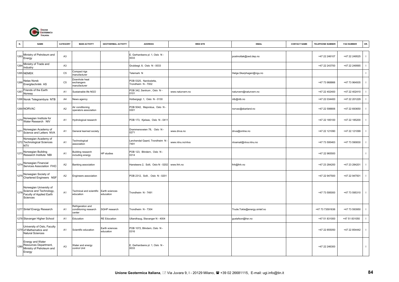

| N.   | <b>NAME</b>                                                                                | CATEGORY       | <b>MAIN ACTIVITY</b>                                 | <b>GEOTHERMAL ACTIVITY</b>  | <b>ADDRESS</b>                               | <b>WEB SITE</b>  | <b>EMAIL</b>                 | <b>CONTACT NAME</b> | <b>TELEPHONE NUMBER</b> | <b>FAX NUMBER</b> | OR.          |
|------|--------------------------------------------------------------------------------------------|----------------|------------------------------------------------------|-----------------------------|----------------------------------------------|------------------|------------------------------|---------------------|-------------------------|-------------------|--------------|
| 1263 | Ministry of Petroleum and<br>Energy                                                        | A <sub>3</sub> |                                                      |                             | E. Gerhardsens pl. 1, Oslo N -<br>0033       |                  | postmottak@oed.dep.no        |                     | +47 22 246107           | +47 22 249525     | $\mathbf{I}$ |
| 1264 | Ministry of Trade and<br>Industry                                                          | A <sub>3</sub> |                                                      |                             | Grubbegt. 8, Oslo N - 0033                   |                  |                              |                     | +47 22 243700           | +47 22 249565     | $\mathbf{I}$ |
|      | <b>1265 NEMEK</b>                                                                          | C <sub>5</sub> | Compact rigs<br>manufacturer                         |                             | Telemark N                                   |                  | Helge.Skarphagen@ngu.no      |                     |                         |                   | $\mathbf{I}$ |
| 1266 | Netas Norsk<br>Energitechnikk AS                                                           | C <sub>5</sub> | Downhole heat<br>exchangers<br>manufacturer          |                             | POB 5325, Nardosletta,<br>Trondheim N - 7002 |                  |                              |                     | +47 73 968866           | +47 73 964935     | $\mathbf{I}$ |
| 126  | Friends of the Earth<br>Norway                                                             | A1             | Sustainable life NGO                                 |                             | POB 342, Sentrum, Oslo N -<br>0101           | www.naturvern.no | naturvern@naturvern.no       |                     | +47 22 402400           | +47 22 402410     | $\mathbf{I}$ |
|      | 1268 Norsk Telegrambyra NTB                                                                | A <sub>4</sub> | News agency                                          |                             | Holbergsgt. 1, Oslo N - 0130                 |                  | ntb@ntb.no                   |                     | +47 22 034400           | +47 22 201229     | $\mathbf{I}$ |
|      | 1269 NORVAC                                                                                | A2             | Air conditioning<br>operators association            |                             | POB 5042, Majorstua, Oslo N -<br>0301        |                  | norvac@skarland.no           |                     | +47 22 598806           | +47 22 693650     | $\mathbf{I}$ |
| 1270 | Norwegian Institute for<br>Water Research NIV                                              | A <sub>1</sub> | Hydrological research                                |                             | POB 173, Kjelsas, Oslo N - 0411              |                  |                              |                     | +47 22 185100           | +47 22 185200     | $\mathbf{I}$ |
| 1271 | Norwegian Academy of<br>Science and Letters NVA                                            | A <sub>1</sub> | General learned society                              |                             | Drammensveien 78, Oslo N -<br>0271           | www.dnva.no      | dnva@online.no               |                     | +47 22 121090           | +47 22 121099     | $\mathbf{I}$ |
|      | Norwegian Academy of<br>1272 Technological Sciences<br><b>NTV</b>                          | A <sub>1</sub> | Technological<br>association                         |                             | Lerchendal Gaard, Trondheim N<br>7491        | www.ntnu.no/ntva | ntvamail@ntva.ntnu.no        |                     | +47 73 595463           | +47 73 590830     | $\mathbf{I}$ |
| 1273 | Norwegian Building<br>Research Institute NBI                                               | A <sub>1</sub> | Building research<br>including energy                | HP studies                  | POB 123, Blindern, Oslo N -<br>0314          |                  |                              |                     | +47 22 965500           |                   | $\mathbf{I}$ |
| 1274 | Norwegian Financial<br>Services Association FHO                                            | A2             | Banking association                                  |                             | Hansteens 2, Solli, Oslo N - 0202            | www.fnh.no       | fnh@fnh.no                   |                     | +47 23 284200           | +47 23 284201     | $\mathbf{I}$ |
| 1275 | Norwegian Society of<br>Chartered Engineers NSF                                            | A2             | Engineers association                                |                             | POB 2312, Solli, Oslo N - 0201               |                  |                              |                     | +47 22 947500           | +47 22 947501     | $\mathbf{I}$ |
| 1276 | Norwegian University of<br>Science and Technology,<br>Faculty of Applied Earth<br>Sciences | A <sub>1</sub> | Technical and scientific<br>education                | Earth sciences<br>education | Trondheim N - 7491                           |                  |                              |                     | +47 73 595000           | +47 73 595310     | $\mathbf{I}$ |
|      | 1277 Sintef Energy Research                                                                | A <sub>1</sub> | Refrigeration and<br>conditioning research<br>center | SGHP research               | Trondheim N - 7304                           |                  | Trude.Tokle@energy.sintef.no |                     | +47 73 73591636         | +47 73 593950     | $\mathbf{I}$ |
|      | 1278 Stavanger Higher School                                                               | A <sub>1</sub> | Education                                            | <b>RE Education</b>         | Ullandhaug, Stavanger N - 4004               |                  | gustafson@hsr.no             |                     | +47 51 831000           | +47 51 831050     | $\mathbf{I}$ |
|      | University of Oslo, Faculty<br>1279 of Mathematics and<br><b>Natural Sciences</b>          | A1             | Scientific education                                 | Earth sciences<br>education | POB 1072, Blindern, Oslo N -<br>0316         |                  |                              |                     | +47 22 855050           | +47 22 854442     | $\mathbf{I}$ |
| 1280 | <b>Energy and Water</b><br>Resources Department,<br>Ministry of Petroleum and<br>Energy    | A <sub>3</sub> | Water and energy<br>control Unit                     |                             | E. Gerhardsens pl. 1, Oslo N -<br>0033       |                  |                              |                     | +47 22 246300           |                   | $\mathbf{I}$ |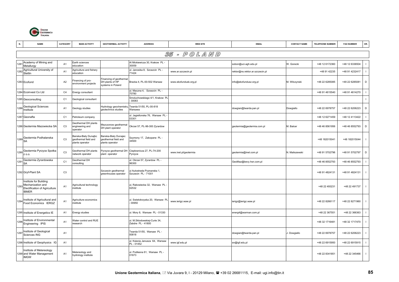

|      | <b>NAME</b>                                                                                  | CATEGORY       | <b>MAIN ACTIVITY</b>                                            | <b>GEOTHERMAL ACTIVITY</b>                                      | <b>ADDRESS</b>                                    | <b>WEB SITE</b>       | <b>EMAIL</b>                    | <b>CONTACT NAME</b> | <b>TELEPHONE NUMBER</b> | <b>FAX NUMBER</b> | OR.          |
|------|----------------------------------------------------------------------------------------------|----------------|-----------------------------------------------------------------|-----------------------------------------------------------------|---------------------------------------------------|-----------------------|---------------------------------|---------------------|-------------------------|-------------------|--------------|
|      |                                                                                              |                |                                                                 |                                                                 |                                                   | 35 - POLAND           |                                 |                     |                         |                   |              |
| 128  | Academy of Mining and<br>Metallurgy                                                          | A <sub>1</sub> | Earth sciences<br>education                                     |                                                                 | Al Mickiewicza 30, Krakow PL -<br>30059           |                       | sobon@uci.agh.edu.pl            | W. Gorecki          | +48 12 6172360          | +48 12 6336504    |              |
| 128  | Agricultural University of<br>Stettin                                                        | A <sub>1</sub> | Agriculture and fishery<br>education                            |                                                                 | ul. Janosika 8, Szcezcin PL -<br>71424            | www.ar.szczecin.pl    | rektor@ns.rektor.ar.szczecin.pl |                     | +48 91 42235            | +48 91 4232417    | $\mathbf{I}$ |
|      | 1283 Ecofund                                                                                 | A <sub>2</sub> | -inancing of pro-<br>environment projects                       | Financing of geothermal<br>DH plants of HP<br>systems in Poland | Bracka 4, PL-00-502 Warsaw                        | www.ekofundusk.org.pl | info@ekofundusz.org.pl          | M. Wilczynski       | +48 22 6285085          | +48 22 6285081    | D            |
|      | 1284 Ecoinvest Co Ltd                                                                        | C <sub>4</sub> | Energy consultant                                               |                                                                 | ul. Maczna 4, Szcezcin PL -<br>70780              |                       |                                 |                     | +48 91 4615540          | +48 91 4614270    | $\mathbf{I}$ |
|      | 1285 Geoconsulting                                                                           | C <sub>1</sub> | Geological consultant                                           |                                                                 | Smoluchowskiego 4/1, Krakow PL<br>30083           |                       |                                 |                     |                         |                   | $\mathbf{I}$ |
| 1286 | Geological Sciences<br>Institute                                                             | A1             | Geology studies                                                 | Hydrology geochemistry<br>geotechnics studies                   | Twarda 51/55, PL-00-818<br>Warsawa                |                       | dowgian@twarda.pan.pl           | Dowgiallo           | +48 22 6978757          | +48 22 6206223    | D            |
|      | 1287 Geonafta                                                                                | C <sub>1</sub> | Petroleum company                                               |                                                                 | ul. Jagiellonska 76, Warsaw PL<br>03301           |                       |                                 |                     | +48 12 6271459          | +48 12 4113422    |              |
|      | 1288 Geotermia Mazowiecka SA                                                                 | C <sub>3</sub> | Geothermal DH plants<br>engineering and<br>operator             | Mszczonow geothermal<br>DH plant operator                       | Okrzei 57, PL-96-300 Zyrardow                     |                       | geotermia@geotermia.com.pl      | M. Balcer           | +48 46 8561956          | +48 46 8552793    | D            |
|      | 1289 Geotermia Podhalanska<br><b>SA</b>                                                      | C <sub>3</sub> | Banska-Bialy Dunajbc<br>geothermal field and<br>plants operator | Banska-Bialy Dunajec<br>geothermal field and<br>plants operator | Szymony 17, Zakopane PL -<br>34500                |                       |                                 |                     | +48 182015041           | +48 182015044     | $\mathbf{I}$ |
| 1290 | Geotermia Pyrzyce Spotka<br>Z 0.0.                                                           | C <sub>3</sub> | <b>Geothermal DH plants</b><br>network operator                 | Pyrzyce geothermal DH<br>plant operator                         | Ciepłownicza 27, PL-74-200<br>Pyrzyce             | www.inet.pl/geotermia | geotermia@inet.com.pl           | N. Maliszewski      | +48 91 5702796          | +48 91 5702797    | D            |
| 1291 | Geotermia Zyrardowska<br><b>SA</b>                                                           | C <sub>1</sub> | Geothermal DH<br>consulting                                     |                                                                 | ul. Okrzei 57, Zyrardow PL -<br>96300             |                       | GeoMaz@bevy.hsn.com.pl          |                     | +48 46 8552793          | +48 46 8552793    |              |
|      | 1292 Gryf-Plant SA                                                                           | C <sub>3</sub> |                                                                 | Szczecin geothermal<br>greenhouses operator                     | ul Autostrada Poznanska 1,<br>Szczecin PL - 71001 |                       |                                 |                     | +48 91 4824131          | +48 91 4824131    | $\mathbf{I}$ |
| 1293 | Institute for Building<br>Mechanization and<br>Electification of Agriculture<br><b>IBMER</b> | A <sub>1</sub> | Agricultural technology<br>institute                            |                                                                 | ul, Rakowiecka 32, Warsaw PL<br>02532             |                       |                                 |                     | +48 22 493231           | +48 22 491737     | $\mathbf{I}$ |
| 1294 | Institute of Agricultural and<br>Food Economics IERGZ                                        | A1             | Agriculture economics<br>institute                              |                                                                 | ul. Swietokrzyska 20, Warsaw PL<br>00950          | www.ierigz.waw.pl     | ierigz@ierigz.waw.pl            |                     | +48 22 8266117          | +48 22 8271960    |              |
|      | 1295 Institute of Energetics IE                                                              | A <sub>1</sub> | Energy studies                                                  |                                                                 | ul. Mory 8, Warsaw PL - 01330                     |                       | energ4@warman.com.pl            |                     | +48 22 367551           | +48 22 366363     | $\mathbf{I}$ |
| 1296 | Institute of Environmental<br>Engineering IPIS                                               | A <sub>1</sub> | Vater control and RUE<br>research                               |                                                                 | ul. M.Sklodowskiej-Curie 34,<br>Zabdre PL - 41800 |                       |                                 |                     | +48 32 1716481          | +48 32 1717470    |              |
| 1297 | Institute of Geological<br>Sciences ING                                                      | A <sub>1</sub> |                                                                 |                                                                 | Twarda 51/55, Warsaw PL -<br>00818                |                       | dowgian@twarda.pan.pl           | J. Dowgiallo        | +48 22 6978757          | +48 22 6206223    |              |
|      | 1298 Institute of Geophysics IG                                                              | A <sub>1</sub> |                                                                 |                                                                 | ul. Ksiecia Janusza 64, Warsaw<br>PL - 01452      | www.igf.edu.pl        | sn@igf.edu.pl                   |                     | +48 22 6915950          | +48 22 6915915    | $\mathbf{I}$ |
|      | Institute of Metereology<br>1299 and Water Management<br><b>IMGW</b>                         | A <sub>1</sub> | Metereology and<br>hydrology institute                          |                                                                 | ul. Podlesna 61, Warsaw PL -<br>01673             |                       |                                 |                     | +48 22 8341851          | +48 22 345466     | $\mathbf{I}$ |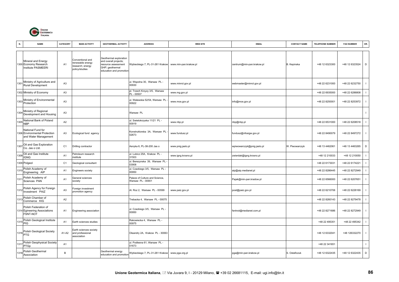

| N.   | <b>NAME</b>                                                                | CATEGORY       | <b>MAIN ACTIVITY</b>                                                       | <b>GEOTHERMAL ACTIVITY</b>                                                                                                  | <b>ADDRESS</b>                                      | <b>WEB SITE</b>       | <b>EMAIL</b>               | <b>CONTACT NAME</b> | <b>TELEPHONE NUMBER</b> | <b>FAX NUMBER</b> | OR.                      |
|------|----------------------------------------------------------------------------|----------------|----------------------------------------------------------------------------|-----------------------------------------------------------------------------------------------------------------------------|-----------------------------------------------------|-----------------------|----------------------------|---------------------|-------------------------|-------------------|--------------------------|
|      | Mineral and Energy<br>1300 Economy Research<br><b>Institute PASMEERI</b>   | A <sub>1</sub> | Conventional and<br>renewable energy<br>research; energy<br>policy/studies | <b>Geothermal exploration</b><br>and overall projects;<br>resource assessment<br>GHP; geothermal<br>education and promotion | Wybieckiego 7, PL-31-261 Krakow                     | www.min-pan.krakow.pl | centrum@min-pan.krakow.pl  | B. Kepinska         | +48 12 6323300          | +48 12 6323524    | D                        |
| 1301 | Ministry of Agriculture and<br>Rural Development                           | A <sub>3</sub> |                                                                            |                                                                                                                             | ul. Wspolna 30, Warsaw PL-<br>00930                 | www.minrol.gov.pl     | webmaster@minrol.gov.pl    |                     | +48 22 6231000          | +48 22 6232750    |                          |
|      | 1302 Ministry of Economy                                                   | A <sub>3</sub> |                                                                            |                                                                                                                             | pl. Trzech Krzyzy 3/5, Warsaw<br>PL - 00507         | www.mg.gov.pl         |                            |                     | +48 22 6935000          | +48 22 6286808    |                          |
| 1303 | Ministry of Environmental<br>Protection                                    | A <sub>3</sub> |                                                                            |                                                                                                                             | ul. Walewska 52/54, Warsaw PL<br>00922              | www.mos.gov.pl        | info@mos.gov.pl            |                     | +48 22 8250001          | +48 22 8253972    | $\mathbf{I}$             |
| 1304 | Ministry of Regional<br>Development and Housing                            | A <sub>3</sub> |                                                                            |                                                                                                                             | Warsaw PL                                           |                       |                            |                     |                         |                   | $\mathbf{I}$             |
| 1305 | National Bank of Poland<br><b>NBP</b>                                      | A2             |                                                                            |                                                                                                                             | ul. Swietokrzyska 11/21 PL -<br>00919               | www.nbp.pl            | nbp@nbp.pl                 |                     | +48 22 6531000          | +48 22 6208518    | $\overline{\phantom{a}}$ |
|      | National Fund for<br>1306 Environmental Protection<br>and Water Management | A <sub>3</sub> | Ecological fund agency                                                     |                                                                                                                             | Konstruktorska 3A, Warsaw PL<br>02673               | www.fundusz.pl        | fundusz@nfosigw.gov.pl     |                     | +48 22 8490079          | +48 22 8497272    | $\overline{\phantom{a}}$ |
|      | 1307 Oil and Gas Exploration<br>Co. Jas o Ltd.                             | C <sub>1</sub> | Drilling contractor                                                        |                                                                                                                             | Asnyka 6, PL-38-200 Jas o                           | www.pnig.jaslo.pl     | wpiwowarczyk@pnig.jaslo.pl | W. Piwowarczyk      | +48 13 4462061          | +48 13 4463265    | D                        |
| 1308 | Oil and Gas Institute<br><b>IGNG</b>                                       | A1             | Petroleum research<br>institute                                            |                                                                                                                             | ul. Lubicz 25A, Krakow PL -<br>31503                | www.igng.krosno.pl    | zwierdak@igng.krosno.pl    |                     | +48 12 210033           | +48 12 210050     | $\mathbf{I}$             |
|      | 1309 Polgeol                                                               | C <sub>1</sub> | Geological consultant                                                      |                                                                                                                             | ul. Berezynska 39, Warsaw PL<br>03908               |                       |                            |                     | +48 22 6173031          | +48 22 6174221    |                          |
| 1310 | Polish Academy of<br>Engineering AIP                                       | A <sub>1</sub> | Engineers society                                                          |                                                                                                                             | ul. Czackiego 3/5, Warsaw PL -<br>00950             |                       | aip@aip.medianet.pl        |                     | +48 22 8286445          | +48 22 8272949    | $\mathbf{I}$             |
| 1311 | Polish Academy of<br>Sciences PAN                                          | A1             | <b>General sciences</b><br>society                                         |                                                                                                                             | Palace of Culture and Science,<br>Warsaw PL - 00901 |                       | Pajak@min-pan.kradow.pl    |                     | +48 22 6566000          | +48 22 6207651    | $\mathbf{I}$             |
| 1312 | Polish Agency for Foreign<br>Investment PAIZ                               | A <sub>3</sub> | Foreign investment<br>promotion agency                                     |                                                                                                                             | Al. Roz 2, Warsaw PL - 00599                        | www.paiz.gov.pl       | post@paiz.gov.pl           |                     | +48 22 6210706          | +48 22 6226169    | $\mathbf{I}$             |
| 131  | Polish Chamber of<br>Commerce KIG                                          | A2             |                                                                            |                                                                                                                             | Trebacka 4, Warsaw PL - 00075                       |                       |                            |                     | +48 22 8260143          | +48 22 8279478    | $\mathbf{I}$             |
|      | Polish Federation of<br>1314 Egineering Associations<br>FSNT-NOT           | A <sub>1</sub> | Engineering association                                                    |                                                                                                                             | ul. Czackiego 3/5, Warsaw PL -<br>00950             |                       | fsntnot@medianet.com.pl    |                     | +48 22 8271686          | +48 22 8272949    |                          |
| 1315 | Polish Geological Institute<br>PIG                                         | A <sub>1</sub> | Earth sciences studies                                                     |                                                                                                                             | Rakowiecka 4, Warsaw PL -<br>00975                  |                       |                            |                     | +48 22 495351           | +48 22 495342     | $\overline{\phantom{a}}$ |
|      | 1316 Polish Geological Society                                             | A1-A2          | Earth sciences society<br>and professional<br>association                  |                                                                                                                             | Oleandry 2A, Krakow PL - 30063                      |                       |                            |                     | +48 12 6332041          | +48 126332270     |                          |
| 131  | Polish Geophysical Society<br>PTGp                                         | A <sub>1</sub> |                                                                            |                                                                                                                             | ul. Podlesna 61, Warsaw PL -<br>01673               |                       |                            |                     | +48 22 341651           |                   | -1                       |
| 1318 | Polish Geothermal<br>Association                                           | B              |                                                                            | Geothermal energy<br>education and promotion                                                                                | Wybieckiego 7, PL-31-261 Krakow                     | www.pga.org.pl        | pga@min-pan.krakow.pl      | S. Ostaficzuk       | +48 12 6322435          | +48 12 6322435    | D                        |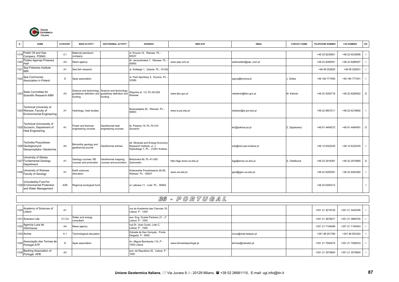

| N.   | <b>NAME</b>                                                                                   | CATEGORY       | <b>MAIN ACTIVITY</b>                         | <b>GEOTHERMAL ACTIVITY</b>                                                                                                      | <b>ADDRESS</b>                                                                                   | <b>WEB SITE</b>           | <b>EMAIL</b>          | <b>CONTACT NAME</b> | <b>TELEPHONE NUMBER</b> | <b>FAX NUMBER</b> | OR.          |
|------|-----------------------------------------------------------------------------------------------|----------------|----------------------------------------------|---------------------------------------------------------------------------------------------------------------------------------|--------------------------------------------------------------------------------------------------|---------------------------|-----------------------|---------------------|-------------------------|-------------------|--------------|
|      |                                                                                               |                |                                              |                                                                                                                                 |                                                                                                  |                           |                       |                     |                         |                   |              |
| 1319 | Polish Oil and Gas<br>Company PGNiG                                                           | C <sub>1</sub> | National petroleum<br>company                |                                                                                                                                 | ul. Krucza 14, Warsaw PL -<br>00537                                                              |                           |                       |                     | +48 22 6235601          | +48 22 6235856    |              |
|      | 1320 Polska Agencja Prasowa<br>PAP                                                            | A4             | News agency                                  |                                                                                                                                 | Al. Jerozolimskie 7, Warsaw PL<br>00950                                                          | www.pap.com.pl            | webmaster@pap.,com.pl |                     | +48 22 6280001          | +48 22 6286407    |              |
| 1321 | Sea Fisheries Institute<br><b>MIR</b>                                                         | A1             | Sea fish research                            |                                                                                                                                 | ul. Kollataja 1, Gdynia PL - 81332                                                               |                           |                       |                     | +48 58 202825           | +48 58 202831     |              |
|      | 1322 Spa Communes<br>Association in Poland                                                    | D              | Spas association                             |                                                                                                                                 | ul. Park Sportowy 5, Krynica PL<br>33380                                                         |                           | sgurp@krynica.pl      | Golba               | +48 184 777450          | +48 184 777451    |              |
|      | 1323 State Committee for<br>Scientific Research KBN                                           | A <sub>3</sub> | funding                                      | Science and technology Science and technology<br>guidelines definition and guidelines definition and Washington Inc.<br>funding | Wspolna st. 1/3, PL-00-529                                                                       | www.kbn.gov.pl            | mkielmin@kbn.gov.pl   | M. Kielmin          | +48 22 5292718          | +48 22 6280922    | D            |
|      | <b>Technical University of</b><br>1324 Warsaw, Faculty of<br><b>Environmental Engineering</b> | A1             | Hydrology, heat studies                      |                                                                                                                                 | Nowowiejska 20, Warsaw PL -<br>00653                                                             | www.is.pw.edu.pl          | dziekan@is.pw.edu.pl  |                     | +48 22 6607211          | +48 22 6216892    | $\mathbf{I}$ |
|      | Technical Univiversity of<br>1325 Szczecin, Department of<br><b>Heat Engineering</b>          | A1             | Power and thermal<br>engineering courses     | Geothermal heat<br>engineering courses                                                                                          | Al. Piastow 19, PL-70-310<br>Szczecin                                                            |                           | ktc@safona.ps.pl      | Z. Zapalowicz       | +48 91 4494272          | +48 91 4494591    | D            |
|      | Technika Poszukiwan<br>1326 Geologicznych<br>Geosynoptyka i Geotermia                         | A4             | Bimonthly geology and<br>geothermal journal  | Geothermal articles                                                                                                             | ed. Minerals and Energy Economy<br>Research Institute, ul. J.<br>Wybickiego 7, PL - 31261 Krakow |                           | sok@min-pan.krakow.pl |                     | +48 12 6322435          | +48 12 6322435    | $\mathbf{I}$ |
|      | University of Silesia,<br>1327 Fundamental Geology<br>Department                              | A1             | Geology courses; RE<br>courses and promotion | Geothermal mapping,<br>courses and promotion                                                                                    | Bedzinska 60, PL-41-200<br>Sosnowiec                                                             | http://kgp.wnoz.us.edu.pl | kgp@wnoz.us.edu.pl    | S. Ostaficzuk       | +48 32 2918381          | +48 32 2915865    | D            |
|      | 1328 University of Warsaw<br>Faculty of Geology                                               | A1             | Earth sciences<br>education                  |                                                                                                                                 | Krakowskie Przedmiescie 26-28.<br>Warsaw PL - 00927                                              | www.uw.edu.pl             | geol@geo.uw.edu.pl    |                     | +48 22 6200381          | +48 22 8263262    |              |
|      | Voivodeship Fund for<br>1329 Environmental Protection<br>and Water Management                 | A3R            | Regional ecological fund                     |                                                                                                                                 | ul. Lakowa 11, Lodz PL - 90562                                                                   |                           |                       |                     | +48 42 6300312          |                   |              |

## 36 - P O R T U G A L

| 1330 Academy of Sciences of<br>Lisbon           | A <sub>1</sub> |                                | rua da Academia das Ciencias 19.<br>Lisboa P - 1200 |                         |                       | +351 21 3219730 | +351 21 3420395 |  |
|-------------------------------------------------|----------------|--------------------------------|-----------------------------------------------------|-------------------------|-----------------------|-----------------|-----------------|--|
| 1331 Acavaco Lda                                | C1-C4          | Water and energy<br>consultant | ave. Eng. Duarte Pacheco 21 - 2°<br>Lisboa P - 1000 |                         |                       | +351 21 3878071 | +351 21 3880705 |  |
| 1 <sub>1332</sub> Agencia Lusa de<br>Informacao | A4             | News agency                    | rua Dr. Joao Couto, Lote C,<br>Lisboa P - 1500      |                         |                       | +351 21 7144099 | +351 21 7145443 |  |
| 1333 Anima                                      | A <sub>1</sub> | Technological education        | Estrada de Sao Gonçalo, Ponta<br>Delgada P - 9500   |                         | inova@mail.telepac.pt | +351 96 201780  | +351 96 653324  |  |
| 1334 Associação das Termas de<br>Portugal ATP   | D              | Spas association               | Av. Miguel Bombarda 110, P -<br>1050 Lisboa         | www.termasdeportugal.pt | termas@netcabo.pt     | +351 21 7940574 | +351 21 7938233 |  |
| 1335 Banking Association of<br>Portugal APB     | A2             |                                | ave. da Republica 35, Lisboa P -<br>1050            |                         |                       | +351 21 3579804 | +351 21 3579804 |  |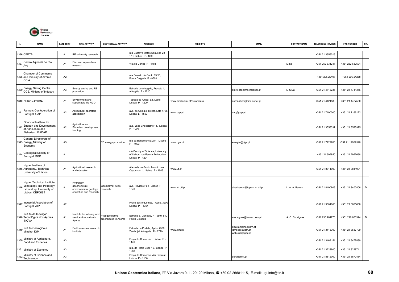

| N.   | <b>NAME</b>                                                                                            | CATEGORY       | <b>MAIN ACTIVITY</b>                                                           | <b>GEOTHERMAL ACTIVITY</b>               | <b>ADDRESS</b>                                                                             | <b>WEB SITE</b>              | <b>EMAIL</b>                                             | <b>CONTACT NAME</b> | TELEPHONE NUMBER | <b>FAX NUMBER</b> | OR.            |
|------|--------------------------------------------------------------------------------------------------------|----------------|--------------------------------------------------------------------------------|------------------------------------------|--------------------------------------------------------------------------------------------|------------------------------|----------------------------------------------------------|---------------------|------------------|-------------------|----------------|
|      | 1336 CEETA                                                                                             | A1             | RE university research                                                         |                                          | ua Gustavo Matos Sequeira 28-<br>°D Lisboa P - 1200                                        |                              |                                                          |                     | +351 21 3956019  |                   | $\blacksquare$ |
| 1337 | Centro Aquicola de Rio<br>Ave                                                                          | A <sub>1</sub> | ish and aquaculture<br>research                                                |                                          | Vila do Conde P - 4481                                                                     |                              |                                                          | Maia                | +351 252 631241  | +351 252 632594   |                |
|      | Chamber of Commerce<br>1338 and Industry of Azores<br><b>CCIA</b>                                      | A <sub>2</sub> |                                                                                |                                          | ua Ernesto do Canto 13/15,<br>Ponta Delgada P - 9500                                       |                              |                                                          |                     | +351 296 22497   | +351 296 24268    | $\blacksquare$ |
|      | 1339 Energy Saving Centre<br>CCE, Ministry of Industry                                                 | A3             | Energy saving and RE<br>promotion                                              |                                          | Estrada de Alfragide, Praceta 1,<br>Alfragide P - 2720                                     |                              | dmre.cce@mail.telepac.pt                                 | . Silva             | +351 21 4718235  | +351 21 4711316   | - 1            |
|      | 1340 EURONATURA                                                                                        | A <sub>1</sub> | Environment and<br>sustainable life NGO                                        |                                          | Tapada da Ajuda, Ed. Leste,<br>isboa P - 1200                                              | www.masterlink.pt/euronatura | euronatura@mail.eunet.pt                                 |                     | +351 21 4421580  | +351 21 4427580   |                |
| 1341 | Farmers Confederation of<br>Portugal CAP                                                               | A2             | Agricultural operators<br>association                                          |                                          | ave. de Colegio Militar, Lote 1786,<br>isboa L - 1500                                      | www.cap.pt                   | cap@cap.pt                                               |                     | +351 21 7100000  | +351 21 7166122   |                |
| 1342 | Financial Institute for<br>Support and Development<br>of Agriculture and<br>Fisheries IFADAP           | A <sub>2</sub> | Agriculture and<br>Fisheries development<br>funding                            |                                          | ave. Joao Crisostomo 11, Lisboa<br>P - 1000                                                |                              |                                                          |                     | +351 21 3558337  | +351 21 3525925   | $\blacksquare$ |
|      | General Directorate of<br>1343 Energy, Ministry of<br>Economy                                          | A <sub>3</sub> |                                                                                | RE energy promotion                      | rua da Beneficencia 241, Lisboa<br>P-1093                                                  | www.dge.pt                   | energia@dge.pt                                           |                     | +351 21 7922700  | +351 21 17939540  |                |
|      | 1344 Geological Society of<br>Portugal SGP                                                             | A1             |                                                                                |                                          | c/o Faculty of Science, University<br>of Lisbon, rua Escola Politecnica,<br>isboa P - 1294 |                              |                                                          |                     | +351 21 605850   | +351 21 2957668   | - 1            |
|      | Higher Institute of<br>1345 Agronomy, Technical<br>University of Lisbon                                | A <sub>1</sub> | Agricultural research<br>and education                                         |                                          | Alameda de Santo Antonio dos<br>Capuchos 1, Lisboa P - 1649                                | www.utl.pt                   |                                                          |                     | +351 21 8811900  | +351 21 8811991   | $\blacksquare$ |
|      | Higher Technical Institute,<br>Mineralogy and Petrology<br>Laboratory, University of<br>Lisbon CEPGIST | A <sub>1</sub> | Hydrology,<br>geochemistry,<br>environmental geology<br>education and research | Geothermal fluids<br>esearch             | ave. Rovisco Pais Lisboa P -<br>1049                                                       | www.ist.utl.pt               | airesbarros@topsrv.ist.utl.pt                            | . A. A. Barros      | +351 21 8400806  | +351 21 8400806   | D              |
| 134  | Industrial Association of<br>Portugal AIP                                                              | A <sub>2</sub> |                                                                                |                                          | Praça das Industrias, Apdo. 3200<br>isboa P - 1304                                         |                              |                                                          |                     | +351 21 3601000  | +351 21 3635808   |                |
|      | Istituto de Inovação<br>1348 Tecnológica dos Açores<br><b>INOVA</b>                                    | A1             | Institute for Industry and<br>services innovation in<br>Açores                 | Pilot geothermal<br>greenhouse in Açores | Estrada S. Gonçalo, PT-9504-540<br>Ponta Delgada                                           |                              | arodrigues@inovacores.pt                                 | A. C. Rodrigues     | +351 296 201770  | +351 296 653324   | $\mathsf D$    |
| 134  | Istituto Geologico e<br>Mineiro IGM                                                                    | A <sub>1</sub> | Earth sciences research<br>institute                                           |                                          | Estrada da Portela, Apdo. 7586,<br>Zambujal, Alfragide P - 2720                            | www.igm.pt                   | elsa.ramalho@igm.pt<br>igmsede@igm.pt<br>web.cict@igm.pt |                     | +351 21 3118700  | +351 21 3537709   |                |
| 1350 | Ministry of Agriculture,<br>Food and Fisheries                                                         | A <sub>3</sub> |                                                                                |                                          | Praça do Comercio, Lisboa P<br>1149                                                        |                              |                                                          |                     | +351 21 3463151  | +351 21 3477890   |                |
|      | 1351 Ministry of Economy                                                                               | A <sub>3</sub> |                                                                                |                                          | rua. da Horta Seca 15, Lisboa P<br>1200                                                    |                              |                                                          |                     | +351 21 3228600  | +351 21 3228741   | $\blacksquare$ |
| 1352 | Ministry of Science and<br>Technology                                                                  | A3             |                                                                                |                                          | Praça do Comercio, Ala Oriental<br>isboa P - 1100                                          |                              | geral@mct.pt                                             |                     | +351 21 8812000  | +351 21 8872434   | $\mathbf{I}$   |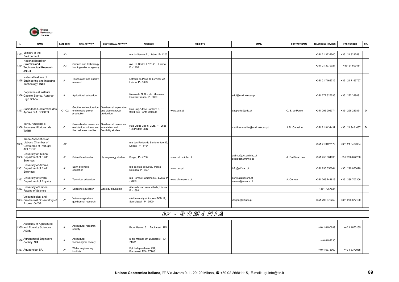

Agronomical Engineers<br>Society SIA

1367 Aquaproject SA **A1** Water engineering

| N.   | <b>NAME</b>                                                                            | <b>CATEGORY</b> | <b>MAIN ACTIVITY</b>                                                       | <b>GEOTHERMAL ACTIVITY</b>                                     | <b>ADDRESS</b>                                            | <b>WEB SITE</b>    | <b>EMAIL</b>                              | <b>CONTACT NAME</b> | <b>TELEPHONE NUMBER</b> | <b>FAX NUMBER</b> | OR.            |
|------|----------------------------------------------------------------------------------------|-----------------|----------------------------------------------------------------------------|----------------------------------------------------------------|-----------------------------------------------------------|--------------------|-------------------------------------------|---------------------|-------------------------|-------------------|----------------|
|      |                                                                                        |                 |                                                                            |                                                                |                                                           |                    |                                           |                     |                         |                   |                |
| 1353 | Ministry of the<br>Environment                                                         | A <sub>3</sub>  |                                                                            |                                                                | rua do Seculo 51, Lisboa P-1200                           |                    |                                           |                     | +351 21 3232500         | +351 21 3232531   |                |
| 1354 | National Board for<br>Scientific and<br><b>Technological Research</b><br><b>JNICT</b>  | A <sub>3</sub>  | Science and technology<br>funding national agency                          |                                                                | ave. D. Carlos I 126-2°, Lisboa<br>$P - 1200$             |                    |                                           |                     | +351 21 3979021         | +35121 607481     |                |
|      | National Institute of<br>1355 Engineering and Industrial<br>Technology INETI           | A1              | echnology and energy<br>research                                           |                                                                | Estrada do Paço do Luminar 22,<br>Lisboa P - 1699         |                    |                                           |                     | +351 21 7162712         | +351 21 7163797   |                |
|      | Polytechnical Institute<br>1356 Castelo Branco, Agrarian<br><b>High School</b>         | A <sub>1</sub>  | Agricultural education                                                     |                                                                | Quinta de N. Sra. de Mercules,<br>Castelo Branco P - 6000 |                    | sdbi@mail.telepac.pt                      |                     | +351 272 327535         | +351 272 328881   | - 1            |
|      | 1357 Sociedade Geotérmica dos<br>Acores S.A. SOGEO                                     | C1-C2           | Geothermal exploration<br>end electric power<br>production                 | Geothermal exploration<br>end electric power<br>production     | Rua Eng.º Jose Cordeiro 6, PT-<br>9504-535 Ponta Delgada  | www.eda.pt         | cabponte@eda.pt                           | C. B. de Ponte      | +351 296 202374         | +351 296 283851   | D              |
|      | Terra, Ambiente e<br>1358 Recursos Hídricos Lda<br><b>TARH</b>                         | C <sub>1</sub>  | Groundwater resources<br>evalutation; mineral and<br>thermal water studies | Geothermal resources<br>evalutation and<br>feasibility studies | Rua Diogo Cão 5 3Dto, PT-2685-<br>198 Portela LRS         |                    | martinscarvalho@mail.telepac.pt           | . M. Carvalho       | +351 21 9431437         | +351 21 9431437   | D              |
| 1359 | Trade Association of<br>Lisbon / Chamber of<br>Commerce of Portugal<br><b>ACL/CCIP</b> | A2              |                                                                            |                                                                | rua das Portas de Santo Antao 89,<br>Lisboa P-1194        |                    |                                           |                     | +351 21 3427179         | +351 21 3424304   | -1             |
|      | University of Minho,<br>1360 Department of Earth<br>Sciences                           | A <sub>1</sub>  | Scientific education                                                       | Hydrogeology studies                                           | Braga, P - 4700                                           | www.dct.uminho.pt  | aslima@dct.uminho.pt<br>sec@dct.uminho.pt | . Da Silva Lima     | +351 253 604035         | +351 253 678 206  |                |
|      | University of Azores,<br>1361 Department of Earth<br>Sciences                          | A <sub>1</sub>  | Earth sciences<br>education                                                |                                                                | rua da Mae de Deus, Ponta<br>Delgada P - 9501             | www.uac.pt         | info@alf.uac.pt                           |                     | +351 296 653044         | +351 296 653070   |                |
|      | 1362 University of Evora,<br>Department of Physics                                     | A <sub>1</sub>  | echnical education                                                         |                                                                | rua Romao Ramalho 59, Evora F<br>7000                     | www.dfis.uevora.pt | correia@uevora.pt<br>nazare@uevora.pt     | A. Correia          | +351 266 744616         | +351 266 702306   |                |
| 136  | University of Lisbon,<br>Faculty of Science                                            | A <sub>1</sub>  | Scientific education                                                       | Geology education                                              | Alameda da Universidade, Lisboa<br>P - 1699               |                    |                                           |                     | +351 7967624            |                   |                |
|      | Volcanological and<br>1364 Geothermal Observatory o<br>Azores OVGA                     | A <sub>1</sub>  | Volcanological and<br>geothermal research                                  |                                                                | c/o University of Azores POB 12,<br>San Miguel P - 9500   |                    | vforjaz@alf.uac.pt                        |                     | +351 296 672252         | +351 296 672100   | $\blacksquare$ |
|      |                                                                                        |                 |                                                                            |                                                                |                                                           |                    |                                           |                     |                         |                   |                |
|      |                                                                                        |                 |                                                                            |                                                                |                                                           | 37 - ROMANIA       |                                           |                     |                         |                   |                |
|      | Academy of Agricultural<br>1365 and Forestry Sciences<br>ASAS                          | A <sub>1</sub>  | Agricultural research<br>society                                           |                                                                | B-dul Marasti 61, Bucharest RO                            |                    |                                           |                     | +40 1 6180699           | +40 1 1670155     | $\mathbf{I}$   |

Agricultural Engineers Society B-dul Marasti 59, Bucharest RO - 71331 +40 6182230 Personal technological society Personal Marasti 59, Bucharest RO - 71331 +40 6182230 Personal dechnological society Personal of the Marasti

engineering | Spl. Independentei 294, Bucharest RO - 77703 +40 1 6377965 | Independentei 294, Bucharest RO - 77703 +40 1 6377965 | Independentei 294, Bucharest RO - 77703 +40 1 6377965 | Independentei 294, Bucharest RO - 7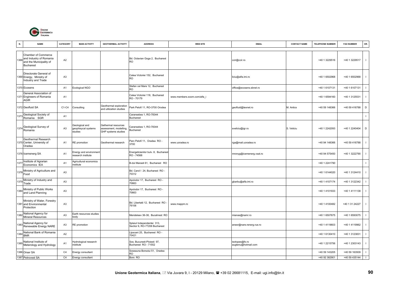

| N.   | <b>NAME</b>                                                                                   | CATEGORY       | <b>MAIN ACTIVITY</b>                             | <b>GEOTHERMAL ACTIVITY</b>                                           | <b>ADDRESS</b>                                              | <b>WEB SITE</b>             | <b>EMAIL</b>                          | <b>CONTACT NAME</b> | <b>TELEPHONE NUMBER</b> | <b>FAX NUMBER</b> | OR.          |
|------|-----------------------------------------------------------------------------------------------|----------------|--------------------------------------------------|----------------------------------------------------------------------|-------------------------------------------------------------|-----------------------------|---------------------------------------|---------------------|-------------------------|-------------------|--------------|
| 1368 | Chamber of Commerce<br>and Industry of Romania<br>and the Municipality of<br><b>Bucharest</b> | A <sub>2</sub> |                                                  |                                                                      | Bd. Octavian Goga 2, Bucharest<br><b>RO</b>                 |                             | ccir@ccir.ro                          |                     | +40 1 3229516           | +40 1 3229517     | $\mathbf{I}$ |
|      | Directorate General of<br>1369 Energy, Ministry of<br>Industry and Trade                      | A <sub>3</sub> |                                                  |                                                                      | Calea Victoriei 152, Bucharest<br>RO                        |                             | liciu@alfa.imi.ro                     |                     | +40 1 6502968           | +40 1 6502968     | $\mathbf{I}$ |
|      | 1370 Ecosens                                                                                  | A <sub>1</sub> | Ecological NGO                                   |                                                                      | Stefan cel Mare 12, Bucharest<br>RO                         |                             | office@ecosens.sbnet.ro               |                     | +40 1 6107131           | +40 1 6107131     | $\mathbf{I}$ |
|      | General Association of<br>1371 Engineers of Romania<br><b>AGIR</b>                            | A1             |                                                  |                                                                      | Calea Victoriei 118, Bucharest<br>RO - 70179                | www.members.xoom.com/alfa_i |                                       |                     | +40 1 6594160           | +40 1 3125531     | $\mathbf{I}$ |
|      | 1372 Geofluid SA                                                                              | C1-C4          | Consulting                                       | Geothermal exploration<br>and utilization studies                    | Park Petofi 11, RO-3700 Orodea                              |                             | geofluid@texnet.ro                    | M. Antics           | +40 59 148366           | +40 59 416788     | D            |
| 1373 | Geological Society of<br>Romania SGR                                                          | A <sub>1</sub> |                                                  |                                                                      | Caransebes 1, RO-78344<br><b>Bucharest</b>                  |                             |                                       |                     |                         |                   | $\mathbf{I}$ |
|      | Geological Survey of<br>$1374$ Romania                                                        | A <sub>3</sub> | Geological and<br>geophisycal systems<br>studies | Gethermal resources<br>assessment, modelling,<br>GHP systems studies | Caransebes 1, RO-78344<br><b>Bucharest</b>                  |                             | sveliciu@igr.ro                       | S. Veliciu          | +40 1 2242093           | +40 1 2240404     | $\mathsf D$  |
|      | Geothermal Research<br>1375 Center, University of<br>Oradea                                   | A <sub>1</sub> | RE promotion                                     | Geothermal research                                                  | Parc Petofi 11, Oradea RO -<br>3700                         | www.uoradea.ro              | rga@mail.uoradea.ro                   |                     | +40 94 148366           | +40 59 416788     | $\mathbf{I}$ |
|      | 1376 Icemenerg SA                                                                             | A <sub>1</sub> | Energy and environment<br>research institute     |                                                                      | Energeticienilor bulv. 8, Bucharest<br>RO - 74568           |                             | mronyg@icemenerg.vsat.ro              |                     | +40 94 575450           | +40 1 3222790     | $\mathbf{I}$ |
| 1377 | Institute of Agrarian<br>Economics IEA                                                        | A <sub>1</sub> | Agricultural economics<br>nstitute               |                                                                      | B-dul Marasti 61, Bucharest RO                              |                             |                                       |                     | +40 1 2241790           |                   | $\mathbf{I}$ |
| 1378 | Ministry of Agriculture and<br>Food                                                           | A <sub>3</sub> |                                                  |                                                                      | Bd. Carol I 24, Bucharest RO -<br>70312                     |                             |                                       |                     | +40 1 6144020           | +40 1 3124410     | $\mathbf{I}$ |
| 137  | Ministry of Industry and<br>Trade                                                             | A <sub>3</sub> |                                                  |                                                                      | Apolodor 17, Bucharest RO -<br>70663                        |                             | gbarbu@alfa.imi.ro                    |                     | +40 1 4107174           | +40 1 3122342     | $\mathbf{I}$ |
| 1380 | Ministry of Public Works<br>and Land Planning                                                 | A3             |                                                  |                                                                      | Apolodor 17, Bucharest RO -<br>70663                        |                             |                                       |                     | +40 1 4101933           | +40 1 4111138     | $\mathbf{I}$ |
|      | Ministry of Water, Forestry<br>1381 and Environmental<br>Protection                           | A <sub>3</sub> |                                                  |                                                                      | Bd. Libertatii 12, Bucharest RO -<br>76106                  | www.mappm.ro                |                                       |                     | +40 1 4100482           | +40 1 31 24227    | $\mathbf{I}$ |
| 382  | National Agency for<br><b>Mineral Resources</b>                                               | A <sub>3</sub> | Earth resources studies<br>body                  |                                                                      | Mendeleev 36-38, Bucahrest RO                               |                             | mianas@namr.ro                        |                     | +40 1 6507675           | +40 1 6593075     | $\mathbf{I}$ |
| 383  | National Agency for<br>Renewable Energy NARE                                                  | A <sub>3</sub> | RE promotion                                     |                                                                      | Splaiul Independentei 313,<br>Sectior 6, RO-77206 Bucharest |                             | anesr@nare.renerg.rue.ro              |                     | +40 1 4119603           | +40 1 4119962     | $\mathbf{I}$ |
| 1384 | National Bank of Romania<br><b>BNR</b>                                                        | A2             |                                                  |                                                                      | ipscani 25, Bucharest RO -<br>70421                         |                             |                                       |                     | +40 1 6130410           | +40 1 3123831     | $\mathbf{I}$ |
|      | 1385 National Institute of<br>Meterology and Hydrology                                        | A <sub>1</sub> | Hydrological research<br>nstitute                |                                                                      | Sos. Bucuresti-Ploiesti 97,<br>Bucharest RO - 71552         |                             | isotopes@fx.ro<br>augtenu@hotmail.com |                     | +40 1 2215756           | +40 1 2303143     | $\mathbf{I}$ |
|      | 1386 Orser SA                                                                                 | C <sub>4</sub> | Energy consultant                                |                                                                      | Soseauna Borsolui 51, Oradea<br>RO                          |                             |                                       |                     | +40 59 143205           | +40 59 163509     | $\mathbf{I}$ |
|      | 1387 Petrovest SA                                                                             | C <sub>4</sub> | Energy consultant                                |                                                                      | Bors RO                                                     |                             |                                       |                     | +40 92 382901           | +40 59 435144     | $\perp$      |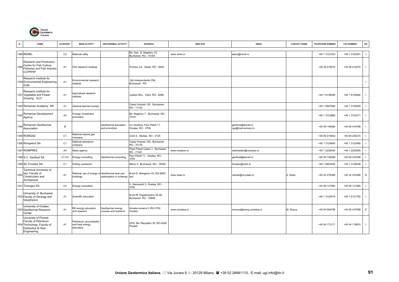

| N.   | <b>NAME</b>                                                                                                                   | <b>CATEGORY</b> | <b>MAIN ACTIVITY</b>                                   | <b>GEOTHERMAL ACTIVITY</b>                       | <b>ADDRESS</b>                                       | <b>WEB SITE</b> | <b>EMAIL</b>                              | <b>CONTACT NAME</b> | <b>TELEPHONE NUMBER</b> | <b>FAX NUMBER</b> | OR.            |
|------|-------------------------------------------------------------------------------------------------------------------------------|-----------------|--------------------------------------------------------|--------------------------------------------------|------------------------------------------------------|-----------------|-------------------------------------------|---------------------|-------------------------|-------------------|----------------|
|      | 1388 RENEL                                                                                                                    | C <sub>2</sub>  | National utility                                       |                                                  | Bd. Gen. G. Magheru 33,<br>Bucharest RO - 70164      | www.renel.ro    | aleca@renel.ro                            |                     | +40 1 3123163           | +40 1 3120291     |                |
|      | Research and Production<br>1389 Centre for Fish Culture,<br>Fisheries and Fish Industry<br><b>CCPPPIP</b>                     | A1              | Fish research Institute                                |                                                  | Portului 2-4, Galati RO - 6200                       |                 |                                           |                     | +40 36 416914           | +40 36 414270     | $\Box$         |
|      | Research Institute for<br>1390 Environmental Engineering<br><b>ICIM</b>                                                       | A <sub>1</sub>  | Environmental research<br>nstitute                     |                                                  | Spl Independentei 294,<br>Bucharest RO               |                 |                                           |                     |                         |                   |                |
|      | Research Institute for<br>1391 Vegetable and Flower<br>Growing ICLF                                                           | A <sub>1</sub>  | Agricultural research<br>institute                     |                                                  | Judetul Ilfov. Vidra RO - 8268                       |                 |                                           |                     | +40 1 6136395           | +40 1 6139282     | -1             |
|      | 1392 Romanian Academy AR                                                                                                      | A <sub>1</sub>  | General learned society                                |                                                  | Calea Victoriei 125, Bucharest<br>RO-71102           |                 |                                           |                     | +40 1 6507680           | +40 1 3120209     |                |
|      | Romanian Development<br>Agency                                                                                                | A <sub>3</sub>  | Foreign investment<br>oromotion                        |                                                  | Bd. Magheru 7, Bucharest RO<br>70161                 |                 |                                           |                     | +40 1 3122886           | +40 1 3120371     |                |
| 1394 | Romanian Geothermal<br>Association                                                                                            | B               |                                                        | Geothermal education<br>and promotion            | c/o Geofluid, Parc Petofi 11,<br>Oradea RO - 3700    |                 | geofluid@texnet.ro<br>rga@mail.soroscj.ro |                     | +40 59 148366           | +40 59 416788     | - 1            |
|      | 1395 ROMGAZ                                                                                                                   | C <sub>1</sub>  | National natural gas<br>company                        |                                                  | Unirii 4, Medias RO - 3125                           |                 |                                           |                     | +40 69 210842           | +40 69 235210     |                |
|      | 1396 Rompetrol SA                                                                                                             | C <sub>1</sub>  | National petroleum<br>company                          |                                                  | Calea Victoriei 109, Bucharest<br>RO - 70176         |                 |                                           |                     | +40 1 3129540           | +40 1 3122490     |                |
|      | 1397 ROMPRES                                                                                                                  | A <sub>4</sub>  | News agency                                            |                                                  | Piata Presei Libere 1, Bucharest<br>RO - 71341       | www.rompres.ro  | webmaster@rompres.ro                      |                     | +40 1 2228340           | +40 1 2220089     |                |
|      | 1398 S.C. Geofluid SA                                                                                                         | $C1-C4$         | Energy consulting                                      | Geothermal consulting                            | Parc Petofi 11, Oradea RO -<br>3700                  |                 | geofluid@texnet.ro                        |                     | +40 59 148366           | +40 59 416788     |                |
|      | 1399 SC Foradex SA                                                                                                            | C <sub>1</sub>  | Drilling contractor                                    |                                                  | Milcov 5, Bucharest RO - 78344                       |                 | foradex@net4.ro                           |                     | +40 1 6653025           | +40 1 3128538     |                |
|      | Technical University of<br>1400 lasi, Faculty of<br>Construction and<br>Architecture                                          | A <sub>1</sub>  | Rational use of energy in<br>buildings                 | Geothermal heat use<br>optimization in buildings | 3-dul D. Mangeron 43, RO-6600<br>lasi                | www.tuias.ro    | raduar@ce.tuiasi.ro                       | . Radu              | +40 32 278386           | +40 32 233368     | D              |
|      | 1401 Transgex SA                                                                                                              | C <sub>4</sub>  | Energy consultant                                      |                                                  | /. Alecsandri 2, Oradea RO -<br>3700                 |                 |                                           |                     | +40 59 137082           | +40 59 131965     |                |
|      | University of Bucharest,<br>1402 Faculty of Geology and<br>Geophysics                                                         | A <sub>1</sub>  | Scientific education                                   |                                                  | B-dul M. Kogalniceanu 34-46,<br>Bucharest RO - 70609 |                 |                                           |                     | +40 1 3120419           | +40 1 6131760     | $\blacksquare$ |
|      | University of Oradea<br>1403 Geothermal Research<br>Center                                                                    | A <sub>1</sub>  | RE energy education<br>and research                    | Geothermal energy<br>courses and research        | Armata romana 5, RO-3700<br>Orodea                   | www.uoradea.ro  | mrosca@energ.uoradea.ro                   | M. Rosca            | +40 94 564768           | +40 59 416788     | $\mathsf D$    |
|      | University of Ploiesti,<br>Faculty of Petroleum<br>1404 Technology; Faculty of<br><b>Hydraulics &amp; Heat</b><br>Engineering | A <sub>1</sub>  | Petroleum, groundwater<br>and heat energy<br>education |                                                  | UPG, Bd. Republicii 39, RO-2000<br>Ploiesti          |                 |                                           |                     | +40 44 173171           | +40 44 119874     | $\blacksquare$ |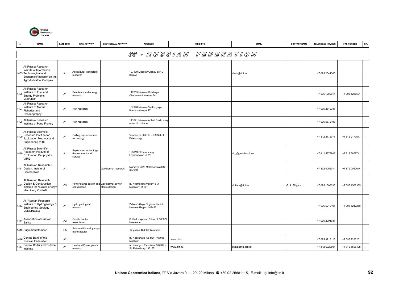

| N.   | <b>NAME</b>                                                                                                                      | CATEGORY       | <b>MAIN ACTIVITY</b>                                     | <b>GEOTHERMAL ACTIVITY</b> | <b>ADDRESS</b>                                            | <b>WEB SITE</b> | <b>EMAIL</b>      | <b>CONTACT NAME</b> | <b>TELEPHONE NUMBER</b> | <b>FAX NUMBER</b> | OR.          |
|------|----------------------------------------------------------------------------------------------------------------------------------|----------------|----------------------------------------------------------|----------------------------|-----------------------------------------------------------|-----------------|-------------------|---------------------|-------------------------|-------------------|--------------|
|      |                                                                                                                                  |                |                                                          |                            | - RUSSIAM<br>38                                           | FEDERATION      |                   |                     |                         |                   |              |
|      | All Russia Research<br>Insitute of Information,<br>1405 Technological and<br>Economic Research on the<br>Agro-Industrial Complex | A1             | Agricultural technology<br>research                      |                            | 107139 Moscow Orlikov per. 3<br>Korp A                    |                 | viesh@dol.ru      |                     | +7 095 2044360          |                   | $\mathbf{I}$ |
| 1406 | All Russia Research<br>Institute of Fuel and<br><b>Energy Problems</b><br><b>VNIIKTEP</b>                                        | A <sub>1</sub> | Petroleum and energy<br>esearch                          |                            | 117259 Moscow Bolshaya<br>Cheremushkinskaya 34            |                 |                   |                     | +7 095 1289014          | +7 095 1288591    | $\mathbf{I}$ |
| 1407 | All Russia Research<br>Institute of Marine<br>Fisheries and<br>Oceanography                                                      | A1             | Fish research                                            |                            | 107140 Moscow Verkhnyaya<br>Krasnoselskaya 17             |                 |                   |                     | +7 095 2649387          |                   | $\mathbf{I}$ |
| 1408 | All Russia Research<br>Institute of Pond Fishery                                                                                 | A1             | Fish research                                            |                            | 141821 Moscow oblast Dmitrovsky<br>raion p/o rubnoe       |                 |                   |                     | +7 095 5872198          |                   | $\mathbf{I}$ |
| 1409 | All Russia Scientific<br>Research Institute for<br>Exploration Methods and<br>Engineering VITR                                   | A <sub>1</sub> | Drilling equipment and<br>technology                     |                            | Veselnaya ul 6 RU - 199026 St.<br>Petersburg              |                 |                   |                     | +7 812 2175077          | +7 812 2170517    | $\mathbf{I}$ |
| 1410 | All Russia Scientific<br>Research Institute of<br><b>Exploration Geophysics</b><br><b>VIRG</b>                                   | A1             | Exploration technology<br>development and<br>service     |                            | 193019 St Petersburg<br>Fayansovaya ul. 20                |                 | virg@geoph.spb.su |                     | +7 812 5676803          | +7 812 5678741    | $\mathbf{I}$ |
|      | All Russian Research &<br>1411 Design. Instute of<br>Geothermics                                                                 | A1             |                                                          | Geothermal research        | Markova ul 23 Makhachkala RU<br>367010                    |                 |                   |                     | +7 872 0052014          | +7 872 0052014    | $\mathbf{I}$ |
| 1412 | All Russian Research.<br>Design & Construction<br>institute for Nuclear Energy<br>Machinery VINIIAM                              | C <sub>5</sub> | Power plants design and Geothermal power<br>construction | plants design              | ul. Kosmonaut Volkov, 6-A<br><b>Moscow 125171</b>         |                 | viniiam@dol.ru    | G. A. Filippov      | +7 095 1508336          | +7 095 1508335    | $\mathbf{I}$ |
| 1413 | All-Russian Research<br>Institute of Hydrogeology &<br><b>Engineering Geology</b><br>VSEGINGEO                                   | A <sub>1</sub> | Hydrogeological<br>research                              |                            | Zeleny Village Noginsk district<br>Moscow Region 142452   |                 |                   |                     | +7 095 5212101          | +7 095 5212250    | $\mathbf{I}$ |
| 141  | Association of Russian<br>Banks                                                                                                  | A <sub>2</sub> | Private banks<br>association                             |                            | B. Sadovaya str. 2 dom. 4 103379<br>Moscow ul.            |                 |                   |                     | +7 095 2091037          |                   | $\mathbf{L}$ |
|      | 1415 Bugulmaneftemash                                                                                                            | C <sub>5</sub> | Submersible well pumps<br>manufacturer                   |                            | Bugulma 423000 Tatarstan                                  |                 |                   |                     |                         |                   | $\mathbf{I}$ |
| 1416 | Central Bank of the<br>Russian Federation                                                                                        | A <sub>2</sub> |                                                          |                            | ul. Neglinnaya 12, RU - 107016<br>Moskow                  | www.cbr.ru      |                   |                     | +7 095 9213116          | +7 095 9283201    | $\mathbf{I}$ |
| 1417 | Central Boiler and Turbine<br>Institute                                                                                          | A <sub>1</sub> | Heat and Power plants<br>research                        |                            | ul. Krasnych Elektrikov 3/6 RU -<br>St. Petersburg 193167 | www.ckti.ru     | ckti@neva.spb.ru  |                     | +7 812 5920504          | +7 812 5508498    | $\mathbf{I}$ |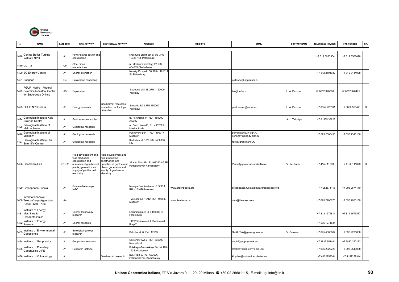

| N.   | <b>NAME</b>                                                                         | CATEGORY       | <b>MAIN ACTIVITY</b>                                                                                                                                       | <b>GEOTHERMAL ACTIVITY</b>                                                                                                                                 | <b>ADDRESS</b>                                              | <b>WEB SITE</b>    | <b>EMAIL</b>                                    | <b>CONTACT NAME</b> | <b>TELEPHONE NUMBER</b> | <b>FAX NUMBER</b> | OR.          |
|------|-------------------------------------------------------------------------------------|----------------|------------------------------------------------------------------------------------------------------------------------------------------------------------|------------------------------------------------------------------------------------------------------------------------------------------------------------|-------------------------------------------------------------|--------------------|-------------------------------------------------|---------------------|-------------------------|-------------------|--------------|
|      | 1418 Central Boiler Turbine<br>Institute NPO                                        | A <sub>1</sub> | Power plants design and<br>construction                                                                                                                    |                                                                                                                                                            | Krasnych Elektrikov ul 3/6, RU -<br>193167 St. Petersburg   |                    |                                                 |                     | +7 812 5920504          | +7 812 5508498    | $\mathbf{I}$ |
|      | 1419 CLTPZ                                                                          | C <sub>5</sub> | Steel pipes<br>nanufacturer                                                                                                                                |                                                                                                                                                            | ul. Mashinostroitelnyy 27, RU-<br>454019 Chelyabinsk        |                    |                                                 |                     |                         |                   | $\mathbf{I}$ |
|      | 1420 EC Energy Centre                                                               | A <sub>1</sub> | Energy promotion                                                                                                                                           |                                                                                                                                                            | Nevsky Prospekt 58, RU - 191011<br>St. Petersburg           |                    |                                                 |                     | +7 812 2104932          | +7 812 3144038    | $\mathbf{I}$ |
|      | 1421 Ecogeos                                                                        | C <sub>4</sub> | <b>Exploration consulting</b>                                                                                                                              |                                                                                                                                                            |                                                             |                    | yeltosov@uiggm.nsc.ru                           |                     |                         |                   | $\mathbf{I}$ |
|      | FGUP Nedra - Federal<br>1422 Scientific Industrial Centre<br>for Superdeep Drilling | A <sub>3</sub> | Exploration                                                                                                                                                |                                                                                                                                                            | Svoboda ul 8/38, RU - 150000<br>Yaroslav                    |                    | lev@nedra.ru                                    | . A. Pevzner        | +7 0852 328388          | +7 0852 328471    | $\mathbf{I}$ |
|      | 1423 FGUP NPC Nedra                                                                 | A1             | Energy research                                                                                                                                            | Geothermal resources<br>evaluation; technology<br>promotion                                                                                                | Svoboda 8/38, RU-150000<br>Yaroslavl                        |                    | postmaster@nedra.ru                             | L. A. Pevzner       | +7 0852 728101          | +7 0852 328471    | $\mathsf D$  |
| 1424 | Geological Institute Kola<br>Science Centre                                         | A1             | Earth sciences studies                                                                                                                                     |                                                                                                                                                            | ul. Fersmana 14, RU - 184200<br>Apatity                     |                    |                                                 | A. L. Tsibulya      | +7 81555 37823          |                   | $\mathbf{I}$ |
| 142  | Geological Institute of<br>Makhachkala                                              | A1             | Geological research                                                                                                                                        |                                                                                                                                                            | ul. Gadzhieva 45, RU - 367025<br>Makhachkala                |                    |                                                 |                     |                         |                   | $\mathbf{I}$ |
| 142  | Geological Institute of<br>Moscow                                                   | A <sub>1</sub> | Geological research                                                                                                                                        |                                                                                                                                                            | Pyshevsky per 7, RU - 109017<br>Moscow                      |                    | polyak@geo.tv-sign.ru<br>kononov@geo.tv-sign.ru |                     | +7 095 2308496          | +7 095 2318106    | $\mathbf{I}$ |
| 142  | Geological Institute Ufa<br>Scientific Centre                                       | A <sub>1</sub> | Geological research                                                                                                                                        |                                                                                                                                                            | Karl Marx st. 16/2, RU - 450000<br>Ufa                      |                    | root@igran.ufanet.ru                            |                     |                         |                   | $\mathbf{L}$ |
|      | 1428 Geotherm JSC                                                                   | $C1-C2$        | Field development and<br>fluid production;<br>construction and<br>operation of geothermal<br>plants: generation and<br>supply of geothermal<br>electricity | Field development and<br>fluid production;<br>construction and<br>operation of geothermal<br>plants; generation and<br>supply of geothermal<br>electricity | 37 Karl Marx Pr., RU-683603 GSP<br>Petropavlovsk Kamchatsky |                    | Vluzin@geoterm.kamchatka.ru                     | V. Ye. Luzin        | +7 4152 110830          | +7 4152 111073    | D            |
|      | 1429 Greenpeace Russia                                                              | A <sub>1</sub> | Sustainable energy<br>NGO                                                                                                                                  |                                                                                                                                                            | Novaya Bashilovka str. 6 GSP 4<br><b>RU - 101428 Moscow</b> | www.greenpeace.org | greenpeace.russia@diala.greenpeace.org          |                     | +7 952574116            | +7 095 2574110    | $\mathbf{I}$ |
|      | Informatsionnoye<br>1430 Telegrafnoye Agentstvo<br>Rossii ITAR-TASS                 | A4             |                                                                                                                                                            |                                                                                                                                                            | Tverskoi bul. 10/12, RU - 103009<br>Moskow                  | www.itar-tass-com  | dms@itar-tass.com                               |                     | +7 095 2906070          | +7 095 2033180    | $\mathbf{I}$ |
| 143  | Institute of Energy<br>Machines &<br>Oceanotechnics                                 | A <sub>1</sub> | Energy technology<br>esearch                                                                                                                               |                                                                                                                                                            | Lochmanskaya ul 3 190008 St<br>Petersburg                   |                    |                                                 |                     | +7 812 1575811          | +7 812 1575877    | $\mathbf{I}$ |
| 143  | Institute of Energy<br>Research                                                     | A1             | Energy research                                                                                                                                            |                                                                                                                                                            | 117333 Moscow Ul. Vavilova 44<br>Korp 2                     |                    |                                                 |                     | +7 095 1274834          |                   | $\mathbf{I}$ |
| 1433 | Institute of Environmental<br>Geoscience                                            | A <sub>1</sub> | Ecological geology<br>esearch                                                                                                                              |                                                                                                                                                            | Bakulev st. 8 104 117513                                    |                    | SVALOVA@geoeng.msk.su                           | /. Svalova          | +7 095 4386862          | +7 095 9231886    | $\mathbf{I}$ |
|      | 1434 Institute of Geophysics                                                        | A <sub>1</sub> | Geophisical research                                                                                                                                       |                                                                                                                                                            | University Ave 3, RU - 630090<br>Novosibirsk                |                    | duch@geophys.nsk.su                             |                     | +7 3832 351444          | +7 3832 350132    | $\mathbf{I}$ |
| 143  | Institute of Planetary<br>Geophysics UIPE                                           | A1             | Research institute                                                                                                                                         |                                                                                                                                                            | Bolshaya Gruzinskaya Str 10 RU<br>123810 Moscow             |                    | strakhov@dir.iephys.msk.su                      |                     | +7 095 2320726          | +7 095 2549088    | $\mathbf{I}$ |
|      | 1436 Institute of Volcanology                                                       | A <sub>1</sub> |                                                                                                                                                            | Geothermal research                                                                                                                                        | Bul. Piipa 9, RU - 683006<br>Petropavlovsk, Kamchatsky      |                    | kiryuhin@volcan.kamchatka.su                    |                     | +7 4152259344           | +7 4152259344     | $\mathbf{I}$ |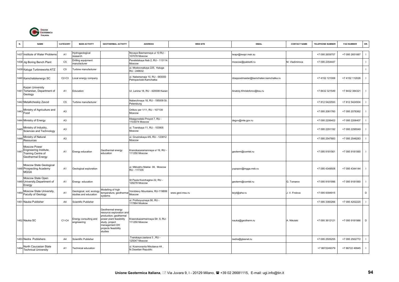

| N.   | <b>NAME</b>                                                                       | CATEGORY       | <b>MAIN ACTIVITY</b>                               | <b>GEOTHERMAL ACTIVITY</b>                                                                                                                                               | <b>ADDRESS</b>                                            | <b>WEB SITE</b> | <b>EMAIL</b>                          | <b>CONTACT NAME</b> | <b>TELEPHONE NUMBER</b> | <b>FAX NUMBER</b> | OR.            |
|------|-----------------------------------------------------------------------------------|----------------|----------------------------------------------------|--------------------------------------------------------------------------------------------------------------------------------------------------------------------------|-----------------------------------------------------------|-----------------|---------------------------------------|---------------------|-------------------------|-------------------|----------------|
|      | 1437 Institute of Water Problems                                                  | A <sub>1</sub> | Hydrogeological<br>research                        |                                                                                                                                                                          | Novaya Basmannaya ul 10 RU -<br>107078 Moscow             |                 | wapr@iwapr.msk.su                     |                     | +7 095 2659757          | +7 095 2651887    |                |
|      | 1438 Jig Boring Bench Plant                                                       | C <sub>5</sub> | Irilling equipment<br>nanufacturer                 |                                                                                                                                                                          | Paveletskaya Nab 2, RU - 113114<br>Moscow                 |                 | moscow@pakketti.ru                    | M. Vladimirova      | +7 095 2354447          |                   |                |
|      | 1439 Kaluga Turbineworks KTZ                                                      | C <sub>5</sub> | Furbine manufacturer                               |                                                                                                                                                                          | ul. Moskovsakaya 225, Kaluga<br>RU - 248632               |                 |                                       |                     |                         |                   |                |
|      | 1440 Kamchatskenergo SC                                                           | $C2-C3$        | ocal energy company                                |                                                                                                                                                                          | ul. Nabereznaja 10, RU - 683000<br>Petropavlosk-Kamchatka |                 | nbsppostmaster@kamchaten.kamchatka.ru |                     | +7 4152 121006          | +7 4152 112026    |                |
|      | Kazan University<br>1441 Tertarstan, Department of<br>Geology                     | A <sub>1</sub> | Education                                          |                                                                                                                                                                          | Ul. Lenina 18, RU - 420008 Kazan                          |                 | Anatoly.Khristoforov@ksu.ru           |                     | +7 8432 321549          | +7 8432 384321    |                |
|      | 1442 Metallicheskiy Zavod                                                         | C <sub>5</sub> | Furbine manufacturer                               |                                                                                                                                                                          | Naberzhnaya 18, RU - 195009 St.<br>Petersburg             |                 |                                       |                     | +7 812 5422593          | +7 812 5424504    |                |
| 1443 | Ministry of Agriculture and<br>Food                                               | A <sub>3</sub> |                                                    |                                                                                                                                                                          | Orlikov per 1/11, RU - 107139<br>Moscow                   |                 |                                       |                     | +7 095 2081760          | +7 095 2078362    |                |
|      | 1444 Ministry of Energy                                                           | A <sub>3</sub> |                                                    |                                                                                                                                                                          | Kitaigorodskii Proyzd 7, RU -<br>1103074 Moscow           |                 | degvv@mte.gov.ru                      |                     | +7 095 2206402          | +7 095 2206407    |                |
| 1445 | Ministry of Industry,<br>Sciences and Technology                                  | A <sub>3</sub> |                                                    |                                                                                                                                                                          | ul. Tverskaya 11, RU - 103905<br>Moscow                   |                 |                                       |                     | +7 095 2291192          | +7 095 2295549    |                |
| 1446 | Ministry of Natural<br>Resources                                                  | A <sub>3</sub> |                                                    |                                                                                                                                                                          | ul. Gruzinskaya 4/6, RU - 123812<br>Moscow                |                 |                                       |                     | +7 095 2547683          | +7 095 2548283    |                |
| 1447 | Moscow Power<br>Engineering Institute,<br>Training Centre of<br>Geothermal Energy | A <sub>1</sub> | Energy education                                   | Geothermal energy<br>education                                                                                                                                           | Kranokazaramennaya ul 19, RU -<br>111250 Moscow           |                 | geoterm@comtel.ru                     |                     | +7 095 9181561          | +7 095 9181560    |                |
|      | Moscow State Geological<br>1448 Prospecting Academy<br><b>MGGA</b>                | A <sub>1</sub> | Geological exploration                             |                                                                                                                                                                          | ul. Miklukho Maklai 39, Moscow<br>RU - 117335             |                 | yupopov@mgga.msk.ru                   |                     | +7 095 4349508          | +7 095 4344144    | - 1            |
|      | Moscow State Open<br>1449 University, Department of<br>Energy                     | A <sub>1</sub> | Energy education                                   |                                                                                                                                                                          | St Paula Kozchagina 22, RU -<br>129278 Moscow             |                 | geoterm@comtel.ru                     | G. Tomarov          | +7 095 9181996          | +7 095 9181560    |                |
|      | 1450 Moscow State University,<br>Faculty of Geology                               | A <sub>1</sub> | Geological, soil, ecology<br>studies and education | Modelling of high<br>emperature, geothermal<br>systems                                                                                                                   | Vorobievy Mountains, RU-119899<br>Moscow                  | www.geol.msu.ru | leiyli@aha.ru                         | J. V. Frolova       | +7 095 9394915          |                   | D              |
|      | 1451 Nauka Publisher                                                              | A <sub>4</sub> | Scientific Publisher                               |                                                                                                                                                                          | ul. Profsoyuznaya 90, RU -<br>117864 Moskow               |                 |                                       |                     | +7 095 3360266          | +7 095 4202220    |                |
|      | 1452 Nauka SC                                                                     | C1-C4          | Inergy consulting and<br>ngineering                | Geothermal energy<br>resource exploration and<br>production; geothermal<br>power plant feasibility<br>study, project<br>management DH<br>projects feasibility<br>studies | Krasnokazarmennaya Str. 9, RU-<br>111250 Moscow           |                 | nauka@geotherm.ru                     | A. Nikolski         | +7 095 3612121          | +7 095 9181986    | D              |
|      | 1453 Nedra Publishers                                                             | A4             | Scientific Publisher                               |                                                                                                                                                                          | Tverskaya zastava 3, RU -<br>125047 Moscow                |                 | nedra@glasnet.ru                      |                     | +7 095 2505255          | +7 095 2502772    | $\blacksquare$ |
| 1454 | North Caucasian State<br><b>Technical University</b>                              | A <sub>1</sub> | Technical education                                |                                                                                                                                                                          | ul. Kosmonavta Nikolaeva 44.<br>N.Ossetian Republic       |                 |                                       |                     | +78672249379            | +7 86722 49945    | $\blacksquare$ |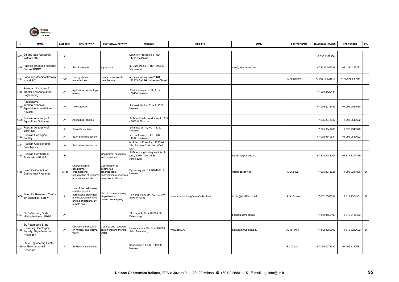

| N.   | <b>NAME</b>                                                                                | CATEGORY       | <b>MAIN ACTIVITY</b>                                                                                                                      | <b>GEOTHERMAL ACTIVITY</b>                                                                         | <b>ADDRESS</b>                                                             | <b>WEB SITE</b>                     | <b>EMAIL</b>          | <b>CONTACT NAME</b> | <b>TELEPHONE NUMBER</b> | <b>FAX NUMBER</b> | OR.            |
|------|--------------------------------------------------------------------------------------------|----------------|-------------------------------------------------------------------------------------------------------------------------------------------|----------------------------------------------------------------------------------------------------|----------------------------------------------------------------------------|-------------------------------------|-----------------------|---------------------|-------------------------|-------------------|----------------|
| 1455 | Oil and Gas Research<br>Institute RAS                                                      | A <sub>1</sub> |                                                                                                                                           |                                                                                                    | eninskiy Prospekt 65, RU -<br>117917 Moscow                                |                                     |                       |                     | +7 095 1357566          |                   | -1             |
|      | Pacific Fisheries Research<br>Centre TINRO                                                 | A <sub>1</sub> | Fish Research                                                                                                                             | Aquaculture                                                                                        | Il. Shevchenko 4, RU - 690600<br>Vladivostok                               |                                     | root@tinro.marine.su  |                     | +7 4232 257783          | +7 4232 257783    | $\blacksquare$ |
| 1457 | Podolsky Mashinostrotelny<br>zavod SC                                                      | C <sub>5</sub> | Energy plants<br>manufacturer                                                                                                             | Binary power plants<br>manufacturer                                                                | ul. Zelesnodoroznaja 2, RU -<br>142103 Podolsk, Moscow Oblast              |                                     |                       | V. Fedorinov        | +7 09675 521511         | +7 09675 541034   |                |
|      | Research Institute of<br>1458 Tractor and Agricultural<br>Engineering                      | A <sub>1</sub> | Agricultural technology<br>esearch                                                                                                        |                                                                                                    | Marksistskaya Ul. 22, RU -<br>109404 Moscow                                |                                     |                       |                     | +7 095 2720484          |                   |                |
| 1459 | Rossiiskoye<br>Informatsionnoye<br>Agentstvo Novosti RIA-<br>Novosti                       | A4             | News agency                                                                                                                               |                                                                                                    | Zubovskii bul. 4, RU - 119021<br>Moscow                                    |                                     |                       |                     | +7 095 2018445          | +7 095 2014060    | -1             |
| 460  | Russian Academy of<br>Agricultural Sciences                                                | A1             | Agricultural studies                                                                                                                      |                                                                                                    | Bolshoi Kharitonevsky per 21, RU<br>107814 Moscow                          |                                     |                       |                     | +7 095 2073942          | +7 095 9549622    |                |
| 146  | Russian Academy of<br>Sciences                                                             | A1             | Scientific society                                                                                                                        |                                                                                                    | Leninsky pr. 14, RU - 117901<br>Moscow                                     |                                     |                       |                     | +7 095 9542905          | +7 095 9543320    |                |
| 146  | Russian Geological<br>Society                                                              | A <sub>1</sub> | Earth sciences society                                                                                                                    |                                                                                                    | 2 - Roshinskaya ul 10, RU -<br>113191 Moscow                               |                                     |                       |                     | +7 095 9549634          | +7 095 9549622    |                |
| 1463 | Russian Geology and<br>Geophysics                                                          | A4             | Earth sciences journal                                                                                                                    |                                                                                                    | ed Allerton Press Inc., 18 West<br>27th Str. New York, NY 10001<br>USA     |                                     |                       |                     |                         |                   |                |
| 1464 | Russian Geothermal<br><b>Association RUGA</b>                                              | В              |                                                                                                                                           | Geothermal education<br>and promotion                                                              | St Petersburg Mining Institute, 21<br>ine, 2, RU -199026 St.<br>Petersburg |                                     | bogusl@spmi.edu.ru    |                     | +7 812 3288206          | +7 812 3277359    |                |
|      | 1465 Scientific Council on<br>Geothermal Problems                                          | $A1-B$         | Coordination of<br>reothermal<br>rganizations;<br>coordination of research<br>promotional efforts                                         | Coordination of<br>reothermal<br>organizations;<br>coordination of research<br>promotional efforts | Pyzhevsky per. 13, RU-109017<br>Moscow                                     |                                     | inter@geoenv.ru       | V. Svalova          | +7 095 2074726          | +7 095 9231886    | D              |
| 1466 | Scientific Research Centre<br>for Ecological Safety                                        | A <sub>1</sub> | Use of thermal infrared<br>atellite data for<br>earthquake prediction<br>and evalutaion of wind<br>and salor potenrial by<br>remote solar | Jse of remote sensing<br>n geothermal<br>convective mapping                                        | 18 Korpusnaya str., RU-197110<br>St.Petersburg                             | www.srces.spb.org/tronin/index.html | tronin@at1895.spb.edu | A. A. Tronin        | +7 812 2307834          | +7 812 2354361    | $\mathsf D$    |
|      | St. Petersburg State<br>1467 Mining Institute SPGGI                                        | A1             |                                                                                                                                           |                                                                                                    | 21 Liniya 2, RU - 199026 St.<br>Petersburg                                 |                                     | bogus@spmi.edu.ru     |                     | +7 812 3550190          | +7 812 2185463    |                |
|      | St. Petersburg State<br>1468 University, Geological<br>Faculty, Department of<br>Hydrology | A <sub>1</sub> | Courses and research<br>on mineral and thermal<br>water                                                                                   | Courses and research<br>on mineral and thermal<br>water                                            | Jniversitetsky 7/9, RU-1990398<br>Saint Petersburg                         | www.spbu.ru                         | alex@as1925.spb.edu   | A. Voronov          | +7 812 3289692          | +7 812 3289692    | $\mathsf D$    |
|      | <b>State Engineering Center</b><br>469 on Environmental<br>Research                        | A <sub>1</sub> | <b>Environmental studies</b>                                                                                                              |                                                                                                    | Kashirskoe 13, RU - 115230<br>Moscow                                       |                                     |                       | E.V.Zarov           | +7 095 4071032          | +7 095 1110573    | $\blacksquare$ |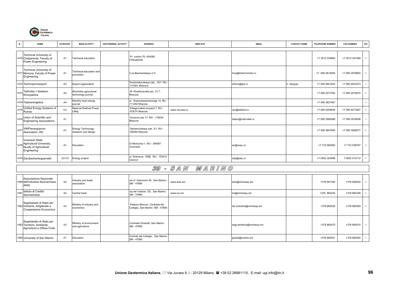

| N. | <b>NAME</b>                                                                               | CATEGORY       | <b>MAIN ACTIVITY</b>                            | <b>GEOTHERMAL ACTIVITY</b> | <b>ADDRESS</b>                                   | <b>WEB SITE</b> | <b>EMAIL</b>          | <b>CONTACT NAME</b> | <b>TELEPHONE NUMBER</b> | <b>FAX NUMBER</b> | OR. |
|----|-------------------------------------------------------------------------------------------|----------------|-------------------------------------------------|----------------------------|--------------------------------------------------|-----------------|-----------------------|---------------------|-------------------------|-------------------|-----|
|    | Technical University of<br>1470 Chelyaninsk, Faculty of<br><b>Power Engineering</b>       | A <sub>1</sub> | Technical education                             |                            | Pr. Lenina 76, 454080<br>Chelyabinsk             |                 |                       |                     | +7 3512 335882          | +7 3512 347408    |     |
|    | Technical University of<br>1471 Moscow, Faculty of Power<br>Engineering                   | A <sub>1</sub> | Technical education and<br>promotion            |                            | 2 ya Baumanskaya ul 5                            |                 | irina@interd.bmstu.ru |                     | +7 095 2614055          | +7 095 2679893    |     |
|    | 1472 Technopromexport                                                                     | A <sub>2</sub> | Export organization                             |                            | Ovchinnikovskaya nab., 18/1, RU<br>113324 Moscow |                 | inform@tpe.ru         | V. Serguei          | +7 095 9501523          | +7 095 9533373    |     |
|    | 1473 Tekhnika v Selskom<br>Khozyaistve                                                    | A <sub>4</sub> | Bimonthly agricultural<br>technology journal    |                            | M. Kharitonevskii per. 21-7,<br>Moscow           |                 |                       |                     | +7 095 2073762          | +7 095 2072870    |     |
|    | 1474 Teploenergetica                                                                      | A <sub>4</sub> | Monthly heat energy<br>iournal                  |                            | ul . Krasnokazarmennaja 14, RU<br>111250 Moscow  |                 |                       |                     | +7 095 3627467          |                   |     |
|    | 1475 Unified Energy Systems of<br>Russia                                                  | C <sub>2</sub> | National Eletrical Power<br>Utility             |                            | Kitaigorodskii proyezd 7, RU -<br>103074 Moscow  | www.rao-ees.ru  | rao@elektra.ru        |                     | +7 095 2204646          | +7 095 9273007    |     |
|    | 1476 Union of Scientific and<br>Engineering Associations                                  | A <sub>1</sub> |                                                 |                            | Kursovoi per 17, RU - 119034<br>Moscow           |                 | sitsev@mail.sitek.ru  |                     | +7 095 2906286          | +7 095 2918506    |     |
|    | 1477 VNIPlenergoprom<br>Association JSC                                                   | A <sub>1</sub> | <b>Energy Technology</b><br>research and design |                            | Semenovskaya nab. 2/1, RU -<br>105094 Moscow     |                 |                       |                     | +7 095 3607640          | +7 095 3606577    |     |
|    | Vorenezh State<br>1478 Agricultural University,<br>faculty of Agricultural<br>Engineering | A <sub>1</sub> | Education                                       |                            | Ul Michurina 1, RU - 394087<br>Voronezh          |                 | an@vsau.ru            |                     | +7 732 583083           | +7 732 538767     |     |
|    | 1479 Zarubezhenergoproekt                                                                 | $C2-C3$        | Energy project                                  |                            | ul. Smirnova 105B, RU - 153414<br>Ivanovo        |                 | zep@zep.ru            |                     | +7 0932 325468          | 7 0932 412712     |     |

## 39 - S A N M A R I N O

|      | Associazione Nazionale<br>1480 dell'Industria Sanmarinese<br><b>ANIS</b>               | A <sub>2</sub> | Industry and trade<br>association          | via G. Giacomini 39, San Marino<br>SM - 47890                    | www.anis.sm | anis@omniway.sm            | +378 991394 | +378 992832 |  |
|------|----------------------------------------------------------------------------------------|----------------|--------------------------------------------|------------------------------------------------------------------|-------------|----------------------------|-------------|-------------|--|
| 1481 | Istituto di Credito<br>Sanmarinese                                                     | A <sub>2</sub> | Central bank                               | via del Voltone 120, San Marino<br>SM - 47890                    | www.ics.sm  | ics@omniway.sm             | +378 882325 | +378 882328 |  |
|      | Segretariato di Stato per<br>1482 Industria, Artigianato e<br>Cooperazione Economica   | A3             | Ministry of industry and<br>economics      | Palazzo Mercuri, Contrada del<br>Collegio, San Marino SM - 47890 |             | dic.industria@omniway.sm   | +378 882528 | +378 882529 |  |
|      | Segretariato di Stato per<br>1483 Territorio, Ambiente,<br>Agricoltura e Difesa Civile | A <sub>3</sub> | Ministry of environment<br>and agriculture | Contrada Omerelli, San Marino<br>SM - 47890                      |             | segr.territorio@omniway.sm | +378 882470 | +378 882474 |  |
|      | 1484 University of San Marino                                                          | A <sub>1</sub> | Education                                  | Contrda del Collegio, San Marino<br>SM - 47890                   |             | grazia@unirsm.sm           | +378 882541 | +378 882545 |  |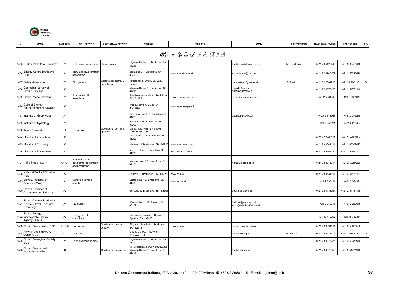

|      | <b>NAME</b>                                                              | CATEGORY       | <b>MAIN ACTIVITY</b>                                      | <b>GEOTHERMAL ACTIVITY</b>         | <b>ADDRESS</b>                                                                | <b>WEB SITE</b>     | <b>EMAIL</b>                                     | <b>CONTACT NAME</b> | <b>TELEPHONE NUMBER</b> | <b>FAX NUMBER</b> | OR.            |
|------|--------------------------------------------------------------------------|----------------|-----------------------------------------------------------|------------------------------------|-------------------------------------------------------------------------------|---------------------|--------------------------------------------------|---------------------|-------------------------|-------------------|----------------|
|      |                                                                          |                |                                                           |                                    |                                                                               | 40 - SLOVAKIA       |                                                  |                     |                         |                   |                |
|      | 1485 D. Stur Institute of Geology                                        | A <sub>1</sub> | Earth sciences studies                                    | Hydrogeology                       | Mlynska Dolina 1, Bratislava SK -<br>84215                                    |                     | fendekova@fns.uniba.sk                           | M. Fendekova        | +421 2 65425446         | +421 2 65425446   | $\blacksquare$ |
|      | 1486 Energy Centre Bratislava<br>ECB                                     | A <sub>1</sub> | RUE and RE promotion<br>association                       |                                    | Bajkalska 27, Bratislava SK-<br>82799                                         | www.ecbratislava.sk | ecbratislava@ibm.net                             |                     | +421 2 58248472         | +421 2 58248470   | $\mathbf{I}$   |
|      | 1487 Galantaterm s.r.o.                                                  | C <sub>3</sub> | DH operations                                             | Galanta geothemal DH<br>operations | Vodárenská 1608/1, SK-92401<br>Galanta                                        |                     | galantaterm@posnet.sk                            | Š. Grell            | +421 31 7804716         | +421 31 7801151   | $\mathsf D$    |
| 1488 | Geological Survey of<br>Slovak Republic                                  | A <sub>3</sub> |                                                           |                                    | Mlynska Dolina 1, Bratislava SK<br>84215                                      |                     | remsik@gssr.sk<br>bajtos@gsrcsnv.sk              |                     | +421 2 59375423         | +421 2 54771940   | $\mathbf{I}$   |
|      | 1489 Green Peace Slovakia                                                | A <sub>1</sub> | Sustainable life<br>association                           |                                    | Safarikovonamestie 4, Bratislava<br>SK - 81499                                | www.greenpeace.org  | slovakia@greenpeace.sk                           |                     | +421 2 5361340          | +421 2 5361341    | $\mathbf{I}$   |
|      | 1490 Guild of Energy<br>Entrepreneurs of Slovakia                        | A2             |                                                           |                                    | Pankuchova 7, SK-85104<br>Bratislava                                          | www.seps.sk/zp/cech |                                                  |                     |                         |                   | $\mathbf{I}$   |
|      | 1491 Institute of Geophysics                                             | A <sub>1</sub> |                                                           |                                    | Dubravska cesta 9, Bratislava SK<br>84228                                     |                     | geoflabi@savba.sk                                |                     | +421 2 373368           | +421 2 375278     | $\mathbf{I}$   |
|      | 1492 Institute of Hydrology                                              | A <sub>1</sub> |                                                           |                                    | Racianska 75, Bratislava SK -<br>83008                                        |                     |                                                  |                     | +421 2 253021           | +421 2 259404     | $\mathbf{I}$   |
|      | 1493 Janex Slovensko                                                     | C <sub>3</sub> | Eel farming                                               | Geothermal eel-farm<br>operator    | Malov. háje 1438, SK-03901<br>Turčianské Teplice                              |                     |                                                  |                     |                         |                   | $\mathbf{I}$   |
|      | 1494 Ministry of Agriculture                                             | A <sub>3</sub> |                                                           |                                    | Dobrovicova 12, Bratislava SK -<br>81266                                      |                     |                                                  |                     | +421 2 52966111         | +421 2 52961834   | $\mathbf{I}$   |
|      | 1495 Ministry of Economy                                                 | A <sub>3</sub> |                                                           |                                    | Mierova 19, Bratislava SK - 8271                                              | www.economy.gov.sk  |                                                  |                     | +421 2 48541111         | +421 2 43337827   | $\mathbf{I}$   |
|      | 1496 Ministry of Environment                                             | A <sub>3</sub> |                                                           |                                    | nam. L. Stura 1, Bratislava SK -<br>81235                                     | www.lifeenv.gov.sk  |                                                  |                     | +421 2 59562130         | +421 2 59562123   | $\mathbf{I}$   |
|      | 1497 Nafta Trade a.s.                                                    | C1-C4          | Petroleum and<br>geothermal exploration<br>and production |                                    | Martincekova 17, Bratislava SK<br>82101                                       |                     | naftatr.@isternet.sk                             |                     | +421 2 58244214         | +421 2 58244229   | $\mathbf{I}$   |
| 1498 | National Bank of Slovakia<br><b>NBS</b>                                  | A2             |                                                           |                                    | Sturova 2, Bratislava SK - 81325                                              | www.nbs.sk          |                                                  |                     | +421 2 59531111         | +421 2 54131167   | $\mathbf{I}$   |
| 1499 | Slovak Academy of<br>Sciences SAV                                        | A <sub>1</sub> | General sciences<br>society                               |                                    | Stefanikova 49, Bratislava SK-<br>81438                                       | www.savba.sk        |                                                  |                     | +421 2 396131           | +421 2 394391     | $\mathbf{I}$   |
|      | 1500 Slovak Chamber of<br>Commerce and Industry                          | A <sub>2</sub> |                                                           |                                    | Gorkeho 9, Bratislava SK - 81603                                              |                     | sopkurad@scci.sk                                 |                     | +421 2 54433291         | +421 2 54131159   | $\mathbf{I}$   |
|      | Slovak Cleaner Production<br>1501 Centre, Slovak Technical<br>University | A1             | <b>RE</b> studies                                         |                                    | Pionierska 15, Bratislava SK-<br>83102                                        |                     | feckova@cvt.stuba.sk<br>sccp@kchbi.chtf.stuba.sk |                     | +421 2 259015           | +421 2 259015     | $\mathbf{I}$   |
|      | Slovak Energy<br>1502 Inspectorate-Energy<br>Agency SEI-EA               | A2             | Energy and RE<br>consultant                               |                                    | Rudlovska cesta 53, Banska<br>Bystrica SK - 97428                             |                     |                                                  |                     | +421 48 742352          | +421 48 742351    | $\mathbf{I}$   |
|      | 1503 Slovak Gas Industry SPP                                             | C1-C3          | Gas industry                                              | Geothermal energy<br>activity      | Mlynske Nivy 44/A, Bratislava<br>SK - 82511                                   | www.spp.sk          | peter.Luptak@spp.sk                              |                     | +421 2 58691111         | +421 2 58695590   | $\mathbf{I}$   |
| 1504 | Slovak Gas Industry SPP-<br><b>VVNP Branch</b>                           | C <sub>1</sub> | Well testing                                              |                                    | Votrubova 11/a, SK-82505<br>Bratislava SK                                     |                     | brichta@vvnp.sk                                  | R. Brichta          | +421 2 53411471         | +421 2 53411242   | D              |
| 1505 | Slovak Geological Society<br>SGS                                         | A <sub>1</sub> | Earth sciences studies                                    |                                    | Mlynska Dolina 1, Bratislava SK<br>31704                                      |                     |                                                  |                     | +421 2 59375225         | +421 2 59371940   | $\blacksquare$ |
| 1506 | Slovak Geothermal<br>Association SGA                                     | B              |                                                           | Geothermal promotion               | c/o Geological Survey of Slovakia<br>Mlynska Dolina 1, Bratislava SK<br>81704 |                     | fendek@gssr.sk                                   |                     | +421 2 59375355         | +421 2 54771940   | $\mathbf{I}$   |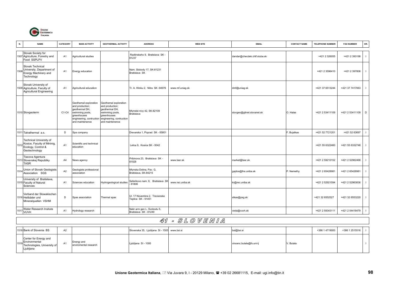

| N.   | <b>NAME</b>                                                                                          | CATEGORY       | <b>MAIN ACTIVITY</b>                                                                                                                        | <b>GEOTHERMAL ACTIVITY</b>                                                                                                                  | <b>ADDRESS</b>                                      | <b>WEB SITE</b>  | <b>EMAIL</b>                 | <b>CONTACT NAME</b> | <b>TELEPHONE NUMBER</b> | <b>FAX NUMBER</b> | OR.                      |
|------|------------------------------------------------------------------------------------------------------|----------------|---------------------------------------------------------------------------------------------------------------------------------------------|---------------------------------------------------------------------------------------------------------------------------------------------|-----------------------------------------------------|------------------|------------------------------|---------------------|-------------------------|-------------------|--------------------------|
|      | Slovak Society for<br>1507 Agriculture, Forestry and<br>Food SSPLPV                                  | A <sub>1</sub> | Agricultural studies                                                                                                                        |                                                                                                                                             | Radlinskeho 9, Bratislava SK -<br>81237             |                  | dandar@checdek.chtf.stuba.sk |                     | +421 2 326055           | +421 2 393198     | $\blacksquare$           |
|      | Slovak Technical<br>1508 University, Department of<br>Energy Machinery and<br>Technology             | A <sub>1</sub> | Energy education                                                                                                                            |                                                                                                                                             | Nam. Slobody 17, SK-81231<br>Bratislava SK          |                  |                              |                     | +421 2 3596410          | +421 2 397806     | $\perp$                  |
|      | Slovak University of<br>1509 Agriculture, Faculty of<br><b>Agricultural Engineering</b>              | A <sub>1</sub> | Agricultural education                                                                                                                      |                                                                                                                                             | Tr. A. Hlinku 2, Nitra SK-94976                     | www.mf.uniag.sk  | dmf@uniag.sk                 |                     | +421 37 6513244         | +421 37 7417063   | $\mathbf{I}$             |
|      | 1510 Slovgeoterm                                                                                     | C1-C4          | Geothemal exploration<br>and production;<br>geothermal DH,<br>swimming pools,<br>greenhouses<br>engineering, contruction<br>and maintenence | Geothemal exploration<br>and production;<br>geothermal DH,<br>swimming pools,<br>greenhouses<br>engineering, contruction<br>and maintenence | Mlynské nivy 42, SK-82109<br>Bratislava             |                  | slovgeo@gtinet.slovanet.sk   | O. Halas            | +421 2 53411109         | +421 2 53411109   | D                        |
|      | 1511 Tatrathermal a.s.                                                                               | D              | Spa company                                                                                                                                 |                                                                                                                                             | Drevarska 1, Poprad SK - 05801                      |                  |                              | F. Bujalkas         | +421 52 7721201         | +421 52 63697     | $\mathbf{I}$             |
| 1512 | <b>Technical University of</b><br>Kosice, Faculty of Mininig,<br>Ecology, Control &<br>Geotechnology | A <sub>1</sub> | Scientific and technical<br>education                                                                                                       |                                                                                                                                             | Letna 9, Kosice SK - 0042                           |                  |                              |                     | +421 55 6322460         | +421 55 6332748   | $\mathbf{I}$             |
|      | Tiacova Agentura<br>1513 Slovenskej Republiky<br><b>TASR</b>                                         | A4             | News agency                                                                                                                                 |                                                                                                                                             | Pribinova 23, Bratislava SK -<br>81928              | www.tasr.sk      | market@tasr.sk               |                     | +421 2 59210152         | +421 2 52962468   |                          |
| 1514 | Union of Slovak Geologists<br>Association SGS                                                        | A <sub>2</sub> | Geologists professional<br>association                                                                                                      |                                                                                                                                             | Mlynska Dolina, Pav. G,<br>Bratislava, SK-84215     |                  | gajdos@fns.uniba.sk          | P. Nemethy          | +421 2 65428981         | +421 2 65428981   | $\overline{\phantom{a}}$ |
|      | University of Bratislava,<br>1515 Faculty of Natural<br>Sciences                                     | A <sub>1</sub> | Sciences education                                                                                                                          | Hydrogeological studies                                                                                                                     | Safarikovo nam. 6, Bratislava SK<br>81806           | www.rec.uniba.sk | kr@rec.uniba.sk              |                     | +421 2 52921594         | +421 2 52963836   |                          |
|      | Verband der Slowakischen<br>1516 Heilbäder und<br>Mineralquellen VSHM                                | D              | Spas association                                                                                                                            | Thermal spas                                                                                                                                | UI. 17 Novembra 2, Trecianske<br>Teplice SK - 91451 |                  | slkas@psg.sk                 |                     | +421 32 6552527         | +421 32 6553220   | $\mathbf{I}$             |
| 151  | Water Research Insitute<br><b>VUVH</b>                                                               | A <sub>1</sub> | Hydrology research                                                                                                                          |                                                                                                                                             | Nabr arm gen L. Svobodu 5,<br>Bratislava SK - 81249 |                  | reda@vuvh.sk                 |                     | +421 2 59343111         | +421 2 54418479   |                          |
|      |                                                                                                      |                |                                                                                                                                             |                                                                                                                                             |                                                     | 41 - SLOVENIA    |                              |                     |                         |                   |                          |
|      | 1518 Bank of Slovenia BS                                                                             | A <sub>2</sub> |                                                                                                                                             |                                                                                                                                             | Slovenska 35, Ljubljana SI - 1505                   | www.bsi.si       | bsl@bsi.si                   |                     | +386 1 4719000          | +386 1 2515516    |                          |
| 1519 | Center for Energy and<br>Environmental<br>Technologies, University of<br>Ljubljana                   | A1             | Energy and<br>enviromental research                                                                                                         |                                                                                                                                             | Ljubljana SI - 1000                                 |                  | vincenc.butala@fs.uni-lj     | V. Butala           |                         |                   | $\mathbf{I}$             |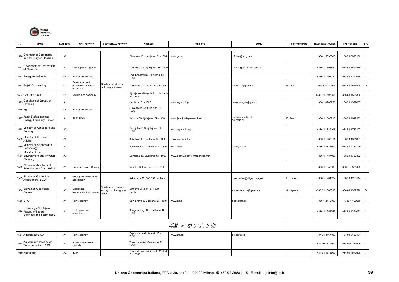

| N.   | <b>NAME</b>                                                                    | CATEGORY       | <b>MAIN ACTIVITY</b>                              | <b>GEOTHERMAL ACTIVITY</b>                               | <b>ADDRESS</b>                                   | <b>WEB SITE</b>                   | <b>EMAIL</b>                     | <b>CONTACT NAME</b> | <b>TELEPHONE NUMBER</b> | <b>FAX NUMBER</b> | OR.            |
|------|--------------------------------------------------------------------------------|----------------|---------------------------------------------------|----------------------------------------------------------|--------------------------------------------------|-----------------------------------|----------------------------------|---------------------|-------------------------|-------------------|----------------|
| 1520 | Chamber of Commerce<br>and Industry of Slovenia                                | A <sub>2</sub> |                                                   |                                                          | Dimiceva 13, Ljubljana SI - 1504                 | www.gzs.si                        | infolink@hq.gzs.si               |                     | +386 1 5898000          | +386 1 5898100    |                |
| 152  | Development Corporation<br>of Slovenia                                         | A <sub>3</sub> | Development agency                                |                                                          | Kotnikova 28, Ljubljana SI - 1000                |                                   | jana.bogdanov-ski@svd.si         |                     | +386 1 1894880          | +386 1 1894879    |                |
|      | 1522 Energotech GmbH                                                           | C4             | Energy consultant                                 |                                                          | Pod. Konstanji 8, Ljubljana SI -<br>1000         |                                   |                                  |                     | +386 1 1292030          | +386 1 1292035    |                |
|      | 1523 Gejzir Counsulting                                                        | C <sub>1</sub> | xploration and<br>production of water<br>esources | Geothermal studies<br>ncluding spa uses                  | Turnerjava 17, SI-1113 Ljubljana                 |                                   | peter.kralj@siol.net             | P. Kralj            | +386 40 20306           | +386 1 5656494    | D              |
|      | 1524 Geo Plin d.o.o.                                                           | C <sub>1</sub> | latural gas company                               |                                                          | Ljubljanska Brigade 11, Ljubljana<br>$SI - 1000$ |                                   |                                  |                     | +386 61 1595355         | +386 61 1595300   |                |
|      | 1525 Geophysical Survey of<br>Slovenia                                         | A <sub>1</sub> |                                                   |                                                          | Ljubljana SI - 1000                              | www.sigov.si/ugf                  | janez.lapajne@gov.si             |                     | +386 1 4787250          | +386 1 4327067    |                |
|      | 1526 Irgo                                                                      | C4             | Energy consultant                                 |                                                          | Slovenceva 93, Ljubljana SI -<br>1000            |                                   |                                  |                     |                         |                   |                |
| 1527 | Jozef Stefan Institute<br><b>Energy Efficiency Center</b>                      | A <sub>1</sub> | RUE NGO                                           |                                                          | Jamova 39, Ljubljana SI - 1000                   | www.ijs.si/ijs-dept-esec.html     | boris.selan@ijs.si<br>ceu@ijs.si | B. Selan            | +386 1 1885210          | +386 1 1612335    |                |
| 1528 | Ministry of Agriculture and<br>Forestry                                        | A <sub>3</sub> |                                                   |                                                          | Dunajska 56-8, Ljubljana SI -<br>1000            | www.sigov.si/mkgp                 |                                  |                     | +386 1 1789103          | +386 1 1789107    |                |
| 1529 | Ministry of Economic<br>Affairs                                                | A <sub>3</sub> |                                                   |                                                          | Kotnikova 5, Ljubljana SI - 1000                 | www.tradepoint.si                 |                                  |                     | +386 1 1783311          | +386 1 1331031    |                |
| 1530 | Ministry of Science and<br>Technology                                          | A3             |                                                   |                                                          | Slovenska 50, Ljubljana SI - 1000                | www.mzt.si                        | stiki@mzt.si                     |                     | +386 1 4784600          | +386 1 4784719    |                |
|      | Ministry of the<br>1531 Environment and Physical<br>Planning                   | A <sub>3</sub> |                                                   |                                                          | Dunajska 48, Ljubljana SI - 1000                 | www.sigov2.sigov.si/mop/index.htm |                                  |                     | +386 1 1787400          | +386 1 1787422    |                |
| 1532 | Slovenian Academy of<br>Sciences and Arts SAZU                                 | A <sub>1</sub> | General learned Society                           |                                                          | Novi trg. 3, Ljubljana SI - 1000                 |                                   |                                  |                     | +386 1 1256068          | +386 1 12535423   |                |
| 1533 | Slovenian Geological<br>Association SGD                                        | A <sub>2</sub> | Geologists professional<br>ssociation             |                                                          | Askerceva 12, SI-1000 Ljubljana                  |                                   | uros.herlec@ntfgeo.uni-lj-si     | U. Herlec           | +386 1 1704622          | +386 1 1258114    |                |
|      | 1534 Slovenian Geological<br>Survey                                            | A <sub>3</sub> | Geological,<br>nydrogeological surveys            | Geothermal resource<br>surveys, including spa<br>waters) | Dimi eva ulica 14, SI-1000<br>Ljubljana          |                                   | andrej.lapanje@geo-zs.si         | A. Lapanje          | +386 61 1367598         | +386 61 1367596   | D              |
|      | 1535 STA                                                                       | A4             | <b>Vews agency</b>                                |                                                          | Cankarjeva 5, Ljubljana SI - 1001                | www.sta.si                        | desk@sta.si                      |                     | +386 1 2410100          | +386 1 126650     |                |
|      | University of Ljubljana,<br>1536 Faculty of Natural<br>Sciences and Technology | A <sub>1</sub> | Earth sciences<br>education                       |                                                          | Kongresni trg. 12, Ljubljana SI<br>1000          |                                   |                                  |                     | +386 1 1254055          | +386 1 1254053    | $\blacksquare$ |
|      |                                                                                |                |                                                   |                                                          |                                                  | 42 - SPAIN                        |                                  |                     |                         |                   |                |

| 1537 Agencia EFE SA                                   | A4             | News agency                       | Espronceda 32, Madrid E -<br>28005             | www.efe.es | efe@efe.es | +34 91 3467100 | +34 91 3467134 |  |
|-------------------------------------------------------|----------------|-----------------------------------|------------------------------------------------|------------|------------|----------------|----------------|--|
| 1538 Aquaculture Institute of<br>Torre de la Sal IATS | A1             | Aquaculture research<br>institute | Torre de la Sal (Castellon) E -<br>12595       |            |            | +34 964 319500 | +34 964 319509 |  |
| 1539 Argentaria                                       | A <sub>2</sub> | Bank                              | Paseo de las Delicias 46. Madrid<br>−28045 - ≟ |            |            | +34 91 4672500 | +34 91 4672508 |  |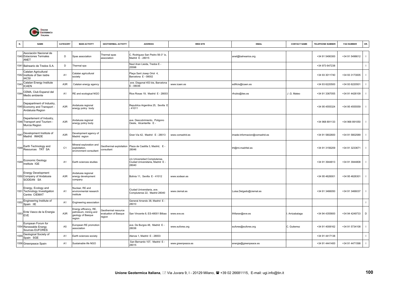

| N.   | <b>NAME</b>                                                                   | CATEGORY         | <b>MAIN ACTIVITY</b>                                                          | <b>GEOTHERMAL ACTIVITY</b>                          | <b>ADDRESS</b>                                                           | <b>WEB SITE</b>   | <b>EMAIL</b>                  | <b>CONTACT NAME</b> | <b>TELEPHONE NUMBER</b> | <b>FAX NUMBER</b> | OR.            |
|------|-------------------------------------------------------------------------------|------------------|-------------------------------------------------------------------------------|-----------------------------------------------------|--------------------------------------------------------------------------|-------------------|-------------------------------|---------------------|-------------------------|-------------------|----------------|
|      | Asociación Nacional de<br><b>1540 Estaciones Termales</b><br>ANET             | D                | Spas association                                                              | Thermal spas<br>association                         | C. Rodriguez San Pedro 56-3° Iz,<br>Madrid E - 28015                     |                   | anet@balnearios.org           |                     | +34 91 5490300          | +34 91 5496612    | $\mathbf{I}$   |
|      | 1541 Balneario de Tredos S.A.                                                 | D                | Thermal spa                                                                   |                                                     | Naut Aran Lieida, Tredos E -<br>25598                                    |                   |                               |                     | +34 973 647238          |                   | $\mathbf{I}$   |
|      | Catalan Agricultural<br>1542 Institute of San Isidre<br><b>IACSI</b>          | A <sub>1</sub>   | Catalan agricultural<br>society                                               |                                                     | Plaça Sant Josep Oriol 4,<br>Barcelona E - 08002                         |                   |                               |                     | +34 93 3011740          | +34 93 3173005    | $\overline{1}$ |
| 154  | Catalan Energy Institute<br><b>ICAEN</b>                                      | A <sub>3</sub> R | Catalan energy agency                                                         |                                                     | ave. Diagonal 453 bis, Barcelona<br>E-08036                              | www.icaen.es      | edificis@icaen.es             |                     | +34 93 6220500          | +34 93 6220501    |                |
| 154  | CEMA, Club Espanol del<br>Medio ambiente                                      | A1               | RE and ecological NGO                                                         |                                                     | Rios Rosas 19, Madrid E - 28003                                          |                   | rfrubio@iies.es               | J.G. Mateo          | +34 91 3367055          | +34 91 4426109    | $\mathbf{I}$   |
|      | Depapartment of Industry,<br>1545 Economy and Transport -<br>Andalusia Region | A3R              | Andalusia regional<br>energy policy body                                      |                                                     | Republica Argentina 25, Sevilla E<br>$-41011$                            |                   |                               |                     | +34 95 4555324          | +34 95 4555559    |                |
|      | Departement of Industry,<br>1546 Transport and Tourism -<br>Murcia Region     | A <sub>3</sub> R | Andalusia regional<br>energy policy body                                      |                                                     | ave. Descubrimiento, Poligono<br>Oeste, Alcantarilla E -                 |                   |                               |                     | +34 968 891133          | +34 968 891050    | $\mathbf{I}$   |
| 1547 | Development Institute of<br>Madrid IMADE                                      | A3R              | Development agency of<br>Madrid region                                        |                                                     | Gran Via 42, Madrid E - 28013                                            | www.comadrid.es   | imade-informacion@comadrid.es |                     | +34 91 5802600          | +34 91 5802589    |                |
| 1548 | Earth Technology and<br>Resources TRT SA                                      | C <sub>1</sub>   | Mineral exploration and<br>exploitation,<br>environment consultant            | Geothermal exploitation<br>consultant               | Plaza de Castilla 3, Madrid, E -<br>28046                                |                   | trt@mi.madritel.es            |                     | +34 91 3156209          | +34 91 3233671    | $\mathbf{I}$   |
|      | 1549 Economic Geology<br>Institute IGE                                        | A1               | Earth sciences studies                                                        |                                                     | c/o Universidad Complutense,<br>Ciudad Universitaria, Madrid E-<br>28040 |                   |                               |                     | +34 91 3944813          | +34 91 3944808    |                |
|      | <b>Energy Development</b><br>1550 Company of Andalusia<br>SODEAN SA           | A <sub>3</sub> R | Andalusia regional<br>energy development<br>company                           |                                                     | Bolivia 11. Sevilla E - 41012                                            | www.sodean.es     |                               |                     | +34 95 4626001          | +34 95 4626301    | $\mathbf{I}$   |
|      | Energy, Ecology and<br>1551 Technology Investigation<br>Centre CIEMAT         | A <sub>1</sub>   | Nuclear, RE and<br>environmental research<br>institute                        |                                                     | Ciudad Universitaria, ave.<br>Complutense 22, Madrid 28040               | www.ciemat.es     | Luisa.Delgado@ciemat.es       |                     | +34 91 3466050          | +34 91 3466037    | $\overline{1}$ |
| 155  | Engineering Institute of<br>Spain IIE                                         | A <sub>1</sub>   | Engineering association                                                       |                                                     | General Arrando 38, Madrid E -<br>28010                                  |                   |                               |                     |                         |                   | $\blacksquare$ |
|      | 1553 Ente Vasco de la Energia<br>EVE                                          | A <sub>3</sub> R | Energy efficency, RE,<br>petroleum, mining and<br>geology of Basque<br>region | Geothermal resource<br>valuation of Basque<br>egion | San Vincente 8, ES-48001 Bilbao                                          | www.eve.es        | ifrillaran@eve.es             | Arrizabalaga        | +34 94 4355600          | +34 94 4249733    | D              |
|      | European Forum for<br>1554 Renewable Energy<br>Sources EUFORES                | A <sub>5</sub>   | European RE promotion<br>association                                          |                                                     | ave. De Burgos 48, Madrid E -<br>28036                                   | www.eufores.org   | eufores@eufores.org           | C. Gutierrez        | +34 91 4008162          | +34 91 5734108    | $\mathbf{I}$   |
| 55   | Geological Society of<br>Spain SGE                                            | A <sub>1</sub>   | Earth sciences society                                                        |                                                     | Alenza 1, Madrid E - 28003                                               |                   |                               |                     | +34 91 4417138          |                   | $\mathbf{I}$   |
|      | 1556 Greenpeace Spain                                                         | A1               | Sustainable life NGO                                                          |                                                     | San Bernardo 107, Madrid E -<br>28015                                    | www.greenpeace.es | energia@greenpeace.es         |                     | +34 91 4441400          | +34 91 4471598    |                |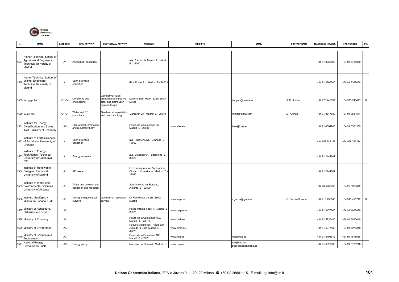

| N.   | <b>NAME</b>                                                                               | <b>CATEGORY</b> | <b>MAIN ACTIVITY</b>                            | <b>GEOTHERMAL ACTIVITY</b>                                                             | <b>ADDRESS</b>                                                          | <b>WEB SITE</b> | <b>EMAIL</b>                       | <b>CONTACT NAME</b> | <b>TELEPHONE NUMBER</b> | <b>FAX NUMBER</b> | OR.            |
|------|-------------------------------------------------------------------------------------------|-----------------|-------------------------------------------------|----------------------------------------------------------------------------------------|-------------------------------------------------------------------------|-----------------|------------------------------------|---------------------|-------------------------|-------------------|----------------|
| 1557 | Higher Technical School of<br>Agronomical Engineers,<br>Technical University of<br>Madrid | A1              | Agricultural education                          |                                                                                        | ave. Ramiro de Maetzu 7, Madrid<br>$E - 28040$                          |                 |                                    |                     | +34 91 3365600          | +34 91 5434879    | $\blacksquare$ |
|      | Higher Technical School of<br>1558 Mining Engineers,<br>Technical University of<br>Madrid | A <sub>1</sub>  | Earth sciences<br>education                     |                                                                                        | Rios Rosas 21, Madrid E - 28003                                         |                 |                                    |                     | +34 91 3366000          | +34 91 3367068    | $\mathbf{I}$   |
|      | 1559 Imogep SA                                                                            | C1-C4           | Consulting and<br>engineering                   | Geothermal fluids<br>production and heating<br>plant and distribution<br>system design | Darrere Saint Marti 15, ES-25004<br>Lleida                              |                 | imogep@paeria.es                   | J. M. Juvilla       | +34 973 248631          | +34 973 248417    | D              |
|      | 1560 Inima SA                                                                             | C1-C4           | Vater and RE<br>consultant                      | Geothermal exploitation<br>and use consulting                                          | Zurbaran 28, Madrid E - 28010                                           |                 | inima@inima.com                    | M. Arenas           | +34 91 3847600          | +34 91 3831511    | $\mathbf{I}$   |
|      | Institute for Energy<br>1561 Divesification and Saving<br>IDAE, Ministry of Economy       | A <sub>3</sub>  | RUE and RE promotion<br>and regulatory body     |                                                                                        | Paseo de la Castellana 95,<br>Madrid E - 28046                          | www.idae.es     | idae@idae.es                       |                     | +34 91 4564900          | +34 91 5551389    | $\mathbf{I}$   |
|      | Institute of Earth Sciences<br>1562 of Andalusia, University of<br>Granada                | A <sub>1</sub>  | Earth sciences<br>education                     |                                                                                        | ave. Fuentenueva, Granada E -<br>18002                                  |                 |                                    |                     | +34 958 243158          | +34 958 243384    |                |
| 1563 | Institute of Energy<br>Techniques, Technical<br>University of Catalunya<br><b>ITE</b>     | A <sub>1</sub>  | Energy research                                 |                                                                                        | ave. Diagonal 647, Barcelona E<br>08028                                 |                 |                                    |                     | +34 91 2444807          |                   | $\mathbf{I}$   |
|      | Institute of Renewable<br>1564 Energies, Technical<br>University of Madrid                | A <sub>1</sub>  | RE research                                     |                                                                                        | ETS de Ingegneros Agronomos,<br>Ciudad Universitaria, Madrid E<br>28040 |                 |                                    |                     | +34 91 2444807          |                   | $\mathbf{I}$   |
|      | Institute of Water and<br>1565 Environmental Sciences,<br>University of Alicante          | A <sub>1</sub>  | Water and environment<br>education and research |                                                                                        | San Vincente del Raspeig,<br>Alicante E - 03690                         |                 |                                    |                     | +34 96 5903400          | +34 96 5903672    | $\mathbf{I}$   |
|      | Instituto Geológico y<br>1566 Minero de España IGME                                       | A <sub>1</sub>  | Mining and geological<br>surveys                | Geothermal resources<br>surveys                                                        | C/ Rios Rosas 23, ES-28003<br>Madrid                                    | www.imge.es     | c.garcia@igme.es                   | C. Garcia-Noceda    | +34 913 495848          | +34 913 495742    | D              |
| 1567 | Ministry of Agriculture,<br><b>Fisheries and Food</b>                                     | A <sub>3</sub>  |                                                 |                                                                                        | Paseo Infanta Isabel 1, Madrid E<br>28071                               | www.mapya.es    |                                    |                     | +34 91 3475000          | +34 91 4686888    | $\mathbf{I}$   |
|      | 1568 Ministry of Economy                                                                  | A <sub>3</sub>  |                                                 |                                                                                        | Paseo de la Castellana 162,<br>Madrid E - 28071                         | www.meh.es      |                                    |                     | +34 91 5837400          | +34 91 5830010    |                |
|      | 1569 Ministry of Environment                                                              | A <sub>3</sub>  |                                                 |                                                                                        | Nuevos Ministerios, Plaza San<br>Juan de la Cruz Madrid E -<br>28071    | www.mma.es      |                                    |                     | +34 91 5977000          | +34 91 5976349    | $\mathbf{I}$   |
| 1570 | Ministry of Science and<br>Technology                                                     | A <sub>3</sub>  |                                                 |                                                                                        | Paseo de la Castellana 160,<br>Madrid E - 28071                         | www.min.es      | info@min.es                        |                     | +34 91 3494976          | +34 91 4578066    | $\mathbf{I}$   |
| 157  | National Energy<br>Commission CNE                                                         | A <sub>3</sub>  | Energy policy                                   |                                                                                        | Marques del Duero 4, Madrid E                                           | www.cne.es      | dre@cne.es<br>publicaciones@cne.es |                     | +34 91 4329600          | +34 91 5776218    |                |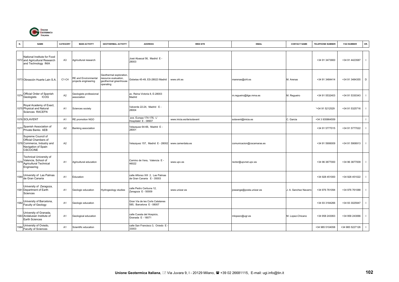

| <b>NAME</b><br>N.                                                                                                   | <b>CATEGORY</b> | <b>MAIN ACTIVITY</b>                         | <b>GEOTHERMAL ACTIVITY</b>                                                           | <b>ADDRESS</b>                                                | <b>WEB SITE</b>           | <b>EMAIL</b>              | <b>CONTACT NAME</b>   | <b>TELEPHONE NUMBER</b> | <b>FAX NUMBER</b> | OR.            |
|---------------------------------------------------------------------------------------------------------------------|-----------------|----------------------------------------------|--------------------------------------------------------------------------------------|---------------------------------------------------------------|---------------------------|---------------------------|-----------------------|-------------------------|-------------------|----------------|
| National Institute for Food<br>1572 and Agricultural Research<br>and Technology INIA                                | A <sub>3</sub>  | Agricultural research                        |                                                                                      | José Abascal 56, Madrid E -<br>28003                          |                           |                           |                       | +34 91 3473900          | +34 91 4423587    | $\blacksquare$ |
| 1573 Obrascón Huarte Lain S.A                                                                                       | C1-C4           | RE and Environmental<br>projects engineering | Geothermal exploration,<br>esource evaluation,<br>geothermal greenhouse<br>operating | Gobelas 45-49, ES-28023 Madrid                                | www.ohl.es                | marenas@ohl.es            | M. Arenas             | +34 91 3484414          | +34 91 3484355 D  |                |
| 1574 Official Order of Spanish<br>Geologists ICOG                                                                   | A2              | Geologists professional<br>association       |                                                                                      | av. Reina Victoria 8, E-28003<br>Madrid                       |                           | m.regueiro@itge.mma.es    | M. Regueiro           | +34 91 5532403          | +34 91 5330343    |                |
| Royal Academy of Exact,<br>1575 Physical and Natural<br>Sciences RACEFN                                             | A <sub>1</sub>  | Sciences society                             |                                                                                      | Valverde 22-24, Madrid E-<br>28004                            |                           |                           |                       | '+34 91 5212529         | +34 91 5325716    | - 1            |
| 1576 SOLAVENT                                                                                                       | A1              | RE promotion NGO                             |                                                                                      | ave. Europa 174-176, L'<br>Hospitalet E - 08907               | www.inicia.es/de/solavent | solavent@inicia.es        | C. Garcia             | +34 3 935864559         |                   |                |
| 1577 Spanish Association of<br>Private Banks AEB                                                                    | A2              | Banking association                          |                                                                                      | Velazquez 64-66, Madrid E -<br>28001                          |                           |                           |                       | +34 91 5777015          | +34 91 5777022    |                |
| Supreme Council of<br>Official Chambers of<br>1578 Commerce, Industry and<br>Navigation of Spain<br><b>CSCOCINE</b> | A2              |                                              |                                                                                      | Velazquez 157, Madrid E - 28002                               | www.camerdata.es          | comunicacion@cscamaras.es |                       | +34 91 5906009          | +34 91 5906913    | $\blacksquare$ |
| Technical University of<br>1579 Valencia, School of<br><b>Agricultural Technical</b><br>Engineering                 | A1              | Agricultural education                       |                                                                                      | Camino de Vera, Valencia E -<br>46022                         | www.upv.es                | rector@upvnet.upv.es      |                       | +34 96 3877000          | +34 96 3877009    | $\blacksquare$ |
| 1580 University of Las Palmas<br>de Gran Canaria                                                                    | A <sub>1</sub>  | Education                                    |                                                                                      | calle Alfonso XIII 2, Las Palmas<br>de Gran Canaria E - 35003 |                           |                           |                       | +34 928 451000          | +34 928 451022    |                |
| University of Zaragoza,<br>1581 Department of Earth<br>Sciences                                                     | A1              | Geologic education                           | Hydrogeology studies                                                                 | calle Pedro Cerbuna 12,<br>Zaragoza E - 50009                 | www.unizar.es             | joseange@posta.unizar.es  | J. A. Sanchez Navarro | +34 976 761094          | +34 976 761088    | $\blacksquare$ |
| 1582 University of Barcelona,<br>Faculty of Geology                                                                 | A <sub>1</sub>  | Geologic education                           |                                                                                      | Gran Via de les Corts Catalanes<br>585. Barcelona E - 08007   |                           |                           |                       | +34 93 3184266          | +34 93 3025947    |                |
| University of Granada,<br>1583 Andalusian Institute of<br>Earth Sciences                                            | A <sub>1</sub>  | Geological education                         |                                                                                      | calle Cuesta del Hospicio,<br>Granada E - 18071               |                           | mlopezc@ugr.es            | M. Lopez-Chicano      | +34 958 243063          | +34 958 243066    | - 1            |
| University of Oviedo,<br>1584<br>Faculty of Sciences                                                                | A1              | Scientific education                         |                                                                                      | calle San Francisco 3, Oviedo E<br>33003                      |                           |                           |                       | +34 985 5104058         | +34 985 5227126   |                |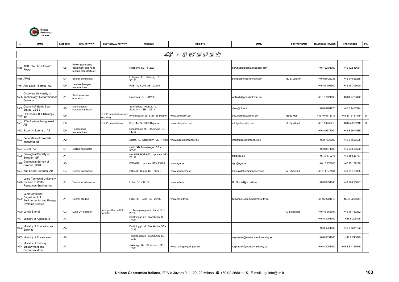

|      | <b>NAME</b>                                                                                         | CATEGORY       | <b>MAIN ACTIVITY</b>                                         | <b>GEOTHERMAL ACTIVITY</b>         | <b>ADDRESS</b>                                | <b>WEB SITE</b>          | <b>EMAIL</b>                        | <b>CONTACT NAME</b> | <b>TELEPHONE NUMBER</b> | <b>FAX NUMBER</b> | OR.            |
|------|-----------------------------------------------------------------------------------------------------|----------------|--------------------------------------------------------------|------------------------------------|-----------------------------------------------|--------------------------|-------------------------------------|---------------------|-------------------------|-------------------|----------------|
|      |                                                                                                     |                |                                                              |                                    |                                               | 43 - SWEDEN              |                                     |                     |                         |                   |                |
|      | ABB Stal AB / Alstom<br>$1585$ Power                                                                | C <sub>5</sub> | Power generating<br>equipment and heat<br>pumps manufacturer |                                    | Finspong SE - 61282                           |                          | gert.skold@sesta.mail.abb.com       |                     | +46 122 81000           | +46 122 18684     | $\mathbf{I}$   |
|      | 1586 AFAB                                                                                           | C <sub>4</sub> | Energy consultant                                            |                                    | Lotsgatan 6, Lidkoping SE -<br>53130          |                          | bengtlofgren@hotmail.com            | B. E. Lofgren       | +46 510 26235           | +46 510 25235     |                |
|      | 1587 Alfa Laval Thermal AB                                                                          | C <sub>5</sub> | leat exchangers<br>nanufacturer                              |                                    | POB 74, Lund SE - 22100                       |                          |                                     |                     | +46 46 106500           | +46 46 305090     |                |
|      | Chalmers University of<br>1588 Technology, Department of<br>Geology                                 | A <sub>1</sub> | Earth sciences<br>education                                  |                                    | Goteborg SE - 41296                           |                          | wallroth@geo.chalmers.se            |                     | +46 31 7721000          | +46 31 7723872    |                |
| 1589 | Council of Baltic Sea<br>States CBSS                                                                | A <sub>5</sub> | Multinational<br>cooperation body                            |                                    | Stromsberg, POB 2010,<br>Stockholm SE - 10311 |                          | cbss@cbss.st                        |                     | +46 8 4401920           | +46 8 4401944     |                |
| 159  | <b>ECOnomic THERMology</b><br>AB                                                                    | C <sub>5</sub> |                                                              | SGHP manufacturer and<br>servicing | Amiralsgatan 29, S-21155 Malmo                | www.ecotherm.se          | eco.therm@swipnet.se                | <b>Borje Hall</b>   | +46 40 6111316          | +46 40 6111319    | $\mathsf D$    |
| 159  | ETA System Energiteknik<br>AB                                                                       | C <sub>5</sub> |                                                              | SGHP manufacturer                  | Box 114, S-19323 Sigtuna                      | www.etasystem.se         | info@etasystem.se                   | . Bjorklund         | +46 8 59259210          | +46 8 59259240    | D              |
|      | 1592 Exportim Leonard AB                                                                            | C <sub>5</sub> | leat pumps<br>nanufacturer                                   |                                    | Riddargatan 76, Stockholm SE -<br>11457       |                          |                                     |                     | +46 8 6674004           | +46 8 6674585     |                |
| 1593 | Federation of Swedish<br><b>Industries SI</b>                                                       | A2             |                                                              |                                    | Storgt. 19, Stockholm SE - 11485              | www.industriforbundet.se | info@industriforbundet.se           |                     | +46 8 7838000           | +46 8 6623595     |                |
|      | 1594 G-Drill AB                                                                                     | C <sub>1</sub> | Orilling contractor                                          |                                    | c/o LKAB, Malmberget SE -<br>98381            |                          |                                     |                     | +46 970 71000           | +46 970 23600     |                |
| 1595 | Geological Society of<br>Sweden GF                                                                  | A <sub>1</sub> |                                                              |                                    | c/o SGU, POB 670, Uppsala SE<br>75128         |                          | gff@sgu.se                          |                     | +46 18 179276           | +46 18 516767     |                |
| 1596 | Geological Survey of<br>Sweden SGU                                                                  | A <sub>3</sub> |                                                              |                                    | POB 670, Uppsala SE - 75128                   | www.sgu.se               | sgu@sgu.se                          |                     | +46 18 179000           | +46 18 179210     |                |
|      | 1597 Kan Energi Sweden AB                                                                           | C <sub>4</sub> | Energy consultant                                            |                                    | POB 41, Skara SE - 53221                      | www.kanenergi.se         | mats.rydehell@kanenergi.se          | M. Rydehell         | +46 511 347664          | +46 511 20065     |                |
|      | Lulea Technical University<br>1598 Division of Water<br>Resources Engineering                       | A1             | <b>Fechnical education</b>                                   |                                    | Lulea SE - 97187                              | www.luth.se              | Bo.Nordell@sb.luth.se               |                     | +46 920 91646           | +46 920 91697     |                |
|      | Lund University,<br>1599 Department of<br><b>Environmental and Energy</b><br><b>Systems Studies</b> | A1             | <b>Energy studies</b>                                        |                                    | POB 117, Lund SE - 22100                      | www.miljo.lth.se         | Susanne.Soderlund@miljo.lth.se      |                     | +46 46 2224819          | +46 46 2228644    |                |
|      | 1600 Lunds Energi                                                                                   | C <sub>3</sub> | Lund DH operator                                             | Lund geothermal DH<br>operator     | Trollebergsvagen 5, Lund SE -<br>22100        |                          |                                     | . Lindeberg         | +46 46 356001           | +46 46 189262     |                |
|      | 1601 Ministry of Agriculture                                                                        | A <sub>3</sub> |                                                              |                                    | Drottninggt. 21, Stockholm SE -<br>10333      |                          |                                     |                     | +46 8 4051000           | +46 8 206496      | $\blacksquare$ |
|      | 1602 Ministry of Education and<br>Science                                                           | A <sub>3</sub> |                                                              |                                    | Drottninggt. 16, Stockholm SE -<br>10333      |                          |                                     |                     | +46 8 4051000           | +46 8 7231192     |                |
|      | 1603 Ministry of Environment                                                                        | A <sub>3</sub> |                                                              |                                    | Fegelbacken 2, Stockholm SE -<br>10333        |                          | registrator@environment.ministry.se |                     | +46 8 4051000           | +46 8 241629      | $\overline{1}$ |
|      | Ministry of Industry,<br>1604 Employment and<br>Communication                                       | A <sub>3</sub> |                                                              |                                    | lakobsgt. 26, Stockholm SE-<br>10333          | www.naring.regeringen.se | registrator@industry.ministry.se    |                     | +46 8 4051000           | +46 8 8 4113616   |                |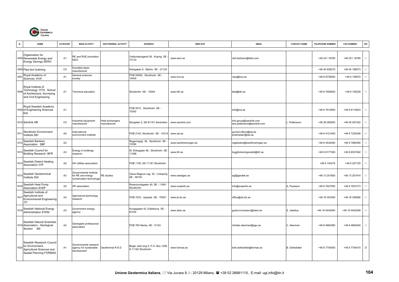

| N.   | <b>NAME</b>                                                                                          | CATEGORY       | <b>MAIN ACTIVITY</b>                                                    | <b>GEOTHERMAL ACTIVITY</b>      | <b>ADDRESS</b>                                           | <b>WEB SITE</b>       | <b>EMAIL</b>                                          | <b>CONTACT NAME</b>   | <b>TELEPHONE NUMBER</b> | <b>FAX NUMBER</b> | OR.            |
|------|------------------------------------------------------------------------------------------------------|----------------|-------------------------------------------------------------------------|---------------------------------|----------------------------------------------------------|-----------------------|-------------------------------------------------------|-----------------------|-------------------------|-------------------|----------------|
|      | Organization for<br>1605 Renewable Energy and<br><b>Energy Savings SERO</b>                          | A <sub>1</sub> | RE and RUE promotion<br>NGO                                             |                                 | Vretlundavagend 36, Koping SE<br>73133                   | www.sero.se           | olof.karlsson@telia.com                               |                       | +46 221 19765           | +46 221 19765     | $\mathbf{I}$   |
|      | 1606 Pipe-Isol Isolering                                                                             | C <sub>5</sub> | nsulated pipes<br>nanufacturer                                          |                                 | Koksgatan 9, Malmo SE - 21124                            |                       |                                                       |                       | +46 40 936270           | +46 40 186073     | $\mathbf{I}$   |
| 160  | Royal Academy of<br>Sciences KVA                                                                     | A <sub>1</sub> | General sciences<br>society                                             |                                 | POB 50005, Stockholm SE -<br>10405                       | www.kva.se            | rsas@kva.se                                           |                       | +46 8 6739500           | +46 8 155670      | $\mathbf{I}$   |
| 1608 | Royal Institute of<br>Technology KTH, School<br>of Architecture, Surveying<br>and Civil Engineering  | A <sub>1</sub> | <b>Fechnical education</b>                                              |                                 | Stockholm SE - 10044                                     | www.kth.se            | tele@kth.se                                           |                       | +46 8 7906000           | +46 8 105228      | $\mathbf{I}$   |
|      | Royal Swedish Academy<br>1609 of Engineering Sciences<br><b>KIA</b>                                  | A <sub>1</sub> |                                                                         |                                 | POB 5073, Stockholm SE -<br>10242                        |                       | info@iva.se                                           |                       | +46 8 7912900           | +46 8 6115623     | $\mathbf{I}$   |
|      | 1610 Sandvik AB                                                                                      | C <sub>5</sub> | ndustrial equipment<br>nanufacturer                                     | leat exchangers<br>manufacturer | Storgatan 2, SE-81181 Sandviken                          | www.sandvik.com       | info.group@sandvik.com<br>lars.pettersson@sandvik.com | Pettersson            | +46 26 260000           | +46 26 261022     |                |
| 161  | Stockholm Environment<br>Institute SEI                                                               | A <sub>5</sub> | nternational<br>environment institute                                   |                                 | POB 2142, Stockholm SE - 10314                           | www.sei.se            | gunnel.olfson@sei.se<br>postmaster@sei.se             |                       | +46 8 4121400           | +46 8 7230348     | $\mathbf{I}$   |
| 161  | Swedish Bankers<br>Association SBF                                                                   | A <sub>2</sub> |                                                                         |                                 | Regeringsgt. 38, Stockholm SE<br>10394                   | www.bankforeningen.se | registrator@bankforeningen.se                         |                       | +46 8 4534400           | +46 8 7969395     | $\mathbf{I}$   |
| 1613 | Swedish Council for<br><b>Building Research BFR</b>                                                  | A <sub>3</sub> | Energy in buildings<br>esearch                                          |                                 | St. Eriksgatan 46, Stockholm SE<br>11298                 | www.bfr.se            | byggforskningsradet@bfr.se                            |                       | +46 8 6177300           | +46 8 6537462     |                |
| 1614 | Swedish District Heating<br>Association VVF                                                          | A2             | DH utilities association                                                |                                 | POB 1109, SE-11181 Stockholm                             |                       |                                                       |                       | +46 8 142475            | +46 8 201725      | $\mathbf{I}$   |
|      | 1615 Swedish Geotechnical<br>Institute SGI                                                           | A <sub>3</sub> | Governmental institute<br>for RE and energy<br>conservation technologio | <b>RE</b> studies               | Olaus Magnus vag. 35, Linkoping<br>SE - 58193            | www.swedgeo.se        | sgi@geotek.se                                         |                       | +46 13 201800           | +46 13 201914     |                |
| 161  | Swedish Heat Pump<br><b>Association SVEP</b>                                                         | A2             | HP association                                                          |                                 | Rosenlundsgaten 40, SE - 11891<br>Stockholm              | www.svepinfo.se       | info@svepinfo.se                                      | . Paulsson            | +46 8 7627500           | +46 8 7627473     | $\blacksquare$ |
| 1617 | Swedish Institute of<br>Agricultural and<br><b>Environmental Engineering</b><br>JTI                  | A <sub>3</sub> | Agricultural technology<br>esearch                                      |                                 | POB 7033, Uppsala SE - 75007                             | www.jti.slu.se        | office@sti.slu.se                                     |                       | +46 18 303300           | +46 18 300956     | $\mathbf{I}$   |
| 1618 | Swedish National Energy<br><b>Administration STEM</b>                                                | A <sub>3</sub> | Government energy<br>agency                                             |                                 | Kungsgatan 43, Eskilstuna SE -<br>63104                  | www.stem.se           | gudrun.knutsson@stem.se                               | S. Jakelius           | +46 16 5442000          | +46 16 5442099    |                |
|      | Swedish Natural Scientists<br>1619 Association - Geological<br>Section SN                            | A2             | Geologists professional<br>association                                  |                                 | POB 760 Nacka, SE- 13124                                 |                       | christer.akerman@sgu.se                               | C. Akerman            | +46 8 4662480           | +46 8 4662404     | $\blacksquare$ |
| 1620 | Swedish Research Council<br>for Environment,<br>Agricultural Sciences and<br>Spatial Planning FORMAS | A <sub>1</sub> | Governmental research<br>agency for sustainable<br>development          | Geothermal R & D                | Birger Jarls torg 5, P.O. Box 1206,<br>S-11182 Stockholm | www.formas.se         | britt.olofsdotter@formas.se                           | <b>B.</b> Olofsdotter | +46 8 7754000           | +46 8 7754010     | D              |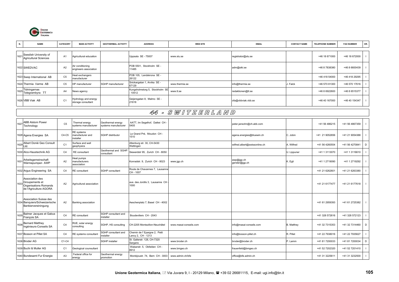

|      | <b>NAME</b>                                                                               | CATEGORY       | <b>MAIN ACTIVITY</b>                       | <b>GEOTHERMAL ACTIVITY</b>                      | <b>ADDRESS</b>                                     | <b>WEB SITE</b>        | <b>EMAIL</b>                  | <b>CONTACT NAME</b> | <b>TELEPHONE NUMBER</b> | <b>FAX NUMBER</b> | OR.            |  |  |
|------|-------------------------------------------------------------------------------------------|----------------|--------------------------------------------|-------------------------------------------------|----------------------------------------------------|------------------------|-------------------------------|---------------------|-------------------------|-------------------|----------------|--|--|
| 1621 | Swedish University of<br><b>Agricultural Sciences</b>                                     | A <sub>1</sub> | Agricultural education                     |                                                 | Uppsala SE - 75007                                 | www.slu.se             | registrator@slu.se            |                     | +46 18 671000           | +46 18 672000     |                |  |  |
|      | 1622 SWEDVAC                                                                              | A <sub>2</sub> | Air conditioning<br>engineers association  |                                                 | POB 5501, Stockholm SE -<br>11485                  |                        | adm@siki.se                   |                     | +46 8 7838380           | +46 8 6600439     |                |  |  |
|      | 1623 Swep International AB                                                                | C <sub>5</sub> | Heat exchangers<br>nanufacturer            |                                                 | POB 105, Landskrona SE -<br>26122                  |                        |                               |                     | +46 418 54000           | +46 418 29295     |                |  |  |
|      | 1624 Thermia Varme AB                                                                     | C <sub>5</sub> | HP manufacturer                            | SGHP manufacturer                               | Snickargatan 1, Arvika SE -<br>37129               | www.thermia.se         | info@thermia.se               | . Falck             | +46 570 81300           | +46 570 17616     | $\blacksquare$ |  |  |
| 1625 | Tidningarnas<br>Telegrambyra TT                                                           | A <sub>4</sub> | News agency                                |                                                 | Kungsholmstorg 5, Stockholm SE<br>10512            | www.tt.se              | redaktionen@tt.se             |                     | +46 8 6922600           | +46 8 6515377     |                |  |  |
|      | 1626 VBB Viak AB                                                                          | C <sub>1</sub> | lydrology and energy<br>storage consultant |                                                 | Geijersgatan 8, Malmo SE -<br>21618                |                        | ofa@vbbviak.vbb.se            |                     | +46 40 167000           | +46 40 154347     |                |  |  |
|      | 44 - SWITZERLAND                                                                          |                |                                            |                                                 |                                                    |                        |                               |                     |                         |                   |                |  |  |
| 1627 | ABB Alstom Power<br>Technology                                                            | C <sub>5</sub> | Thermal energy<br>systems manufacturer     | <b>Geothermal energy</b><br>ystems manufacturer | AATT, Im Segelhof, Dattwi CH<br>5405               |                        | peter.jansohn@ch.abb.com      |                     | +41 56 486215           | +41 56 4867359    |                |  |  |
|      | 1628 Agena Energies SA                                                                    | C4-C5          | RE systems<br>nanufacturer and<br>nstaller | SGHP distributor                                | Le Grand Pré, Moudon CH -<br>1510                  |                        | agena.energies@bluewin.ch     | C. Jobin            | +41 21 9052656          | +41 21 9054388    |                |  |  |
| 1629 | Albert Doniè Geo Consult<br>Ltd.                                                          | C <sub>1</sub> | Surface and well<br>geophysics             |                                                 | Altenburg str. 30, CH-5430<br>Nettingen            |                        | wilfred.albert@swissonline.ch | A. Wilfred          | +41 56 4260554          | +41 56 4270841    | $\mathsf D$    |  |  |
|      | 1630 Alco-Haustechnik AG                                                                  | C <sub>4</sub> | RE consultant                              | Geothermal and SGHP<br>consultant               | Siewerdstr 95, Zurich CH - 8050                    |                        |                               | U. Lippuner         | +41 1 3113070           | +41 1 3116610     |                |  |  |
| 1631 | Arbeitsgemeinschaft<br>Wärmepumpen AWP                                                    | A2             | leat pumps<br>nanufacturers<br>association |                                                 | Konradstr. 9, Zurich CH - 8023                     | www.jgp.ch             | awp@jgp.ch<br>gerster@jgp.ch  | . Egli              | +41 1 2719090           | +41 1 2719292     |                |  |  |
|      | 1632 Argus Engineering SA                                                                 | C <sub>4</sub> | RE consultant                              | SGHP consultant                                 | Route de Chavannes 7, Lausanne<br>CH-1007          |                        |                               |                     | +41 21 6262601          | +41 21 6263380    | $\blacksquare$ |  |  |
|      | Association des<br>1633 Groupements et<br>Organisations Romands<br>de l'Agriculture AGORA | A2             | Agricultural association                   |                                                 | ave. des Jordils 3, Lausanne CH<br>1000            |                        |                               |                     | +41 21 6177477          | +41 21 6177618    |                |  |  |
|      | Association Suisse des<br>1634 Banquiers/Schweizerische<br>Bankiervereiningung            | A2             | Banking association                        |                                                 | Aeschenplatz 7, Basel CH - 4002                    |                        |                               |                     | +41 61 2959393          | +41 61 2725382    | $\mathbf{I}$   |  |  |
| 1635 | Balmer Jacques et Gabus<br>François SA                                                    | C <sub>4</sub> | RE consultant                              | SGHP consultant and<br>installer                | Boudeviliers CH - 2043                             |                        |                               |                     | +41 328 572616          | +41 328 572123    |                |  |  |
| 1636 | <b>Bernard Matthey</b><br>Ingénieurs-Conseils SA                                          | C <sub>4</sub> | RUE, solar energy<br>consulting            | SGHP, HS consulting                             | CH-2205 Montezillon-Neuchâtel                      | www.masai-conseils.com | info@masai-conseils.com       | <b>B.</b> Matthey   | +41 32 7315353          | +41 32 7314460    | D              |  |  |
|      | 1637 Bosson et Pillet SA                                                                  | C <sub>4</sub> | RE systems consultant                      | GHP consultant and<br><b>nstaller</b>           | Chemin de l' Epargne 2, Petit<br>ancy 2, CH - 1213 |                        | info@bosson-pillet.ch         | R. Pillet           | +41 22 7938016          | +41 22 7935627    |                |  |  |
|      | 1638 Broder AG                                                                            | C1-C4          |                                            | <b>SGHP</b> installer                           | St. Gallerstr. 128, CH-7320<br>Sargans             | www.broder.ch          | broder@broder.ch              | P. Lamm             | +41 81 7200033          | +41 81 7200034    | $\mathsf D$    |  |  |
|      | 1639 Buchi & Muller AG                                                                    | C <sub>1</sub> | Geological counsultant                     |                                                 | Walserstr. 5, Obfelden CH -<br>8912                | www.bmgeo.ch           | frauenfeld@bmgeo.ch           |                     | +41 52 7202320          | +41 52 7201410    |                |  |  |
|      | 1640 Bundesamt Fur Energie                                                                | A <sub>3</sub> | Federal office for<br>energy               | Geothermal energy<br>promotion                  | Monbijoustr. 74, Bern CH - 3003                    | www.admin.ch/bfe       | office@bfe.admin.ch           |                     | +41 31 3225611          | +41 31 3232500    |                |  |  |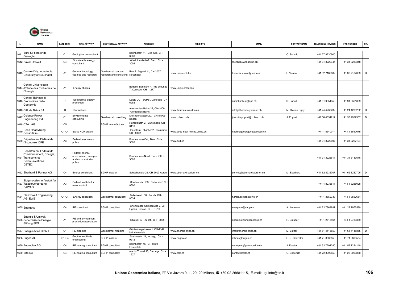

|      | <b>NAME</b>                                                                                            | CATEGORY       | <b>MAIN ACTIVITY</b>                                                     | <b>GEOTHERMAL ACTIVITY</b>                     | <b>ADDRESS</b>                                             | <b>WEB SITE</b>               | <b>EMAIL</b>                | <b>CONTACT NAME</b> | <b>TELEPHONE NUMBER</b> | <b>FAX NUMBER</b> | OR.                      |
|------|--------------------------------------------------------------------------------------------------------|----------------|--------------------------------------------------------------------------|------------------------------------------------|------------------------------------------------------------|-------------------------------|-----------------------------|---------------------|-------------------------|-------------------|--------------------------|
| 164  | Büro für beratende<br>Geologie                                                                         | C <sub>1</sub> | Geological counsultant                                                   |                                                | Bahnhofstr. 11, Brig-Glis CH -<br>3900                     |                               |                             | O. Schmid           | +41 27 9230900          |                   | $\mathbf{I}$             |
|      | 1642 Buwal Umwelt                                                                                      | C <sub>4</sub> | Sustainable energy<br>consultant                                         |                                                | Wald, Landschaft, Bern CH -<br>3003                        |                               | recht@buwal.admin.ch        |                     | +41 31 3229344          | +41 31 3230348    | $\mathbf{I}$             |
|      | 1643 Centre d'Hydrogeologie,<br>University of Neuchâtel                                                | A <sub>1</sub> | General hydrology<br>courses and research                                | Geothermal courses,<br>research and consulting | Rue E. Argand 11, CH-2007<br>Neuchâtel                     | www.unine.ch/chyn             | francois.vuataz@unine.ch    | F. Vuataz           | +41 32 7182602          | +41 32 7182603    | D                        |
|      | Centre Universitaire<br>1644 d'Etude des Problemes de<br>l'Energie                                     | A <sub>1</sub> | Energy studies                                                           |                                                | Battelle, Batiment A, rue de Drize<br>7, Carouge CH - 1277 | www.unige.ch/cuepe            |                             |                     |                         |                   | $\mathbf{I}$             |
|      | Centro Ticinese di<br>1645 Promozione della<br>Geotermia                                               | B              | Geothermal energy<br>oromotion                                           |                                                | LEEE-DCT-SUPSI, Canobbio CH<br>6952                        |                               | daniel.pahud@epfl.ch        | D. Pahud            | +41 91 9351353          | +41 91 9351309    |                          |
|      | 1646 Cité de Bains SA                                                                                  | D              | hermal spa                                                               |                                                | Avenue des Bains 22, CH-1400<br>Yverdon les Bains          | www.thermes-yverdon.ch        | nfo@.thermes-yverdon.ch     | M. Claude Ogay      | +41 24 4230232          | +41 24 4230252    | $\mathsf D$              |
| 164  | Colenco Power<br>Engineering Ltd.                                                                      | C <sub>1</sub> | Environmental<br>consulting                                              | Geothermal consulting                          | Mellingerstrasse 207, CH-54005<br>Baden                    | www.colenco.ch                | joachim.poppei@colenco.ch   | J. Poppei           | +41 56 4831212          | +41 56 4937357    | D                        |
|      | 1648 CTA AG                                                                                            | C <sub>5</sub> |                                                                          | SGHP manufacturer                              | Hunzikenstr. 2, Munsingen CH<br>3110                       |                               |                             |                     |                         |                   | $\mathbf{I}$             |
| 1649 | Deep Heat Mining<br>Consortium                                                                         | C1-C4          | Swiss HDR project                                                        |                                                | Im untern Tollacher 2, Steinmau<br>CH-8162                 | www.deep-heat-mining.unine.ch | naeringgeoproject@access.ch |                     | +41 1 8540074           | +41 1 8540075     | $\mathbf{I}$             |
| 1650 | Département Fédéral de<br>l'Economie DFE                                                               | A <sub>3</sub> | Federal economics<br>policy                                              |                                                | Bundeshaus-Ost, Bern CH-<br>3003                           | www.evd.ch                    |                             |                     | +41 31 3222007          | +41 31 3222194    | $\mathbf{I}$             |
| 1651 | Département Fédéral de<br>l'Environnement, Energie,<br>Transports et<br>Communications<br><b>DETEC</b> | A <sub>3</sub> | Federal energy,<br>environment, transport<br>and communication<br>policy |                                                | Bundeshaus-Nord, Bern CH-<br>3003                          |                               |                             |                     | +41 31 3225511          | +41 31 31 19576   | $\mathbf{I}$             |
|      | 1652 Eberhard & Partner AG                                                                             | C <sub>4</sub> | Energy consultant                                                        | <b>SGHP</b> installer                          | Schachenalle 29, CH-5000 Aarau                             | www.eberhard-partenr.ch       | service@eberhard-partner.ch | M. Eberhard         | +41 62 8232707          | +41 62 8232706    | D                        |
|      | Eidgenossische Anstalt fur<br>1653 Wasserversorgung<br><b>EAWAG</b>                                    | A <sub>3</sub> | Federal Institute for<br>water control                                   |                                                | Uberlandstr. 133, Dubendorf CH<br>8600                     |                               |                             |                     | +41 1 8235511           | +41 1 8235028     | $\mathbf{I}$             |
| 1654 | <b>Elektrowatt Engineering</b><br>AG EWE                                                               | $C1-C4$        | Energy consultant                                                        | Geothermal consultant                          | Bellerivestr. 36, Zurich CH -<br>8034                      |                               | harald.gorhan@ewe.ch        |                     | +41 1 3852733           | +41 1 3852654     |                          |
|      | 1655 Energeco                                                                                          | C <sub>4</sub> | RE consultant                                                            | SGHP consultant                                | Chemin des Campanules 7, Le<br>Lignon Genève CH - 1219     |                               | energeco@capp.ch            | A. Jaumann          | +41 22 7963887          | +41 22 7972530    | $\mathbf{I}$             |
|      | Energie & Umwelt<br>1656 Scheizerische Energie<br>Stiflung SES                                         | A1             | RE and environment<br>promotion association                              |                                                | Sihlquai 67, Zurich CH - 8005                              |                               | energiestiftung@access.ch   | H. Glauser          | +41 1 2715464           | +41 1 2730369     | $\overline{\phantom{a}}$ |
|      | 1657 Energie-Atlas GmbH                                                                                | C <sub>1</sub> | RE mapping                                                               | Geothermal mapping                             | Güntenbergstrasse 1, CH-4142<br>Münchenstein               | www.energie-atlas.ch          | info@energie-atlas.ch       | M. Blatter          | +41 61 4115850          | +41 61 4115855    | D                        |
|      | 1658 Engeo AG                                                                                          | C1-C4          | <b>Seothermal fluids</b><br>engineering                                  | SGHP installer                                 | Stationsstr. 24, Amegg CH -<br>9212                        | www.engeo.ch                  | rohner@engeo.ch             | E. R. Gonzalez      | +41 71 3800550          | +41 71 3800554    |                          |
|      | 1659 Enumplan AG                                                                                       | C <sub>4</sub> | RE heating consultant                                                    | <b>SGHP</b> consultant                         | Bahnhofstr. 45, CH-8500<br>Frauenfeld                      |                               | enumplan@swissonline.ch     | J. Forster          | +41 52 7204240          | +41 52 7224140    | $\mathbf{I}$             |
|      | 1660 Erte SA                                                                                           | C <sub>4</sub> | RE heating consultant                                                    | SGHP consultant                                | rue du Tunnel 15, Carouge CH -<br>1227                     | www.erte.ch                   | contact@erte.ch             | G. Spoehzle         | +41 22 3090850          | +41 22 3090860    | $\mathbf{I}$             |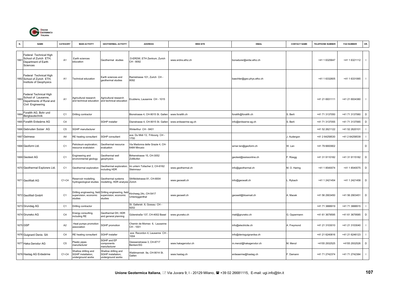

| N.   | <b>NAME</b>                                                                                    | CATEGORY       | <b>MAIN ACTIVITY</b>                                            | <b>GEOTHERMAL ACTIVITY</b>                                                                  | <b>ADDRESS</b>                                    | <b>WEB SITE</b>     | <b>EMAIL</b>              | <b>CONTACT NAME</b> | <b>TELEPHONE NUMBER</b> | <b>FAX NUMBER</b> | OR.                      |
|------|------------------------------------------------------------------------------------------------|----------------|-----------------------------------------------------------------|---------------------------------------------------------------------------------------------|---------------------------------------------------|---------------------|---------------------------|---------------------|-------------------------|-------------------|--------------------------|
| 1661 | Federal Technical High<br>School of Zurich ETH,<br>Department of Earth<br>Sciences             | A <sub>1</sub> | Earth sciences<br>education                                     | Geothermal studies                                                                          | D-ERDW, ETH Zentrum, Zurich<br>CH - 8092          | www.erdns.ethz.ch   | bonadurer@erdw.ethz.ch    |                     | +41 1 6325647           | +41 1 6321112     | $\mathbf{I}$             |
|      | Federal Technical High<br>1662 School of Zurich ETH,<br>Institute of Geophysics                | A1             | <b>Technical education</b>                                      | Earth sciences and<br>aeothermal studies                                                    | Ramistrasse 101, Zurich CH<br>8092                |                     | baechler@geo.phys.ethz.ch |                     | +41 1 6332605           | +41 1 6331065     |                          |
| 1663 | Federal Technical High<br>School of Lausanne,<br>Departments of Rural and<br>Civil Engineering | A <sub>1</sub> | Agricultural research<br>and technical education                | Agricultural research<br>and technical education                                            | Ecublens, Lausanne CH - 1015                      |                     |                           |                     | +41 21 6931111          | +41 21 6934380    | $\mathbf{I}$             |
| 166  | Foralith AG, Bohr und<br>Bergbautechnik                                                        | C <sub>1</sub> | Drilling contractor                                             |                                                                                             | Bionstrasse 4, CH-9015 St. Galler                 | www.foralith.ch     | foralith@foralith.ch      | S. Berli            | +41 71 3137050          | +41 71 3137060    | D                        |
|      | 1665 Foralith Erdwärne AG                                                                      | C <sub>4</sub> |                                                                 | SGHP installer                                                                              | Dianstrasse 4, CH-9015 St. Galler                 | www.erdwaerme-ag.ch | info@erdwarne-ag.ch       | S. Berli            | +41 71 3137055          | +41 71 3137065    | D                        |
|      | 666 Gebruden Sulzer AG                                                                         | C <sub>5</sub> | <b>SGHP</b> manufacturer                                        |                                                                                             | Winterthur CH - 8401                              |                     |                           |                     | +41 52 2621122          | +41 52 2620101    |                          |
|      | 1667 Geimesa                                                                                   | A4             | RE heating consultant                                           | SGHP consultant                                                                             | ave. Du Midi 13, Fribourg CH -<br>1700            |                     |                           | I. Audergon         | +41 2 64258530          | +41 2 64258539    | $\mathbf{I}$             |
|      | 1668 Geoform Ltd.                                                                              | C <sub>1</sub> | etroleum exploration;<br>esource evalutaion                     | Geothermal resource<br>evaluation                                                           | /ia Madonna delle Grazie 4, CH-<br>6484 Minusio   |                     | wrner.len@geoform.ch      | W. Len              | +41 79 6693902          |                   | D                        |
|      | 1669 Geotest AG                                                                                | C <sub>1</sub> | Engineering and<br>environmental geology                        | Geothermal well<br>geophysics                                                               | Birkenstrasse 15, CH-3052<br>Zollikofen           |                     | geotest@swissonline.ch    | . Rüegg             | +41 31 9110182          | +41 31 9115182    | D                        |
|      | 1670 Geothermal Explorers Ltd.                                                                 | C <sub>1</sub> | Geothermal exploration                                          | Geothermal exploration,<br>ncluding HDR                                                     | m untern Tollacher 2, CH-8162<br><b>Steinmaur</b> | www.geothermal.ch   | info@geothermal.ch        | M. O. Haring        | +41 1 8540074           | +41 1 8540075     | D                        |
|      | 1671 GeoWatt AG                                                                                | C1-C4          | Reservoir modelling,<br>nydrogeological studies                 | Geothermal systems<br>modelling, HDR analysis Zürich                                        | Sihlfeldstrasse 81, CH-8004                       | www.geowatt.ch      | info@geowatt.ch           | Rybach              | +41 1 2421454           | +41 1 2421458     | D                        |
|      | 1672 GeoWell GmbH                                                                              | C <sub>1</sub> | supervision, economic<br>studies                                | Drilling engineering, field Drilling engineering, field<br>supervision, economic<br>studies | Kirchweg 24c, CH-5417<br>Jntersiggenthal          | www.geowell.ch      | geowell@bluemail.ch       | A. Macek            | +41 56 2903450          | +41 56 2903451    | D                        |
|      | 1673 Grundag AG                                                                                | C <sub>1</sub> | Orilling contractor                                             |                                                                                             | St. Gallerstr. 8, Gossau CH -<br>9202             |                     |                           |                     | +41 71 3888919          | +41 71 3888915    | $\mathbf{I}$             |
|      | 1674 Gruneko AG                                                                                | C <sub>4</sub> | Energy consulting,<br>ncluding RE                               | Geothermal DH, HDR<br>and general planning                                                  | Güterstraße 137, CH-4002 Basel                    | www.gruneko.ch      | mail@gruneko.ch           | G. Oppermann        | +41 61 3679595          | +41 61 3679585    | D                        |
|      | 1675 GSP                                                                                       | A2             | Heat pumps promotion<br>ssociation                              | SGHP promotion                                                                              | Chemin de Mornex 6, Lausanne<br>CH - 1001         |                     | info@electricite.ch       | A. Freymond         | +41 21 3103010          | +41 21 3103040    | $\overline{\phantom{a}}$ |
|      | 1676 Guignard Denis SA                                                                         | C <sub>4</sub> | RE heating consultant                                           | SGHP installer                                                                              | ave. Recordon 4, Lausanne CH -<br>1004            |                     | info@denisguignardsa.ch   |                     | +41 21 6240816          | +41 21 6246123    |                          |
|      | 1677 Haka.Gerodur AG                                                                           | C <sub>5</sub> | lastic pipes<br>nanufacturer                                    | SGHP and EP<br>components<br>manufacturer                                                   | Giessenstrasse 3, CH-8717<br>Benken/SG            | www.hakagerodur.ch  | m.menzl@hakagerodur.ch    | M. Menzl            | +4155 2932525           | +4155 2932526     | D                        |
|      | 1678 Hastag AG Erdwärme                                                                        | C1-C4          | Shallow drilling and<br>SGHP installation;<br>underground works | Shallow drilling and<br>SGHP installation;<br>underground works                             | Valdmannstr. 9a, CH-9014 St.<br>Gallen            | www.hastag.ch       | erdwaerme@hastag.ch       | . Damann            | +41 71 2742374          | +41 71 2742384    | $\overline{1}$           |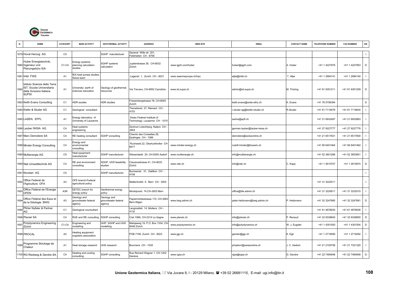

|      | <b>NAME</b>                                                                                          | CATEGORY       | <b>MAIN ACTIVITY</b>                             | <b>GEOTHERMAL ACTIVITY</b>                  | <b>ADDRESS</b>                                               | <b>WEB SITE</b>        | <b>EMAIL</b>                  | <b>CONTACT NAME</b> | <b>TELEPHONE NUMBER</b> | <b>FAX NUMBER</b> | OR.            |
|------|------------------------------------------------------------------------------------------------------|----------------|--------------------------------------------------|---------------------------------------------|--------------------------------------------------------------|------------------------|-------------------------------|---------------------|-------------------------|-------------------|----------------|
|      | 1679 Hoval Herzog AG                                                                                 | C <sub>5</sub> |                                                  | SGHP manufacturer                           | General Wille str. 201,<br>Feldmeilen CH - 8706              |                        |                               |                     |                         |                   | $\mathbf{I}$   |
|      | Huber Energietechnik,<br>1680 Ingenieur und<br>Planungsbüro SIA                                      | $C1-C4$        | nergy systems<br>blanning calculation<br>studies | <b>SGHP</b> systems<br>calculation          | Jupiterstrasse 26, CH-8032<br>Zürich                         | www.igjzh.com/huber    | huber@igjzh.com               | A. Huber            | +41 1 4227978           | +41 1 4227953     | D              |
|      | 1681 Infel FWS                                                                                       | A <sub>1</sub> | EA heat pumps studies<br>Swiss team              |                                             | Lagerstr. 1, Zurich CH - 8021                                | www.waermepunpe.ch/hpc | afjei@infel.ch                | T. Afjei            | +41 1 2994141           | +41 1 2994140     |                |
| 1682 | Istituto Scienze della Terra<br>IST, Scuola Universitaria<br>della Svizzera Italiana<br><b>SUPSI</b> | A <sub>1</sub> | Jniversity: earth of<br>sciences education       | Geology of geothermal<br><b>resources</b>   | Via Trevano, CH-6952 Canobbio                                | www.ist.supsi.ch       | admin@ist.supsi.ch            | M. Thüring          | +41 91 9351211          | +41 91 9351209    | D              |
|      | 1683 Keith Evans Consulting                                                                          | C <sub>1</sub> | <b>HDR</b> studies                               | <b>IDR</b> studies                          | Friesenbergstrasse 78, CH-8093<br>Zurich                     |                        | keith.evans@erdw.ethz.ch      | K. Evans            | +41 76 5756394          |                   | D              |
|      | 1684 Kiefer & Studer AG                                                                              | C <sub>1</sub> | Geological consultant                            |                                             | Therwilerstr. 27, Reinach CH -<br>4153                       |                        | :studer.ag@kiefer-studer.ch   | R.Studer            | +41 61 7119476          | +41 61 7119634    | $\blacksquare$ |
|      | 1685 LASEN, EPFL                                                                                     | A <sub>1</sub> | Energy laboratory of<br>University of Lausanne   |                                             | Swiss Federal Institute of<br>Technology, Lausanne CH - 1015 |                        | sarlos@epfl.ch                |                     | +41 21 6932497          | +41 21 6932863    |                |
|      | 1686 Lauber IWISA AG                                                                                 | C <sub>4</sub> | leat systems<br>engineering                      |                                             | Zentrum Lotschberg, Naters CH<br>3904                        |                        | german.lauber@lauber-iwisa.ch |                     | +41 27 9227777          | +41 27 9227778    |                |
|      | 1687 Marc Demoliere SA                                                                               | C <sub>4</sub> | RE heating consultant                            | SGHP consulting                             | Chemin des Croisettes 26,<br>Epalinges CH - 1066             |                        | demoliere@swissonline.ch      |                     | +41 21 6517631          | +41 21 6517600    |                |
|      | 1688 Minder Energy Consulting                                                                        | C <sub>4</sub> | Energy and<br>environmental<br>consulting        |                                             | Ruchweid 22, Oberlunkhofen CH<br>8917                        | www.minder-energy.ch   | rudolf.minder@bluewin.ch      |                     | +41 56 6401464          | +41 56 6401462    |                |
|      | 1689 Multienergie AG                                                                                 | C <sub>5</sub> | leat equipment<br>nanufacturer                   | <b>SGHP</b> manufacturer                    | Wiesentalstr. 20, CH-8355 Aadorf                             | www.multienergie.ch    | info@multienergie.ch          |                     | +41 52 3651266          | +41 52 3653851    |                |
|      | 1690 Nek Umwelttechnik AG                                                                            | C <sub>4</sub> | RE and environment<br>consulting                 | SGHP, UHS feasibility<br>studies            | Clausiusstrasse 41, CH-8033<br>Zürich                        | www.nek.ch             | info@nek.ch                   | C. Kapp             | +41 1 2610707           | +41 1 2610874     | D              |
|      | 1691 Novelan AG                                                                                      | C <sub>5</sub> |                                                  | SGHP manufacturer                           | Buchserstr. 31, Dallikon CH -<br>3108                        |                        |                               |                     |                         |                   | $\mathbf{I}$   |
| 1692 | Office Federal de<br>l'Agriculture OFA                                                               | A <sub>3</sub> | <b>OFE branch-Federal</b><br>agricultural policy |                                             | Mattenhofstr. 5, Bern CH - 3003                              |                        |                               |                     | +41 31 3222511          |                   | $\mathbf{I}$   |
| 1693 | Office Fédéral de l'Energie<br><b>OFEN</b>                                                           | A3R            | DETEC branch for<br>energy policy                | Geothermal energy<br>policy                 | Monbijoustr. 74, CH-3003 Bern                                |                        | office@bfe.admin.ch           |                     | +41 31 3225611          | +41 31 3232510    | $\blacksquare$ |
| 169  | Office Fédéral des Eaux et<br>de la Géologie BWG                                                     | A <sub>3</sub> | Geology and<br>groundwater federal<br>agency     | Geology and<br>roundwater federal<br>agency | Papiermühlestrasse 172, CH-3063<br>Bern-Ittigen              | www.bwg.admin.ch       | peter.heitzmann@bwg.admin.ch  | P. Heitzmann        | +41 32 3247685          | +41 32 3247681    | D              |
| 1695 | Pfirter Nyfeler & Partner<br>AG                                                                      | C <sub>1</sub> | Geological counsultant                           |                                             | Langmattstr. 14, Muttenz CH -<br>4132                        |                        |                               |                     | +41 61 4676830          | +41 61 4676836    |                |
|      | 1696 Planair SA                                                                                      | C <sub>4</sub> | RUE and RE consulting                            | SGHP consulting                             | Cret 108A, CH-2314 La Sagne                                  | www.planair.ch         | info@planair.ch               | . Renaud            | +41 32 9338840          | +41 32 9338850    | D              |
| 169  | Polydynamics Engineering<br>Zürich                                                                   | C1-C4          | Engineering and<br>nodelling                     | GHP, SGHP and UHS<br>nodelling              | Malojaweg 19, P.O. Box 1334, CH<br>8048 Zürich               | www.polydynamics.ch    | info@polydynamics.ch          | W. J. Eugster       | +41 1 4301500           | +41 1 4301504     | D              |
|      | 1698 PROCAL                                                                                          | A <sub>2</sub> | Heating equipment<br>suppliers association       |                                             | POB 7190, Zurich CH - 8023                                   | www.jgp.ch             | gersler@jgp.ch                | K. Egli             | +41 1 2719090           | +41 1 2719292     | $\mathbf{I}$   |
| 1699 | Programme Stockage de<br>Chaleur                                                                     | A <sub>1</sub> | leat storage research                            | JHS research                                | Bournens CH - 1035                                           |                        | jchadorn@swissonline.ch       | J. C. Hadorn        | +41 21 2105706          | +41 21 7321320    | $\mathbf{I}$   |
|      | 1700 RG Riedweg & Gendre SA                                                                          | C <sub>4</sub> | leating and cooling<br>consulting                | SGHP consulting                             | Rue Richard Wagner 1, CH-1202<br>Genève                      | www.rgsa.ch            | rgsa@rgsa.ch                  | G. Gendre           | +41 22 7484848          | +41 22 7484858    | D              |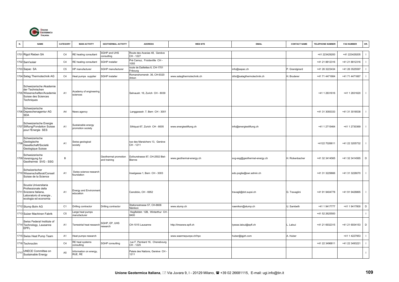

| N.   | <b>NAME</b>                                                                                                               | CATEGORY       | <b>MAIN ACTIVITY</b>                    | <b>GEOTHERMAL ACTIVITY</b>           | <b>ADDRESS</b>                             | <b>WEB SITE</b>           | <b>EMAIL</b>                 | <b>CONTACT NAME</b> | <b>TELEPHONE NUMBER</b> | <b>FAX NUMBER</b> | OR.            |
|------|---------------------------------------------------------------------------------------------------------------------------|----------------|-----------------------------------------|--------------------------------------|--------------------------------------------|---------------------------|------------------------------|---------------------|-------------------------|-------------------|----------------|
|      | 1701 Rigot Rieben SA                                                                                                      | C <sub>4</sub> | RE heating consultant                   | <b>SGHP and UHS</b><br>consulting    | Route des Acacias 48, Genève<br>CH-1227    |                           |                              |                     | +41 223429200           | +41 223429205     |                |
|      | 1702 Sam'solair                                                                                                           | C <sub>4</sub> | RE heating consultant                   | SGHP installer                       | Pré Camuz, Froidevillle CH -<br>1055       |                           |                              |                     | +41 21 8812316          | +41 21 8812316    | - 1            |
|      | 1703 Sapac SA                                                                                                             | C <sub>5</sub> | <b>IP</b> manufacturer                  | SGHP manufacturer                    | route de Daillettes 6, CH-1701<br>Fribourg |                           | info@sapac.ch                | P. Grandgirard      | +41 26 3223434          | +41 26 3525597    | $\blacksquare$ |
|      | 1704 Satag Thermotechnik AG                                                                                               | C <sub>4</sub> | leat pumps supplier                     | <b>SGHP</b> installer                | Romanshornerstr. 36, CH-9320<br>Arbon      | www.satagthermotechnik.ch | drbr@satagthermotechnik.ch   | H. Bruderer         | +41 71 4471664          | +41 71 4471667    |                |
|      | Schweizerische Akademie<br>der Technischen<br>1705 Wissenschaften/Academie<br>Suisse des Sciences<br>Techniques           | A <sub>1</sub> | Academy of engineering<br>sciences      |                                      | Selnaustr. 16, Zurich CH - 8039            |                           |                              |                     | +41 1 2831616           | +41 1 2831620     | $\blacksquare$ |
|      | Schweizerische<br>706 Depeschenagentur AG<br><b>SDA</b>                                                                   | A4             | News agency                             |                                      | Langgassstr. 7, Bern CH - 3001             |                           |                              |                     | +41 31 3093333          | +41 31 3018538    |                |
|      | Schweizerische Energie<br>1707 Stiftung/Fondation Suisse<br>pour l'Energie SES                                            | A <sub>1</sub> | Sustainable energy<br>promotion society |                                      | Sihlquai 67, Zurich CH - 8005              | www.energiestiftung.ch    | info@energiestiftung.ch      |                     | +41 1 2715464           | +41 1 2730369     | $\blacksquare$ |
| 1708 | Schweizerische<br>Geologische<br>Gesellschaft/Societè<br>Geologique Suisse                                                | A <sub>1</sub> | Swiss geological<br>society             |                                      | rue des Maraichers 13, Genève<br>CH-1211   |                           |                              |                     | +4122 7026611           | +41 22 3205732    | $\blacksquare$ |
|      | Schweizerische<br>1709 Vereinigung fur<br>Geothermie SVG - SSG                                                            | $\,$ B         |                                         | Geothermal promotion<br>and training | Dufourstrasse 87, CH-2502 Biel-<br>Bienne  | www.geothermal-energy.ch  | svg-ssg@geothermal-energy.ch | H. Rickenbacher     | +41 32 3414565          | +41 32 3414565    | $\mathsf D$    |
|      | Schwizerischer<br>1710 Wissenschaftsrat/Conseil<br>Suisse de la Science                                                   | A <sub>1</sub> | Swiss science research<br>foundation    |                                      | Inselgasse 1, Bern CH - 3003               |                           | edo.poglia@swr.admin.ch      |                     | +41 31 3229666          | +41 31 3228070    | $\blacksquare$ |
|      | Scuola Universitaria<br>Professionale della<br>1711 Svizzera Italiana,<br>Laboratorio di energia,<br>ecologia ed economia | A <sub>1</sub> | Energy and Environmen<br>education      |                                      | Canobbio, CH - 6952                        |                           | travagli@dct.supsi.ch        | G. Travaglini       | +41 91 9404778          | +41 91 9428865    | $\Box$         |
|      | 1712 Stump Bohr AG                                                                                                        | C <sub>1</sub> | Drilling contractor                     | Drilling contractor                  | Stationsstrasse 57, CH-8606<br>Nänikon     | www.stump.ch              | naenikon@stump.ch            | U. Sambeth          | +41 1 9417777           | +41 1 9417800     | D              |
|      | 1713 Sulzer Machinen Fabrik                                                                                               | C <sub>5</sub> | arge heat pumps<br>nanufacturer         |                                      | Hegifeldstr. 12B, Winterthur CH<br>8400    |                           |                              |                     | +41 52 2625500          |                   |                |
|      | Swiss Federal Institute of<br>1714 Technology, Lausanne<br>EPFL                                                           | A <sub>1</sub> | Ferrestrial heat research               | SGHP, EP, UHS<br>esearch             | CH-1015 Lausanne                           | http://lmswww.epfl.ch     | lyesse.laloui@epfl.ch        | . Laloui            | +41 21 6932315          | +41 21 6934153    | D              |
|      | 1715 Swiss Heat Pump Team                                                                                                 | A1             | leat pumps research                     |                                      |                                            | www.waermepunpe.ch/hpc    | huber@igjzh.com              | A. Huber            |                         | +41 1 4227953     | $\blacksquare$ |
|      | 1716 Technoclim                                                                                                           | C4             | RE heat systems<br>consulting           | SGHP consulting                      | rue F. Perréard 16, Chenebourg<br>CH-1225  |                           |                              |                     | +41 22 3496811          | +41 22 3493221    | $\blacksquare$ |
| 1717 | JNECE Committee on<br>Sustainable Energy                                                                                  | A <sub>5</sub> | nformation on energy,<br>RUE, RE        |                                      | Palais des Nations, Genève CH<br>1211      |                           |                              |                     |                         |                   |                |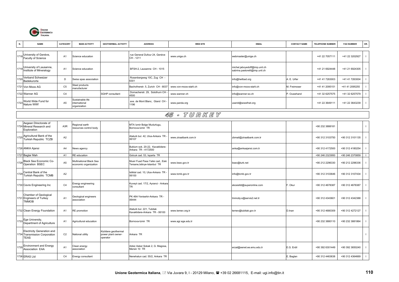

| N.   | <b>NAME</b>                                                                | CATEGORY       | <b>MAIN ACTIVITY</b>                             | <b>GEOTHERMAL ACTIVITY</b>                             | <b>ADDRESS</b>                                                    | <b>WEB SITE</b>       | <b>EMAIL</b>                                                    | <b>CONTACT NAME</b> | <b>TELEPHONE NUMBER</b> | <b>FAX NUMBER</b> | OR.            |
|------|----------------------------------------------------------------------------|----------------|--------------------------------------------------|--------------------------------------------------------|-------------------------------------------------------------------|-----------------------|-----------------------------------------------------------------|---------------------|-------------------------|-------------------|----------------|
| 1718 | University of Genève,<br>Faculty of Science                                | A <sub>1</sub> | Science education                                |                                                        | rue General Dufour 24, Genève<br>CH-1211                          | www.unige.ch          | webmaster@unige.ch                                              |                     | +41 22 7057111          | +41 22 3202927    | $\blacksquare$ |
|      | 1719 University of Lausanne,<br>Institute of Mineralogy                    | A <sub>1</sub> | Science education                                |                                                        | BFSH-2, Lausanne CH - 1015                                        |                       | michel.jaboyedoff@imp.unil.ch<br>sabrina.pastorelli@imp.unil.ch |                     | +41 21 6924448          | +41 21 6924305    | $\blacksquare$ |
| 172  | Verband Schweizer<br>Badekurorte                                           | D              | Swiss spas association                           |                                                        | Rosenbergweg 10C, Zug CH -<br>301                                 |                       | info@heilbad.org                                                | A. E. Urfer         | +41 41 7263003          | +41 41 7263004    | $\blacksquare$ |
|      | 1721 Von Moos AG                                                           | C <sub>5</sub> | Steel products<br>nanufacturer                   |                                                        | Bachofnerstr. 5, Zurich CH - 8037                                 | www.von-moos-stahl.ch | info@von-moos-stahl.ch                                          | M. Freimoser        | +41 41 2095151          | +41 41 2095255    |                |
|      | 1722 Wanner AG                                                             | C4             |                                                  | SGHP consultant                                        | Dornacherstr. 29, Solothurn CH<br>4500                            | www.wanner.ch         | info@wanner-so.ch                                               | P. Ouwehand         | +41 32 6257575          | +41 32 6257579    |                |
| 172  | World Wide Fund for<br>Nature WWf                                          | A <sub>5</sub> | Sustainable life<br>hternational<br>organization |                                                        | ave. de Mont Blanc, Gland CH -<br>1196                            | www.panda.org         | userid@wwwfnet.org                                              |                     | +41 22 3649111          | +41 22 3643239    |                |
|      |                                                                            |                |                                                  |                                                        |                                                                   | 45 - TURKEY           |                                                                 |                     |                         |                   |                |
| 1724 | Aegean Directorate of<br>Mineral Research and<br>Exploration               | A3R            | Regional earth<br>resources control body         |                                                        | MTA Izmir Bolge Mudurlugu,<br>Bornova-Izmir TR                    |                       |                                                                 |                     | +90 232 3888181         |                   | $\blacksquare$ |
| 1725 | Agricultural Bank of the<br>Turkish Republic TCZB                          | A2             |                                                  |                                                        | Ataturk bul. 42, Ulus-Ankara TR<br>06107                          | www.ziraatbank.com.tr | zbmail@ziraatbank.com.tr                                        |                     | +90 312 3103750         | +90 312 3101135   | $\overline{1}$ |
|      | 1726 ANKA Ajansi                                                           | A4             | <b>Vews agency</b>                               |                                                        | Buklum sok. 20-22, Kavaklidere-<br>Ankara TR - 4172500            |                       | anka@ankaajansi.com.tr                                          |                     | +90 312 4172500         | +90 312 4180254   | $\blacksquare$ |
|      | 1727 Baglar Mah                                                            | A <sub>1</sub> | <b>RE</b> education                              |                                                        | Golcuk cad. 53, Isparta TR                                        |                       |                                                                 |                     | +90 246 2323950         | +90 246 2370859   | $\mathbf{I}$   |
| 1728 | Black Sea Economic Co-<br>Operation BSEC                                   | A <sub>5</sub> | Multinational Black Sea<br>economic organization |                                                        | Musir Fuad Pasa Yalisi cad., Eski<br>Tersane, Istinye-Istanbul TR | www.bsec.gov.tr       | bsec@turk.net                                                   |                     | +90 212 2296330         | +90 212 2296336   | $\blacksquare$ |
| 1729 | Central Bank of the<br>Turkish Republic TCMB                               | A2             |                                                  |                                                        | stiklal cad. 10, Ulus-Ankara TR -<br>06100                        | www.tcmb.gov.tr       | info@tcmb.gov.tr                                                |                     | +90 312 3103646         | +90 312 3107434   | $\blacksquare$ |
|      | 1730 Cevre Engineering Inc                                                 | C4             | Energy engineering<br>consultant                 |                                                        | Kuveyt cad. 17/2, Ayranci - Ankara<br>TR                          |                       | ekosisltd@superonline.com                                       | F. Okur             | +90 312 4678387         | +90 312 4678387   | $\blacksquare$ |
|      | Chamber of Geological<br>1731 Engineers of Turkey<br><b>TMMOB</b>          | A <sub>1</sub> | Geological engineers<br>association              |                                                        | PK 464-Yenisehir-Ankara TR -<br>06444                             |                       | tmmobj-o@servis2.net.tr                                         |                     | +90 312 4343601         | +90 312 4342388   | $\blacksquare$ |
|      | 1732 Clean Energy Foundation                                               | A <sub>1</sub> | RE promotion                                     |                                                        | Ataturk bul. 221, Tubitak<br>Kavaklidere-Ankara TR - 06100        | www.temev.org.tr      | temev@tubitak.gov.tr                                            | D.Inan              | +90 312 4680309         | +90 312 4272127   |                |
| 1733 | Ege University,<br>Department of Agriculture                               | A <sub>1</sub> | Agricultural education                           |                                                        | Bornova-Izmir TR                                                  | www.agr.ege.edu.tr    |                                                                 |                     | +90 232 3880110         | +90 232 3881864   | $\blacksquare$ |
|      | Electricity Generation and<br>1734 Transmission Corporation<br><b>TEAS</b> | C <sub>2</sub> | <b>National utility</b>                          | Kizildere geothermal<br>power plant owner-<br>operator | Ankara TR                                                         |                       |                                                                 |                     |                         |                   | $\mathbf{I}$   |
| 1735 | <b>Environment and Energy</b><br>Association EAA                           | A <sub>1</sub> | Clean energy<br>association                      |                                                        | Adsiz Asker Sokak 2, G. Magosa,<br>Mersin 10 TR                   |                       | erzat@eenet.ee.emu.edu.tr                                       | E.G. Erdil          | +90 392 6301449         | +90 392 3650240   | $\overline{1}$ |
|      | 1736 ERAS Ltd                                                              | C <sub>4</sub> | Energy consultant                                |                                                        | Nenehatun cad. 55/2, Ankara TR                                    |                       |                                                                 | E. Baglan           | +90 312 4463638         | +90 312 4364669   | $\mathbf{I}$   |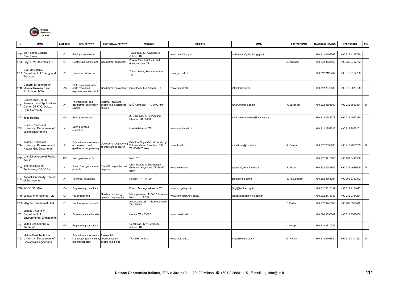

|      | <b>NAME</b>                                                                               | CATEGORY       | <b>MAIN ACTIVITY</b>                                                                   | <b>GEOTHERMAL ACTIVITY</b>                             | <b>ADDRESS</b>                                                                        | <b>WEB SITE</b>           | <b>EMAIL</b>                   | <b>CONTACT NAME</b> | <b>TELEPHONE NUMBER</b> | <b>FAX NUMBER</b> | OR.          |
|------|-------------------------------------------------------------------------------------------|----------------|----------------------------------------------------------------------------------------|--------------------------------------------------------|---------------------------------------------------------------------------------------|---------------------------|--------------------------------|---------------------|-------------------------|-------------------|--------------|
| 1737 | Eti Holding General<br>Directorate                                                        | C <sub>1</sub> | Geologic consultant                                                                    |                                                        | Tunus cad. 33. Kavaklidere-<br>Ankara TR                                              | www.etiholding.gov.tr     | webmaster@etiholding.gov.tr    |                     | +90 312 4199762         | +90 312 4199770   | $\mathbf{I}$ |
|      | 1738 Gayzer Yer Bilimleri Ltd                                                             | C <sub>1</sub> | Geothermal consultant                                                                  | Geothermal consultant                                  | Erzene Mah 116/5 sok. 14A,<br>Bornova-Izmir TR                                        |                           |                                | S. Yilmazer         | +90 232 3733469         | +90 232 3737783   | $\mathbf{I}$ |
|      | Gazi University,<br>1739 Department of Energy and<br>Trasnport                            | A <sub>1</sub> | Technical education                                                                    |                                                        | Teknikokullar, Besevler-Ankara<br><b>TR</b>                                           | www.gazi.edu.tr           |                                |                     | +90 312 2126767         | +90 312 2127763   | $\mathbf{I}$ |
|      | General Directorate of<br>1740 Mineral Research and<br><b>Exploration MTA</b>             | A <sub>3</sub> | State organization for<br>earth resources<br>exploration and control                   | Geothermal exploration                                 | Ismet Inonu bul. Ankara TR                                                            | www.mta.gov.tr            | mta@mta.gov.tr                 |                     | +90 312 2873430         | +90 312 2879198   | $\mathbf{I}$ |
| 1741 | Geothermal Energy<br>Research and Applications<br>Center GERAC, Dokuz<br>Eylül University | A <sub>1</sub> | Thermal (spa) and<br>geothermal exploration<br>studies                                 | Thermal (spa) and<br>geothermal exploration<br>studies | E. Ü Kampüsü, TR-35100 Izmir                                                          |                           | jenarum@deu.edu.tr             | . Savascin          | +90 232 3884000         | +90 232 3887864   | D            |
|      | 1742 Ihlas Holding                                                                        | C <sub>4</sub> | Energy consultant                                                                      |                                                        | 29 Ekim cad. 23, Yenibosna -<br>Istanbul TR - 34530                                   |                           | metin.lokmanhekim@ihlas.com.tr |                     | +90 212 4542373         | +90 212 4542370   | $\mathbf{I}$ |
|      | <b>Istanbul Technical</b><br>1743 University, Department of<br>Mining Engineering         | A <sub>1</sub> | Earth sciences<br>education                                                            |                                                        | Maslak-Istanbul TR                                                                    | www.istanbul.edu.tr       |                                |                     | +90 212 2853030         | +90 212 2856201   | $\mathbf{I}$ |
|      | Istanbul Technical<br>1744 University, Petroleum and<br>Natural Gas Department            | A <sub>1</sub> | Education and research<br>on petroleum and<br>geothermal engineering                   | <b>Seothermal engineering</b><br>courses and research  | Petrol ve Dogal Gaz Muhendisligi<br>Bolumu Maden Fakultesi i.T.U.,<br>TR-80626 Turkey | www.itu.edu.tr            | mdsatman@itu.edu.tr            | . Satman            | +90 212 2856268         | +90 212 2856263   | D            |
| 174  | Izmir Directorate of Public<br>Works                                                      | A3R            | zmir geothermal DH                                                                     |                                                        | Izmir TR                                                                              |                           |                                |                     | +90 232 3416800         | +90 232 3416536   | $\mathbf{I}$ |
| 1746 | Izmir Institute of<br>Technology GEOCEN                                                   | A <sub>1</sub> | R and D on geothermal<br>projects                                                      | R and D on geothermal<br>projects                      | zmir Institute of Technology<br>Gulbahce Koyo-Urla, TR-35437<br>Izmir                 | www.iyte.edu.tr           | geocen@likya.iyte.edu.tr       | S. Alpay            | +90 232 4986605         | +90 232 4986605   | D            |
| 1747 | Kocaeli University, Faculty<br>of Engineering                                             | A <sub>1</sub> | Fechnical education                                                                    |                                                        | Kocaeli TR - 41100                                                                    |                           | tanay@kou.edu.tr               | S. Pasvanoglu       | +90 262 3351291         | +90 262 3352812   | $\mathbf{I}$ |
|      | 1748 KOSGEB Mke                                                                           | C <sub>4</sub> | Engineering consultant                                                                 |                                                        | Binasi, Tandogan-Ankara TR                                                            | www.kosgeb.gov.tr         | bilgi@kobinet.org.tr           |                     | +90 312 3515137         | +90 312 4184672   | $\mathbf{I}$ |
|      | 1749 Legacy International Ltd                                                             | C <sub>4</sub> | RE engineering                                                                         | Geothermal energy<br>systems engineering               | Mithatpasa cad. 1177/12, F. Altay<br>zmir TR - 35290                                  | www.turkicaret.net/legacy | legacy@superonline.com.tr      |                     | +90 232 2778043         | +90 232 2784264   | $\mathbf{I}$ |
|      | 1750 Magma Geothermal Ltd                                                                 | C <sub>1</sub> | Geothermal consultant                                                                  |                                                        | Ankara cad. 237/1, Bornova-Izmir<br>TR - 35040                                        |                           |                                | Esder               | +90 232 3746083         | +90 232 3398422   | $\mathbf{I}$ |
|      | Mersin University,<br>1751 Department of<br><b>Environmental Engineering</b>              | A <sub>1</sub> | Environmental education                                                                |                                                        | Mersin TR - 33067                                                                     | www.mersin.edu.tr         |                                |                     | +90 324 3590609         | +90 324 3590609   | $\mathbf{I}$ |
| 175  | Midas Engineering &<br>Trade Inc                                                          | C <sub>4</sub> | Engineering consultant                                                                 |                                                        | Genlik cad. 127/1, Anittepe-<br>Ankara TR                                             |                           |                                | Kasap               | +90 312 2310032         |                   | $\mathbf{I}$ |
|      | Middle East Technical<br>1753 University, Department of<br>Geological Engineering         | A <sub>1</sub> | Education and research<br>in geology, geochemistry geochemistry of<br>mineral deposits | Research in<br>geothermal fields                       | TR-06531 Ankara                                                                       | www.metu.edu.tr           | nilgun@metu.edu.tr             | G. Nilgun           | +90 312 2102684         | +90 312 2101263   | D            |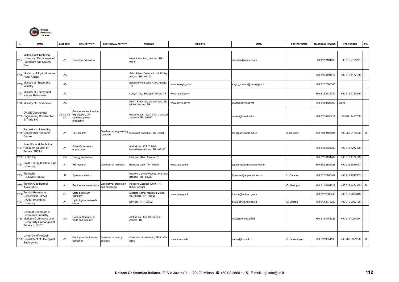

| N.   | <b>NAME</b>                                                                                                         | CATEGORY        | <b>MAIN ACTIVITY</b>                                                        | <b>GEOTHERMAL ACTIVITY</b>            | <b>ADDRESS</b>                                             | <b>WEB SITE</b>   | <b>EMAIL</b>               | <b>CONTACT NAME</b> | <b>TELEPHONE NUMBER</b> | <b>FAX NUMBER</b> | OR.                      |
|------|---------------------------------------------------------------------------------------------------------------------|-----------------|-----------------------------------------------------------------------------|---------------------------------------|------------------------------------------------------------|-------------------|----------------------------|---------------------|-------------------------|-------------------|--------------------------|
| 1754 | Middle East Technical<br>University, Department of<br>Petroleum and Natural<br>Gas                                  | A <sub>1</sub>  | Technical education                                                         |                                       | Ismet Inonu bul., Ankara TR -<br>06531                     |                   | okandan@metu.edu.tr        |                     | 90 312 2104869          | 90 312 2101271    | $\blacksquare$           |
| 1755 | Ministrry of Agriculture and<br>Rural Affairs                                                                       | A <sub>3</sub>  |                                                                             |                                       | Sehit Adem Yavuz sok. 10, Kizilay-<br>Ankara TR - 06140    |                   |                            |                     | +90 312 4191677         | +90 312 4177168   |                          |
| 1756 | Ministry of Trade and<br>Industry                                                                                   | A <sub>3</sub>  |                                                                             |                                       | Eskisehir yolu uzeri 7 km, Ankara<br>ΓR                    | www.sanayi.gov.tr | esgm_kurulus@sanayi.gov.tr |                     | +90 312 2860365         |                   |                          |
| 1757 | Ministry of Energy and<br>Natural Resources                                                                         | A3              |                                                                             |                                       | Konya Yolu, Bestepe-Ankara TR                              | www.enerji.gov.tr |                            |                     | +90 312 2135330         | +90 312 2123816   | $\blacksquare$           |
|      | 1758 Ministry of Environment                                                                                        | A <sub>3</sub>  |                                                                             |                                       | Gevre Bakanligi, Istanbul cad. 88,<br>Iskitler-Ankara TR   | www.cevre.gov.tr  | cevre@cevre.gov.tr         |                     | +90 312 3423900         | 355875            |                          |
|      | <b>ORME Geothermal</b><br>1759 Engineering Construction<br>& Trade Inc.                                             | C1-C2-C3-<br>C4 | Geothermal exploration,<br>exploitation, DH<br>systems, power<br>production |                                       | losdere cad.190/7-8-12, Cankaya<br>Ankara TR - 06550       |                   | orme-f@tr-net.net.tr       |                     | +90 312 4405711         | +90 312 4405738   | $\blacksquare$           |
|      | Pamukkale University,<br>1760 Geothermal Research<br>Centre                                                         | A <sub>1</sub>  | RE research                                                                 | Geothermal engineering<br>research    | Incilipinar Kampüsü, TR Denizli                            |                   | rek@pamukkale.edu.tr       | Z. Durusoy          | +90 258 2125501         | +90 258 2125530   | $\mathsf D$              |
|      | Scientific and Technical<br>1761 Research Council of<br>Turkey TBTAK                                                | A <sub>1</sub>  | Scientific research<br>organization                                         |                                       | Ataturk bul. 221, Tubitak<br>Kavaklidere-Ankara TR - 06100 |                   |                            |                     | +90 312 4685300         | +90 312 4277489   | $\overline{\phantom{0}}$ |
|      | 1762 Simko Inc                                                                                                      | C <sub>4</sub>  | Energy consultant                                                           |                                       | Esat cad. 44/4, Ankara TR                                  |                   |                            |                     | +90 312 4194489         | +90 312 4177179   |                          |
| 1763 | Solar Energy Institute, Ege<br>University                                                                           | A <sub>1</sub>  | RE research                                                                 | Geothermal research                   | Bornova-Izmir TR - 35100                                   | www.ege.edu.tr    | ggulden@bornova.ege.edu.tr |                     | +90 232 3886028         | +90 232 3886027   |                          |
| 1764 | Türkischer<br>Heilbäderverband                                                                                      | D               | Spas association                                                            |                                       | Harbiye Cumhuriyet cad. 349, Sisli<br>Istanbul TR - 80220  |                   | hbaraner@superonline.com   | H. Baraner          | +90 212 2963482         | +90 212 2240357   |                          |
| 1765 | Turkish Geothermal<br>Association                                                                                   | A <sub>1</sub>  | Geothermal association                                                      | Geothermal promotion<br>and education | losdere Caddesi 190/9, TR-<br>06550 Ankara                 |                   |                            | O. Mertoglu         | +90 312 4404319         | +90 312 4404319   | D                        |
|      | Turkish Petroleum<br>Corporation TPAO                                                                               | C <sub>1</sub>  | State petroleum<br>company                                                  |                                       | Mustafa Kemal Mahallesi 2 cad.<br>86, Ankara TR - 06520    | www.tpao.gov.tr   | tpaocc@cc.tpao.gov.tr      |                     | +90 312 2869040         | +90 312 2869049   |                          |
|      | UKAM, Hacettepe<br>University                                                                                       | A <sub>1</sub>  | Hydrological research<br>centre                                             |                                       | Beytepe TR - 06532                                         |                   | selcuk@jeo.hun.edu.tr      | S. Simsek           | +90 312 2976728         | +90 312 2992136   |                          |
|      | Union of Chambers of<br>Commerce, Industry,<br>1768 Maritime Commerce and<br>Commodity Exchanges of<br>Turkey UCCET | A <sub>2</sub>  | General Chamber of<br>trade and industry                                    |                                       | Ataturk bul. 149, Bakanlicar-<br>Ankara TR                 |                   | info@info.tobb.org.tr      |                     | +90 312 4184325         | +90 312 4254854   | $\Box$                   |
|      | University of Kocaeli,<br>1769 Department of Geological<br>Engineering                                              | A <sub>1</sub>  | Geological engineering<br>education                                         | Geothermal energy<br>courses          | Compose of Veziroglu, TR-41300<br>Izmit                    | www.kou.edu.tr    | suzan@kou.edu.tr           | S. Pasvanoglu       | +90 262 3351168         | +90 262 3351228   | D                        |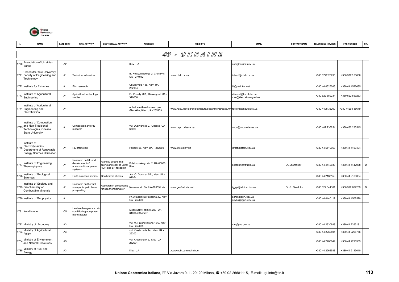

| N.   | <b>NAME</b>                                                                                       | CATEGORY       | <b>MAIN ACTIVITY</b>                                                    | <b>GEOTHERMAL ACTIVITY</b>                                           | <b>ADDRESS</b>                                              | <b>WEB SITE</b>                                                           | <b>EMAIL</b>                                      | <b>CONTACT NAME</b> | <b>TELEPHONE NUMBER</b> | <b>FAX NUMBER</b> | OR.          |
|------|---------------------------------------------------------------------------------------------------|----------------|-------------------------------------------------------------------------|----------------------------------------------------------------------|-------------------------------------------------------------|---------------------------------------------------------------------------|---------------------------------------------------|---------------------|-------------------------|-------------------|--------------|
|      |                                                                                                   |                |                                                                         |                                                                      |                                                             | 46 - U K R A I N E                                                        |                                                   |                     |                         |                   |              |
| 177  | Association of Ukrainian                                                                          | A2             |                                                                         |                                                                      | Kiev UA                                                     |                                                                           | aub@carrier.kiev.ua                               |                     |                         |                   | $\mathbf{I}$ |
|      | Banks<br>Chernivtsi State University,<br>1771 Faculty of Engineering and<br>Technology            | A <sub>1</sub> | Technical education                                                     |                                                                      | ul. Kotsyubinskogo 2, Chernivtsi<br>UA - 274012             | www.chdu.cv.ua                                                            | interof@chdu.cv.ua                                |                     | +380 3722 26235         | +380 3722 53836   |              |
|      | 1772 Institute for Fisheries                                                                      | A <sub>1</sub> | Fish research                                                           |                                                                      | Obukhivska 135, Kiev UA -<br>252164                         |                                                                           | ifr@mail.kar.net                                  |                     | +380 44 4525086         | +380 44 4526685   |              |
| 1773 | Institute of Agricultural<br>Engineering                                                          | A <sub>1</sub> | Agricultural technology<br>studies                                      |                                                                      | Pr. Pravdy 70A, Kirovograd UA<br>316050                     |                                                                           | elisavet@kw.ukrtel.net<br>root@kism.kirovograd.ua |                     | +380 522 559234         | +380 522 559253   |              |
|      | Institute of Agricultural<br>1774 Engineering and<br>Electrification                              | A <sub>1</sub> |                                                                         |                                                                      | oblast Vasilkovsky raion pos.<br>Glevakha, Kiev UA - 255133 | www.nauu.kiev.ua/eng/structure/departments/easg.htm rectorat@nauu.kiev.ua |                                                   |                     | +380 4498 35200         | +380 44298 35679  |              |
| 1775 | Institute of Combustion<br>and Non-Traditional<br>Technologies, Odessa<br><b>State University</b> | A <sub>1</sub> | Combustion and RE<br>research                                           |                                                                      | vul. Dvoryanska 2, Odessa UA<br>65026                       | www.ospu.odessa.ua                                                        | ospu@ospu.odessa.ua                               |                     | +380 482 235254         | +380 482 233515   |              |
| 1776 | Institute of<br>Electrodynamics,<br>Department of Renewable<br><b>Energy Sources Ultilisation</b> | A <sub>1</sub> | RE promotion                                                            |                                                                      | Pobady 56, Kiev UA - 252680                                 | www.icfcst.kiev.ua                                                        | icfcst@icfcst.kiev.ua                             |                     | +380 44 5510958         | +380 44 4469494   | $\mathbf{I}$ |
| 1777 | Institute of Engineering<br>Thermophysics                                                         | A <sub>1</sub> | Research on RE and<br>development of<br>unconventional power<br>systems | and D geothermal<br>Irying and cooling units;<br>IDR and SH research | Bulakhovskogo str. 2, UA-03680<br>Kiev                      |                                                                           | geoterm@ittf.relc.ua                              | A. Shurchkov        | +380 44 4442038         | +380 44 4442038   | D            |
| 177  | Institute of Geological<br>Sciences                                                               | A <sub>1</sub> | Earth sciences studies                                                  | Geothermal studies                                                   | Av. O. Gonchar 55b, Kiev UA -<br>01054                      |                                                                           |                                                   |                     | +380 44 2163159         | +380 44 2169334   |              |
|      | Institute of Geology and<br>1779 Geochemistry of<br><b>Combustible Minerals</b>                   | A1             | Research on thermal<br>surveys for petroleum<br>prospecting             | Research in prospecting<br>for spa thermal water                     | Naukova str. 3a, UA-79053 Lviv                              | www.geofuel.lviv.net                                                      | igggk@ah.ipm.lviv.ua                              | V. G. Osadchy       | +380 322 341181         | +380 322 632209   | D            |
|      | 1780 Institute of Geophysics                                                                      | A1             |                                                                         |                                                                      | Pr. Akademika Palladina 32, Kiev<br>UA - 252680             |                                                                           | earth@igph.kiev.ua<br>geyko@igph.kiev.ua          |                     | +380 44 4440112         | +380 44 4502520   |              |
|      | 1781 Konditsioner                                                                                 | C <sub>5</sub> | Heat exchangers and air<br>conditioning equipment<br>manufacturer       |                                                                      | Moskovsky Projects 257, UA-<br>310044 Kharkov               |                                                                           |                                                   |                     |                         |                   |              |
|      | 1782 Ministry of Economy                                                                          | A <sub>3</sub> |                                                                         |                                                                      | vul. M. Hrushevskoho 12/2, Kiev<br>UA - 252008              |                                                                           | mel@me.gov.ua                                     |                     | +380 44 2930683         | +380 44 2263181   |              |
| 1783 | Ministry of Agricultural<br>Policy                                                                | A <sub>3</sub> |                                                                         |                                                                      | vul. Kreshchatik 24, Kiev UA -<br>252001                    |                                                                           |                                                   |                     | +380 44 2262504         | +380 44 2298756   |              |
| 1784 | Ministry of Environment<br>and Natural Resources                                                  | A <sub>3</sub> |                                                                         |                                                                      | vul. Kreshchatik 5, Kiev UA -<br>252601                     |                                                                           |                                                   |                     | +380 44 2280644         | +380 44 2298383   |              |
|      | Ministry of Fuel and<br>Energy                                                                    | A <sub>3</sub> |                                                                         |                                                                      | Kiev UA                                                     | /www.ngbi.com.ua/minpe                                                    |                                                   |                     | +380 44 2262583         | +380 44 2113010   |              |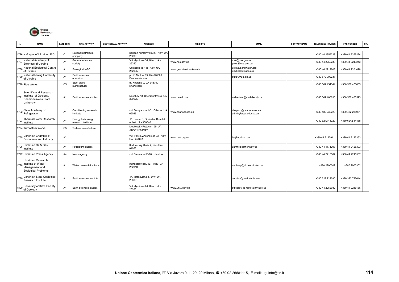

| N.   | <b>NAME</b>                                                                                   | CATEGORY       | <b>MAIN ACTIVITY</b>                    | <b>GEOTHERMAL ACTIVITY</b> | <b>ADDRESS</b>                                        | <b>WEB SITE</b>         | <b>EMAIL</b>                                   | <b>CONTACT NAME</b> | <b>TELEPHONE NUMBER</b> | <b>FAX NUMBER</b> | OR. |
|------|-----------------------------------------------------------------------------------------------|----------------|-----------------------------------------|----------------------------|-------------------------------------------------------|-------------------------|------------------------------------------------|---------------------|-------------------------|-------------------|-----|
|      |                                                                                               |                |                                         |                            |                                                       |                         |                                                |                     |                         |                   |     |
|      | 1786 Naftagas of Ukraine JSC                                                                  | C <sub>1</sub> | National petroleum<br>company           |                            | Bohdan Khmelnytskyi 6, Kiev UA<br>252001              |                         |                                                |                     | +380 44 2359223         | +380 44 2359224   |     |
| 1787 | National Academy of<br>Sciences of Ukraine                                                    | A <sub>1</sub> | General sciences<br>society             |                            | Volodymirska 54, Kiev UA -<br>252601                  | www.nas.gov.ua          | root@nas.gov.ua<br>prez.@nas.gov.ua            |                     | +380 44 2252239         | +380 44 2243243   |     |
| 1788 | National Ecological Centre<br>of Ukraine                                                      | A <sub>1</sub> | Ecological NGO                          |                            | Uristkogo 15-115, Kiev UA -<br>252035                 | www.geo.ut.ee/bankwatch | urbik@bankwatch.org<br>urbik@gluk.apc.org      |                     | +380 44 2212808         | +380 44 2201028   |     |
| 1789 | National Mining University<br>of Ukraine                                                      | A <sub>1</sub> | Earth sciences<br>education             |                            | pr. K. Marksa 19, UA-320600<br>Dnepropetrovsk         |                         | dfr@umuu.olp.ua                                |                     | +380 572 902237         |                   |     |
|      | 1790 Pipe Works                                                                               | C <sub>5</sub> | Steel pipes<br>manufacturer             |                            | ul. Kpatona 9, UA-343700<br>Khartsyzsk                |                         |                                                |                     | +380 562 454344         | +380 562 470835   |     |
| 1791 | Scientific and Research<br>Institute of Geology,<br>Dnepropetrovsk State<br>University        | A <sub>1</sub> | Earth sciences studies                  |                            | Nauchny 13, Dnepropetrovsk UA<br>320625               | www.dsu.dp.ua           | webadmin@mail.dsu.dp.ua                        |                     | +380 562 460095         | +380 562 465523   |     |
|      | 1792 State Academy of<br>Refrigeration                                                        | A <sub>1</sub> | Conditioning research<br>nstitute       |                            | vul. Dvoryanska 1/3, Odessa UA<br>65026               | www.asar.odessa.ua      | chepurn@osar.odessa.ua<br>admin@asar.odessa.ua |                     | +380 482 232220         | +380 482 238931   |     |
| 1793 | Thermal Power Research<br>Institute                                                           | A <sub>1</sub> | Energy technology<br>research institute |                            | Pl. Lenina 3, Gorlovka, Donetsk<br>oblast UA - 338046 |                         |                                                |                     | +380 6242 44229         | +380 6242 44488   |     |
|      | 1794 Turboatom Works                                                                          | C <sub>5</sub> | urbine manufacturer                     |                            | Moskovsky Projects 199, UA-<br>310044 Kharkov         |                         |                                                |                     |                         |                   |     |
|      | 1795 Ukrainian Chamber of<br>Commerce and Industry                                            | A2             |                                         |                            | vul. Velyka Zhitomirska 33, Kiev<br>UA - 254655       | www.ucci.org.ua         | ier@ucci.org.ua                                |                     | +380 44 2122911         | +380 44 2123353   |     |
|      | 1796 Ukrainian Oil & Gas<br>Institute                                                         | A <sub>1</sub> | Petroleum studies                       |                            | Kudryavsky Uzviz 7, Kiev UA -<br>04053                |                         | ukrnhi@carrier.kiev.ua                         |                     | +380 44 4171293         | +380 44 2125393   |     |
|      | 1797 Ukrainian Press Agency                                                                   | A <sub>4</sub> | News agency                             |                            | vul. Baumana 53/16. Kiev UA                           |                         |                                                |                     | +380 44 2215507         | +380 44 2215507   |     |
|      | Ukrainian Research<br>1798 Institute of Water<br>Management and<br><b>Ecological Problems</b> | A <sub>1</sub> | Nater research institute                |                            | Inzhenerny per. 4B, Kiev UA -<br>252010               |                         | undiwep@ukrwecol.kiev.ua                       |                     | +380 2900302            | +380 2900302      |     |
|      | 1799 Ukrainian State Geological<br>Research Institute                                         | A <sub>1</sub> | Earth sciences institute                |                            | Pl. Mitskevicha 8, Lviv UA -<br>290601                |                         | zerbino@meduniv.lviv.ua                        |                     | +380 322 722090         | +380 322 725614   |     |
| 1800 | University of Kiev, Faculty<br>of Geology                                                     | A <sub>1</sub> | Earth sciences studies                  |                            | Volodymirska 64, Kiev UA -<br>252601                  | www.univ.kiev.ua        | office@vice-rector.univ.kiev.ua                |                     | +380 44 2252082         | +380 44 2246166   |     |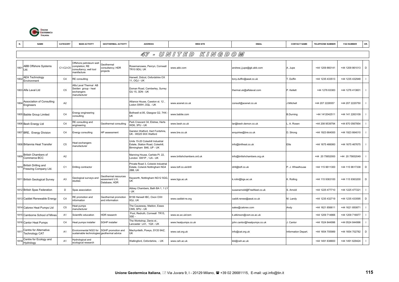

|      | <b>NAME</b>                                     | <b>CATEGORY</b> | <b>MAIN ACTIVITY</b>                                                               | <b>GEOTHERMAL ACTIVITY</b>                              | <b>ADDRESS</b>                                                                                   | <b>WEB SITE</b>            | <b>EMAIL</b>                | <b>CONTACT NAME</b> | <b>TELEPHONE NUMBER</b> | <b>FAX NUMBER</b> | OR. |
|------|-------------------------------------------------|-----------------|------------------------------------------------------------------------------------|---------------------------------------------------------|--------------------------------------------------------------------------------------------------|----------------------------|-----------------------------|---------------------|-------------------------|-------------------|-----|
|      |                                                 |                 |                                                                                    |                                                         |                                                                                                  | 47 - UNITED KINGDOM        |                             |                     |                         |                   |     |
| 1801 | <b>ABB Offshore Systems</b><br>Ltd.             | C1-C2-C5        | Offshore petroleum well<br>completion; RE<br>consultancy; well tool<br>nanifacture | Geothermal<br>consultancy; HDR<br>projects              | Rosemanowes, Penryn, Cornwall<br><b>TR10 9DU, UK</b>                                             | www.abb.com                | andrew.j.jupe@gb.abb.com    | A. Jupe             | +44 1209 860141         | +44 1209 861013   | D   |
| 180  | <b>AEA Technology</b><br>Environment            | C4              | RE consulting                                                                      |                                                         | Harwell, Didcot, Oxfordshire OX<br>11. OQJ - UK                                                  |                            | tony.duffin@aeat.co.uk      | T. Duffin           | +44 1235 433513         | +44 1235 432948   |     |
|      | 1803 Alfa Laval Ltd                             | C <sub>5</sub>  | Alfa Laval Thermal AB<br>Swiden group - heat<br>exchangers<br>nanufacturer         |                                                         | Doman Road, Camberley, Surrey<br>GU 15, 3DN - UK                                                 |                            | thermal.uk@alfalaval.com    | P. Kellett          | +44 1276 63383          | +44 1276 413601   |     |
| 1804 | Association of Consulting<br>Engineers          | A <sub>2</sub>  |                                                                                    |                                                         | Alliance House, Caxston st. 12.<br><b>Lodon SWIH ,OQL - UK</b>                                   | www.acenet.co.uk           | consult@acenet.co.uk        | J.Mitchell          | +44 207 2226557         | +44 207 2220750   |     |
|      | 1805 Babtie Group Limited                       | C <sub>4</sub>  | nergy engineering<br>consulting                                                    |                                                         | Bothwell st.95, Glasgow G2, 7HX<br>UK                                                            | www.babtie.com             |                             | <b>B.Durning</b>    | +44 1412042511          | +44 141 2263109   |     |
|      | 1806 Besh Energy Ltd                            | C <sub>4</sub>  | RE consulting and<br>ngineering                                                    | Geothermal consulting                                   | Park Crescent 34, Elstree, Herts<br>WD6, 3PU - UK                                                | www.besh.co.uk             | lar@besh.demon.co.uk        | A. Rosen            | +44 208 9539794         | +44 870 0567854   |     |
|      | 1807 BRE, Energy Division                       | C <sub>4</sub>  | Energy consulting                                                                  | IP assessment                                           | Garston Watford, Hert Fordshire.<br>UK - WD25 9XX Watford                                        | www.bre.co.uk              | enquiries@bre.co.uk         | D. Strong           | +44 1923 664000         | +44 1923 664010   |     |
|      | 1808 Britannia Heat Transfer                    | C <sub>5</sub>  | leat exchangers<br>nanufacturer                                                    |                                                         | Units 15-20 Coleshill Industrial<br>Estate, Station Road, Coleshill,<br>Birmingham B46, IJP - UK |                            | info@britheat.co.uk         | Ellis               | +44 1675 466060         | +44 1675 467675   |     |
| 1809 | <b>British Chambers of</b><br>Commerce BCC      | A <sub>2</sub>  |                                                                                    |                                                         | Manning House, Carlisle Pl. 22,<br>London SW1P, 1JA - UK                                         | www.britishchambers.ord.uk | info@britishchambers.org.uk |                     | +44 20 75652000         | +44 20 75652049   |     |
| 1810 | British Drilling and<br>Freezing Company Ltd.   | C <sub>1</sub>  | Drilling contractor                                                                |                                                         | Private Road 3, Colwick Industrial<br>Estate, Colwick Nottingham NG4<br>2BB, UK                  | www.bdf.co.uk/drill        | drill@bdf.co.uk             | P. J. Wheelhouse    | +44 115 9611300         | +44 115 9617338   | D   |
|      | 1811 British Geological Survey                  | A <sub>3</sub>  | Geological surveys and<br>studies                                                  | Geothermal resources<br>assesment U.K.<br>Database, HDR | Keyworth, Nottingham NG12 5GG,<br>UK                                                             | www.bgs.ac.uk              | k.rolin@bgs.ac.uk           | K. Rolling          | +44 115 9363100         | +44 115 9363200   | D   |
|      | 1812 British Spas Federation                    | D               | Spas association                                                                   |                                                         | Abbey Chambers, Bath BA 1, 1 LY<br><b>UK</b>                                                     |                            | susanarnold@FreeNeet.co.uk  | S. Arnold           | +44 1225 477710         | +44 1225 477221   |     |
|      | 1813 Caddet Renewable Energy                    | C <sub>4</sub>  | E promotion and<br>nformation                                                      | Geothermal promotion<br>and information                 | B156 Harwell IBC, Oxon OXII<br>0QJ, UK                                                           | www.caddet-re.org          | caddt.renew@aeat.co.uk      | M. Landy            | +44 1235 432719         | +44 1235 433595   | D   |
|      | 1814 Calorex Heat Pumps Ltd                     | C <sub>5</sub>  | leat pumps<br>nanufacturer                                                         |                                                         | The Causeway, Maldon, Essex<br>CM9, SPU - UK                                                     |                            | sales@calorex.com           | Andy                | +44 1621 856611         | +44 1621 850871   |     |
|      | 1815 Camborne School of Mines                   | A <sub>1</sub>  | Scientific education                                                               | <b>IDR</b> research                                     | Pool, Redruth, Cornwall TR15,<br>3SE-                                                            | www.ex.ac.uk/csm           | k.atkinson@csm.ex.ac.uk     |                     | +44 1209 714866         | +44 1209 716977   |     |
|      | 1816 Cantor Heat Pumps                          | C <sub>4</sub>  | leat pumps installer                                                               | <b>SGHP</b> installer                                   | The Workshop, Denis st.,<br>Lancaster LA1, 1QX - UK                                              | www.heatpumps.co.uk        | john.cantor@heatpumps.co.uk | . Cantor            | +44 1524 844996         | +44 0524 844996   |     |
| 1817 | Centre for Alternative<br><b>Technology CAT</b> | A <sub>1</sub>  | Environmental NGO for<br>sustainable technologies geothermal advice                | SGHP promotion and                                      | Machynlleth, Powys, SY20 9AZ,<br>UK                                                              | www.cat.org.uk             | info@cat.org.uk             | Information Depart. | +44 1654 705989         | +44 1654 702782   | D   |
| 1818 | Centre for Ecology and<br>Hydrology             | A <sub>1</sub>  | Hydrological and<br>ecological research                                            |                                                         | Wallingford, Oxfordshire, - UK                                                                   | www.ceh.ac.uk              | kbl@ceh.ac.uk               |                     | +44 1491 838800         | +44 1491 629424   |     |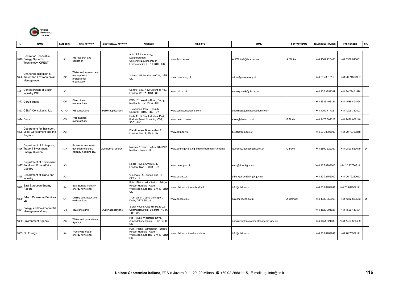

|      | <b>NAME</b>                                                                     | CATEGORY       | <b>MAIN ACTIVITY</b>                                                | <b>GEOTHERMAL ACTIVITY</b> | <b>ADDRESS</b>                                                                                     | <b>WEB SITE</b>                                  | <b>EMAIL</b>                          | <b>CONTACT NAME</b> | <b>TELEPHONE NUMBER</b> | <b>FAX NUMBER</b> | OR.                      |
|------|---------------------------------------------------------------------------------|----------------|---------------------------------------------------------------------|----------------------------|----------------------------------------------------------------------------------------------------|--------------------------------------------------|---------------------------------------|---------------------|-------------------------|-------------------|--------------------------|
|      | Centre for Renevable<br>1819 Energy Systems<br>Technology CREST                 | A <sub>1</sub> | RE research and<br>education                                        |                            | A. M. RE Laboratory,<br>Loughborough<br>University, Loughborough<br>Leicestershire LE 11, 3TU - UK | www.lboro.ac.uk                                  | A.J.White1@lboro.ac.uk                | A. White            | +44 1509 223466         | +44 1509 610031   | $\overline{\phantom{a}}$ |
|      | Chartered Institution of<br>1820 Water and Environmental<br>Management          | A <sub>2</sub> | Water and environment<br>nanagement<br>professional<br>organization |                            | John st. 15, London WC1N, 2EB<br>UK                                                                | www.ciwem.org.uk                                 | admin@ciwem.org.uk                    |                     | +44 20 78313110         | +44 20 74054967   | $\mathbf{I}$             |
| 182  | Confederation of British<br>Industry CBI                                        | A <sub>2</sub> |                                                                     |                            | Centre Point, New Oxford st. 103,<br>London WC1A, 1DU - UK                                         | www.cbi.org.uk                                   | enquiry.desk@cbi.org.uk               |                     | +44 20 73958247         | +44 20 72401578   |                          |
|      | 1822 Corus Tubes                                                                | C <sub>5</sub> | Steel pipes<br>nanufacturer                                         |                            | POB 101, Weldon Road, Corby,<br>Northants NN175UA - UK                                             |                                                  |                                       |                     | +44 1536 402121         | +44 1536 404424   |                          |
|      | 1823 CSMA Consultants Ltd                                                       | C1-C4          | RE consultants                                                      | SGHP applications          | Trevenson, Pool, Redruth.<br>Cornwall TR15, 3SE - UK                                               | www.csmaconsultants.com                          | enquiries@csmaconsultants.com         |                     | +44 1209 717724         | +44 1209 710893   |                          |
|      | 1824 Demco                                                                      | C <sub>5</sub> | Well casings<br>nanufacturer                                        |                            | Units 11-12 Star Industrial Park.<br>Bodmin Road, Coventry CV2,<br>5DB-UK                          | www.demco.co.uk                                  | sales@demco.co.uk                     | P.Flude             | +44 2476 602323         | +44 2476 602116   | $\mathbf{I}$             |
|      | Department for Transport,<br>1825 Local Government and the<br>Regions           | A <sub>3</sub> |                                                                     |                            | Eland House, Bressenden Pl.,<br>London SW1E, 5DU - UK                                              | www.detr.gov.uk                                  | press@detr.gov.uk                     |                     | +44 20 78903000         | +44 20 72760818   |                          |
|      | Department of Enterprise,<br>1826 Trade & Investment,<br><b>Energy Division</b> | A3R            | Promotes economic<br>development of N.<br>Ireland, including RE     | Geothermal energy          | Massey Avenue, Belfast BT4 2JP<br>Northern Ireland UK                                              | www.detini.gov.uk./cgi-bin/thinframe?url=/energy | lawrence.foye@detini.gov.uk           | Foye                | +44 2890 529269         | +44 2890 529549   | D                        |
|      | Department of Enviroment,<br>1827 Food and Rural Affairs<br><b>DEFRA</b>        | A <sub>3</sub> |                                                                     |                            | Nobel House, Smith st. 17,<br>London SW1P, 3JR - UK                                                | www.defra.gov.uk                                 | emb@doeni.gov.uk                      |                     | '+44 20 78903000        | +44 20 72760818   |                          |
| 1828 | Department of Trade and<br>Industry                                             | A <sub>3</sub> |                                                                     |                            | Victoria st. 1, London SW1H,<br>OET - UK                                                           | www.dti.gov.uk                                   | dti.enquiries@dti.gsi.gov.uk          |                     | +44 20 72155000         | +44 20 72220612   |                          |
|      | 1829 East European Energy<br>Report                                             | A4             | East Europe monthly<br>energy newsletter                            |                            | Publ. Platts, Wimbledon Bridge<br>House, Hartfield Road 1,<br>Wimbledon, London SW 19 3RU<br>UK    | www.platts.com/prducts.shtml                     | nfo@platts.com                        |                     | +44 20 78962241         | +44 20 789962121  |                          |
|      | 1830 Edeco Petroleum Services                                                   | C <sub>1</sub> | Drilling contractor and<br>well services                            |                            | Trent Lane, Castle Donington,<br>Derby DE74 2N UK                                                  | www.edeco.co.uk                                  | sales@edeco.co.uk                     | J. Beswick          | +44 1332 850060         | +44 1332 850553   | D                        |
| 1831 | Energy and Environmental<br>Management Group                                    | C <sub>4</sub> | RE consulting                                                       | SGHP applications          | Solar House, Clay Hill Road 22,<br>Quarrington Park, Sleaford NG34<br>7TF - UK                     |                                                  |                                       |                     | '+44 1529 304027        | +44 1529 410491   | $\overline{\phantom{a}}$ |
|      | 1832 Environment Agency                                                         | A <sub>3</sub> | Water and groundwater<br>Agency                                     |                            | Rio House, Waterside Drive,<br>Almondsbury, Bristol BS32, 4UD<br>UK                                |                                                  | enquiries@environmental-agency.gov.uk |                     | +44 1454 624400         | '+44 1454 624409  | $\overline{\phantom{a}}$ |
|      | 1833 EU Energy                                                                  | A <sub>4</sub> | <b>Neekly European</b><br>energy newsletter                         |                            | Publ. Platts, Wimbledon Bridge<br>House, Hartfield Road 1.<br>Wimbledon, London SW 19 3RU<br>UK    | www.platts.com/products.shtml                    | info@platts.com                       |                     | +44 20 78962241         | +44 20 78962121   |                          |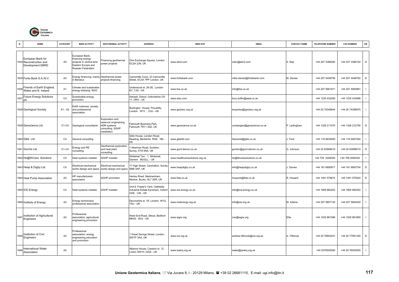

| N.   | <b>NAME</b>                                                      | CATEGORY       | <b>MAIN ACTIVITY</b>                                                                                      | <b>GEOTHERMAL ACTIVITY</b>                                                                         | <b>ADDRESS</b>                                                                         | <b>WEB SITE</b>                | <b>EMAIL</b>                | <b>CONTACT NAME</b> | <b>TELEPHONE NUMBER</b> | <b>FAX NUMBER</b> | OR.                      |
|------|------------------------------------------------------------------|----------------|-----------------------------------------------------------------------------------------------------------|----------------------------------------------------------------------------------------------------|----------------------------------------------------------------------------------------|--------------------------------|-----------------------------|---------------------|-------------------------|-------------------|--------------------------|
|      | European Bank for<br>1834 Reconstruction and<br>Development EBRD | A <sub>5</sub> | European Bank,<br>inancing energy<br>projects in central land<br>Eastern Europe and<br>Russian Federation | Financing geothermal<br>power projects                                                             | One Exchange Square, London<br>EC2A 2JN, UK                                            | www.ebrd.com                   | nairx@ebrd.com              | X. Nair             | +44 207 3386282         | +44 207 3386102   | D                        |
|      | 1835 Fortis Bank S.A./N.V.                                       | A2             | Energy financing, mainly<br>Benelux                                                                       | Geothermal power<br>projects financing                                                             | Camomille Court, 23 Camomille<br>Street, EC3A 7PP London, UK                           | www.fortisbank.com             | mike.davies@fortisbank.com  | M. Davies           | +44 207 4448706         | +44 207 4448792   | D                        |
| 1836 | Friends of Earth England,<br>Wales and N. Ireland                | A <sub>1</sub> | Climate and sustainable<br>energy lobbying NGO                                                            |                                                                                                    | Jnderwood st. 26-28, London<br>N1, 7JQ - UK                                            | www.foe.co.uk                  | info@foe.co.uk              |                     | +44 207 5661671         | +44 207 4900881   |                          |
| 1837 | <b>Future Energy Solutions</b><br>plc                            | C4             | Sustainable energy<br>oromotion                                                                           |                                                                                                    | larwell, Didcot, Oxfordshire OX<br>11. ORA - UK                                        | www.etsu.com                   | tony.duffin@aeat.co.uk      |                     | +44 1235 432450         | +44 1235 433066   |                          |
|      | 1838 Geological Society                                          | A1 - A2        | Earth sciences society<br>and professional<br>association                                                 |                                                                                                    | Burlington House, Piccadilly,<br>ondon W1V, OJU - UK                                   | www.geolsoc.org.uk             | enquiries@geolsoc.org.uk    |                     | +44 20 74349944         | +44 20 74398975   | $\overline{\phantom{a}}$ |
|      | 1839 Geoscience Ltd.                                             | C1-C4          | Geological consultants                                                                                    | Exploration and<br>eservoir engineering,<br><b>IDR</b> systems<br>consulting, SGHP<br>installation | almouth Business Park,<br>almouth TR11 4SZ, UK                                         | www.geoscience.co.uk           | contactgeo@geoscience.co.uk | P. Ledingham        | +44 1326 211070         | +44 1326 212754   | D                        |
|      | 1840 Gibb Ltd                                                    | C <sub>4</sub> | General consulting                                                                                        |                                                                                                    | Gibb House, London Road,<br>Reading, Berkshire RG6, 1BL -<br>ΙK                        | www.gibbltd.com                | hbeverid@gibb.co.uk         | . Ford              | +44 118 9635000         | +44 118 9491054   |                          |
|      | 1841 Gochst Ltd.                                                 | $C1-C4$        | Energy and RE<br>consulting                                                                               | Geothermal exploration<br>and heat plant<br>consulting                                             | Akerman Road, Surbiton,<br>Surrey, KT6 5NS, UK                                         | www.gord.demon.co.uk           | gordon@gord.demon.co.uk     | G. Johnson          | +44 20 83999010         | +44 20 83999010   | D                        |
|      | 1842 He@IthCare Solutions                                        | C <sub>4</sub> | leat systems installer                                                                                    | SGHP Installer                                                                                     | Whitehall Terr. 1, Whitehall,<br>Darwen Bb32LL - UK                                    | www.healthcaresolutions.org.uk | he@Ithcaresolutions.co.uk   |                     | +44 709 2009300         | +'44 709 2009300  | $\mathbf{I}$             |
|      | 1843 Heap & Digby Ltd.                                           | C <sub>4</sub> | lectrical-mechanical<br>vorks design and specs                                                            | Electrical-mechanical<br>works design and specs                                                    | 17 High Street, Carshalton, Surrey<br>SM6 3AP, UK                                      | www.heapdigby.co.uk            | info@heapdigby.co.uk        | . Davies            | +44 181 6695971         | +44 181 6693754   | D                        |
|      | 1844 Heat Pump Association                                       | A <sub>2</sub> | IP manufacturers<br>association                                                                           | SGHP promotion                                                                                     | lenley Road, Medmenham,<br>Marlow, Bucks, SL7 2ER, UK                                  | www.feta.co.uk                 | howardr@feta.co.uk          | R. Howard           | +44 1491 578674         | +44 1491 575024   | D                        |
|      | 1845 ICE Energy                                                  | C <sub>4</sub> | leat systems installer                                                                                    | <b>SGHP Installer</b>                                                                              | Jnit 8, Fraser's Yard, Oakfields<br>Industrial Estate Eynsham, Oxford<br>OX8. 1JN - UK | www.ice-energy.co.uk           | info@ice-energy.co.uk       |                     | +44 1865 882202         | +44 1865 882202   |                          |
|      | 1846 Institute of Energy                                         | A <sub>2</sub> | Energy technicians<br>professional association                                                            |                                                                                                    | Devonshire st. 18, London W1G,<br>7AU - UK                                             | www.instenergy.org.uk          | info@ioe.org.uk             | M. Adams            | +44 207 5807124         | +44 207 5804420   |                          |
| 1847 | Institution of Agricultural<br>Engineers                         | A <sub>2</sub> | Professional<br>ssociation ;agricultural<br>engineering promotion                                         |                                                                                                    | West End Road, Silsoe, Bedford<br>MK45, 4DU - UK                                       | www.iagre.org                  | crw@iagre.org               | Ellis               | +44 1525 861096         | +44 1525 861660   | $\mathbf{I}$             |
| 1848 | Institution of Civil<br>Engineers                                | A <sub>2</sub> | Professional<br>association; energy<br>ngineering education<br>and promotion                              |                                                                                                    | Great George Street, London,<br>SW1P 3AA, UK                                           | www.ice.org.uk                 | andrew.tillbrook@ice.org.uk | A. Tillbrook        | +44 20 76652241         | +44 20 77991325   | D                        |
| 1849 | International Water<br>Association                               | A <sub>5</sub> |                                                                                                           |                                                                                                    | Alliance House, Caxston st. 12,<br>OQS - UK.                                           | www.iwahq.org.uk               | water@jwahq.org.uk          |                     | +44 2076545500          | +44 20 76545555   |                          |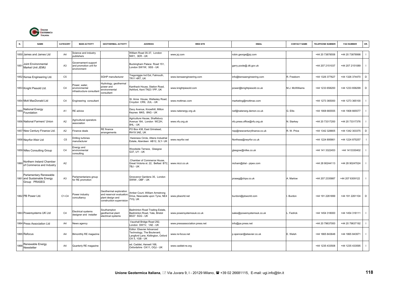

|      | <b>NAME</b>                                                           | CATEGORY       | <b>MAIN ACTIVITY</b>                                         | <b>GEOTHERMAL ACTIVITY</b>                                                                         | <b>ADDRESS</b>                                                                                                | <b>WEB SITE</b>                | <b>EMAIL</b>                | <b>CONTACT NAME</b> | <b>TELEPHONE NUMBER</b> | <b>FAX NUMBER</b> | OR.          |
|------|-----------------------------------------------------------------------|----------------|--------------------------------------------------------------|----------------------------------------------------------------------------------------------------|---------------------------------------------------------------------------------------------------------------|--------------------------------|-----------------------------|---------------------|-------------------------|-------------------|--------------|
|      | 1850 James and James Ltd                                              | A4             | Science and industry<br>publishers                           |                                                                                                    | William Road 35-37, London<br>NW1, 3ER - UK                                                                   | www.jxj.com                    | robin.george@jxj.com        |                     | +44 20 73878558         | +44 20 73878998   | $\mathbf{I}$ |
|      | 1851 Joint Environmental<br>Market Unit JEMU                          | A <sub>3</sub> | Governament support<br>and promotion unit for<br>environment |                                                                                                    | Buckingham Palace Road 151,<br>ondon SW1W, 9SS - UK                                                           |                                | garry.poole@.dti.gov.uk     |                     | +44 207 2151037         | +44 207 2151089   | $\mathbf{I}$ |
|      | 1852 Kensa Engineering Ltd.                                           | C5             |                                                              | SGHP manufacturer                                                                                  | regoniggie Ind Est, Falmouth,<br>TR11 4RT, UK                                                                 | www.kensaengineering.com       | info@kensaengineering.com   | R. Freeborn         | +44 1326 377627         | +44 1326 374470   | D            |
|      | 1853 Knight Piesold Ltd.                                              | C <sub>4</sub> | Power, water,<br>environmental<br>nfrastructure consultant   | Hydrology, geothermal<br>power and<br>nvironmental<br>consultant                                   | Kanthack House, Station Road,<br>Ashford, Kent TN23 1PP, UK                                                   | www.knightpiesold.com          | power@knightpiesold.co.uk   | M.J. McWilliams     | +44 1233 658200         | +44 1233 658299   | D            |
|      | 1854 Mott MacDonald Ltd                                               | C <sub>4</sub> | Engineering consultant                                       |                                                                                                    | St. Anne House, Wellesley Road,<br>Croydon CR9, 2UL - UK                                                      | www.mottmac.com                | marketing@mottmac.com       |                     | +44 1273 365000         | +44 1273 365100   | $\mathbf{I}$ |
| 1855 | National Energy<br>Foundation                                         | A <sub>1</sub> | RE advice                                                    |                                                                                                    | Davy Avenue, Knowlhill, Milton<br>Keynes MK5, 8NG - UK                                                        | www.natenergy.org.uk           | nef@natenerg.demon.co.uk    | G. Ellis            | +44 1908 665555         | +44 1908 665577   | $\mathbf{I}$ |
|      | 1856 National Farmers' Union                                          | A2             | Agricultural operators<br>association                        |                                                                                                    | Agriculture Hause, Shaftsbury<br>Avenue 164, London WC2H,<br>8HL - UK                                         | www.nfu.org.uk                 | nfu.press.office@nfu.org.uk | N. Starkey          | +44 20 73317200         | +44 20 73317376   | $\mathbf{I}$ |
|      | 1857 New Century Finance Ltd.                                         | A2             | inance deals                                                 | RE finance<br>arrangements                                                                         | PO Box 438, East Grinstead,<br>RH19 3AE, UK                                                                   |                                | rwp@newcenturyfinance.co.uk | R. W. Price         | +44 1342 328805         | +44 1342 303375   | D            |
|      | 1858 Neyrfor-Weir Ltd                                                 | C <sub>5</sub> | Drilling turbines<br>nanufacturer                            |                                                                                                    | Hareness Circle, Altens Industrial<br>Estate, Aberdeen AB12, 3LY- UK                                          | www.neyrfor.net                | Northsea@neyrfor.co.uk      |                     | +44 1224 895661         | +44 1224 875257   | $\mathbf{I}$ |
|      | 1859 Nifes Consulting Group                                           | C <sub>4</sub> | Energy and<br>environmental<br>consulting                    |                                                                                                    | Woodside Terrace, Glasgow<br>G37, UY - UK                                                                     |                                | glasgow@nifes.co.uk         |                     | +44 141 3322453         | +44 1413330402    |              |
| 1860 | Northern Ireland Chamber<br>of Commerce and Industry                  | A <sub>2</sub> |                                                              |                                                                                                    | Chamber of Commerce House.<br>Great Victoria st. 22, Belfast BT2,<br>7BJ - UK                                 | www.nicci.co.uk                | nicham@dial - pipex.com     |                     | +44 28 90244113         | +44 28 90247024   | $\mathbf{I}$ |
|      | Parlamentary Renewable<br>1861 and Sustainable Energy<br>Group PRASEG | A <sub>3</sub> | Parlamentarians group<br>for RE promotion                    |                                                                                                    | Grosvenor Gardens 35, London<br>SWIW, OBF - UK                                                                |                                | praseg@chpa.co.uk           | A. Marlow           | +44 207 2335887         | +44 207 6309122   | $\mathbf{I}$ |
|      | 1862 PB Power Ltd.                                                    | C1-C4          | Yower industry<br>concultancy                                | Geothermal exploration<br>and reservoir evaluation<br>plant design and<br>construction supervision | Amber Court, William Armstrong<br>Drive, Newcastle upon Tyne, NE4<br>YQ, UK                                   | www.pbworld.net                | burdoni@pbworld.com         | Burdon              | +44 191 2261899         | +44 191 2261104   | D            |
|      | 1863 Powersystems UK Ltd                                              | C <sub>4</sub> | Electrical systems<br>designer and installer                 | Southampton<br>geothermal plant<br>electrical systems                                              | Badminton Road Trading Estate,<br>Badminton Road, Yate, Bristol<br><b>BS37 5GG - UK</b>                       | www.powersystemssuk.co.uk      | sales@powersystemsuk.co.uk  | Fedrick             | +44 1454 318000         | +44 1454 318111   | $\mathbf{I}$ |
|      | 1864 Press Association Ltd                                            | A4             | News agency                                                  |                                                                                                    | Vauxhall Bridge Road 292,<br>ondon SW1V, 1AE - UK                                                             | www.pressassociation.press.net | info@pa.press.net           |                     | +44 20 79637000         | +44 20 79637192   | $\mathbf{I}$ |
|      | 1865 Refocus                                                          | A4             | Bimonthly RE magazine                                        |                                                                                                    | Editor: Elsevier Advanced<br>Fechnology, The Boulevard,<br>angford Lane, Kidlington, Oxford<br>OX 5, 1GB - UK | www.re-focus.net               | p.spencer@elsevier.co.uk    | E. Welsh            | +44 1865 843648         | +44 1865 843971   | $\mathbf{I}$ |
| 1866 | Renewable Energy<br>Newsletter                                        | A4             | Quarterly RE magazine                                        |                                                                                                    | ed. Caddet, Harwell 168,<br>Oxfordshire OX11, OQJ - UK                                                        | www.caddet-re.org              |                             |                     | +44 1235 433508         | +44 1235 433595   | $\mathbf{I}$ |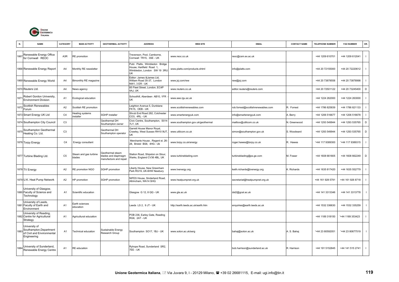

|      | <b>NAME</b>                                                                                | CATEGORY       | <b>MAIN ACTIVITY</b>            | <b>GEOTHERMAL ACTIVITY</b>                                        | <b>ADDRESS</b>                                                                                  | <b>WEB SITE</b>                    | <b>EMAIL</b>                       | <b>CONTACT NAME</b> | <b>TELEPHONE NUMBER</b> | <b>FAX NUMBER</b> | OR.            |
|------|--------------------------------------------------------------------------------------------|----------------|---------------------------------|-------------------------------------------------------------------|-------------------------------------------------------------------------------------------------|------------------------------------|------------------------------------|---------------------|-------------------------|-------------------|----------------|
| 1867 | Renewable Energy Office<br>for Cornwall REOC                                               | A3R            | RE promotion                    |                                                                   | Trevenson, Pool, Camborne,<br>Cornwall TR15, 3SE - UK                                           | www.reoc.co.uk                     | reoc@csm.ex.ac.uk                  |                     | +44 1209 610701         | +44 1209 612041   | $\mathbf{I}$   |
|      | 1868 Renewable Energy Report                                                               | A4             | Monthly RE newsletter           |                                                                   | Publ. Platts, Wimbledon Bridge<br>House, Hartfield Road 1,<br>Wimbledon, London SW 19 3RU<br>UK | www.platts.com/products.shtml      | info@platts.com                    |                     | +44 20 72155000         | +44 20 72220612   | $\mathbf{I}$   |
|      | 1869 Renewable Energy World                                                                | A4             | Bimonthly RE magazine           |                                                                   | Editor: James &James Ltd,<br>William Road 35-37, London<br>NW1, 3 ER - UK                       | www.jxj.com/rew                    | rew@jxj.com                        |                     | +44 20 73878558         | +44 20 73878998   | $\blacksquare$ |
|      | 1870 Reuters Ltd.                                                                          | A4             | News agency                     |                                                                   | 85 Fleet Street, London, EC4P<br>4AJ, UK                                                        | www.reuters.co.uk                  | editor.reuters@reuters.com         |                     | +44 20 72501122         | +44 20 73245400   | $\mathsf D$    |
| 1871 | Robert Gordon University,<br><b>Environment Division</b>                                   | A <sub>1</sub> | Ecological education            |                                                                   | Schoolhill, Aberdeen AB10, 1FR<br>UK                                                            | www.eee.rgu.ac.uk                  |                                    |                     | +44 1224 262000         | +44 1224 263000   | $\mathbf{I}$   |
| 187  | Scottish Renewables<br>Forum                                                               | A <sub>2</sub> | Scottish RE promotion           |                                                                   | Leighton Avenue 5, Dunblane<br>FK15, OEB - UK                                                   | www.scottishrenewables.com         | rob.forrest@scottishrenewables.com | R. Forrest          | +44 1786 825839         | +44 1786 821133   | $\mathbf{I}$   |
|      | 1873 Smart Energy UK Ltd                                                                   | C <sub>4</sub> | leating systems<br>nstaller     | SGHP installer                                                    | Shrub End Road 282, Colchester<br>CO3, 4RL - UK                                                 | www.smartenergyuk.com              | info@smartenergyuk.com             | . Berry             | +44 1206 516677         | +44 1206 516678   | $\mathbf{I}$   |
|      | 1874 Southampton City Council                                                              | C <sub>3</sub> |                                 | Geothermal DH<br>Southampton owner                                | Civic Centre, Southampton, S014<br>LY, UK                                                       | www.southampton.gov.uk/geothermal  | mailbox@utilicom.co.uk             | J. Greenwood        | +44 1293 549944         | +44 1293 535765   | $\mathsf D$    |
|      | 1875 Southampton Geothermal<br>Heating Co. Ltd.                                            | C <sub>3</sub> |                                 | Geothermal DH<br>Southampton operator                             | Garrett House Manor Royal,<br>Crawley, West Sussex RH10 9UT,                                    | www.utilicom.co.uk                 | simon@southampton.gov.uk           | S. Woodward         | +44 1293 549944         | +44 1293 535765   | D              |
|      | 1876 Torpy Energy                                                                          | C <sub>4</sub> | Energy consultant               |                                                                   | Merchants House, Regent st. 26-<br>28, Bristol BS8, 4HG - Uk                                    | www.torpy.co.uk/energy             | roger.hawes@torpy.co.uk            | R. Hawes            | '+44 117 9389300        | '+44 117 9389315  | $\mathbf{I}$   |
|      | 1877 Turbine Blading Ltd.                                                                  | C <sub>5</sub> | Steam and gas turbine<br>blades | Geothermal steam<br>lades and diaphragm<br>manufacture and repair | Station Road, Shipston on Stour,<br>Varks, England CV36 4BL, UK                                 | www.turbineblading.com             | turbineblading@ps.ge.com           | M. Fraser           | +44 1608 661805         | +44 1608 662249   | D              |
|      | 1878 TV Energy                                                                             | A <sub>2</sub> | RE promotion NGO                | SGHP promotion                                                    | iberty House, New Greenham<br>Park RG19, UK-6HW Newbury                                         | www.tvenergy.org                   | keith.richards@tvenergy.org        | K. Richards         | +44 1635 817420         | +44 1635 552779   | $\mathbf{I}$   |
|      | 1879 U.K. Heat Pump Network                                                                | A <sub>2</sub> | IP promotion                    | SGHP promotion                                                    | <b>NIFES House, Sinderland Road,</b><br>Altrincham, WA14 SHQ                                    | www.heatpumpnet.org.uk             | secretariat@heatpumpnet.org.uk     |                     | +44 161 928 5791        | +44 161 926 8718  | $\mathbf{I}$   |
|      | University of Glasgow,<br>1880 Faculty of Science and<br>Technology                        | A <sub>1</sub> | Scientific education            |                                                                   | Glasgow G 12, 8 QQ - UK                                                                         | www.gla.ac.uk                      | dst2@gcal.ac.uk                    |                     | +44 141 3313346         | +44 141 3313778   | $\mathbf{I}$   |
|      | University of Leeds,<br>1881 Faculty of Earth and<br>Environment                           | A <sub>1</sub> | Earth sciences<br>education     |                                                                   | eeds LS 2, 9 JT - UK                                                                            | http://earth.leeds.ac.uk/earth.htm | enquiries@earth.leeds.ac.uk        |                     | +44 1532 336630         | +44 1532 335259   | $\mathbf{I}$   |
|      | University of Reading,<br>1882 Centre for Agricultural<br>Strategy                         | A1             | Agricultural education          |                                                                   | POB 236, Earley Gate, Reading<br>RG6, 2AT - UK                                                  |                                    |                                    |                     | +44 1189 318150         | '+44 1189 353423  | $\mathbf{I}$   |
|      | University of<br>1883 Southampton, Department<br>of Civil and Environmental<br>Engineering | A <sub>1</sub> | <b>Fechnical education</b>      | Sustainable Energy<br>Research Group                              | Southampton SO17, 1BJ - UK                                                                      | www.soton.ac.uk/serg               | bahaj@soton.ac.uk                  | A. S. Bahaj         | '+44 23 80592051        | '+44 23 80677519  | $\mathbf{I}$   |
| 1884 | University of Sunderland,<br>Renewable Energy Centre                                       | A <sub>1</sub> | <b>RE</b> education             |                                                                   | Ryhope Road, Sunderland SR2,<br>7EE - UK                                                        |                                    | bob.harrison@sunderland.ac.uk      | R. Harrison         | +44 191 5152845         | +44 141 515 2741  | $\mathbf{I}$   |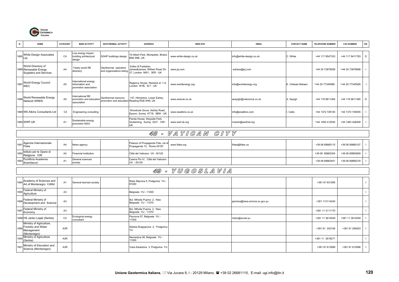

| N. | <b>NAME</b>                                                           | <b>CATEGORY</b> | <b>MAIN ACTIVITY</b>                                                           | <b>GEOTHERMAL ACTIVITY</b>                  | <b>ADDRESS</b>                                                                                             | <b>WEB SITE</b>        | <b>EMAIL</b>            | <b>CONTACT NAME</b> | <b>TELEPHONE NUMBER</b> | <b>FAX NUMBER</b> | OR. |
|----|-----------------------------------------------------------------------|-----------------|--------------------------------------------------------------------------------|---------------------------------------------|------------------------------------------------------------------------------------------------------------|------------------------|-------------------------|---------------------|-------------------------|-------------------|-----|
|    |                                                                       |                 |                                                                                |                                             |                                                                                                            |                        |                         |                     |                         |                   |     |
|    | 1885 White Design Associates                                          | C <sub>4</sub>  | Low energy impact<br>building achitectural<br>design                           | SGHP buildings design                       | 19 Albert Park, Montpelier, Bristol,<br>BS6 5NE, UK                                                        | www.white-design.co.uk | info@white-design.co.uk | C. White            | +44 117 9547333         | +44 117 9411783   | D   |
|    | World Directory of<br>1886 Renewable Energy<br>Suppliers and Services | A <sub>4</sub>  | Yearly world RE<br>directory                                                   | Geothermal operators                        | Editor & Publisher:<br>James&James, William Road 35-<br>and organizations listing 37, London NW1, 3ER - UK | www.jxj.com            | wdress@jxj.com          |                     | +44 20 73878558         | '+44 20 73878998  |     |
|    | 1887 World Energy Council<br><b>WEC</b>                               | A <sub>5</sub>  | International energy<br>information and<br>promotion association               |                                             | Regency House, Warwick st. 1-4,<br>London W1B, 5LT - UK                                                    | www.worldenergy.org    | info@worldenergy.org    | E. Virkkala Nekaev  | '+44 20 77345996        | '+44 20 77345926  |     |
|    | 1888 World Renewable Energy                                           | A <sub>5</sub>  | International RE<br>promotion and education Geothermal resource<br>association | promotion and education Reading RG6 4HN, UK | 147, Hilmanton, Lower Earley,                                                                              | www.wrenuk.co.uk       | asayigh@netcomuk.co.uk  | A. Sayigh           | +44 118 9611364         | +44 118 9611365   | D   |
|    | 1889 WS Atkins Consultants Ltd                                        | C <sub>4</sub>  | Engineering consulting                                                         |                                             | Woodcote Grove, Ashley Road,<br>Epsom, Surrey KT18, 5BW - UK                                               | www.wsatkins.co.uk     | info@wsatkins.com       | . Catto             | +44 1372 726140         | +44 1372 740055   |     |
|    | 1890 WWF-UK                                                           | A <sub>1</sub>  | Sustainable energy<br>promotion NGO                                            |                                             | Panda House, Weyside Park,<br>Godalming, Surrey GU7, 1XR -<br>UK                                           | www.wwf-uk.org         | rmarsh@wwfnet.org       |                     | '+44 1483 412545        | +44 1483 426409   |     |

## 48 - V A T I C A N C I T Y

| 1891 Agenzia Internazionale<br>Fides           | A4     | News agency                  | Palazzo di Propaganda Fide, via di<br>Propaganda 1C, Roma 00187 | www.fides.org | fides@fides.va | +39 06 69880115 | +39 06 69880107 |  |
|------------------------------------------------|--------|------------------------------|-----------------------------------------------------------------|---------------|----------------|-----------------|-----------------|--|
| 1892 Istituto per le Opere di<br>Religione IOR | A2     | <b>Financial institution</b> | Città del Vaticano VA - 00120                                   |               |                | +39 06 69883354 | +39 06 69883809 |  |
| 893 Pontificia Academia<br>Scientiarum         | $\sim$ | General sciences<br>societ   | Casina Pio IV, Città del Vaticano<br>VA - 00120                 |               |                | +39 06 69883451 | +39 06 69885218 |  |

## 49 - Y U G O S L A V I A

|      | 1894 Academy of Sciences and<br>Art of Montenegro CANU                            | A1               | General learned society         | Rista Stijovica 5, Podgorica YU -<br>81000        |                               | +381 81 631095  |                 |  |
|------|-----------------------------------------------------------------------------------|------------------|---------------------------------|---------------------------------------------------|-------------------------------|-----------------|-----------------|--|
| 1895 | Federal Ministry of<br>Agriculture                                                | A <sub>3</sub>   |                                 | Belgrade YU - 11000                               |                               |                 |                 |  |
|      | 1896 Federal Ministry of<br>Development and Science                               | A <sub>3</sub>   |                                 | Bul. Mihaila Pupina 2, New<br>Belgrade YU - 11070 | jasmina@hera.smrnzs.sv.gov.yu | +381 113114240  |                 |  |
| 1897 | Federal Ministry of<br>Economy                                                    | A <sub>3</sub>   |                                 | Bul. Mihaila Pupina 2, New<br>Belgrade YU - 11070 |                               | +381 11 3111170 |                 |  |
|      | 1898 HS Janko Lisjak (Serbia)                                                     | C4               | Ecological energy<br>consultant | Paunova 57, Belgrade YU -<br>11000                | nidzo@eunet.yu                | +381 11 3614549 | +381 11 3614549 |  |
|      | Ministry of Agriculture,<br>Forestry and Water<br>1899 Management<br>(Montenegro) | A3R              |                                 | Stanka Dragojevica 2, Podgorica<br>YU             |                               | +381 81 242106  | +381 81 246553  |  |
|      | 1900 Ministry of Agriculture<br>(Serbia)                                          | A <sub>3</sub> R |                                 | Nemanjina 26, Belgrade YU -<br>11000              |                               | +381 11 3616271 |                 |  |
| 1901 | Ministry of Education and<br>Science (Montenegro)                                 | A <sub>3</sub> R |                                 | Vuka Karadzica 3, Podgorica YU                    |                               | +381 81 612999  | +381 81 612996  |  |